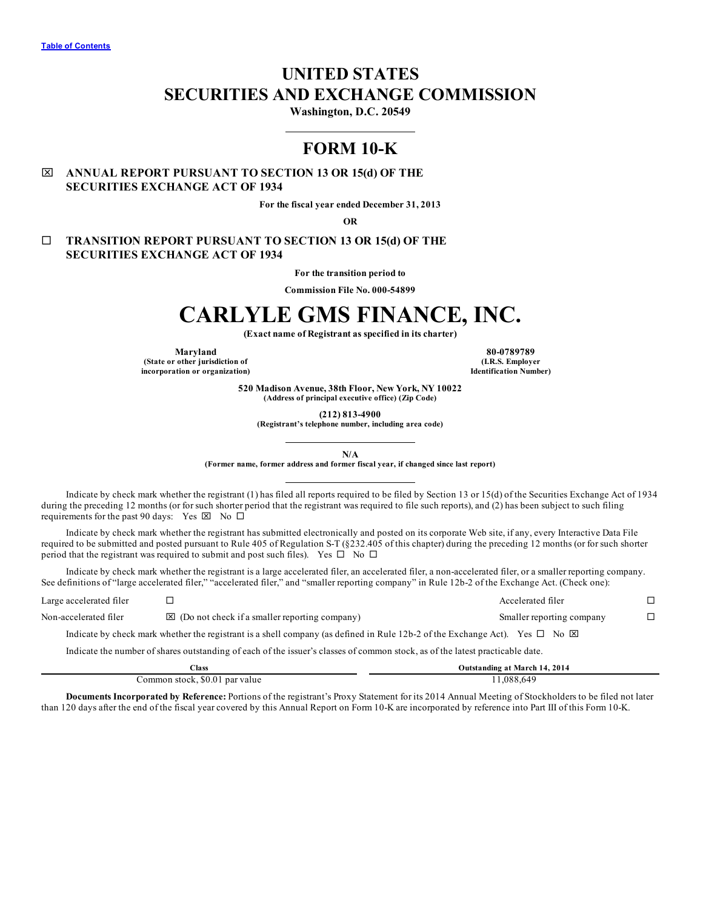# **UNITED STATES SECURITIES AND EXCHANGE COMMISSION**

**Washington, D.C. 20549**

## **FORM 10-K**

## x **ANNUAL REPORT PURSUANT TO SECTION 13 OR 15(d) OF THE SECURITIES EXCHANGE ACT OF 1934**

**For the fiscal year ended December 31, 2013**

**OR**

¨ **TRANSITION REPORT PURSUANT TO SECTION 13 OR 15(d) OF THE SECURITIES EXCHANGE ACT OF 1934**

**For the transition period to**

**Commission File No. 000-54899**

# **CARLYLE GMS FINANCE, INC.**

**(Exact name of Registrant as specified in its charter)**

**(State or other jurisdiction of incorporation or organization)**

**Maryland 80-0789789 (I.R.S. Employer Identification Number)**

> **520 Madison Avenue, 38th Floor, New York, NY 10022 (Address of principal executive office) (Zip Code)**

> > **(212) 813-4900**

**(Registrant's telephone number, including area code)**

**N/A**

**(Former name, former address and former fiscal year, if changed since last report)**

Indicate by check mark whether the registrant (1) has filed all reports required to be filed by Section 13 or 15(d) of the Securities Exchange Act of 1934 during the preceding 12 months (or for such shorter period that the registrant was required to file such reports), and (2) has been subject to such filing requirements for the past 90 days: Yes  $\boxtimes$  No  $\Box$ 

Indicate by check mark whether the registrant has submitted electronically and posted on its corporate Web site, if any, every Interactive Data File required to be submitted and posted pursuant to Rule 405 of Regulation S-T (§232.405 of this chapter) during the preceding 12 months (or for such shorter period that the registrant was required to submit and post such files). Yes  $\square$  No  $\square$ 

Indicate by check mark whether the registrant is a large accelerated filer, an accelerated filer, a non-accelerated filer, or a smaller reporting company. See definitions of "large accelerated filer," "accelerated filer," and "smaller reporting company" in Rule 12b-2 of the Exchange Act. (Check one):

| Large accelerated filer                                                                                                       |                                                                                                                                            | ப                                                         | Accelerated filer         |  |
|-------------------------------------------------------------------------------------------------------------------------------|--------------------------------------------------------------------------------------------------------------------------------------------|-----------------------------------------------------------|---------------------------|--|
|                                                                                                                               | Non-accelerated filer                                                                                                                      | $\boxtimes$ (Do not check if a smaller reporting company) | Smaller reporting company |  |
|                                                                                                                               | Indicate by check mark whether the registrant is a shell company (as defined in Rule 12b-2 of the Exchange Act). Yes $\Box$ No $\boxtimes$ |                                                           |                           |  |
| Indicate the number of shares outstanding of each of the issuer's classes of common stock, as of the latest practicable date. |                                                                                                                                            |                                                           |                           |  |

**Class Outstanding at March 14, 2014**

| ----                                     | $-$ 0.000 $-$ 0.000 $-$ 0.000 $-$ 0.000 $-$ 0.000 $-$ 0.000 $-$ 0.000 $-$ 0.000 $-$ 0.000 $-$ 0.000 $-$ 0.000 $-$ 0.000 $-$ 0.000 $-$ 0.000 $-$ 0.000 $-$ 0.000 $-$ 0.000 $-$ 0.000 $-$ 0.000 $-$ 0.000 $-$ 0.000 $-$ 0.000<br>_______ |  |  |
|------------------------------------------|----------------------------------------------------------------------------------------------------------------------------------------------------------------------------------------------------------------------------------------|--|--|
| Common stock, \$0.01 par value<br>.<br>. | .088.649                                                                                                                                                                                                                               |  |  |
|                                          |                                                                                                                                                                                                                                        |  |  |

**Documents Incorporated by Reference:** Portions of the registrant's Proxy Statement for its 2014 Annual Meeting of Stockholders to be filed not later than 120 days after the end of the fiscal year covered by this Annual Report on Form 10-K are incorporated by reference into Part III of this Form 10-K.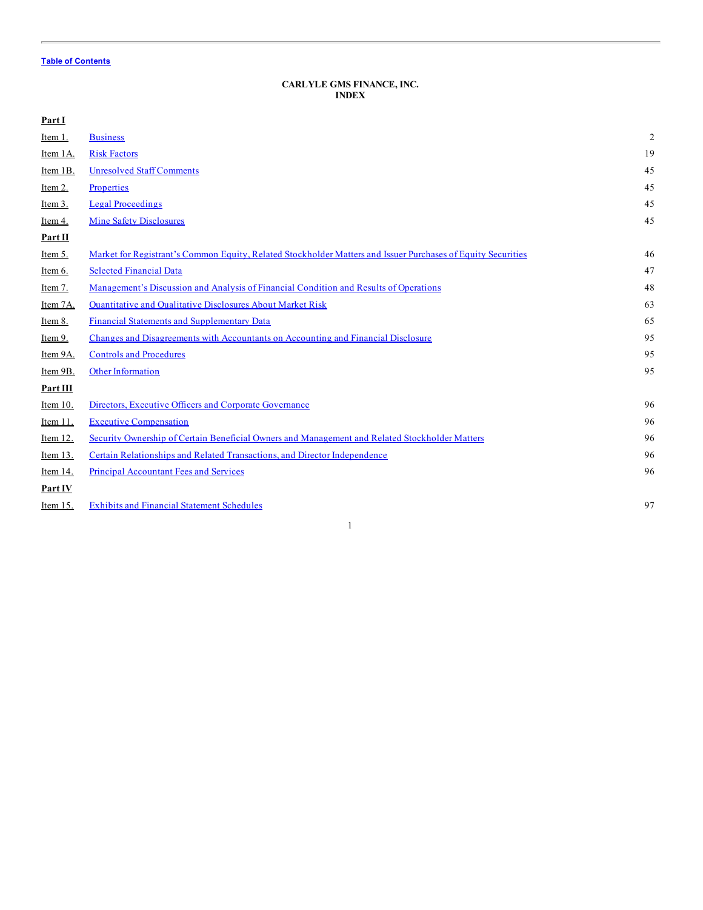## **CARLYLE GMS FINANCE, INC. INDEX**

<span id="page-1-0"></span>

| Part I      |                                                                                                              |                |
|-------------|--------------------------------------------------------------------------------------------------------------|----------------|
| Item 1.     | <b>Business</b>                                                                                              | $\overline{2}$ |
| Item 1A.    | <b>Risk Factors</b>                                                                                          | 19             |
| Item 1B.    | <b>Unresolved Staff Comments</b>                                                                             | 45             |
| Item 2.     | Properties                                                                                                   | 45             |
| Item 3.     | <b>Legal Proceedings</b>                                                                                     | 45             |
| Item 4.     | <b>Mine Safety Disclosures</b>                                                                               | 45             |
| Part II     |                                                                                                              |                |
| Item 5.     | Market for Registrant's Common Equity, Related Stockholder Matters and Issuer Purchases of Equity Securities | 46             |
| Item 6.     | <b>Selected Financial Data</b>                                                                               | 47             |
| Item 7.     | Management's Discussion and Analysis of Financial Condition and Results of Operations                        | 48             |
| Item 7A.    | <b>Ouantitative and Oualitative Disclosures About Market Risk</b>                                            | 63             |
| Item 8.     | <b>Financial Statements and Supplementary Data</b>                                                           | 65             |
| Item 9.     | Changes and Disagreements with Accountants on Accounting and Financial Disclosure                            | 95             |
| Item 9A.    | <b>Controls and Procedures</b>                                                                               | 95             |
| Item 9B.    | Other Information                                                                                            | 95             |
| Part III    |                                                                                                              |                |
| Item 10.    | Directors, Executive Officers and Corporate Governance                                                       | 96             |
| Item 11.    | <b>Executive Compensation</b>                                                                                | 96             |
| Item $12$ . | Security Ownership of Certain Beneficial Owners and Management and Related Stockholder Matters               | 96             |
| Item $13$ . | Certain Relationships and Related Transactions, and Director Independence                                    | 96             |
| Item 14.    | <b>Principal Accountant Fees and Services</b>                                                                | 96             |
| Part IV     |                                                                                                              |                |
| Item $15$ . | <b>Exhibits and Financial Statement Schedules</b>                                                            | 97             |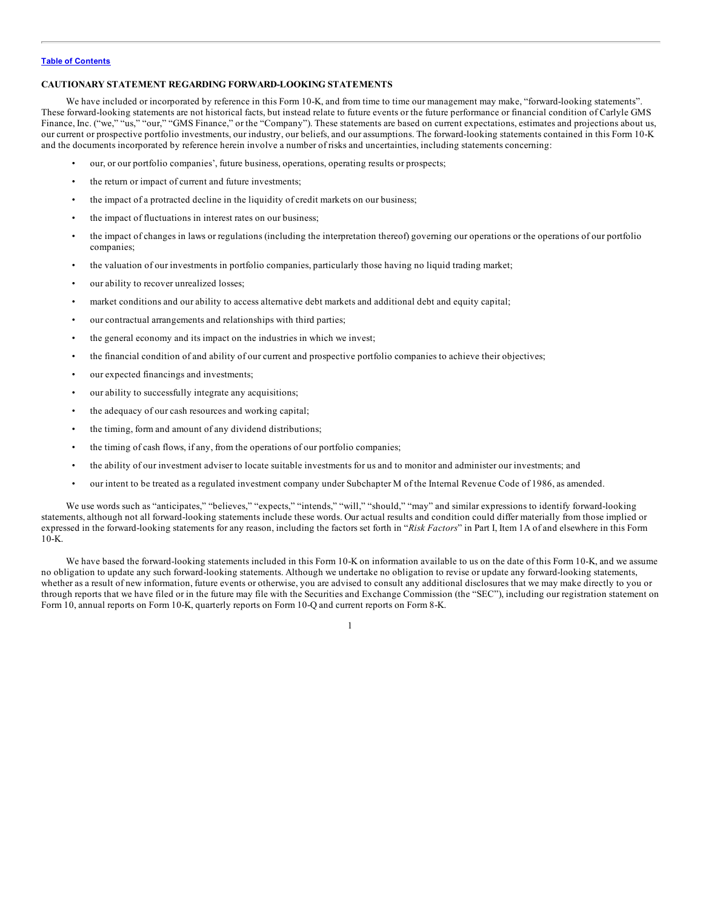#### **CAUTIONARY STATEMENT REGARDING FORWARD-LOOKING STATEMENTS**

We have included or incorporated by reference in this Form 10-K, and from time to time our management may make, "forward-looking statements". These forward-looking statements are not historical facts, but instead relate to future events or the future performance or financial condition of Carlyle GMS Finance, Inc. ("we," "us," "our," "GMS Finance," or the "Company"). These statements are based on current expectations, estimates and projections about us, our current or prospective portfolio investments, our industry, our beliefs, and our assumptions. The forward-looking statements contained in this Form 10-K and the documents incorporated by reference herein involve a number of risks and uncertainties, including statements concerning:

- our, or our portfolio companies', future business, operations, operating results or prospects;
- the return or impact of current and future investments;
- the impact of a protracted decline in the liquidity of credit markets on our business;
- the impact of fluctuations in interest rates on our business;
- the impact of changes in laws or regulations (including the interpretation thereof) governing our operations or the operations of our portfolio companies;
- the valuation of our investments in portfolio companies, particularly those having no liquid trading market;
- our ability to recover unrealized losses;
- market conditions and our ability to access alternative debt markets and additional debt and equity capital;
- our contractual arrangements and relationships with third parties;
- the general economy and its impact on the industries in which we invest;
- the financial condition of and ability of our current and prospective portfolio companies to achieve their objectives;
- our expected financings and investments;
- our ability to successfully integrate any acquisitions;
- the adequacy of our cash resources and working capital;
- the timing, form and amount of any dividend distributions;
- the timing of cash flows, if any, from the operations of our portfolio companies;
- the ability of our investment adviser to locate suitable investments for us and to monitor and administer our investments; and
- our intent to be treated as a regulated investment company under Subchapter M of the Internal Revenue Code of 1986, as amended.

We use words such as "anticipates," "believes," "expects," "intends," "will," "should," "may" and similar expressions to identify forward-looking statements, although not all forward-looking statements include these words. Our actual results and condition could differ materially from those implied or expressed in the forward-looking statements for any reason, including the factors set forth in "*Risk Factors*" in Part I, Item 1A of and elsewhere in this Form 10-K.

We have based the forward-looking statements included in this Form 10-K on information available to us on the date of this Form 10-K, and we assume no obligation to update any such forward-looking statements. Although we undertake no obligation to revise or update any forward-looking statements, whether as a result of new information, future events or otherwise, you are advised to consult any additional disclosures that we may make directly to you or through reports that we have filed or in the future may file with the Securities and Exchange Commission (the "SEC"), including our registration statement on Form 10, annual reports on Form 10-K, quarterly reports on Form 10-Q and current reports on Form 8-K.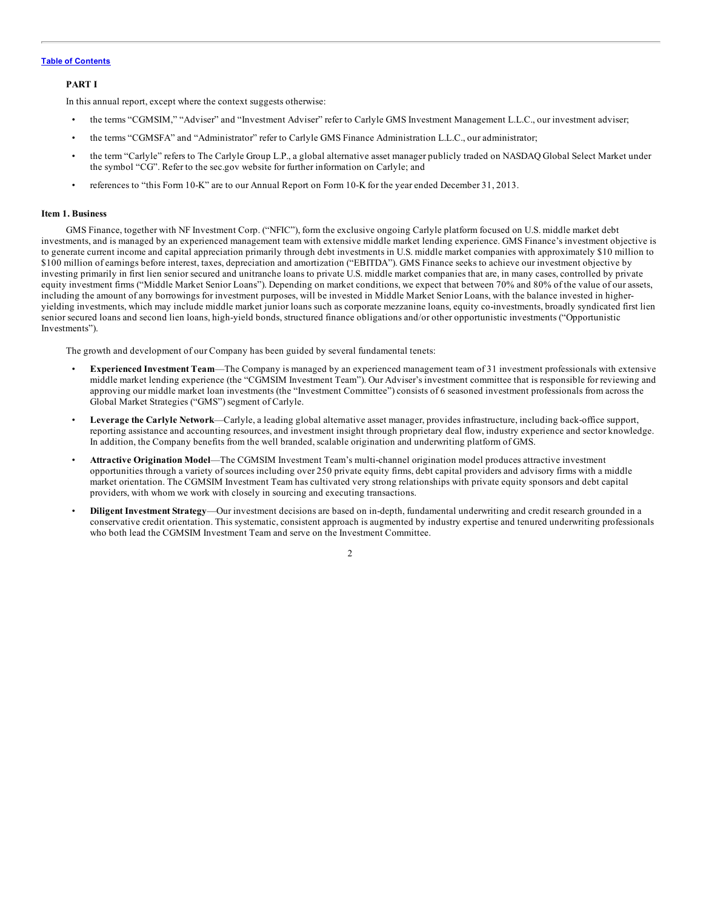## <span id="page-3-0"></span>**PART I**

In this annual report, except where the context suggests otherwise:

- the terms "CGMSIM," "Adviser" and "Investment Adviser" refer to Carlyle GMS Investment Management L.L.C., our investment adviser;
- the terms "CGMSFA" and "Administrator" refer to Carlyle GMS Finance Administration L.L.C., our administrator;
- the term "Carlyle" refers to The Carlyle Group L.P., a global alternative asset manager publicly traded on NASDAQ Global Select Market under the symbol "CG". Refer to the sec.gov website for further information on Carlyle; and
- references to "this Form 10-K" are to our Annual Report on Form 10-K for the year ended December 31, 2013.

#### **Item 1. Business**

GMS Finance, together with NF Investment Corp. ("NFIC"), form the exclusive ongoing Carlyle platform focused on U.S. middle market debt investments, and is managed by an experienced management team with extensive middle market lending experience. GMS Finance's investment objective is to generate current income and capital appreciation primarily through debt investments in U.S. middle market companies with approximately \$10 million to \$100 million of earnings before interest, taxes, depreciation and amortization ("EBITDA"). GMS Finance seeks to achieve our investment objective by investing primarily in first lien senior secured and unitranche loans to private U.S. middle market companies that are, in many cases, controlled by private equity investment firms ("Middle Market Senior Loans"). Depending on market conditions, we expect that between 70% and 80% of the value of our assets, including the amount of any borrowings for investment purposes, will be invested in Middle Market Senior Loans, with the balance invested in higheryielding investments, which may include middle market junior loans such as corporate mezzanine loans, equity co-investments, broadly syndicated first lien senior secured loans and second lien loans, high-yield bonds, structured finance obligations and/or other opportunistic investments ("Opportunistic Investments").

The growth and development of our Company has been guided by several fundamental tenets:

- **Experienced Investment Team**—The Company is managed by an experienced management team of 31 investment professionals with extensive middle market lending experience (the "CGMSIM Investment Team"). Our Adviser's investment committee that is responsible for reviewing and approving our middle market loan investments (the "Investment Committee") consists of 6 seasoned investment professionals from across the Global Market Strategies ("GMS") segment of Carlyle.
- **Leverage the Carlyle Network**—Carlyle, a leading global alternative asset manager, provides infrastructure, including back-office support, reporting assistance and accounting resources, and investment insight through proprietary deal flow, industry experience and sector knowledge. In addition, the Company benefits from the well branded, scalable origination and underwriting platform of GMS.
- **Attractive Origination Model**—The CGMSIM Investment Team's multi-channel origination model produces attractive investment opportunities through a variety of sources including over 250 private equity firms, debt capital providers and advisory firms with a middle market orientation. The CGMSIM Investment Team has cultivated very strong relationships with private equity sponsors and debt capital providers, with whom we work with closely in sourcing and executing transactions.
- **Diligent Investment Strategy**—Our investment decisions are based on in-depth, fundamental underwriting and credit research grounded in a conservative credit orientation. This systematic, consistent approach is augmented by industry expertise and tenured underwriting professionals who both lead the CGMSIM Investment Team and serve on the Investment Committee.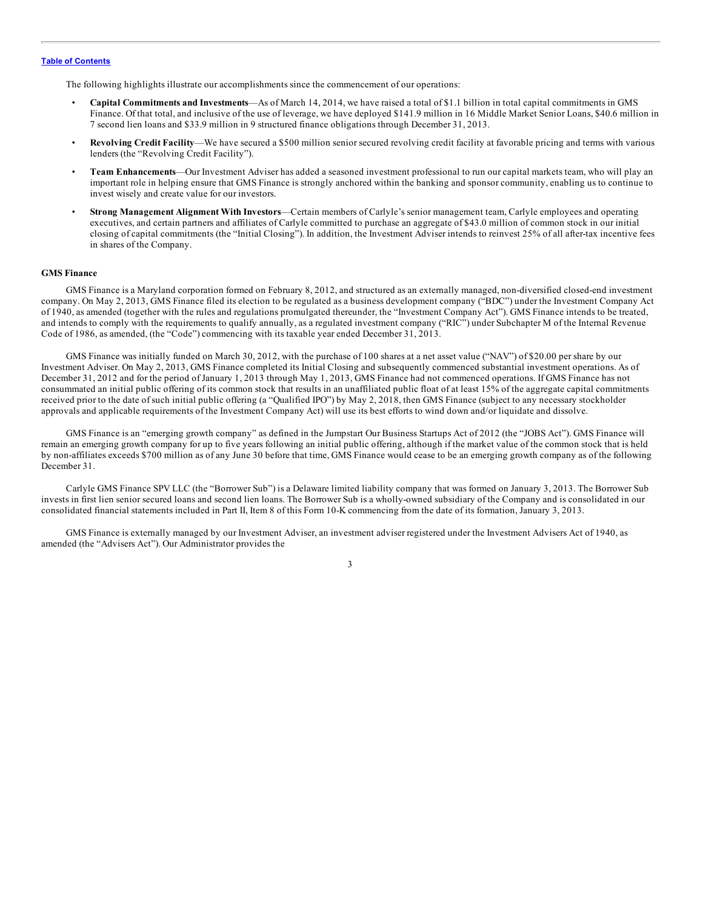The following highlights illustrate our accomplishments since the commencement of our operations:

- **Capital Commitments and Investments**—As of March 14, 2014, we have raised a total of \$1.1 billion in total capital commitments in GMS Finance. Of that total, and inclusive of the use of leverage, we have deployed \$141.9 million in 16 Middle Market Senior Loans, \$40.6 million in 7 second lien loans and \$33.9 million in 9 structured finance obligations through December 31, 2013.
- **Revolving Credit Facility**—We have secured a \$500 million senior secured revolving credit facility at favorable pricing and terms with various lenders (the "Revolving Credit Facility").
- **Team Enhancements**—Our Investment Adviser has added a seasoned investment professional to run our capital markets team, who will play an important role in helping ensure that GMS Finance is strongly anchored within the banking and sponsor community, enabling us to continue to invest wisely and create value for our investors.
- **Strong Management Alignment With Investors**—Certain members of Carlyle's senior management team, Carlyle employees and operating executives, and certain partners and affiliates of Carlyle committed to purchase an aggregate of \$43.0 million of common stock in our initial closing of capital commitments (the "Initial Closing"). In addition, the Investment Adviser intends to reinvest 25% of all after-tax incentive fees in shares of the Company.

## **GMS Finance**

GMS Finance is a Maryland corporation formed on February 8, 2012, and structured as an externally managed, non-diversified closed-end investment company. On May 2, 2013, GMS Finance filed its election to be regulated as a business development company ("BDC") under the Investment Company Act of 1940, as amended (together with the rules and regulations promulgated thereunder, the "Investment Company Act"). GMS Finance intends to be treated, and intends to comply with the requirements to qualify annually, as a regulated investment company ("RIC") under Subchapter M of the Internal Revenue Code of 1986, as amended, (the "Code") commencing with its taxable year ended December 31, 2013.

GMS Finance was initially funded on March 30, 2012, with the purchase of 100 shares at a net asset value ("NAV") of \$20.00 per share by our Investment Adviser. On May 2, 2013, GMS Finance completed its Initial Closing and subsequently commenced substantial investment operations. As of December 31, 2012 and for the period of January 1, 2013 through May 1, 2013, GMS Finance had not commenced operations. If GMS Finance has not consummated an initial public offering of its common stock that results in an unaffiliated public float of at least 15% of the aggregate capital commitments received prior to the date of such initial public offering (a "Qualified IPO") by May 2, 2018, then GMS Finance (subject to any necessary stockholder approvals and applicable requirements of the Investment Company Act) will use its best efforts to wind down and/or liquidate and dissolve.

GMS Finance is an "emerging growth company" as defined in the Jumpstart Our Business Startups Act of 2012 (the "JOBS Act"). GMS Finance will remain an emerging growth company for up to five years following an initial public offering, although if the market value of the common stock that is held by non-affiliates exceeds \$700 million as of any June 30 before that time, GMS Finance would cease to be an emerging growth company as of the following December 31.

Carlyle GMS Finance SPV LLC (the "Borrower Sub") is a Delaware limited liability company that was formed on January 3, 2013. The Borrower Sub invests in first lien senior secured loans and second lien loans. The Borrower Sub is a wholly-owned subsidiary of the Company and is consolidated in our consolidated financial statements included in Part II, Item 8 of this Form 10-K commencing from the date of its formation, January 3, 2013.

GMS Finance is externally managed by our Investment Adviser, an investment adviser registered under the Investment Advisers Act of 1940, as amended (the "Advisers Act"). Our Administrator provides the

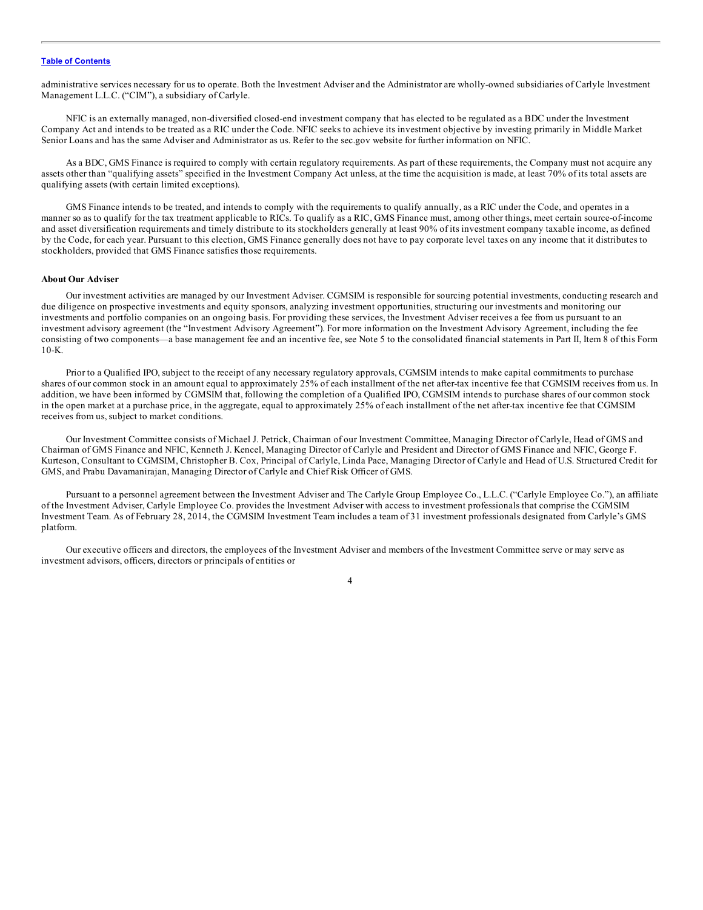administrative services necessary for us to operate. Both the Investment Adviser and the Administrator are wholly-owned subsidiaries of Carlyle Investment Management L.L.C. ("CIM"), a subsidiary of Carlyle.

NFIC is an externally managed, non-diversified closed-end investment company that has elected to be regulated as a BDC under the Investment Company Act and intends to be treated as a RIC under the Code. NFIC seeks to achieve its investment objective by investing primarily in Middle Market Senior Loans and has the same Adviser and Administrator as us. Refer to the sec.gov website for further information on NFIC.

As a BDC, GMS Finance is required to comply with certain regulatory requirements. As part of these requirements, the Company must not acquire any assets other than "qualifying assets" specified in the Investment Company Act unless, at the time the acquisition is made, at least 70% of its total assets are qualifying assets (with certain limited exceptions).

GMS Finance intends to be treated, and intends to comply with the requirements to qualify annually, as a RIC under the Code, and operates in a manner so as to qualify for the tax treatment applicable to RICs. To qualify as a RIC, GMS Finance must, among other things, meet certain source-of-income and asset diversification requirements and timely distribute to its stockholders generally at least 90% of its investment company taxable income, as defined by the Code, for each year. Pursuant to this election, GMS Finance generally does not have to pay corporate level taxes on any income that it distributes to stockholders, provided that GMS Finance satisfies those requirements.

#### **About Our Adviser**

Our investment activities are managed by our Investment Adviser. CGMSIM is responsible for sourcing potential investments, conducting research and due diligence on prospective investments and equity sponsors, analyzing investment opportunities, structuring our investments and monitoring our investments and portfolio companies on an ongoing basis. For providing these services, the Investment Adviser receives a fee from us pursuant to an investment advisory agreement (the "Investment Advisory Agreement"). For more information on the Investment Advisory Agreement, including the fee consisting of two components—a base management fee and an incentive fee, see Note 5 to the consolidated financial statements in Part II, Item 8 of this Form 10-K.

Prior to a Qualified IPO, subject to the receipt of any necessary regulatory approvals, CGMSIM intends to make capital commitments to purchase shares of our common stock in an amount equal to approximately 25% of each installment of the net after-tax incentive fee that CGMSIM receives from us. In addition, we have been informed by CGMSIM that, following the completion of a Qualified IPO, CGMSIM intends to purchase shares of our common stock in the open market at a purchase price, in the aggregate, equal to approximately 25% of each installment of the net after-tax incentive fee that CGMSIM receives from us, subject to market conditions.

Our Investment Committee consists of Michael J. Petrick, Chairman of our Investment Committee, Managing Director of Carlyle, Head of GMS and Chairman of GMS Finance and NFIC, Kenneth J. Kencel, Managing Director of Carlyle and President and Director of GMS Finance and NFIC, George F. Kurteson, Consultant to CGMSIM, Christopher B. Cox, Principal of Carlyle, Linda Pace, Managing Director of Carlyle and Head of U.S. Structured Credit for GMS, and Prabu Davamanirajan, Managing Director of Carlyle and Chief Risk Officer of GMS.

Pursuant to a personnel agreement between the Investment Adviser and The Carlyle Group Employee Co., L.L.C. ("Carlyle Employee Co."), an affiliate of the Investment Adviser, Carlyle Employee Co. provides the Investment Adviser with access to investment professionals that comprise the CGMSIM Investment Team. As of February 28, 2014, the CGMSIM Investment Team includes a team of 31 investment professionals designated from Carlyle's GMS platform.

Our executive officers and directors, the employees of the Investment Adviser and members of the Investment Committee serve or may serve as investment advisors, officers, directors or principals of entities or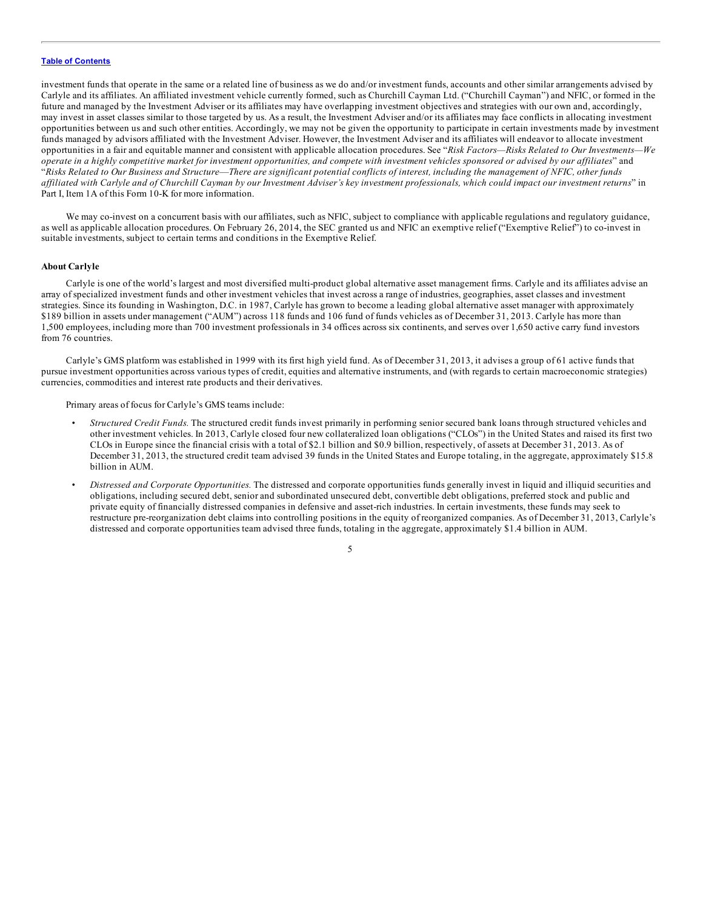investment funds that operate in the same or a related line of business as we do and/or investment funds, accounts and other similar arrangements advised by Carlyle and its affiliates. An affiliated investment vehicle currently formed, such as Churchill Cayman Ltd. ("Churchill Cayman") and NFIC, or formed in the future and managed by the Investment Adviser or its affiliates may have overlapping investment objectives and strategies with our own and, accordingly, may invest in asset classes similar to those targeted by us. As a result, the Investment Adviser and/or its affiliates may face conflicts in allocating investment opportunities between us and such other entities. Accordingly, we may not be given the opportunity to participate in certain investments made by investment funds managed by advisors affiliated with the Investment Adviser. However, the Investment Adviser and its affiliates will endeavor to allocate investment opportunities in a fair and equitable manner and consistent with applicable allocation procedures. See "*Risk Factors—Risks Related to Our Investments—We* operate in a highly competitive market for investment opportunities, and compete with investment vehicles sponsored or advised by our affiliates" and "Risks Related to Our Business and Structure—There are significant potential conflicts of interest, including the management of NFIC, other funds affiliated with Carlyle and of Churchill Cayman by our Investment Adviser's key investment professionals, which could impact our investment returns" in Part I, Item 1A of this Form 10-K for more information.

We may co-invest on a concurrent basis with our affiliates, such as NFIC, subject to compliance with applicable regulations and regulatory guidance, as well as applicable allocation procedures. On February 26, 2014, the SEC granted us and NFIC an exemptive relief ("Exemptive Relief") to co-invest in suitable investments, subject to certain terms and conditions in the Exemptive Relief.

## **About Carlyle**

Carlyle is one of the world's largest and most diversified multi-product global alternative asset management firms. Carlyle and its affiliates advise an array of specialized investment funds and other investment vehicles that invest across a range of industries, geographies, asset classes and investment strategies. Since its founding in Washington, D.C. in 1987, Carlyle has grown to become a leading global alternative asset manager with approximately \$189 billion in assets under management ("AUM") across 118 funds and 106 fund of funds vehicles as of December 31, 2013. Carlyle has more than 1,500 employees, including more than 700 investment professionals in 34 offices across six continents, and serves over 1,650 active carry fund investors from 76 countries.

Carlyle's GMS platform was established in 1999 with its first high yield fund. As of December 31, 2013, it advises a group of 61 active funds that pursue investment opportunities across various types of credit, equities and alternative instruments, and (with regards to certain macroeconomic strategies) currencies, commodities and interest rate products and their derivatives.

Primary areas of focus for Carlyle's GMS teams include:

- *Structured Credit Funds.* The structured credit funds invest primarily in performing senior secured bank loans through structured vehicles and other investment vehicles. In 2013, Carlyle closed four new collateralized loan obligations ("CLOs") in the United States and raised its first two CLOs in Europe since the financial crisis with a total of \$2.1 billion and \$0.9 billion, respectively, of assets at December 31, 2013. As of December 31, 2013, the structured credit team advised 39 funds in the United States and Europe totaling, in the aggregate, approximately \$15.8 billion in AUM.
- *Distressed and Corporate Opportunities.* The distressed and corporate opportunities funds generally invest in liquid and illiquid securities and obligations, including secured debt, senior and subordinated unsecured debt, convertible debt obligations, preferred stock and public and private equity of financially distressed companies in defensive and asset-rich industries. In certain investments, these funds may seek to restructure pre-reorganization debt claims into controlling positions in the equity of reorganized companies. As of December 31, 2013, Carlyle's distressed and corporate opportunities team advised three funds, totaling in the aggregate, approximately \$1.4 billion in AUM.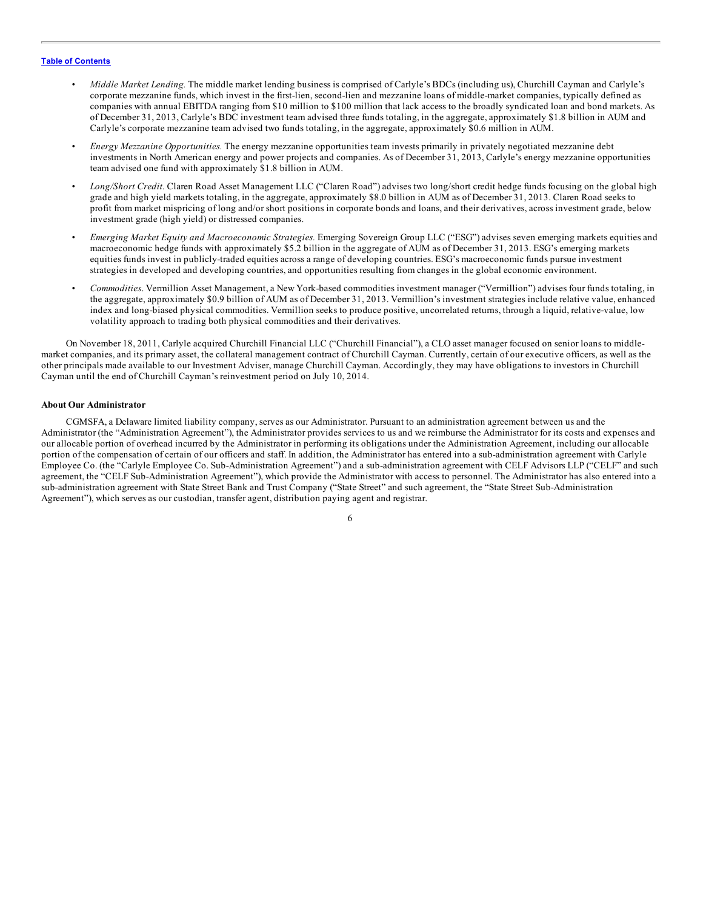- *Middle Market Lending.* The middle market lending business is comprised of Carlyle's BDCs (including us), Churchill Cayman and Carlyle's corporate mezzanine funds, which invest in the first-lien, second-lien and mezzanine loans of middle-market companies, typically defined as companies with annual EBITDA ranging from \$10 million to \$100 million that lack access to the broadly syndicated loan and bond markets. As of December 31, 2013, Carlyle's BDC investment team advised three funds totaling, in the aggregate, approximately \$1.8 billion in AUM and Carlyle's corporate mezzanine team advised two funds totaling, in the aggregate, approximately \$0.6 million in AUM.
- *Energy Mezzanine Opportunities.* The energy mezzanine opportunities team invests primarily in privately negotiated mezzanine debt investments in North American energy and power projects and companies. As of December 31, 2013, Carlyle's energy mezzanine opportunities team advised one fund with approximately \$1.8 billion in AUM.
- *Long/Short Credit.* Claren Road Asset Management LLC ("Claren Road") advises two long/short credit hedge funds focusing on the global high grade and high yield markets totaling, in the aggregate, approximately \$8.0 billion in AUM as of December 31, 2013. Claren Road seeks to profit from market mispricing of long and/or short positions in corporate bonds and loans, and their derivatives, across investment grade, below investment grade (high yield) or distressed companies.
- *Emerging Market Equity and Macroeconomic Strategies.* Emerging Sovereign Group LLC ("ESG") advises seven emerging markets equities and macroeconomic hedge funds with approximately \$5.2 billion in the aggregate of AUM as of December 31, 2013. ESG's emerging markets equities funds invest in publicly-traded equities across a range of developing countries. ESG's macroeconomic funds pursue investment strategies in developed and developing countries, and opportunities resulting from changes in the global economic environment.
- *Commodities*. Vermillion Asset Management, a New York-based commodities investment manager ("Vermillion") advises four funds totaling, in the aggregate, approximately \$0.9 billion of AUM as of December 31, 2013. Vermillion's investment strategies include relative value, enhanced index and long-biased physical commodities. Vermillion seeks to produce positive, uncorrelated returns, through a liquid, relative-value, low volatility approach to trading both physical commodities and their derivatives.

On November 18, 2011, Carlyle acquired Churchill Financial LLC ("Churchill Financial"), a CLO asset manager focused on senior loans to middlemarket companies, and its primary asset, the collateral management contract of Churchill Cayman. Currently, certain of our executive officers, as well as the other principals made available to our Investment Adviser, manage Churchill Cayman. Accordingly, they may have obligations to investors in Churchill Cayman until the end of Churchill Cayman's reinvestment period on July 10, 2014.

## **About Our Administrator**

CGMSFA, a Delaware limited liability company, serves as our Administrator. Pursuant to an administration agreement between us and the Administrator (the "Administration Agreement"), the Administrator provides services to us and we reimburse the Administrator for its costs and expenses and our allocable portion of overhead incurred by the Administrator in performing its obligations under the Administration Agreement, including our allocable portion of the compensation of certain of our officers and staff. In addition, the Administrator has entered into a sub-administration agreement with Carlyle Employee Co. (the "Carlyle Employee Co. Sub-Administration Agreement") and a sub-administration agreement with CELF Advisors LLP ("CELF" and such agreement, the "CELF Sub-Administration Agreement"), which provide the Administrator with access to personnel. The Administrator has also entered into a sub-administration agreement with State Street Bank and Trust Company ("State Street" and such agreement, the "State Street Sub-Administration Agreement"), which serves as our custodian, transfer agent, distribution paying agent and registrar.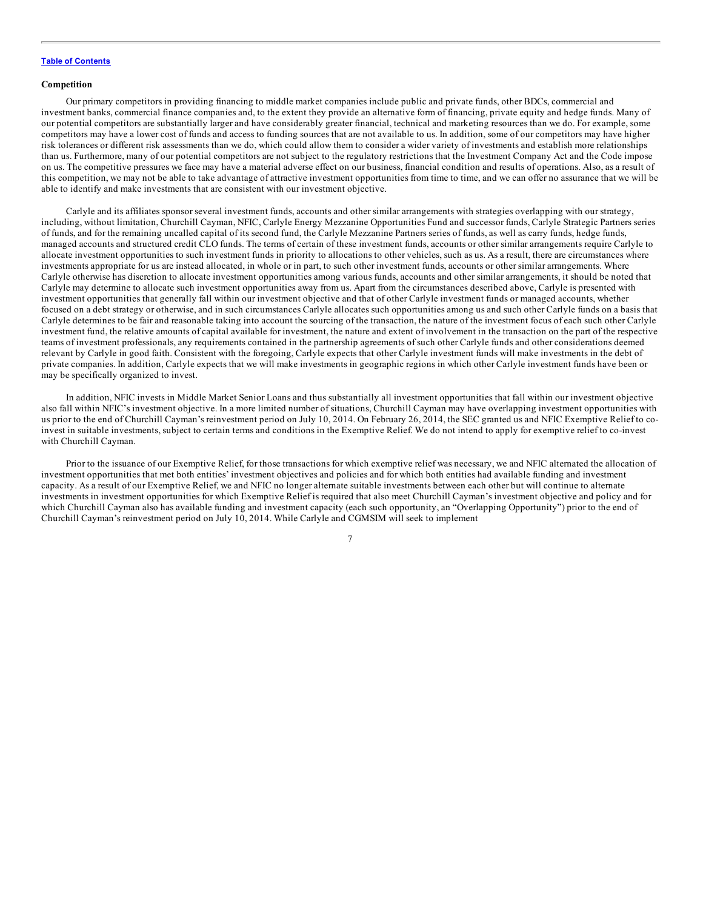#### **Competition**

Our primary competitors in providing financing to middle market companies include public and private funds, other BDCs, commercial and investment banks, commercial finance companies and, to the extent they provide an alternative form of financing, private equity and hedge funds. Many of our potential competitors are substantially larger and have considerably greater financial, technical and marketing resources than we do. For example, some competitors may have a lower cost of funds and access to funding sources that are not available to us. In addition, some of our competitors may have higher risk tolerances or different risk assessments than we do, which could allow them to consider a wider variety of investments and establish more relationships than us. Furthermore, many of our potential competitors are not subject to the regulatory restrictions that the Investment Company Act and the Code impose on us. The competitive pressures we face may have a material adverse effect on our business, financial condition and results of operations. Also, as a result of this competition, we may not be able to take advantage of attractive investment opportunities from time to time, and we can offer no assurance that we will be able to identify and make investments that are consistent with our investment objective.

Carlyle and its affiliates sponsor several investment funds, accounts and other similar arrangements with strategies overlapping with our strategy, including, without limitation, Churchill Cayman, NFIC, Carlyle Energy Mezzanine Opportunities Fund and successor funds, Carlyle Strategic Partners series of funds, and for the remaining uncalled capital of its second fund, the Carlyle Mezzanine Partners series of funds, as well as carry funds, hedge funds, managed accounts and structured credit CLO funds. The terms of certain of these investment funds, accounts or other similar arrangements require Carlyle to allocate investment opportunities to such investment funds in priority to allocations to other vehicles, such as us. As a result, there are circumstances where investments appropriate for us are instead allocated, in whole or in part, to such other investment funds, accounts or other similar arrangements. Where Carlyle otherwise has discretion to allocate investment opportunities among various funds, accounts and other similar arrangements, it should be noted that Carlyle may determine to allocate such investment opportunities away from us. Apart from the circumstances described above, Carlyle is presented with investment opportunities that generally fall within our investment objective and that of other Carlyle investment funds or managed accounts, whether focused on a debt strategy or otherwise, and in such circumstances Carlyle allocates such opportunities among us and such other Carlyle funds on a basis that Carlyle determines to be fair and reasonable taking into account the sourcing of the transaction, the nature of the investment focus of each such other Carlyle investment fund, the relative amounts of capital available for investment, the nature and extent of involvement in the transaction on the part of the respective teams of investment professionals, any requirements contained in the partnership agreements of such other Carlyle funds and other considerations deemed relevant by Carlyle in good faith. Consistent with the foregoing, Carlyle expects that other Carlyle investment funds will make investments in the debt of private companies. In addition, Carlyle expects that we will make investments in geographic regions in which other Carlyle investment funds have been or may be specifically organized to invest.

In addition, NFIC invests in Middle Market Senior Loans and thus substantially all investment opportunities that fall within our investment objective also fall within NFIC's investment objective. In a more limited number of situations, Churchill Cayman may have overlapping investment opportunities with us prior to the end of Churchill Cayman's reinvestment period on July 10, 2014. On February 26, 2014, the SEC granted us and NFIC Exemptive Relief to coinvest in suitable investments, subject to certain terms and conditions in the Exemptive Relief. We do not intend to apply for exemptive relief to co-invest with Churchill Cayman.

Prior to the issuance of our Exemptive Relief, for those transactions for which exemptive relief was necessary, we and NFIC alternated the allocation of investment opportunities that met both entities' investment objectives and policies and for which both entities had available funding and investment capacity. As a result of our Exemptive Relief, we and NFIC no longer alternate suitable investments between each other but will continue to alternate investments in investment opportunities for which Exemptive Relief is required that also meet Churchill Cayman's investment objective and policy and for which Churchill Cayman also has available funding and investment capacity (each such opportunity, an "Overlapping Opportunity") prior to the end of Churchill Cayman's reinvestment period on July 10, 2014. While Carlyle and CGMSIM will seek to implement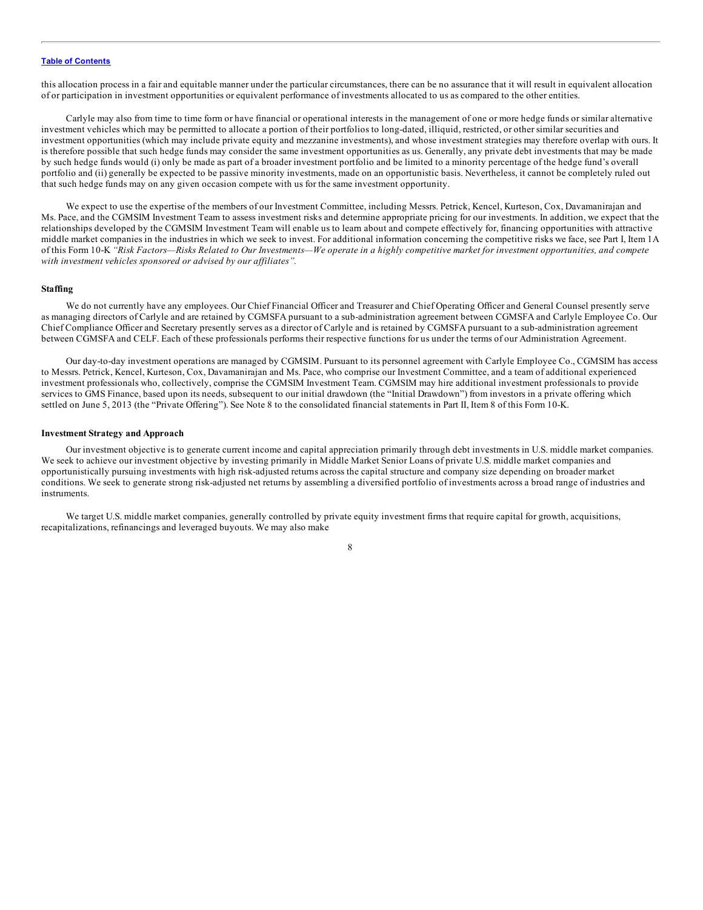this allocation process in a fair and equitable manner under the particular circumstances, there can be no assurance that it will result in equivalent allocation of or participation in investment opportunities or equivalent performance of investments allocated to us as compared to the other entities.

Carlyle may also from time to time form or have financial or operational interests in the management of one or more hedge funds or similar alternative investment vehicles which may be permitted to allocate a portion of their portfolios to long-dated, illiquid, restricted, or other similar securities and investment opportunities (which may include private equity and mezzanine investments), and whose investment strategies may therefore overlap with ours. It is therefore possible that such hedge funds may consider the same investment opportunities as us. Generally, any private debt investments that may be made by such hedge funds would (i) only be made as part of a broader investment portfolio and be limited to a minority percentage of the hedge fund's overall portfolio and (ii) generally be expected to be passive minority investments, made on an opportunistic basis. Nevertheless, it cannot be completely ruled out that such hedge funds may on any given occasion compete with us for the same investment opportunity.

We expect to use the expertise of the members of our Investment Committee, including Messrs. Petrick, Kencel, Kurteson, Cox, Davamanirajan and Ms. Pace, and the CGMSIM Investment Team to assess investment risks and determine appropriate pricing for our investments. In addition, we expect that the relationships developed by the CGMSIM Investment Team will enable us to learn about and compete effectively for, financing opportunities with attractive middle market companies in the industries in which we seek to invest. For additional information concerning the competitive risks we face, see Part I, Item 1A of this Form 10-K "Risk Factors—Risks Related to Our Investments—We operate in a highly competitive market for investment opportunities, and compete *with investment vehicles sponsored or advised by our af iliates".*

#### **Staffing**

We do not currently have any employees. Our Chief Financial Officer and Treasurer and Chief Operating Officer and General Counsel presently serve as managing directors of Carlyle and are retained by CGMSFA pursuant to a sub-administration agreement between CGMSFA and Carlyle Employee Co. Our Chief Compliance Officer and Secretary presently serves as a director of Carlyle and is retained by CGMSFA pursuant to a sub-administration agreement between CGMSFA and CELF. Each of these professionals performs their respective functions for us under the terms of our Administration Agreement.

Our day-to-day investment operations are managed by CGMSIM. Pursuant to its personnel agreement with Carlyle Employee Co., CGMSIM has access to Messrs. Petrick, Kencel, Kurteson, Cox, Davamanirajan and Ms. Pace, who comprise our Investment Committee, and a team of additional experienced investment professionals who, collectively, comprise the CGMSIM Investment Team. CGMSIM may hire additional investment professionals to provide services to GMS Finance, based upon its needs, subsequent to our initial drawdown (the "Initial Drawdown") from investors in a private offering which settled on June 5, 2013 (the "Private Offering"). See Note 8 to the consolidated financial statements in Part II, Item 8 of this Form 10-K.

#### **Investment Strategy and Approach**

Our investment objective is to generate current income and capital appreciation primarily through debt investments in U.S. middle market companies. We seek to achieve our investment objective by investing primarily in Middle Market Senior Loans of private U.S. middle market companies and opportunistically pursuing investments with high risk-adjusted returns across the capital structure and company size depending on broader market conditions. We seek to generate strong risk-adjusted net returns by assembling a diversified portfolio of investments across a broad range of industries and instruments.

We target U.S. middle market companies, generally controlled by private equity investment firms that require capital for growth, acquisitions, recapitalizations, refinancings and leveraged buyouts. We may also make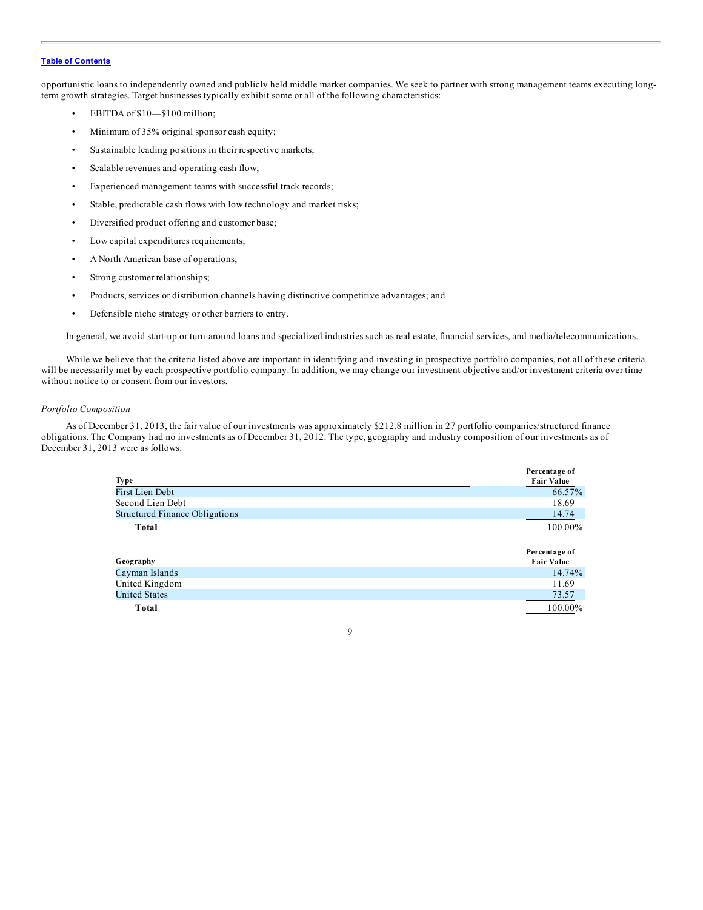opportunistic loans to independently owned and publicly held middle market companies. We seek to partner with strong management teams executing longterm growth strategies. Target businesses typically exhibit some or all of the following characteristics:

- EBITDA of \$10-\$100 million;
- Minimum of 35% original sponsor cash equity;
- Sustainable leading positions in their respective markets;
- Scalable revenues and operating cash flow;
- Experienced management teams with successful track records;
- Stable, predictable cash flows with low technology and market risks;
- Diversified product offering and customer base;
- Low capital expenditures requirements;
- A North American base of operations;
- Strong customer relationships;
- Products, services or distribution channels having distinctive competitive advantages; and
- Defensible niche strategy or other barriers to entry.

In general, we avoid start-up or turn-around loans and specialized industries such as real estate, financial services, and media/telecommunications.

While we believe that the criteria listed above are important in identifying and investing in prospective portfolio companies, not all of these criteria will be necessarily met by each prospective portfolio company. In addition, we may change our investment objective and/or investment criteria over time without notice to or consent from our investors.

## *Portfolio Composition*

As of December 31, 2013, the fair value of our investments was approximately \$212.8 million in 27 portfolio companies/structured finance obligations. The Company had no investments as of December 31, 2012. The type, geography and industry composition of our investments as of December 31, 2013 were as follows:

| <b>Type</b>                           | Percentage of<br><b>Fair Value</b> |
|---------------------------------------|------------------------------------|
| <b>First Lien Debt</b>                | 66.57%                             |
| Second Lien Debt                      | 18.69                              |
| <b>Structured Finance Obligations</b> | 14.74                              |
| Total                                 | 100.00%                            |
| Geography                             | Percentage of<br><b>Fair Value</b> |
| Cayman Islands                        | 14.74%                             |
| United Kingdom                        | 11.69                              |
| <b>United States</b>                  | 73.57                              |
| Total                                 | 100.00%                            |

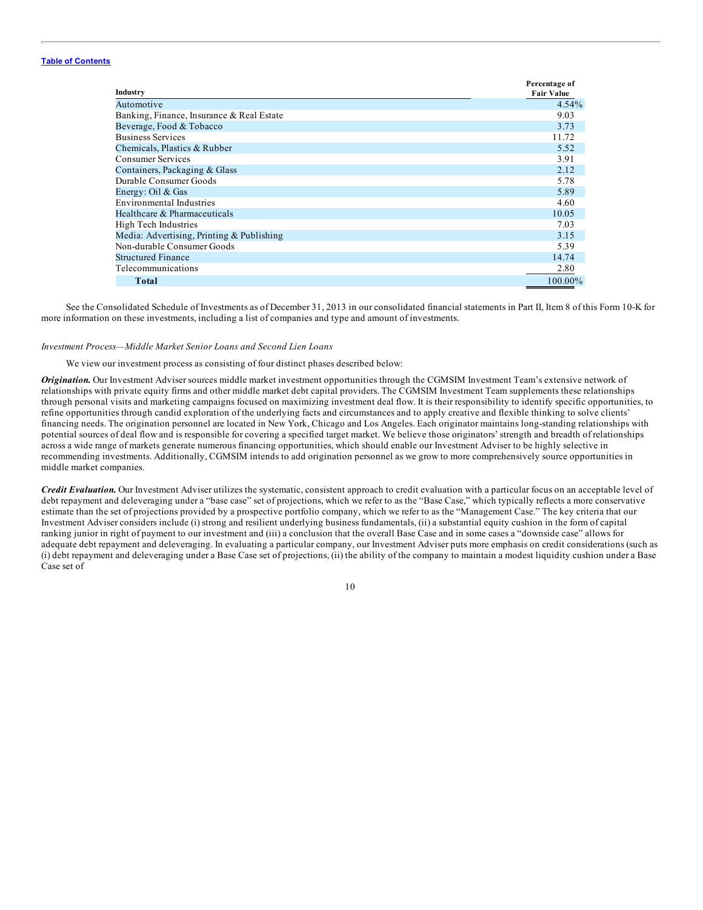| Industry                                  | Percentage of<br><b>Fair Value</b> |
|-------------------------------------------|------------------------------------|
| Automotive                                | 4.54%                              |
| Banking, Finance, Insurance & Real Estate | 9.03                               |
| Beverage, Food & Tobacco                  | 3.73                               |
| <b>Business Services</b>                  | 11.72                              |
| Chemicals, Plastics & Rubber              | 5.52                               |
| Consumer Services                         | 3.91                               |
| Containers, Packaging & Glass             | 2.12                               |
| Durable Consumer Goods                    | 5.78                               |
| Energy: Oil & Gas                         | 5.89                               |
| Environmental Industries                  | 4.60                               |
| Healthcare & Pharmaceuticals              | 10.05                              |
| High Tech Industries                      | 7.03                               |
| Media: Advertising, Printing & Publishing | 3.15                               |
| Non-durable Consumer Goods                | 5.39                               |
| <b>Structured Finance</b>                 | 14.74                              |
| Telecommunications                        | 2.80                               |
| Total                                     | $100.00\%$                         |

See the Consolidated Schedule of Investments as of December 31, 2013 in our consolidated financial statements in Part II, Item 8 of this Form 10-K for more information on these investments, including a list of companies and type and amount of investments.

## *Investment Process—Middle Market Senior Loans and Second Lien Loans*

#### We view our investment process as consisting of four distinct phases described below:

*Origination.* Our Investment Adviser sources middle market investment opportunities through the CGMSIM Investment Team's extensive network of relationships with private equity firms and other middle market debt capital providers. The CGMSIM Investment Team supplements these relationships through personal visits and marketing campaigns focused on maximizing investment deal flow. It is their responsibility to identify specific opportunities, to refine opportunities through candid exploration of the underlying facts and circumstances and to apply creative and flexible thinking to solve clients' financing needs. The origination personnel are located in New York, Chicago and Los Angeles. Each originator maintains long-standing relationships with potential sources of deal flow and is responsible for covering a specified target market. We believe those originators' strength and breadth of relationships across a wide range of markets generate numerous financing opportunities, which should enable our Investment Adviser to be highly selective in recommending investments. Additionally, CGMSIM intends to add origination personnel as we grow to more comprehensively source opportunities in middle market companies.

*Credit Evaluation.* Our Investment Adviser utilizes the systematic, consistent approach to credit evaluation with a particular focus on an acceptable level of debt repayment and deleveraging under a "base case" set of projections, which we refer to as the "Base Case," which typically reflects a more conservative estimate than the set of projections provided by a prospective portfolio company, which we refer to as the "Management Case." The key criteria that our Investment Adviser considers include (i) strong and resilient underlying business fundamentals, (ii) a substantial equity cushion in the form of capital ranking junior in right of payment to our investment and (iii) a conclusion that the overall Base Case and in some cases a "downside case" allows for adequate debt repayment and deleveraging. In evaluating a particular company, our Investment Adviser puts more emphasis on credit considerations (such as (i) debt repayment and deleveraging under a Base Case set of projections, (ii) the ability of the company to maintain a modest liquidity cushion under a Base Case set of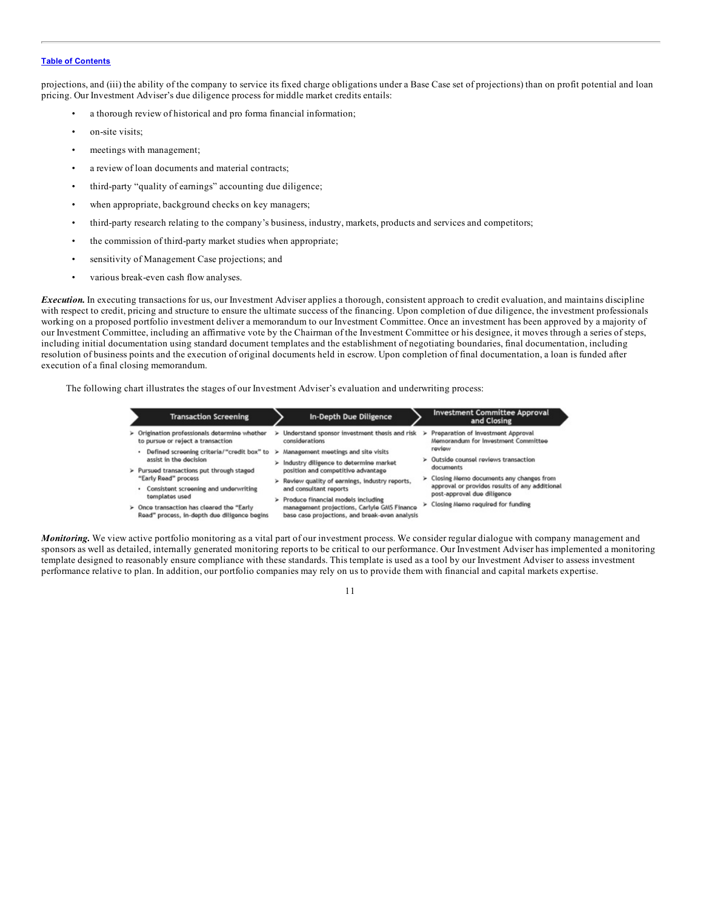projections, and (iii) the ability of the company to service its fixed charge obligations under a Base Case set of projections) than on profit potential and loan pricing. Our Investment Adviser's due diligence process for middle market credits entails:

- a thorough review of historical and pro forma financial information;
- on-site visits;
- meetings with management;
- a review of loan documents and material contracts;
- third-party "quality of earnings" accounting due diligence;
- when appropriate, background checks on key managers;
- third-party research relating to the company's business, industry, markets, products and services and competitors;
- the commission of third-party market studies when appropriate;
- sensitivity of Management Case projections; and
- various break-even cash flow analyses.

*Execution.* In executing transactions for us, our Investment Adviser applies a thorough, consistent approach to credit evaluation, and maintains discipline with respect to credit, pricing and structure to ensure the ultimate success of the financing. Upon completion of due diligence, the investment professionals working on a proposed portfolio investment deliver a memorandum to our Investment Committee. Once an investment has been approved by a majority of our Investment Committee, including an affirmative vote by the Chairman of the Investment Committee or his designee, it moves through a series of steps, including initial documentation using standard document templates and the establishment of negotiating boundaries, final documentation, including resolution of business points and the execution of original documents held in escrow. Upon completion of final documentation, a loan is funded after execution of a final closing memorandum.

The following chart illustrates the stages of our Investment Adviser's evaluation and underwriting process:

|  | <b>Transaction Screening</b>                                                                      |   | In-Depth Due Diligence                                                                        |   | <b>Investment Committee Approval</b><br>and Closing                       |
|--|---------------------------------------------------------------------------------------------------|---|-----------------------------------------------------------------------------------------------|---|---------------------------------------------------------------------------|
|  | $\triangleright$ Origination professionals determine whether<br>to pursue or reject a transaction |   | Understand sponsor investment thesis and risk<br>considerations                               | r | Preparation of Investment Approval<br>Memorandum for Investment Committee |
|  | Defined screening criteria/"credit box" to<br>assist in the decision                              | ⋗ | Management meetings and site visits                                                           |   | roviow                                                                    |
|  |                                                                                                   | r | Industry diligence to determine market                                                        |   | $\geq$ Outside counsel reviews transaction                                |
|  | > Pursued transactions put through staged                                                         |   | position and competitive advantage                                                            |   | documents                                                                 |
|  | "Early Read" process                                                                              | r | Review quality of earnings, industry reports,                                                 |   | $\triangleright$ Closing Memo documents any changes from                  |
|  | Consistent screening and underwriting<br>٠<br>templates used                                      |   | and consultant reports                                                                        |   | approval or provides results of any additional                            |
|  |                                                                                                   | ⋗ | Produce financial models including                                                            |   | post-approval due diligence                                               |
|  | > Once transaction has cleared the "Early<br>Road" procoss, in-dopth duo diligonco bogins         |   | management projections, Carlyle GMS Finance<br>base case projections, and break-even analysis |   | $\triangleright$ Closing Momo roquired for funding                        |

*Monitoring.* We view active portfolio monitoring as a vital part of our investment process. We consider regular dialogue with company management and sponsors as well as detailed, internally generated monitoring reports to be critical to our performance. Our Investment Adviser has implemented a monitoring template designed to reasonably ensure compliance with these standards. This template is used as a tool by our Investment Adviser to assess investment performance relative to plan. In addition, our portfolio companies may rely on us to provide them with financial and capital markets expertise.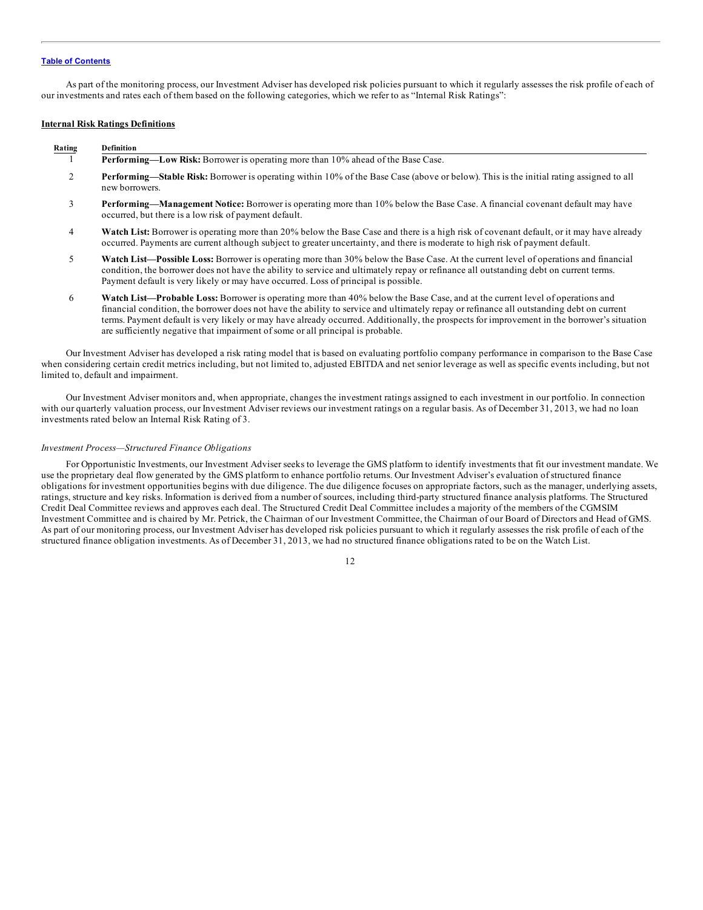As part of the monitoring process, our Investment Adviser has developed risk policies pursuant to which it regularly assesses the risk profile of each of our investments and rates each of them based on the following categories, which we refer to as "Internal Risk Ratings":

#### **Internal Risk Ratings Definitions**

| Rating | <b>Definition</b>                                                                                                                                                                                                                                                                                                                                                          |
|--------|----------------------------------------------------------------------------------------------------------------------------------------------------------------------------------------------------------------------------------------------------------------------------------------------------------------------------------------------------------------------------|
|        | <b>Performing—Low Risk:</b> Borrower is operating more than 10% ahead of the Base Case.                                                                                                                                                                                                                                                                                    |
| 2      | <b>Performing—Stable Risk:</b> Borrower is operating within 10% of the Base Case (above or below). This is the initial rating assigned to all<br>new borrowers.                                                                                                                                                                                                            |
| 3      | <b>Performing—Management Notice:</b> Borrower is operating more than 10% below the Base Case. A financial covenant default may have<br>occurred, but there is a low risk of payment default.                                                                                                                                                                               |
| 4      | <b>Watch List:</b> Borrower is operating more than 20% below the Base Case and there is a high risk of covenant default, or it may have already<br>occurred. Payments are current although subject to greater uncertainty, and there is moderate to high risk of payment default.                                                                                          |
| 5      | <b>Watch List—Possible Loss:</b> Borrower is operating more than 30% below the Base Case. At the current level of operations and financial<br>condition, the borrower does not have the ability to service and ultimately repay or refinance all outstanding debt on current terms.<br>Payment default is very likely or may have occurred. Loss of principal is possible. |
| 6      | Watch List—Probable Loss: Borrower is operating more than 40% below the Base Case, and at the current level of operations and<br>financial condition, the borrower does not have the ability to service and ultimately repay or refinance all outstanding debt on current                                                                                                  |

terms. Payment default is very likely or may have already occurred. Additionally, the prospects for improvement in the borrower's situation are sufficiently negative that impairment of some or all principal is probable.

Our Investment Adviser has developed a risk rating model that is based on evaluating portfolio company performance in comparison to the Base Case when considering certain credit metrics including, but not limited to, adjusted EBITDA and net senior leverage as well as specific events including, but not limited to, default and impairment.

Our Investment Adviser monitors and, when appropriate, changes the investment ratings assigned to each investment in our portfolio. In connection with our quarterly valuation process, our Investment Adviser reviews our investment ratings on a regular basis. As of December 31, 2013, we had no loan investments rated below an Internal Risk Rating of 3.

#### *Investment Process—Structured Finance Obligations*

For Opportunistic Investments, our Investment Adviser seeks to leverage the GMS platform to identify investments that fit our investment mandate. We use the proprietary deal flow generated by the GMS platform to enhance portfolio returns. Our Investment Adviser's evaluation of structured finance obligations for investment opportunities begins with due diligence. The due diligence focuses on appropriate factors, such as the manager, underlying assets, ratings, structure and key risks. Information is derived from a number of sources, including third-party structured finance analysis platforms. The Structured Credit Deal Committee reviews and approves each deal. The Structured Credit Deal Committee includes a majority of the members of the CGMSIM Investment Committee and is chaired by Mr. Petrick, the Chairman of our Investment Committee, the Chairman of our Board of Directors and Head of GMS. As part of our monitoring process, our Investment Adviser has developed risk policies pursuant to which it regularly assesses the risk profile of each of the structured finance obligation investments. As of December 31, 2013, we had no structured finance obligations rated to be on the Watch List.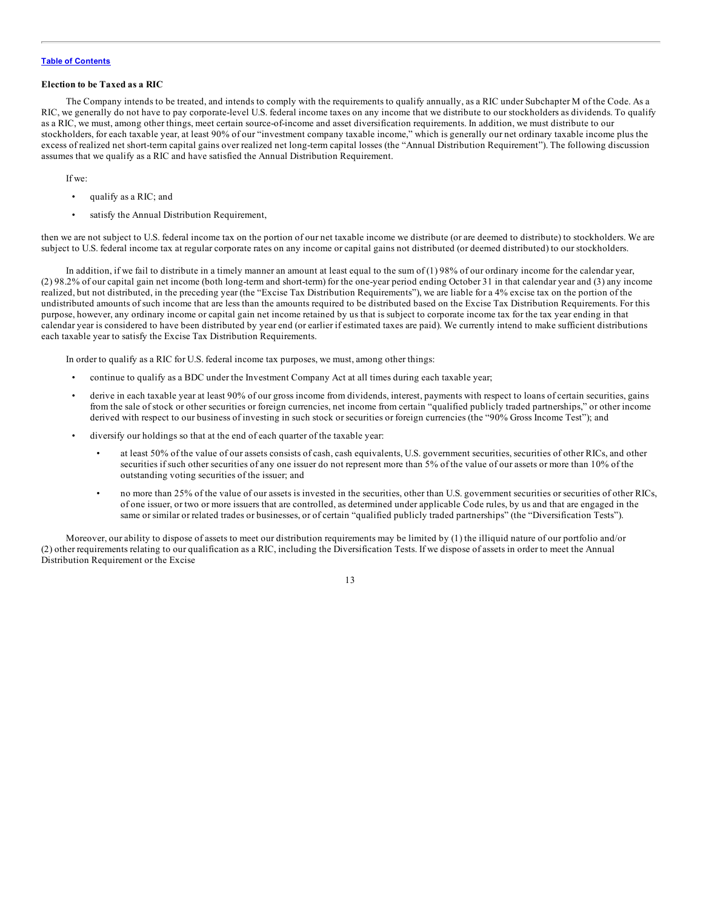#### **Election to be Taxed as a RIC**

The Company intends to be treated, and intends to comply with the requirements to qualify annually, as a RIC under Subchapter M of the Code. As a RIC, we generally do not have to pay corporate-level U.S. federal income taxes on any income that we distribute to our stockholders as dividends. To qualify as a RIC, we must, among other things, meet certain source-of-income and asset diversification requirements. In addition, we must distribute to our stockholders, for each taxable year, at least 90% of our "investment company taxable income," which is generally our net ordinary taxable income plus the excess of realized net short-term capital gains over realized net long-term capital losses (the "Annual Distribution Requirement"). The following discussion assumes that we qualify as a RIC and have satisfied the Annual Distribution Requirement.

If we:

- qualify as a RIC; and
- satisfy the Annual Distribution Requirement,

then we are not subject to U.S. federal income tax on the portion of our net taxable income we distribute (or are deemed to distribute) to stockholders. We are subject to U.S. federal income tax at regular corporate rates on any income or capital gains not distributed (or deemed distributed) to our stockholders.

In addition, if we fail to distribute in a timely manner an amount at least equal to the sum of (1) 98% of our ordinary income for the calendar year, (2) 98.2% of our capital gain net income (both long-term and short-term) for the one-year period ending October 31 in that calendar year and (3) any income realized, but not distributed, in the preceding year (the "Excise Tax Distribution Requirements"), we are liable for a 4% excise tax on the portion of the undistributed amounts of such income that are less than the amounts required to be distributed based on the Excise Tax Distribution Requirements. For this purpose, however, any ordinary income or capital gain net income retained by us that is subject to corporate income tax for the tax year ending in that calendar year is considered to have been distributed by year end (or earlier if estimated taxes are paid). We currently intend to make sufficient distributions each taxable year to satisfy the Excise Tax Distribution Requirements.

In order to qualify as a RIC for U.S. federal income tax purposes, we must, among other things:

- continue to qualify as a BDC under the Investment Company Act at all times during each taxable year;
- derive in each taxable year at least 90% of our gross income from dividends, interest, payments with respect to loans of certain securities, gains from the sale of stock or other securities or foreign currencies, net income from certain "qualified publicly traded partnerships," or other income derived with respect to our business of investing in such stock or securities or foreign currencies (the "90% Gross Income Test"); and
- diversify our holdings so that at the end of each quarter of the taxable year:
	- at least 50% of the value of our assets consists of cash, cash equivalents, U.S. government securities, securities of other RICs, and other securities if such other securities of any one issuer do not represent more than 5% of the value of our assets or more than 10% of the outstanding voting securities of the issuer; and
	- no more than 25% of the value of our assets is invested in the securities, other than U.S. government securities or securities of other RICs, of one issuer, or two or more issuers that are controlled, as determined under applicable Code rules, by us and that are engaged in the same or similar or related trades or businesses, or of certain "qualified publicly traded partnerships" (the "Diversification Tests").

Moreover, our ability to dispose of assets to meet our distribution requirements may be limited by (1) the illiquid nature of our portfolio and/or (2) other requirements relating to our qualification as a RIC, including the Diversification Tests. If we dispose of assets in order to meet the Annual Distribution Requirement or the Excise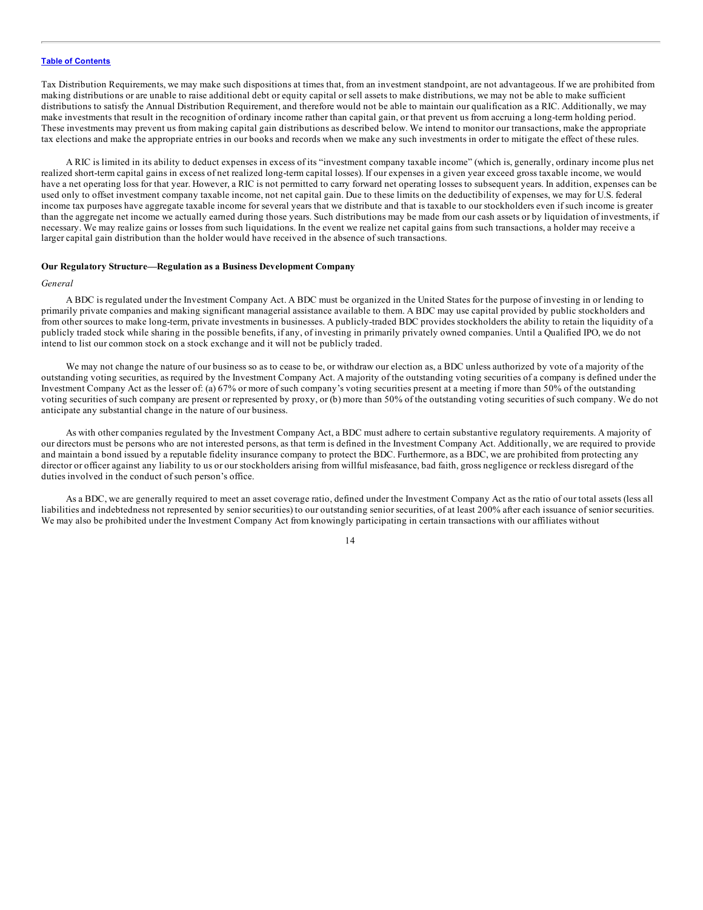Tax Distribution Requirements, we may make such dispositions at times that, from an investment standpoint, are not advantageous. If we are prohibited from making distributions or are unable to raise additional debt or equity capital or sell assets to make distributions, we may not be able to make sufficient distributions to satisfy the Annual Distribution Requirement, and therefore would not be able to maintain our qualification as a RIC. Additionally, we may make investments that result in the recognition of ordinary income rather than capital gain, or that prevent us from accruing a long-term holding period. These investments may prevent us from making capital gain distributions as described below. We intend to monitor our transactions, make the appropriate tax elections and make the appropriate entries in our books and records when we make any such investments in order to mitigate the effect of these rules.

A RIC is limited in its ability to deduct expenses in excess of its "investment company taxable income" (which is, generally, ordinary income plus net realized short-term capital gains in excess of net realized long-term capital losses). If our expenses in a given year exceed gross taxable income, we would have a net operating loss for that year. However, a RIC is not permitted to carry forward net operating losses to subsequent years. In addition, expenses can be used only to offset investment company taxable income, not net capital gain. Due to these limits on the deductibility of expenses, we may for U.S. federal income tax purposes have aggregate taxable income for several years that we distribute and that is taxable to our stockholders even if such income is greater than the aggregate net income we actually earned during those years. Such distributions may be made from our cash assets or by liquidation of investments, if necessary. We may realize gains or losses from such liquidations. In the event we realize net capital gains from such transactions, a holder may receive a larger capital gain distribution than the holder would have received in the absence of such transactions.

## **Our Regulatory Structure—Regulation as a Business Development Company**

#### *General*

A BDC is regulated under the Investment Company Act. A BDC must be organized in the United States for the purpose of investing in or lending to primarily private companies and making significant managerial assistance available to them. A BDC may use capital provided by public stockholders and from other sources to make long-term, private investments in businesses. A publicly-traded BDC provides stockholders the ability to retain the liquidity of a publicly traded stock while sharing in the possible benefits, if any, of investing in primarily privately owned companies. Until a Qualified IPO, we do not intend to list our common stock on a stock exchange and it will not be publicly traded.

We may not change the nature of our business so as to cease to be, or withdraw our election as, a BDC unless authorized by vote of a majority of the outstanding voting securities, as required by the Investment Company Act. A majority of the outstanding voting securities of a company is defined under the Investment Company Act as the lesser of: (a) 67% or more of such company's voting securities present at a meeting if more than 50% of the outstanding voting securities of such company are present or represented by proxy, or (b) more than 50% of the outstanding voting securities of such company. We do not anticipate any substantial change in the nature of our business.

As with other companies regulated by the Investment Company Act, a BDC must adhere to certain substantive regulatory requirements. A majority of our directors must be persons who are not interested persons, as that term is defined in the Investment Company Act. Additionally, we are required to provide and maintain a bond issued by a reputable fidelity insurance company to protect the BDC. Furthermore, as a BDC, we are prohibited from protecting any director or officer against any liability to us or our stockholders arising from willful misfeasance, bad faith, gross negligence or reckless disregard of the duties involved in the conduct of such person's office.

As a BDC, we are generally required to meet an asset coverage ratio, defined under the Investment Company Act as the ratio of our total assets (less all liabilities and indebtedness not represented by senior securities) to our outstanding senior securities, of at least 200% after each issuance of senior securities. We may also be prohibited under the Investment Company Act from knowingly participating in certain transactions with our affiliates without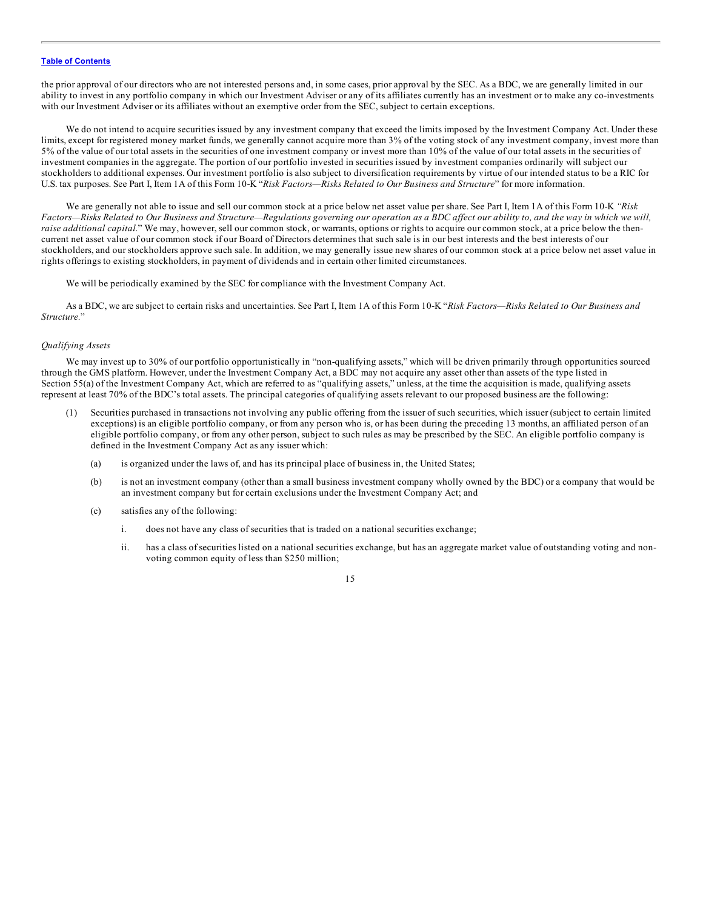the prior approval of our directors who are not interested persons and, in some cases, prior approval by the SEC. As a BDC, we are generally limited in our ability to invest in any portfolio company in which our Investment Adviser or any of its affiliates currently has an investment or to make any co-investments with our Investment Adviser or its affiliates without an exemptive order from the SEC, subject to certain exceptions.

We do not intend to acquire securities issued by any investment company that exceed the limits imposed by the Investment Company Act. Under these limits, except for registered money market funds, we generally cannot acquire more than 3% of the voting stock of any investment company, invest more than 5% of the value of our total assets in the securities of one investment company or invest more than 10% of the value of our total assets in the securities of investment companies in the aggregate. The portion of our portfolio invested in securities issued by investment companies ordinarily will subject our stockholders to additional expenses. Our investment portfolio is also subject to diversification requirements by virtue of our intended status to be a RIC for U.S. tax purposes. See Part I, Item 1A of this Form 10-K "*Risk Factors—Risks Related to Our Business and Structure*" for more information.

We are generally not able to issue and sell our common stock at a price below net asset value per share. See Part I, Item 1A of this Form 10-K *"Risk* Factors—Risks Related to Our Business and Structure—Regulations governing our operation as a BDC affect our ability to, and the way in which we will, *raise additional capital.*" We may, however, sell our common stock, or warrants, options or rights to acquire our common stock, at a price below the thencurrent net asset value of our common stock if our Board of Directors determines that such sale is in our best interests and the best interests of our stockholders, and our stockholders approve such sale. In addition, we may generally issue new shares of our common stock at a price below net asset value in rights offerings to existing stockholders, in payment of dividends and in certain other limited circumstances.

We will be periodically examined by the SEC for compliance with the Investment Company Act.

As a BDC, we are subject to certain risks and uncertainties. See Part I, Item 1A of this Form 10-K "*Risk Factors—Risks Related to Our Business and Structure.*"

#### *Qualifying Assets*

We may invest up to 30% of our portfolio opportunistically in "non-qualifying assets," which will be driven primarily through opportunities sourced through the GMS platform. However, under the Investment Company Act, a BDC may not acquire any asset other than assets of the type listed in Section 55(a) of the Investment Company Act, which are referred to as "qualifying assets," unless, at the time the acquisition is made, qualifying assets represent at least 70% of the BDC's total assets. The principal categories of qualifying assets relevant to our proposed business are the following:

- (1) Securities purchased in transactions not involving any public offering from the issuer of such securities, which issuer (subject to certain limited exceptions) is an eligible portfolio company, or from any person who is, or has been during the preceding 13 months, an affiliated person of an eligible portfolio company, or from any other person, subject to such rules as may be prescribed by the SEC. An eligible portfolio company is defined in the Investment Company Act as any issuer which:
	- (a) is organized under the laws of, and has its principal place of business in, the United States;
	- (b) is not an investment company (other than a small business investment company wholly owned by the BDC) or a company that would be an investment company but for certain exclusions under the Investment Company Act; and
	- (c) satisfies any of the following:
		- i. does not have any class of securities that is traded on a national securities exchange;
		- ii. has a class of securities listed on a national securities exchange, but has an aggregate market value of outstanding voting and nonvoting common equity of less than \$250 million;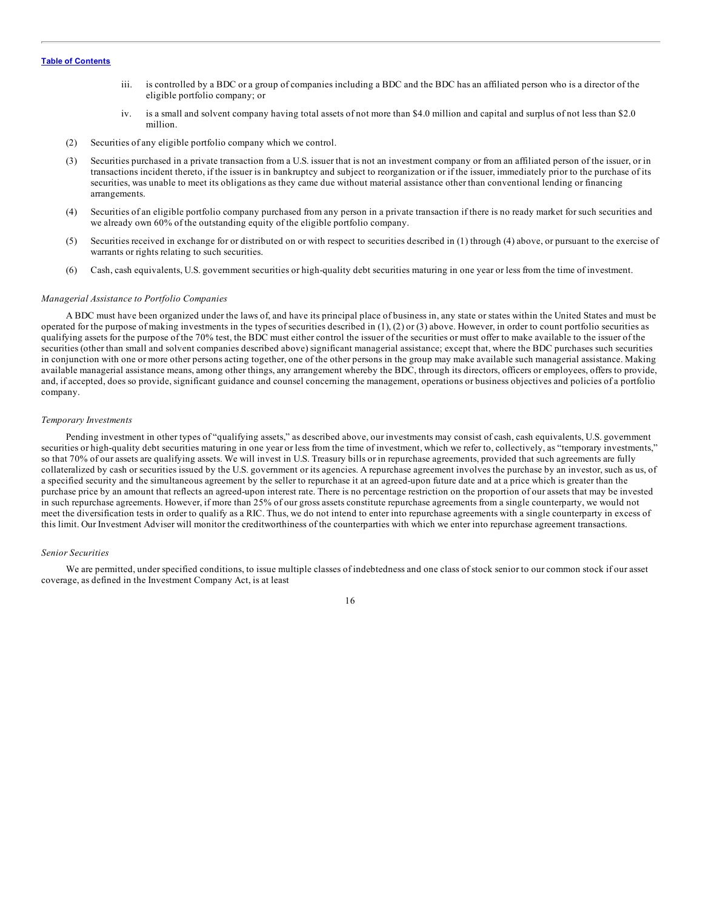- iii. is controlled by a BDC or a group of companies including a BDC and the BDC has an affiliated person who is a director of the eligible portfolio company; or
- iv. is a small and solvent company having total assets of not more than \$4.0 million and capital and surplus of not less than \$2.0 million.
- (2) Securities of any eligible portfolio company which we control.
- (3) Securities purchased in a private transaction from a U.S. issuer that is not an investment company or from an affiliated person of the issuer, or in transactions incident thereto, if the issuer is in bankruptcy and subject to reorganization or if the issuer, immediately prior to the purchase of its securities, was unable to meet its obligations as they came due without material assistance other than conventional lending or financing arrangements.
- (4) Securities of an eligible portfolio company purchased from any person in a private transaction if there is no ready market for such securities and we already own 60% of the outstanding equity of the eligible portfolio company.
- (5) Securities received in exchange for or distributed on or with respect to securities described in (1) through (4) above, or pursuant to the exercise of warrants or rights relating to such securities.
- (6) Cash, cash equivalents, U.S. government securities or high-quality debt securities maturing in one year or less from the time of investment.

#### *Managerial Assistance to Portfolio Companies*

A BDC must have been organized under the laws of, and have its principal place of business in, any state or states within the United States and must be operated for the purpose of making investments in the types of securities described in  $(1)$ ,  $(2)$  or  $(3)$  above. However, in order to count portfolio securities as qualifying assets for the purpose of the 70% test, the BDC must either control the issuer of the securities or must offer to make available to the issuer of the securities (other than small and solvent companies described above) significant managerial assistance; except that, where the BDC purchases such securities in conjunction with one or more other persons acting together, one of the other persons in the group may make available such managerial assistance. Making available managerial assistance means, among other things, any arrangement whereby the BDC, through its directors, officers or employees, offers to provide, and, if accepted, does so provide, significant guidance and counsel concerning the management, operations or business objectives and policies of a portfolio company.

#### *Temporary Investments*

Pending investment in other types of "qualifying assets," as described above, our investments may consist of cash, cash equivalents, U.S. government securities or high-quality debt securities maturing in one year or less from the time of investment, which we refer to, collectively, as "temporary investments," so that 70% of our assets are qualifying assets. We will invest in U.S. Treasury bills or in repurchase agreements, provided that such agreements are fully collateralized by cash or securities issued by the U.S. government or its agencies. A repurchase agreement involves the purchase by an investor, such as us, of a specified security and the simultaneous agreement by the seller to repurchase it at an agreed-upon future date and at a price which is greater than the purchase price by an amount that reflects an agreed-upon interest rate. There is no percentage restriction on the proportion of our assets that may be invested in such repurchase agreements. However, if more than 25% of our gross assets constitute repurchase agreements from a single counterparty, we would not meet the diversification tests in order to qualify as a RIC. Thus, we do not intend to enter into repurchase agreements with a single counterparty in excess of this limit. Our Investment Adviser will monitor the creditworthiness of the counterparties with which we enter into repurchase agreement transactions.

#### *Senior Securities*

We are permitted, under specified conditions, to issue multiple classes of indebtedness and one class of stock senior to our common stock if our asset coverage, as defined in the Investment Company Act, is at least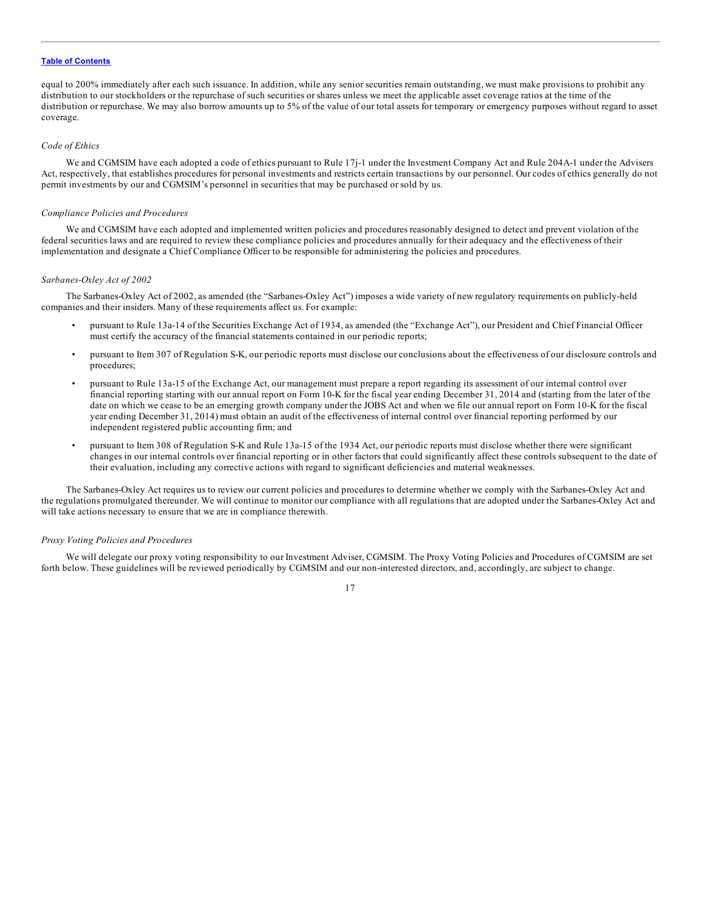equal to 200% immediately after each such issuance. In addition, while any senior securities remain outstanding, we must make provisions to prohibit any distribution to our stockholders or the repurchase of such securities or shares unless we meet the applicable asset coverage ratios at the time of the distribution or repurchase. We may also borrow amounts up to 5% of the value of our total assets for temporary or emergency purposes without regard to asset coverage.

#### *Code of Ethics*

We and CGMSIM have each adopted a code of ethics pursuant to Rule 17j-1 under the Investment Company Act and Rule 204A-1 under the Advisers Act, respectively, that establishes procedures for personal investments and restricts certain transactions by our personnel. Our codes of ethics generally do not permit investments by our and CGMSIM's personnel in securities that may be purchased or sold by us.

#### *Compliance Policies and Procedures*

We and CGMSIM have each adopted and implemented written policies and procedures reasonably designed to detect and prevent violation of the federal securities laws and are required to review these compliance policies and procedures annually for their adequacy and the effectiveness of their implementation and designate a Chief Compliance Officer to be responsible for administering the policies and procedures.

#### *Sarbanes-Oxley Act of 2002*

The Sarbanes-Oxley Act of 2002, as amended (the "Sarbanes-Oxley Act") imposes a wide variety of new regulatory requirements on publicly-held companies and their insiders. Many of these requirements affect us. For example:

- pursuant to Rule 13a-14 of the Securities Exchange Act of 1934, as amended (the "Exchange Act"), our President and Chief Financial Officer must certify the accuracy of the financial statements contained in our periodic reports;
- pursuant to Item 307 of Regulation S-K, our periodic reports must disclose our conclusions about the effectiveness of our disclosure controls and procedures;
- pursuant to Rule 13a-15 of the Exchange Act, our management must prepare a report regarding its assessment of our internal control over financial reporting starting with our annual report on Form 10-K for the fiscal year ending December 31, 2014 and (starting from the later of the date on which we cease to be an emerging growth company under the JOBS Act and when we file our annual report on Form 10-K for the fiscal year ending December 31, 2014) must obtain an audit of the effectiveness of internal control over financial reporting performed by our independent registered public accounting firm; and
- pursuant to Item 308 of Regulation S-K and Rule 13a-15 of the 1934 Act, our periodic reports must disclose whether there were significant changes in our internal controls over financial reporting or in other factors that could significantly affect these controls subsequent to the date of their evaluation, including any corrective actions with regard to significant deficiencies and material weaknesses.

The Sarbanes-Oxley Act requires us to review our current policies and procedures to determine whether we comply with the Sarbanes-Oxley Act and the regulations promulgated thereunder. We will continue to monitor our compliance with all regulations that are adopted under the Sarbanes-Oxley Act and will take actions necessary to ensure that we are in compliance therewith.

#### *Proxy Voting Policies and Procedures*

We will delegate our proxy voting responsibility to our Investment Adviser, CGMSIM. The Proxy Voting Policies and Procedures of CGMSIM are set forth below. These guidelines will be reviewed periodically by CGMSIM and our non-interested directors, and, accordingly, are subject to change.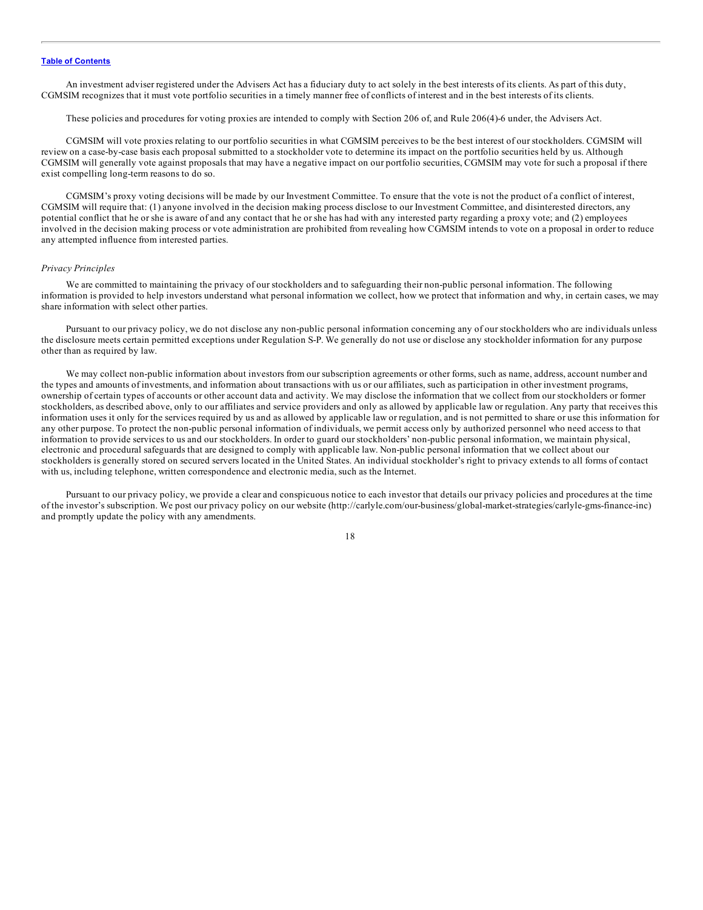An investment adviser registered under the Advisers Act has a fiduciary duty to act solely in the best interests of its clients. As part of this duty, CGMSIM recognizes that it must vote portfolio securities in a timely manner free of conflicts of interest and in the best interests of its clients.

These policies and procedures for voting proxies are intended to comply with Section 206 of, and Rule 206(4)-6 under, the Advisers Act.

CGMSIM will vote proxies relating to our portfolio securities in what CGMSIM perceives to be the best interest of our stockholders. CGMSIM will review on a case-by-case basis each proposal submitted to a stockholder vote to determine its impact on the portfolio securities held by us. Although CGMSIM will generally vote against proposals that may have a negative impact on our portfolio securities, CGMSIM may vote for such a proposal if there exist compelling long-term reasons to do so.

CGMSIM's proxy voting decisions will be made by our Investment Committee. To ensure that the vote is not the product of a conflict of interest, CGMSIM will require that: (1) anyone involved in the decision making process disclose to our Investment Committee, and disinterested directors, any potential conflict that he or she is aware of and any contact that he or she has had with any interested party regarding a proxy vote; and (2) employees involved in the decision making process or vote administration are prohibited from revealing how CGMSIM intends to vote on a proposal in order to reduce any attempted influence from interested parties.

#### *Privacy Principles*

We are committed to maintaining the privacy of our stockholders and to safeguarding their non-public personal information. The following information is provided to help investors understand what personal information we collect, how we protect that information and why, in certain cases, we may share information with select other parties.

Pursuant to our privacy policy, we do not disclose any non-public personal information concerning any of our stockholders who are individuals unless the disclosure meets certain permitted exceptions under Regulation S-P. We generally do not use or disclose any stockholder information for any purpose other than as required by law.

We may collect non-public information about investors from our subscription agreements or other forms, such as name, address, account number and the types and amounts of investments, and information about transactions with us or our affiliates, such as participation in other investment programs, ownership of certain types of accounts or other account data and activity. We may disclose the information that we collect from our stockholders or former stockholders, as described above, only to our affiliates and service providers and only as allowed by applicable law or regulation. Any party that receives this information uses it only for the services required by us and as allowed by applicable law or regulation, and is not permitted to share or use this information for any other purpose. To protect the non-public personal information of individuals, we permit access only by authorized personnel who need access to that information to provide services to us and our stockholders. In order to guard our stockholders' non-public personal information, we maintain physical, electronic and procedural safeguards that are designed to comply with applicable law. Non-public personal information that we collect about our stockholders is generally stored on secured servers located in the United States. An individual stockholder's right to privacy extends to all forms of contact with us, including telephone, written correspondence and electronic media, such as the Internet.

Pursuant to our privacy policy, we provide a clear and conspicuous notice to each investor that details our privacy policies and procedures at the time of the investor's subscription. We post our privacy policy on our website (http://carlyle.com/our-business/global-market-strategies/carlyle-gms-finance-inc) and promptly update the policy with any amendments.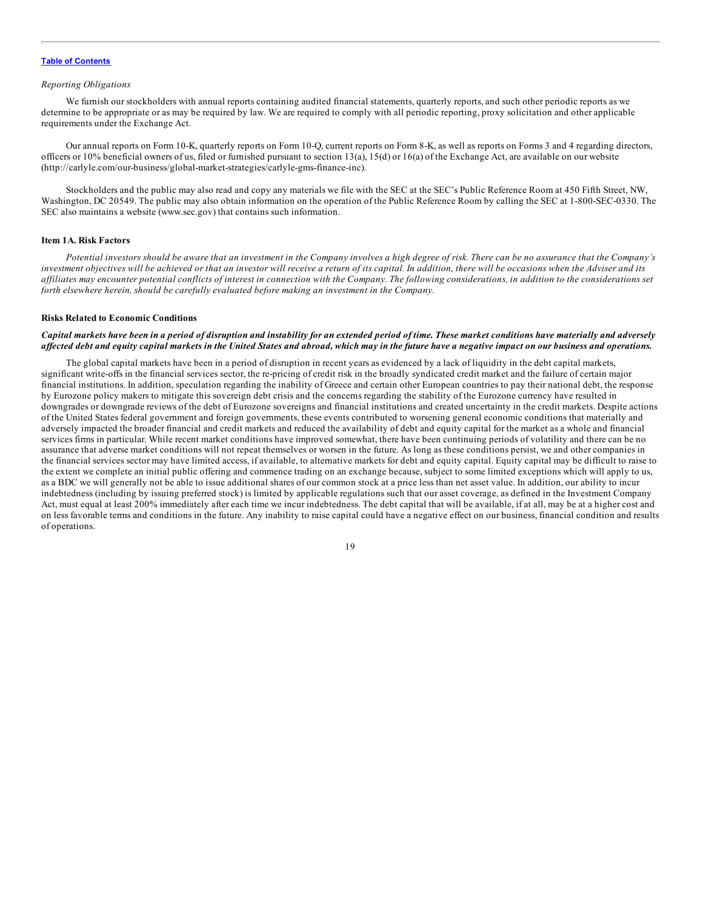## <span id="page-20-0"></span>*Reporting Obligations*

We furnish our stockholders with annual reports containing audited financial statements, quarterly reports, and such other periodic reports as we determine to be appropriate or as may be required by law. We are required to comply with all periodic reporting, proxy solicitation and other applicable requirements under the Exchange Act.

Our annual reports on Form 10-K, quarterly reports on Form 10-Q, current reports on Form 8-K, as well as reports on Forms 3 and 4 regarding directors, officers or 10% beneficial owners of us, filed or furnished pursuant to section 13(a), 15(d) or 16(a) of the Exchange Act, are available on our website (http://carlyle.com/our-business/global-market-strategies/carlyle-gms-finance-inc).

Stockholders and the public may also read and copy any materials we file with the SEC at the SEC's Public Reference Room at 450 Fifth Street, NW, Washington, DC 20549. The public may also obtain information on the operation of the Public Reference Room by calling the SEC at 1-800-SEC-0330. The SEC also maintains a website (www.sec.gov) that contains such information.

#### **Item 1A. Risk Factors**

Potential investors should be aware that an investment in the Company involves a high degree of risk. There can be no assurance that the Company's investment objectives will be achieved or that an investor will receive a return of its capital. In addition, there will be occasions when the Adviser and its affiliates may encounter potential conflicts of interest in connection with the Company. The following considerations, in addition to the considerations set *forth elsewhere herein, should be carefully evaluated before making an investment in the Company.*

#### **Risks Related to Economic Conditions**

## Capital markets have been in a period of disruption and instability for an extended period of time. These market conditions have materially and adversely affected debt and equity capital markets in the United States and abroad, which may in the future have a negative impact on our business and operations.

The global capital markets have been in a period of disruption in recent years as evidenced by a lack of liquidity in the debt capital markets, significant write-offs in the financial services sector, the re-pricing of credit risk in the broadly syndicated credit market and the failure of certain major financial institutions. In addition, speculation regarding the inability of Greece and certain other European countries to pay their national debt, the response by Eurozone policy makers to mitigate this sovereign debt crisis and the concerns regarding the stability of the Eurozone currency have resulted in downgrades or downgrade reviews of the debt of Eurozone sovereigns and financial institutions and created uncertainty in the credit markets. Despite actions of the United States federal government and foreign governments, these events contributed to worsening general economic conditions that materially and adversely impacted the broader financial and credit markets and reduced the availability of debt and equity capital for the market as a whole and financial services firms in particular. While recent market conditions have improved somewhat, there have been continuing periods of volatility and there can be no assurance that adverse market conditions will not repeat themselves or worsen in the future. As long as these conditions persist, we and other companies in the financial services sector may have limited access, if available, to alternative markets for debt and equity capital. Equity capital may be difficult to raise to the extent we complete an initial public offering and commence trading on an exchange because, subject to some limited exceptions which will apply to us, as a BDC we will generally not be able to issue additional shares of our common stock at a price less than net asset value. In addition, our ability to incur indebtedness (including by issuing preferred stock) is limited by applicable regulations such that our asset coverage, as defined in the Investment Company Act, must equal at least 200% immediately after each time we incur indebtedness. The debt capital that will be available, if at all, may be at a higher cost and on less favorable terms and conditions in the future. Any inability to raise capital could have a negative effect on our business, financial condition and results of operations.

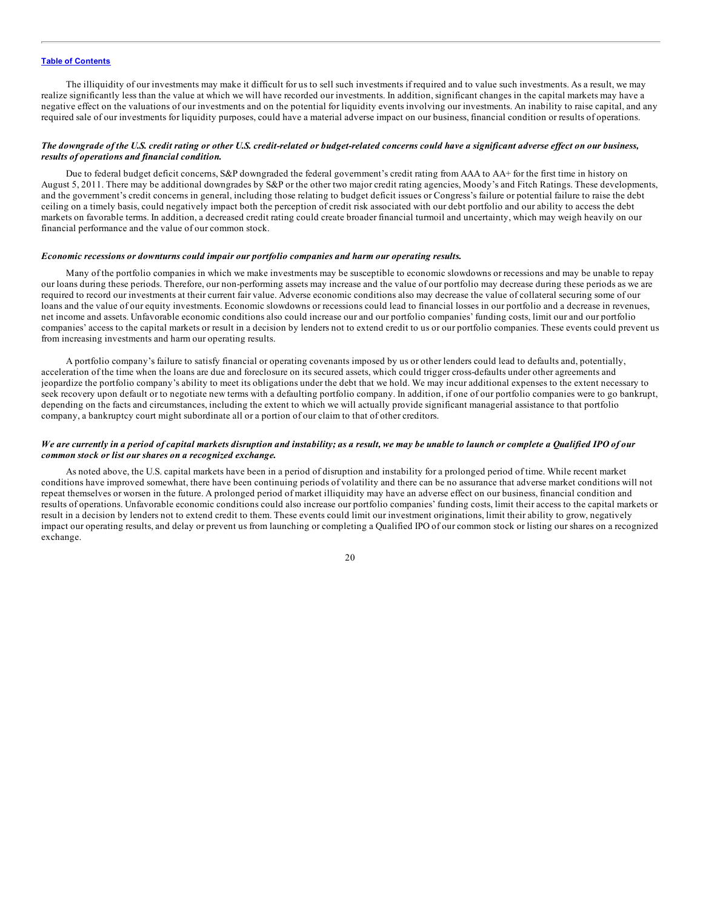The illiquidity of our investments may make it difficult for us to sell such investments if required and to value such investments. As a result, we may realize significantly less than the value at which we will have recorded our investments. In addition, significant changes in the capital markets may have a negative effect on the valuations of our investments and on the potential for liquidity events involving our investments. An inability to raise capital, and any required sale of our investments for liquidity purposes, could have a material adverse impact on our business, financial condition or results of operations.

## The downgrade of the U.S. credit rating or other U.S. credit-related or budget-related concerns could have a significant adverse effect on our business, *results of operations and financial condition.*

Due to federal budget deficit concerns, S&P downgraded the federal government's credit rating from AAA to AA+ for the first time in history on August 5, 2011. There may be additional downgrades by S&P or the other two major credit rating agencies, Moody's and Fitch Ratings. These developments, and the government's credit concerns in general, including those relating to budget deficit issues or Congress's failure or potential failure to raise the debt ceiling on a timely basis, could negatively impact both the perception of credit risk associated with our debt portfolio and our ability to access the debt markets on favorable terms. In addition, a decreased credit rating could create broader financial turmoil and uncertainty, which may weigh heavily on our financial performance and the value of our common stock.

#### *Economic recessions or downturns could impair our portfolio companies and harm our operating results.*

Many of the portfolio companies in which we make investments may be susceptible to economic slowdowns or recessions and may be unable to repay our loans during these periods. Therefore, our non-performing assets may increase and the value of our portfolio may decrease during these periods as we are required to record our investments at their current fair value. Adverse economic conditions also may decrease the value of collateral securing some of our loans and the value of our equity investments. Economic slowdowns or recessions could lead to financial losses in our portfolio and a decrease in revenues, net income and assets. Unfavorable economic conditions also could increase our and our portfolio companies' funding costs, limit our and our portfolio companies' access to the capital markets or result in a decision by lenders not to extend credit to us or our portfolio companies. These events could prevent us from increasing investments and harm our operating results.

A portfolio company's failure to satisfy financial or operating covenants imposed by us or other lenders could lead to defaults and, potentially, acceleration of the time when the loans are due and foreclosure on its secured assets, which could trigger cross-defaults under other agreements and jeopardize the portfolio company's ability to meet its obligations under the debt that we hold. We may incur additional expenses to the extent necessary to seek recovery upon default or to negotiate new terms with a defaulting portfolio company. In addition, if one of our portfolio companies were to go bankrupt, depending on the facts and circumstances, including the extent to which we will actually provide significant managerial assistance to that portfolio company, a bankruptcy court might subordinate all or a portion of our claim to that of other creditors.

## We are currently in a period of capital markets disruption and instability; as a result, we may be unable to launch or complete a Qualified IPO of our *common stock or list our shares on a recognized exchange.*

As noted above, the U.S. capital markets have been in a period of disruption and instability for a prolonged period of time. While recent market conditions have improved somewhat, there have been continuing periods of volatility and there can be no assurance that adverse market conditions will not repeat themselves or worsen in the future. A prolonged period of market illiquidity may have an adverse effect on our business, financial condition and results of operations. Unfavorable economic conditions could also increase our portfolio companies' funding costs, limit their access to the capital markets or result in a decision by lenders not to extend credit to them. These events could limit our investment originations, limit their ability to grow, negatively impact our operating results, and delay or prevent us from launching or completing a Qualified IPO of our common stock or listing our shares on a recognized exchange.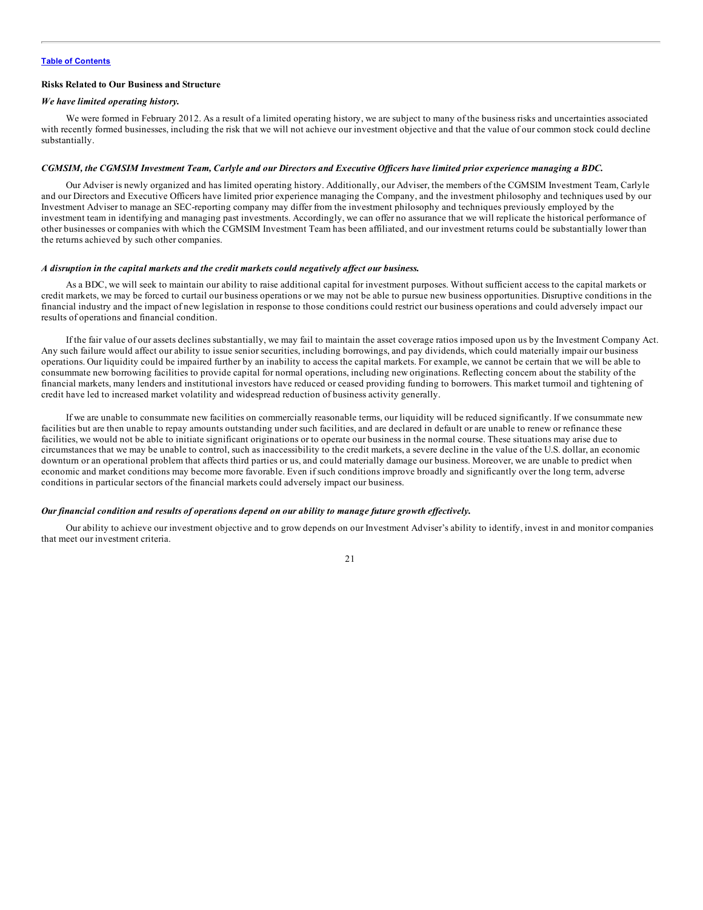## **Risks Related to Our Business and Structure**

## *We have limited operating history.*

We were formed in February 2012. As a result of a limited operating history, we are subject to many of the business risks and uncertainties associated with recently formed businesses, including the risk that we will not achieve our investment objective and that the value of our common stock could decline substantially.

#### CGMSIM, the CGMSIM Investment Team, Carlyle and our Directors and Executive Officers have limited prior experience managing a BDC.

Our Adviser is newly organized and has limited operating history. Additionally, our Adviser, the members of the CGMSIM Investment Team, Carlyle and our Directors and Executive Officers have limited prior experience managing the Company, and the investment philosophy and techniques used by our Investment Adviser to manage an SEC-reporting company may differ from the investment philosophy and techniques previously employed by the investment team in identifying and managing past investments. Accordingly, we can offer no assurance that we will replicate the historical performance of other businesses or companies with which the CGMSIM Investment Team has been affiliated, and our investment returns could be substantially lower than the returns achieved by such other companies.

#### *A disruption in the capital markets and the credit markets could negatively af ect our business.*

As a BDC, we will seek to maintain our ability to raise additional capital for investment purposes. Without sufficient access to the capital markets or credit markets, we may be forced to curtail our business operations or we may not be able to pursue new business opportunities. Disruptive conditions in the financial industry and the impact of new legislation in response to those conditions could restrict our business operations and could adversely impact our results of operations and financial condition.

If the fair value of our assets declines substantially, we may fail to maintain the asset coverage ratios imposed upon us by the Investment Company Act. Any such failure would affect our ability to issue senior securities, including borrowings, and pay dividends, which could materially impair our business operations. Our liquidity could be impaired further by an inability to access the capital markets. For example, we cannot be certain that we will be able to consummate new borrowing facilities to provide capital for normal operations, including new originations. Reflecting concern about the stability of the financial markets, many lenders and institutional investors have reduced or ceased providing funding to borrowers. This market turmoil and tightening of credit have led to increased market volatility and widespread reduction of business activity generally.

If we are unable to consummate new facilities on commercially reasonable terms, our liquidity will be reduced significantly. If we consummate new facilities but are then unable to repay amounts outstanding under such facilities, and are declared in default or are unable to renew or refinance these facilities, we would not be able to initiate significant originations or to operate our business in the normal course. These situations may arise due to circumstances that we may be unable to control, such as inaccessibility to the credit markets, a severe decline in the value of the U.S. dollar, an economic downturn or an operational problem that affects third parties or us, and could materially damage our business. Moreover, we are unable to predict when economic and market conditions may become more favorable. Even if such conditions improve broadly and significantly over the long term, adverse conditions in particular sectors of the financial markets could adversely impact our business.

#### Our financial condition and results of operations depend on our ability to manage future growth effectively.

Our ability to achieve our investment objective and to grow depends on our Investment Adviser's ability to identify, invest in and monitor companies that meet our investment criteria.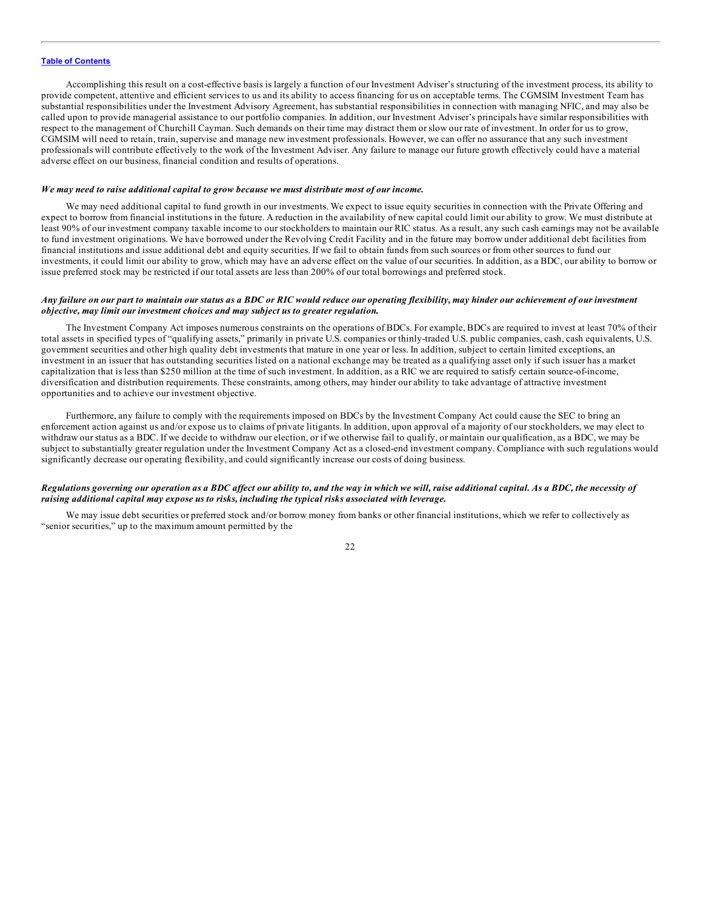Accomplishing this result on a cost-effective basis is largely a function of our Investment Adviser's structuring of the investment process, its ability to provide competent, attentive and efficient services to us and its ability to access financing for us on acceptable terms. The CGMSIM Investment Team has substantial responsibilities under the Investment Advisory Agreement, has substantial responsibilities in connection with managing NFIC, and may also be called upon to provide managerial assistance to our portfolio companies. In addition, our Investment Adviser's principals have similar responsibilities with respect to the management of Churchill Cayman. Such demands on their time may distract them or slow our rate of investment. In order for us to grow, CGMSIM will need to retain, train, supervise and manage new investment professionals. However, we can offer no assurance that any such investment professionals will contribute effectively to the work of the Investment Adviser. Any failure to manage our future growth effectively could have a material adverse effect on our business, financial condition and results of operations.

#### *We may need to raise additional capital to grow because we must distribute most of our income.*

We may need additional capital to fund growth in our investments. We expect to issue equity securities in connection with the Private Offering and expect to borrow from financial institutions in the future. A reduction in the availability of new capital could limit our ability to grow. We must distribute at least 90% of our investment company taxable income to our stockholders to maintain our RIC status. As a result, any such cash earnings may not be available to fund investment originations. We have borrowed under the Revolving Credit Facility and in the future may borrow under additional debt facilities from financial institutions and issue additional debt and equity securities. If we fail to obtain funds from such sources or from other sources to fund our investments, it could limit our ability to grow, which may have an adverse effect on the value of our securities. In addition, as a BDC, our ability to borrow or issue preferred stock may be restricted if our total assets are less than 200% of our total borrowings and preferred stock.

## Any failure on our part to maintain our status as a BDC or RIC would reduce our operating flexibility, may hinder our achievement of our investment *objective, may limit our investment choices and may subject us to greater regulation.*

The Investment Company Act imposes numerous constraints on the operations of BDCs. For example, BDCs are required to invest at least 70% of their total assets in specified types of "qualifying assets," primarily in private U.S. companies or thinly-traded U.S. public companies, cash, cash equivalents, U.S. government securities and other high quality debt investments that mature in one year or less. In addition, subject to certain limited exceptions, an investment in an issuer that has outstanding securities listed on a national exchange may be treated as a qualifying asset only if such issuer has a market capitalization that is less than \$250 million at the time of such investment. In addition, as a RIC we are required to satisfy certain source-of-income, diversification and distribution requirements. These constraints, among others, may hinder our ability to take advantage of attractive investment opportunities and to achieve our investment objective.

Furthermore, any failure to comply with the requirements imposed on BDCs by the Investment Company Act could cause the SEC to bring an enforcement action against us and/or expose us to claims of private litigants. In addition, upon approval of a majority of our stockholders, we may elect to withdraw our status as a BDC. If we decide to withdraw our election, or if we otherwise fail to qualify, or maintain our qualification, as a BDC, we may be subject to substantially greater regulation under the Investment Company Act as a closed-end investment company. Compliance with such regulations would significantly decrease our operating flexibility, and could significantly increase our costs of doing business.

## Regulations governing our operation as a BDC affect our ability to, and the way in which we will, raise additional capital. As a BDC, the necessity of *raising additional capital may expose us to risks, including the typical risks associated with leverage.*

We may issue debt securities or preferred stock and/or borrow money from banks or other financial institutions, which we refer to collectively as "senior securities," up to the maximum amount permitted by the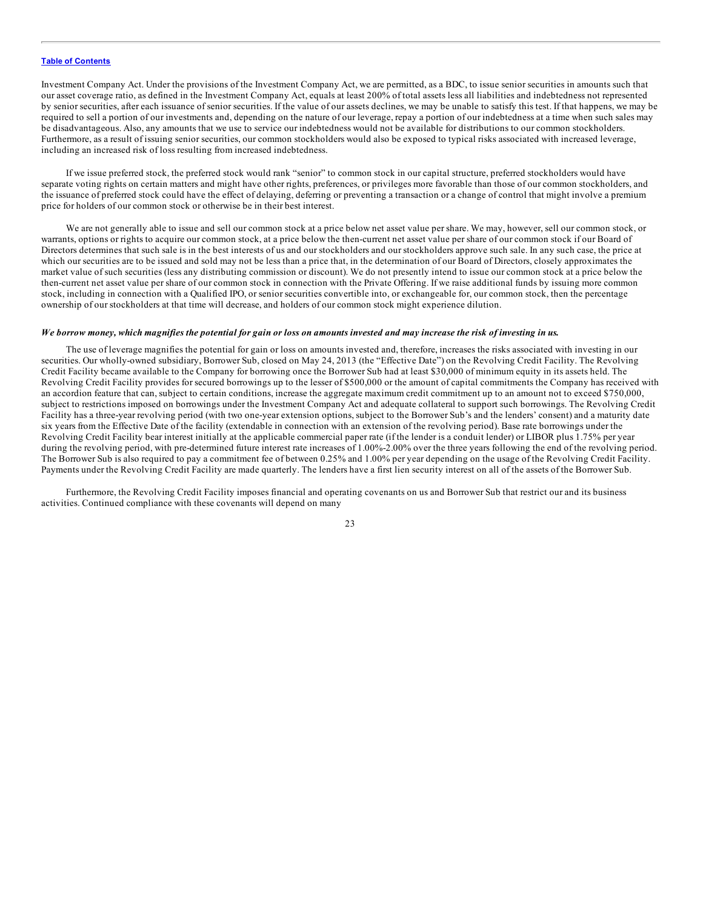Investment Company Act. Under the provisions of the Investment Company Act, we are permitted, as a BDC, to issue senior securities in amounts such that our asset coverage ratio, as defined in the Investment Company Act, equals at least 200% of total assets less all liabilities and indebtedness not represented by senior securities, after each issuance of senior securities. If the value of our assets declines, we may be unable to satisfy this test. If that happens, we may be required to sell a portion of our investments and, depending on the nature of our leverage, repay a portion of our indebtedness at a time when such sales may be disadvantageous. Also, any amounts that we use to service our indebtedness would not be available for distributions to our common stockholders. Furthermore, as a result of issuing senior securities, our common stockholders would also be exposed to typical risks associated with increased leverage, including an increased risk of loss resulting from increased indebtedness.

If we issue preferred stock, the preferred stock would rank "senior" to common stock in our capital structure, preferred stockholders would have separate voting rights on certain matters and might have other rights, preferences, or privileges more favorable than those of our common stockholders, and the issuance of preferred stock could have the effect of delaying, deferring or preventing a transaction or a change of control that might involve a premium price for holders of our common stock or otherwise be in their best interest.

We are not generally able to issue and sell our common stock at a price below net asset value per share. We may, however, sell our common stock, or warrants, options or rights to acquire our common stock, at a price below the then-current net asset value per share of our common stock if our Board of Directors determines that such sale is in the best interests of us and our stockholders and our stockholders approve such sale. In any such case, the price at which our securities are to be issued and sold may not be less than a price that, in the determination of our Board of Directors, closely approximates the market value of such securities (less any distributing commission or discount). We do not presently intend to issue our common stock at a price below the then-current net asset value per share of our common stock in connection with the Private Offering. If we raise additional funds by issuing more common stock, including in connection with a Qualified IPO, or senior securities convertible into, or exchangeable for, our common stock, then the percentage ownership of our stockholders at that time will decrease, and holders of our common stock might experience dilution.

## We borrow money, which magnifies the potential for gain or loss on amounts invested and may increase the risk of investing in us.

The use of leverage magnifies the potential for gain or loss on amounts invested and, therefore, increases the risks associated with investing in our securities. Our wholly-owned subsidiary, Borrower Sub, closed on May 24, 2013 (the "Effective Date") on the Revolving Credit Facility. The Revolving Credit Facility became available to the Company for borrowing once the Borrower Sub had at least \$30,000 of minimum equity in its assets held. The Revolving Credit Facility provides for secured borrowings up to the lesser of \$500,000 or the amount of capital commitments the Company has received with an accordion feature that can, subject to certain conditions, increase the aggregate maximum credit commitment up to an amount not to exceed \$750,000, subject to restrictions imposed on borrowings under the Investment Company Act and adequate collateral to support such borrowings. The Revolving Credit Facility has a three-year revolving period (with two one-year extension options, subject to the Borrower Sub's and the lenders' consent) and a maturity date six years from the Effective Date of the facility (extendable in connection with an extension of the revolving period). Base rate borrowings under the Revolving Credit Facility bear interest initially at the applicable commercial paper rate (if the lender is a conduit lender) or LIBOR plus 1.75% per year during the revolving period, with pre-determined future interest rate increases of 1.00%-2.00% over the three years following the end of the revolving period. The Borrower Sub is also required to pay a commitment fee of between 0.25% and 1.00% per year depending on the usage of the Revolving Credit Facility. Payments under the Revolving Credit Facility are made quarterly. The lenders have a first lien security interest on all of the assets of the Borrower Sub.

Furthermore, the Revolving Credit Facility imposes financial and operating covenants on us and Borrower Sub that restrict our and its business activities. Continued compliance with these covenants will depend on many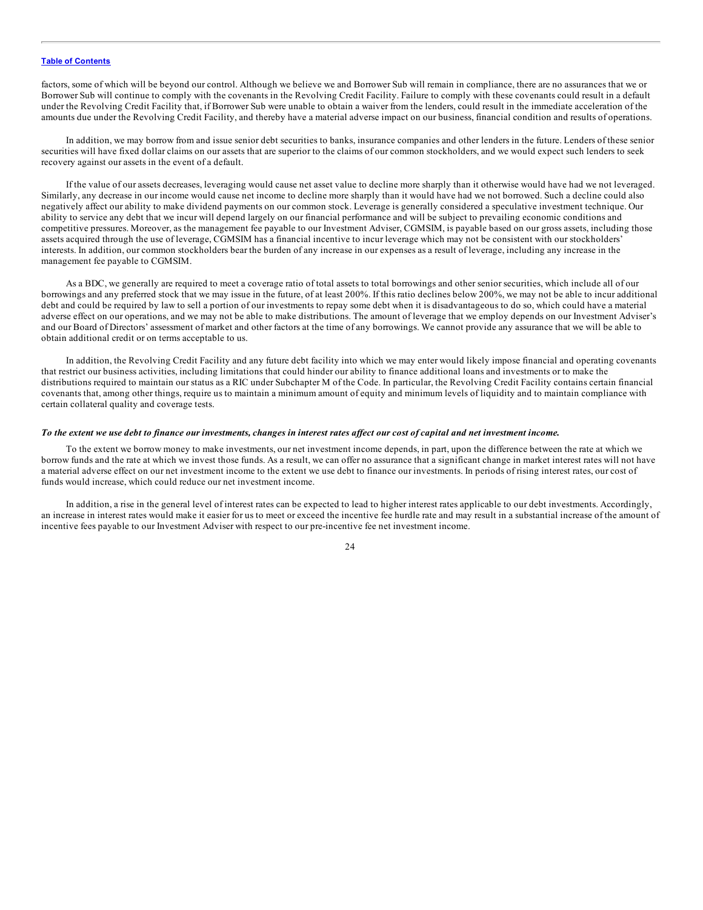factors, some of which will be beyond our control. Although we believe we and Borrower Sub will remain in compliance, there are no assurances that we or Borrower Sub will continue to comply with the covenants in the Revolving Credit Facility. Failure to comply with these covenants could result in a default under the Revolving Credit Facility that, if Borrower Sub were unable to obtain a waiver from the lenders, could result in the immediate acceleration of the amounts due under the Revolving Credit Facility, and thereby have a material adverse impact on our business, financial condition and results of operations.

In addition, we may borrow from and issue senior debt securities to banks, insurance companies and other lenders in the future. Lenders of these senior securities will have fixed dollar claims on our assets that are superior to the claims of our common stockholders, and we would expect such lenders to seek recovery against our assets in the event of a default.

If the value of our assets decreases, leveraging would cause net asset value to decline more sharply than it otherwise would have had we not leveraged. Similarly, any decrease in our income would cause net income to decline more sharply than it would have had we not borrowed. Such a decline could also negatively affect our ability to make dividend payments on our common stock. Leverage is generally considered a speculative investment technique. Our ability to service any debt that we incur will depend largely on our financial performance and will be subject to prevailing economic conditions and competitive pressures. Moreover, as the management fee payable to our Investment Adviser, CGMSIM, is payable based on our gross assets, including those assets acquired through the use of leverage, CGMSIM has a financial incentive to incur leverage which may not be consistent with our stockholders' interests. In addition, our common stockholders bear the burden of any increase in our expenses as a result of leverage, including any increase in the management fee payable to CGMSIM.

As a BDC, we generally are required to meet a coverage ratio of total assets to total borrowings and other senior securities, which include all of our borrowings and any preferred stock that we may issue in the future, of at least 200%. If this ratio declines below 200%, we may not be able to incur additional debt and could be required by law to sell a portion of our investments to repay some debt when it is disadvantageous to do so, which could have a material adverse effect on our operations, and we may not be able to make distributions. The amount of leverage that we employ depends on our Investment Adviser's and our Board of Directors' assessment of market and other factors at the time of any borrowings. We cannot provide any assurance that we will be able to obtain additional credit or on terms acceptable to us.

In addition, the Revolving Credit Facility and any future debt facility into which we may enter would likely impose financial and operating covenants that restrict our business activities, including limitations that could hinder our ability to finance additional loans and investments or to make the distributions required to maintain our status as a RIC under Subchapter M of the Code. In particular, the Revolving Credit Facility contains certain financial covenants that, among other things, require us to maintain a minimum amount of equity and minimum levels of liquidity and to maintain compliance with certain collateral quality and coverage tests.

#### To the extent we use debt to finance our investments, changes in interest rates affect our cost of capital and net investment income.

To the extent we borrow money to make investments, our net investment income depends, in part, upon the difference between the rate at which we borrow funds and the rate at which we invest those funds. As a result, we can offer no assurance that a significant change in market interest rates will not have a material adverse effect on our net investment income to the extent we use debt to finance our investments. In periods of rising interest rates, our cost of funds would increase, which could reduce our net investment income.

In addition, a rise in the general level of interest rates can be expected to lead to higher interest rates applicable to our debt investments. Accordingly, an increase in interest rates would make it easier for us to meet or exceed the incentive fee hurdle rate and may result in a substantial increase of the amount of incentive fees payable to our Investment Adviser with respect to our pre-incentive fee net investment income.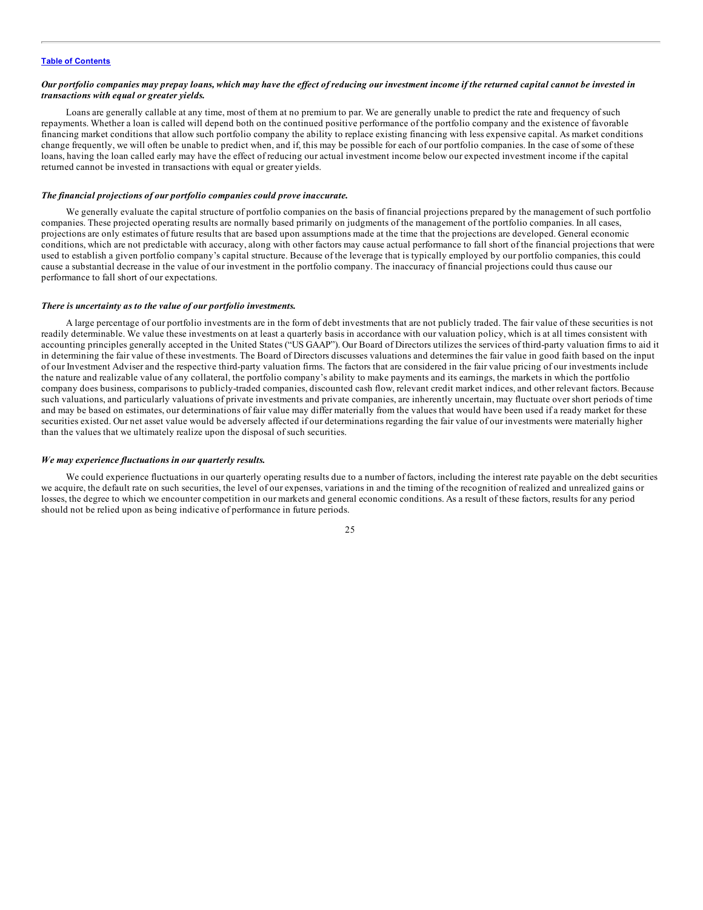## Our portfolio companies may prepay loans, which may have the effect of reducing our investment income if the returned capital cannot be invested in *transactions with equal or greater yields.*

Loans are generally callable at any time, most of them at no premium to par. We are generally unable to predict the rate and frequency of such repayments. Whether a loan is called will depend both on the continued positive performance of the portfolio company and the existence of favorable financing market conditions that allow such portfolio company the ability to replace existing financing with less expensive capital. As market conditions change frequently, we will often be unable to predict when, and if, this may be possible for each of our portfolio companies. In the case of some of these loans, having the loan called early may have the effect of reducing our actual investment income below our expected investment income if the capital returned cannot be invested in transactions with equal or greater yields.

## *The financial projections of our portfolio companies could prove inaccurate.*

We generally evaluate the capital structure of portfolio companies on the basis of financial projections prepared by the management of such portfolio companies. These projected operating results are normally based primarily on judgments of the management of the portfolio companies. In all cases, projections are only estimates of future results that are based upon assumptions made at the time that the projections are developed. General economic conditions, which are not predictable with accuracy, along with other factors may cause actual performance to fall short of the financial projections that were used to establish a given portfolio company's capital structure. Because of the leverage that is typically employed by our portfolio companies, this could cause a substantial decrease in the value of our investment in the portfolio company. The inaccuracy of financial projections could thus cause our performance to fall short of our expectations.

#### *There is uncertainty as to the value of our portfolio investments.*

A large percentage of our portfolio investments are in the form of debt investments that are not publicly traded. The fair value of these securities is not readily determinable. We value these investments on at least a quarterly basis in accordance with our valuation policy, which is at all times consistent with accounting principles generally accepted in the United States ("US GAAP"). Our Board of Directors utilizes the services of third-party valuation firms to aid it in determining the fair value of these investments. The Board of Directors discusses valuations and determines the fair value in good faith based on the input of our Investment Adviser and the respective third-party valuation firms. The factors that are considered in the fair value pricing of our investments include the nature and realizable value of any collateral, the portfolio company's ability to make payments and its earnings, the markets in which the portfolio company does business, comparisons to publicly-traded companies, discounted cash flow, relevant credit market indices, and other relevant factors. Because such valuations, and particularly valuations of private investments and private companies, are inherently uncertain, may fluctuate over short periods of time and may be based on estimates, our determinations of fair value may differ materially from the values that would have been used if a ready market for these securities existed. Our net asset value would be adversely affected if our determinations regarding the fair value of our investments were materially higher than the values that we ultimately realize upon the disposal of such securities.

#### *We may experience fluctuations in our quarterly results.*

We could experience fluctuations in our quarterly operating results due to a number of factors, including the interest rate payable on the debt securities we acquire, the default rate on such securities, the level of our expenses, variations in and the timing of the recognition of realized and unrealized gains or losses, the degree to which we encounter competition in our markets and general economic conditions. As a result of these factors, results for any period should not be relied upon as being indicative of performance in future periods.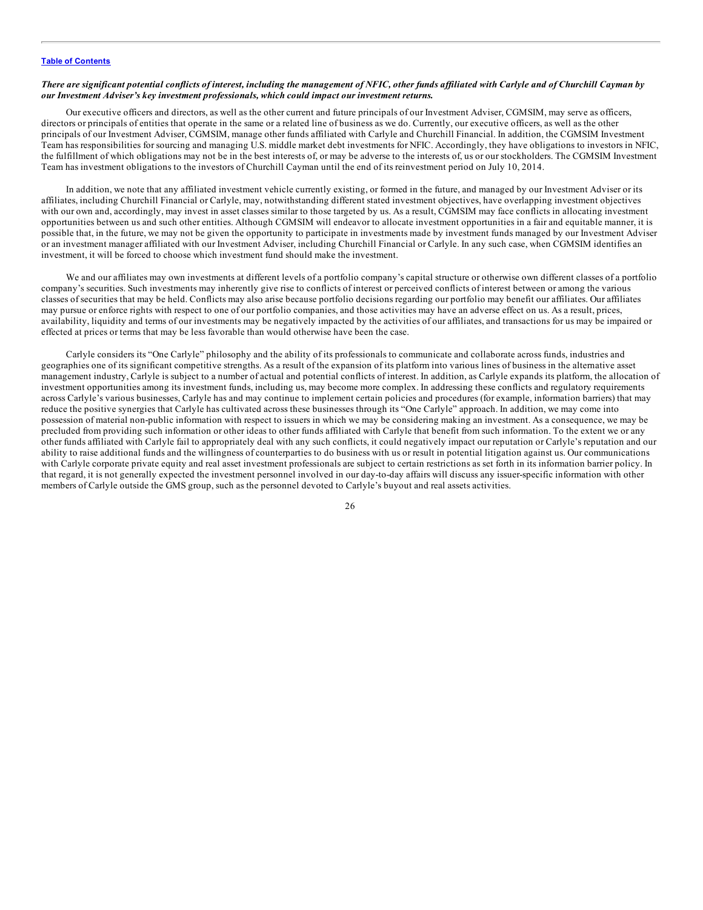## There are significant potential conflicts of interest, including the management of NFIC, other funds affiliated with Carlyle and of Churchill Cayman by *our Investment Adviser's key investment professionals, which could impact our investment returns.*

Our executive officers and directors, as well as the other current and future principals of our Investment Adviser, CGMSIM, may serve as officers, directors or principals of entities that operate in the same or a related line of business as we do. Currently, our executive officers, as well as the other principals of our Investment Adviser, CGMSIM, manage other funds affiliated with Carlyle and Churchill Financial. In addition, the CGMSIM Investment Team has responsibilities for sourcing and managing U.S. middle market debt investments for NFIC. Accordingly, they have obligations to investors in NFIC, the fulfillment of which obligations may not be in the best interests of, or may be adverse to the interests of, us or our stockholders. The CGMSIM Investment Team has investment obligations to the investors of Churchill Cayman until the end of its reinvestment period on July 10, 2014.

In addition, we note that any affiliated investment vehicle currently existing, or formed in the future, and managed by our Investment Adviser or its affiliates, including Churchill Financial or Carlyle, may, notwithstanding different stated investment objectives, have overlapping investment objectives with our own and, accordingly, may invest in asset classes similar to those targeted by us. As a result, CGMSIM may face conflicts in allocating investment opportunities between us and such other entities. Although CGMSIM will endeavor to allocate investment opportunities in a fair and equitable manner, it is possible that, in the future, we may not be given the opportunity to participate in investments made by investment funds managed by our Investment Adviser or an investment manager affiliated with our Investment Adviser, including Churchill Financial or Carlyle. In any such case, when CGMSIM identifies an investment, it will be forced to choose which investment fund should make the investment.

We and our affiliates may own investments at different levels of a portfolio company's capital structure or otherwise own different classes of a portfolio company's securities. Such investments may inherently give rise to conflicts of interest or perceived conflicts of interest between or among the various classes of securities that may be held. Conflicts may also arise because portfolio decisions regarding our portfolio may benefit our affiliates. Our affiliates may pursue or enforce rights with respect to one of our portfolio companies, and those activities may have an adverse effect on us. As a result, prices, availability, liquidity and terms of our investments may be negatively impacted by the activities of our affiliates, and transactions for us may be impaired or effected at prices or terms that may be less favorable than would otherwise have been the case.

Carlyle considers its "One Carlyle" philosophy and the ability of its professionals to communicate and collaborate across funds, industries and geographies one of its significant competitive strengths. As a result of the expansion of its platform into various lines of business in the alternative asset management industry, Carlyle is subject to a number of actual and potential conflicts of interest. In addition, as Carlyle expands its platform, the allocation of investment opportunities among its investment funds, including us, may become more complex. In addressing these conflicts and regulatory requirements across Carlyle's various businesses, Carlyle has and may continue to implement certain policies and procedures (for example, information barriers) that may reduce the positive synergies that Carlyle has cultivated across these businesses through its "One Carlyle" approach. In addition, we may come into possession of material non-public information with respect to issuers in which we may be considering making an investment. As a consequence, we may be precluded from providing such information or other ideas to other funds affiliated with Carlyle that benefit from such information. To the extent we or any other funds affiliated with Carlyle fail to appropriately deal with any such conflicts, it could negatively impact our reputation or Carlyle's reputation and our ability to raise additional funds and the willingness of counterparties to do business with us or result in potential litigation against us. Our communications with Carlyle corporate private equity and real asset investment professionals are subject to certain restrictions as set forth in its information barrier policy. In that regard, it is not generally expected the investment personnel involved in our day-to-day affairs will discuss any issuer-specific information with other members of Carlyle outside the GMS group, such as the personnel devoted to Carlyle's buyout and real assets activities.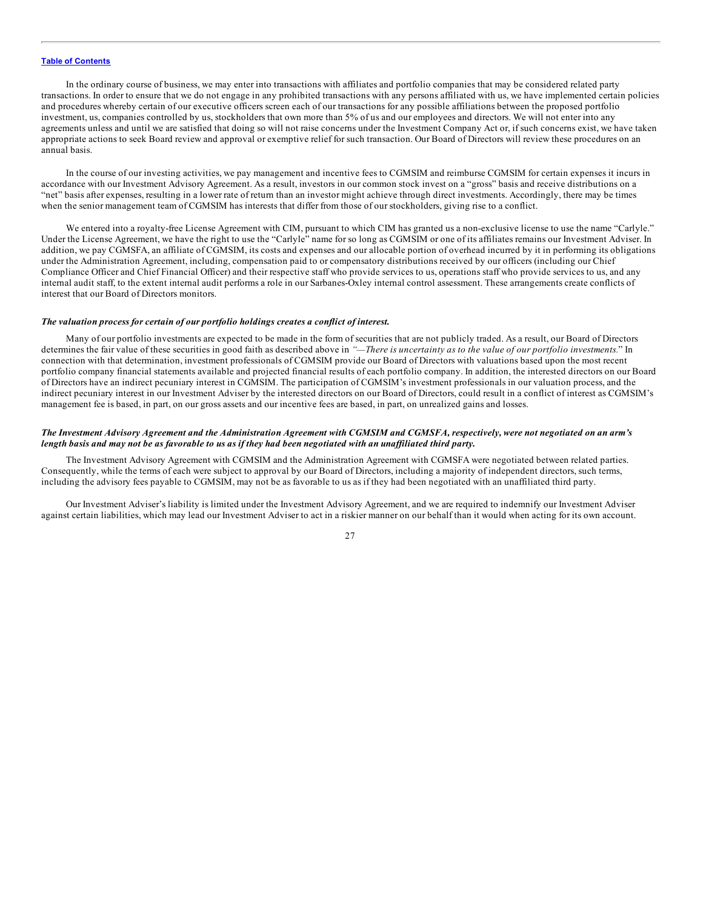In the ordinary course of business, we may enter into transactions with affiliates and portfolio companies that may be considered related party transactions. In order to ensure that we do not engage in any prohibited transactions with any persons affiliated with us, we have implemented certain policies and procedures whereby certain of our executive officers screen each of our transactions for any possible affiliations between the proposed portfolio investment, us, companies controlled by us, stockholders that own more than 5% of us and our employees and directors. We will not enter into any agreements unless and until we are satisfied that doing so will not raise concerns under the Investment Company Act or, if such concerns exist, we have taken appropriate actions to seek Board review and approval or exemptive relief for such transaction. Our Board of Directors will review these procedures on an annual basis.

In the course of our investing activities, we pay management and incentive fees to CGMSIM and reimburse CGMSIM for certain expenses it incurs in accordance with our Investment Advisory Agreement. As a result, investors in our common stock invest on a "gross" basis and receive distributions on a "net" basis after expenses, resulting in a lower rate of return than an investor might achieve through direct investments. Accordingly, there may be times when the senior management team of CGMSIM has interests that differ from those of our stockholders, giving rise to a conflict.

We entered into a royalty-free License Agreement with CIM, pursuant to which CIM has granted us a non-exclusive license to use the name "Carlyle." Under the License Agreement, we have the right to use the "Carlyle" name for so long as CGMSIM or one of its affiliates remains our Investment Adviser. In addition, we pay CGMSFA, an affiliate of CGMSIM, its costs and expenses and our allocable portion of overhead incurred by it in performing its obligations under the Administration Agreement, including, compensation paid to or compensatory distributions received by our officers (including our Chief Compliance Officer and Chief Financial Officer) and their respective staff who provide services to us, operations staff who provide services to us, and any internal audit staff, to the extent internal audit performs a role in our Sarbanes-Oxley internal control assessment. These arrangements create conflicts of interest that our Board of Directors monitors.

#### *The valuation process for certain of our portfolio holdings creates a conflict of interest.*

Many of our portfolio investments are expected to be made in the form of securities that are not publicly traded. As a result, our Board of Directors determines the fair value of these securities in good faith as described above in "-There is uncertainty as to the value of our portfolio investments." In connection with that determination, investment professionals of CGMSIM provide our Board of Directors with valuations based upon the most recent portfolio company financial statements available and projected financial results of each portfolio company. In addition, the interested directors on our Board of Directors have an indirect pecuniary interest in CGMSIM. The participation of CGMSIM's investment professionals in our valuation process, and the indirect pecuniary interest in our Investment Adviser by the interested directors on our Board of Directors, could result in a conflict of interest as CGMSIM's management fee is based, in part, on our gross assets and our incentive fees are based, in part, on unrealized gains and losses.

## The Investment Advisory Agreement and the Administration Agreement with CGMSIM and CGMSFA, respectively, were not negotiated on an arm's length basis and may not be as favorable to us as if they had been negotiated with an unaffiliated third party.

The Investment Advisory Agreement with CGMSIM and the Administration Agreement with CGMSFA were negotiated between related parties. Consequently, while the terms of each were subject to approval by our Board of Directors, including a majority of independent directors, such terms, including the advisory fees payable to CGMSIM, may not be as favorable to us as if they had been negotiated with an unaffiliated third party.

Our Investment Adviser's liability is limited under the Investment Advisory Agreement, and we are required to indemnify our Investment Adviser against certain liabilities, which may lead our Investment Adviser to act in a riskier manner on our behalf than it would when acting for its own account.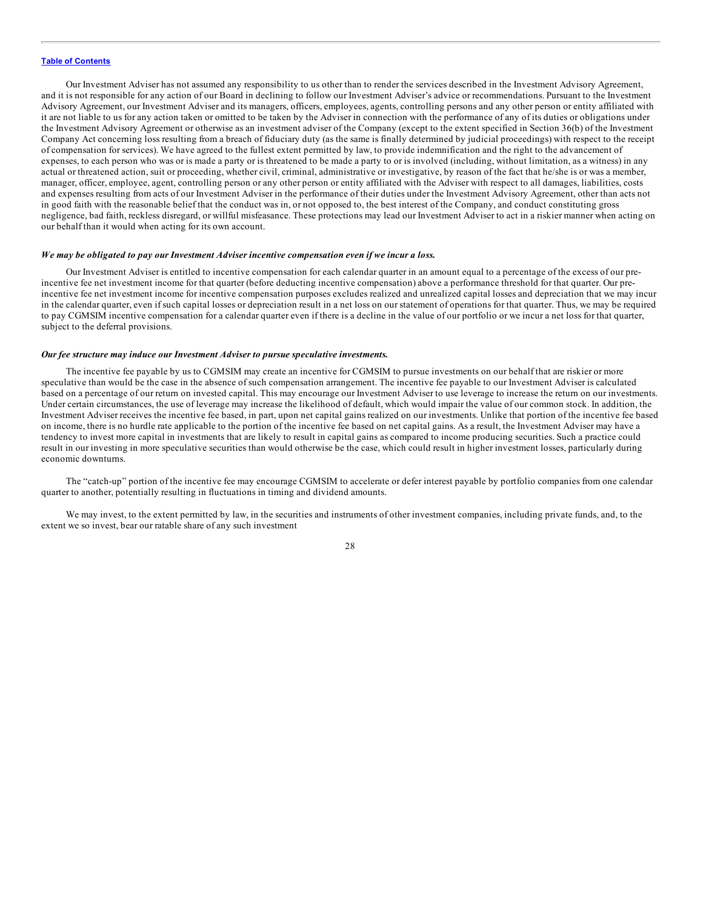Our Investment Adviser has not assumed any responsibility to us other than to render the services described in the Investment Advisory Agreement, and it is not responsible for any action of our Board in declining to follow our Investment Adviser's advice or recommendations. Pursuant to the Investment Advisory Agreement, our Investment Adviser and its managers, officers, employees, agents, controlling persons and any other person or entity affiliated with it are not liable to us for any action taken or omitted to be taken by the Adviser in connection with the performance of any of its duties or obligations under the Investment Advisory Agreement or otherwise as an investment adviser of the Company (except to the extent specified in Section 36(b) of the Investment Company Act concerning loss resulting from a breach of fiduciary duty (as the same is finally determined by judicial proceedings) with respect to the receipt of compensation for services). We have agreed to the fullest extent permitted by law, to provide indemnification and the right to the advancement of expenses, to each person who was or is made a party or is threatened to be made a party to or is involved (including, without limitation, as a witness) in any actual or threatened action, suit or proceeding, whether civil, criminal, administrative or investigative, by reason of the fact that he/she is or was a member, manager, officer, employee, agent, controlling person or any other person or entity affiliated with the Adviser with respect to all damages, liabilities, costs and expenses resulting from acts of our Investment Adviser in the performance of their duties under the Investment Advisory Agreement, other than acts not in good faith with the reasonable belief that the conduct was in, or not opposed to, the best interest of the Company, and conduct constituting gross negligence, bad faith, reckless disregard, or willful misfeasance. These protections may lead our Investment Adviser to act in a riskier manner when acting on our behalf than it would when acting for its own account.

#### *We may be obligated to pay our Investment Adviser incentive compensation even if we incur a loss.*

Our Investment Adviser is entitled to incentive compensation for each calendar quarter in an amount equal to a percentage of the excess of our preincentive fee net investment income for that quarter (before deducting incentive compensation) above a performance threshold for that quarter. Our preincentive fee net investment income for incentive compensation purposes excludes realized and unrealized capital losses and depreciation that we may incur in the calendar quarter, even if such capital losses or depreciation result in a net loss on our statement of operations for that quarter. Thus, we may be required to pay CGMSIM incentive compensation for a calendar quarter even if there is a decline in the value of our portfolio or we incur a net loss for that quarter, subject to the deferral provisions.

#### *Our fee structure may induce our Investment Adviser to pursue speculative investments.*

The incentive fee payable by us to CGMSIM may create an incentive for CGMSIM to pursue investments on our behalf that are riskier or more speculative than would be the case in the absence of such compensation arrangement. The incentive fee payable to our Investment Adviser is calculated based on a percentage of our return on invested capital. This may encourage our Investment Adviser to use leverage to increase the return on our investments. Under certain circumstances, the use of leverage may increase the likelihood of default, which would impair the value of our common stock. In addition, the Investment Adviser receives the incentive fee based, in part, upon net capital gains realized on our investments. Unlike that portion of the incentive fee based on income, there is no hurdle rate applicable to the portion of the incentive fee based on net capital gains. As a result, the Investment Adviser may have a tendency to invest more capital in investments that are likely to result in capital gains as compared to income producing securities. Such a practice could result in our investing in more speculative securities than would otherwise be the case, which could result in higher investment losses, particularly during economic downturns.

The "catch-up" portion of the incentive fee may encourage CGMSIM to accelerate or defer interest payable by portfolio companies from one calendar quarter to another, potentially resulting in fluctuations in timing and dividend amounts.

We may invest, to the extent permitted by law, in the securities and instruments of other investment companies, including private funds, and, to the extent we so invest, bear our ratable share of any such investment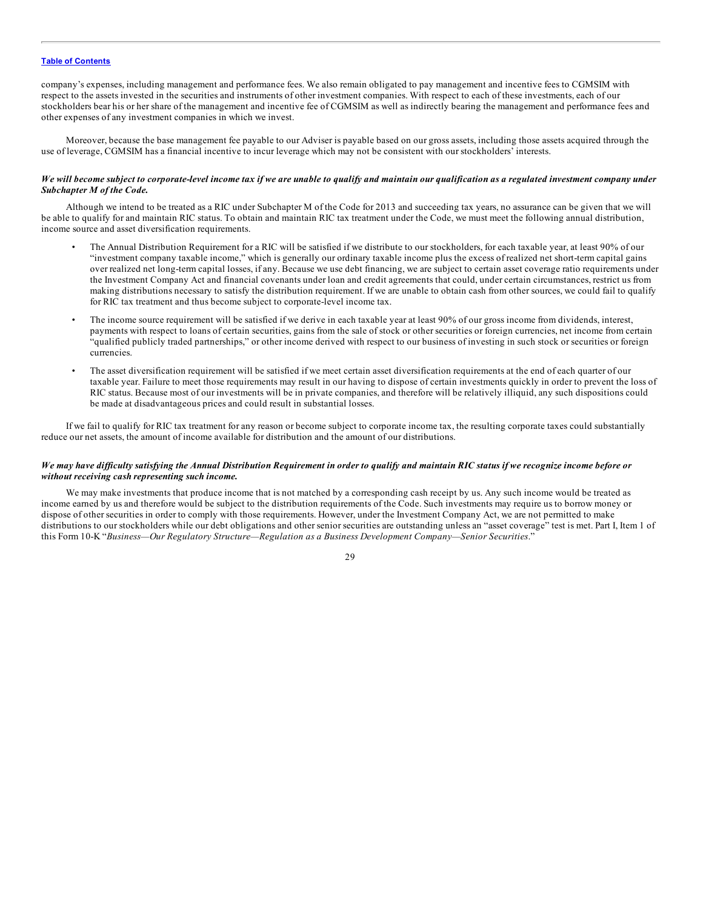company's expenses, including management and performance fees. We also remain obligated to pay management and incentive fees to CGMSIM with respect to the assets invested in the securities and instruments of other investment companies. With respect to each of these investments, each of our stockholders bear his or her share of the management and incentive fee of CGMSIM as well as indirectly bearing the management and performance fees and other expenses of any investment companies in which we invest.

Moreover, because the base management fee payable to our Adviser is payable based on our gross assets, including those assets acquired through the use of leverage, CGMSIM has a financial incentive to incur leverage which may not be consistent with our stockholders' interests.

## We will become subject to corporate-level income tax if we are unable to qualify and maintain our qualification as a regulated investment company under *Subchapter M of the Code.*

Although we intend to be treated as a RIC under Subchapter M of the Code for 2013 and succeeding tax years, no assurance can be given that we will be able to qualify for and maintain RIC status. To obtain and maintain RIC tax treatment under the Code, we must meet the following annual distribution, income source and asset diversification requirements.

- The Annual Distribution Requirement for a RIC will be satisfied if we distribute to our stockholders, for each taxable year, at least 90% of our "investment company taxable income," which is generally our ordinary taxable income plus the excess of realized net short-term capital gains over realized net long-term capital losses, if any. Because we use debt financing, we are subject to certain asset coverage ratio requirements under the Investment Company Act and financial covenants under loan and credit agreements that could, under certain circumstances, restrict us from making distributions necessary to satisfy the distribution requirement. If we are unable to obtain cash from other sources, we could fail to qualify for RIC tax treatment and thus become subject to corporate-level income tax.
- The income source requirement will be satisfied if we derive in each taxable year at least 90% of our gross income from dividends, interest, payments with respect to loans of certain securities, gains from the sale of stock or other securities or foreign currencies, net income from certain "qualified publicly traded partnerships," or other income derived with respect to our business of investing in such stock or securities or foreign currencies.
- The asset diversification requirement will be satisfied if we meet certain asset diversification requirements at the end of each quarter of our taxable year. Failure to meet those requirements may result in our having to dispose of certain investments quickly in order to prevent the loss of RIC status. Because most of our investments will be in private companies, and therefore will be relatively illiquid, any such dispositions could be made at disadvantageous prices and could result in substantial losses.

If we fail to qualify for RIC tax treatment for any reason or become subject to corporate income tax, the resulting corporate taxes could substantially reduce our net assets, the amount of income available for distribution and the amount of our distributions.

## We may have difficulty satisfying the Annual Distribution Requirement in order to qualify and maintain RIC status if we recognize income before or *without receiving cash representing such income.*

We may make investments that produce income that is not matched by a corresponding cash receipt by us. Any such income would be treated as income earned by us and therefore would be subject to the distribution requirements of the Code. Such investments may require us to borrow money or dispose of other securities in order to comply with those requirements. However, under the Investment Company Act, we are not permitted to make distributions to our stockholders while our debt obligations and other senior securities are outstanding unless an "asset coverage" test is met. Part I, Item 1 of this Form 10-K "*Business—Our Regulatory Structure—Regulation as a Business Development Company—Senior Securities*."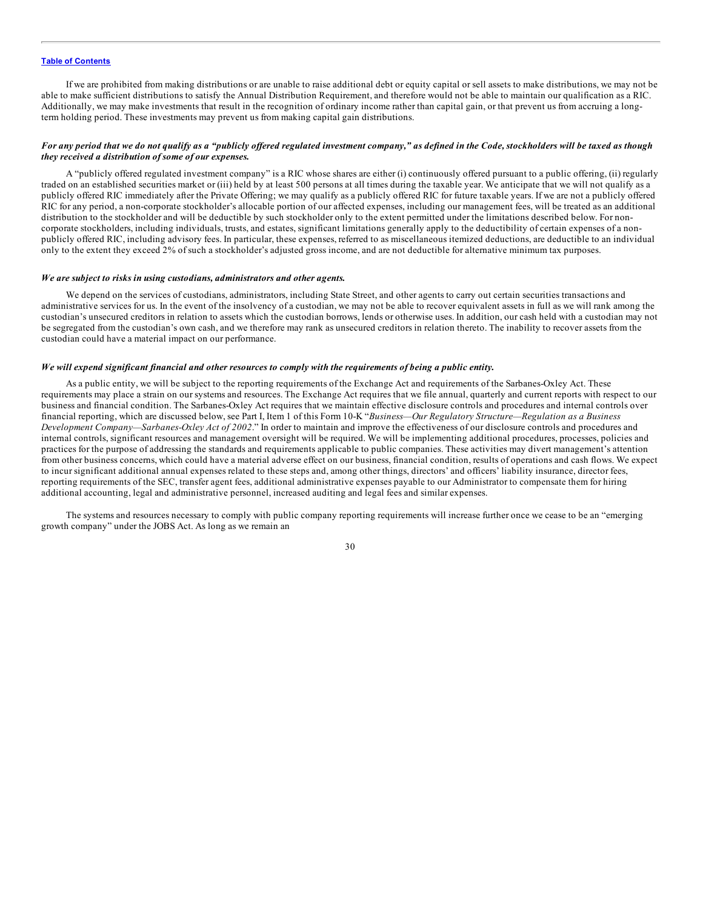If we are prohibited from making distributions or are unable to raise additional debt or equity capital or sell assets to make distributions, we may not be able to make sufficient distributions to satisfy the Annual Distribution Requirement, and therefore would not be able to maintain our qualification as a RIC. Additionally, we may make investments that result in the recognition of ordinary income rather than capital gain, or that prevent us from accruing a longterm holding period. These investments may prevent us from making capital gain distributions.

## For any period that we do not qualify as a "publicly offered regulated investment company," as defined in the Code, stockholders will be taxed as though *they received a distribution of some of our expenses.*

A "publicly offered regulated investment company" is a RIC whose shares are either (i) continuously offered pursuant to a public offering, (ii) regularly traded on an established securities market or (iii) held by at least 500 persons at all times during the taxable year. We anticipate that we will not qualify as a publicly offered RIC immediately after the Private Offering; we may qualify as a publicly offered RIC for future taxable years. If we are not a publicly offered RIC for any period, a non-corporate stockholder's allocable portion of our affected expenses, including our management fees, will be treated as an additional distribution to the stockholder and will be deductible by such stockholder only to the extent permitted under the limitations described below. For noncorporate stockholders, including individuals, trusts, and estates, significant limitations generally apply to the deductibility of certain expenses of a nonpublicly offered RIC, including advisory fees. In particular, these expenses, referred to as miscellaneous itemized deductions, are deductible to an individual only to the extent they exceed 2% of such a stockholder's adjusted gross income, and are not deductible for alternative minimum tax purposes.

#### *We are subject to risks in using custodians, administrators and other agents.*

We depend on the services of custodians, administrators, including State Street, and other agents to carry out certain securities transactions and administrative services for us. In the event of the insolvency of a custodian, we may not be able to recover equivalent assets in full as we will rank among the custodian's unsecured creditors in relation to assets which the custodian borrows, lends or otherwise uses. In addition, our cash held with a custodian may not be segregated from the custodian's own cash, and we therefore may rank as unsecured creditors in relation thereto. The inability to recover assets from the custodian could have a material impact on our performance.

#### We will expend significant financial and other resources to comply with the requirements of being a public entity.

As a public entity, we will be subject to the reporting requirements of the Exchange Act and requirements of the Sarbanes-Oxley Act. These requirements may place a strain on our systems and resources. The Exchange Act requires that we file annual, quarterly and current reports with respect to our business and financial condition. The Sarbanes-Oxley Act requires that we maintain effective disclosure controls and procedures and internal controls over financial reporting, which are discussed below, see Part I, Item 1 of this Form 10-K "*Business—Our Regulatory Structure—Regulation as a Business Development Company—Sarbanes-Oxley Act of 2002*." In order to maintain and improve the effectiveness of our disclosure controls and procedures and internal controls, significant resources and management oversight will be required. We will be implementing additional procedures, processes, policies and practices for the purpose of addressing the standards and requirements applicable to public companies. These activities may divert management's attention from other business concerns, which could have a material adverse effect on our business, financial condition, results of operations and cash flows. We expect to incur significant additional annual expenses related to these steps and, among other things, directors' and officers' liability insurance, director fees, reporting requirements of the SEC, transfer agent fees, additional administrative expenses payable to our Administrator to compensate them for hiring additional accounting, legal and administrative personnel, increased auditing and legal fees and similar expenses.

The systems and resources necessary to comply with public company reporting requirements will increase further once we cease to be an "emerging growth company" under the JOBS Act. As long as we remain an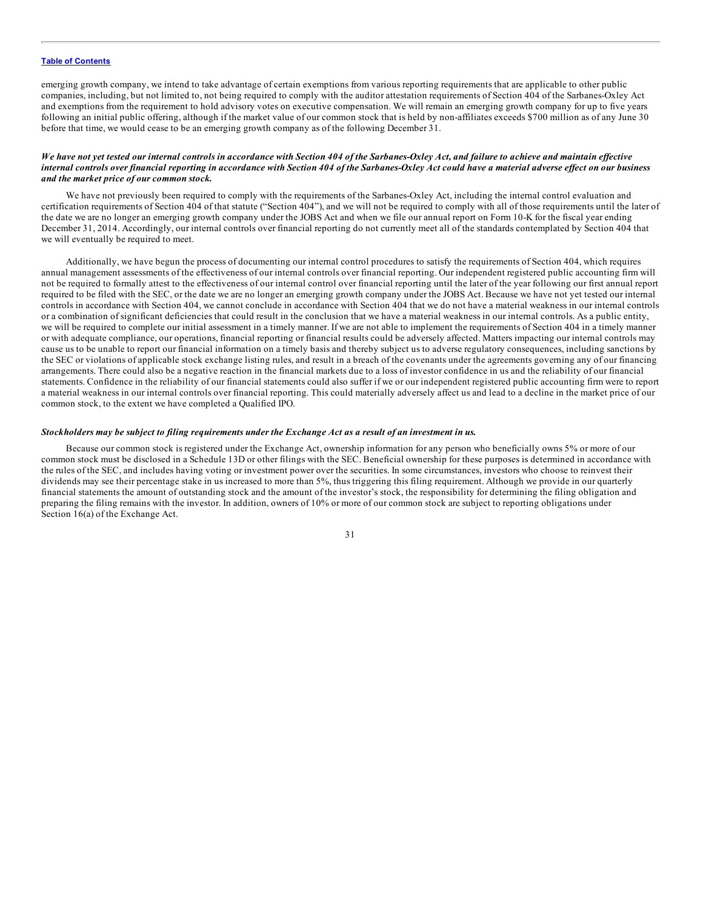emerging growth company, we intend to take advantage of certain exemptions from various reporting requirements that are applicable to other public companies, including, but not limited to, not being required to comply with the auditor attestation requirements of Section 404 of the Sarbanes-Oxley Act and exemptions from the requirement to hold advisory votes on executive compensation. We will remain an emerging growth company for up to five years following an initial public offering, although if the market value of our common stock that is held by non-affiliates exceeds \$700 million as of any June 30 before that time, we would cease to be an emerging growth company as of the following December 31.

## We have not yet tested our internal controls in accordance with Section 404 of the Sarbanes-Oxley Act, and failure to achieve and maintain effective internal controls over financial reporting in accordance with Section 404 of the Sarbanes-Oxley Act could have a material adverse effect on our business *and the market price of our common stock.*

We have not previously been required to comply with the requirements of the Sarbanes-Oxley Act, including the internal control evaluation and certification requirements of Section 404 of that statute ("Section 404"), and we will not be required to comply with all of those requirements until the later of the date we are no longer an emerging growth company under the JOBS Act and when we file our annual report on Form 10-K for the fiscal year ending December 31, 2014. Accordingly, our internal controls over financial reporting do not currently meet all of the standards contemplated by Section 404 that we will eventually be required to meet.

Additionally, we have begun the process of documenting our internal control procedures to satisfy the requirements of Section 404, which requires annual management assessments of the effectiveness of our internal controls over financial reporting. Our independent registered public accounting firm will not be required to formally attest to the effectiveness of our internal control over financial reporting until the later of the year following our first annual report required to be filed with the SEC, or the date we are no longer an emerging growth company under the JOBS Act. Because we have not yet tested our internal controls in accordance with Section 404, we cannot conclude in accordance with Section 404 that we do not have a material weakness in our internal controls or a combination of significant deficiencies that could result in the conclusion that we have a material weakness in our internal controls. As a public entity, we will be required to complete our initial assessment in a timely manner. If we are not able to implement the requirements of Section 404 in a timely manner or with adequate compliance, our operations, financial reporting or financial results could be adversely affected. Matters impacting our internal controls may cause us to be unable to report our financial information on a timely basis and thereby subject us to adverse regulatory consequences, including sanctions by the SEC or violations of applicable stock exchange listing rules, and result in a breach of the covenants under the agreements governing any of our financing arrangements. There could also be a negative reaction in the financial markets due to a loss of investor confidence in us and the reliability of our financial statements. Confidence in the reliability of our financial statements could also suffer if we or our independent registered public accounting firm were to report a material weakness in our internal controls over financial reporting. This could materially adversely affect us and lead to a decline in the market price of our common stock, to the extent we have completed a Qualified IPO.

## Stockholders may be subject to filing requirements under the Exchange Act as a result of an investment in us.

Because our common stock is registered under the Exchange Act, ownership information for any person who beneficially owns 5% or more of our common stock must be disclosed in a Schedule 13D or other filings with the SEC. Beneficial ownership for these purposes is determined in accordance with the rules of the SEC, and includes having voting or investment power over the securities. In some circumstances, investors who choose to reinvest their dividends may see their percentage stake in us increased to more than 5%, thus triggering this filing requirement. Although we provide in our quarterly financial statements the amount of outstanding stock and the amount of the investor's stock, the responsibility for determining the filing obligation and preparing the filing remains with the investor. In addition, owners of 10% or more of our common stock are subject to reporting obligations under Section 16(a) of the Exchange Act.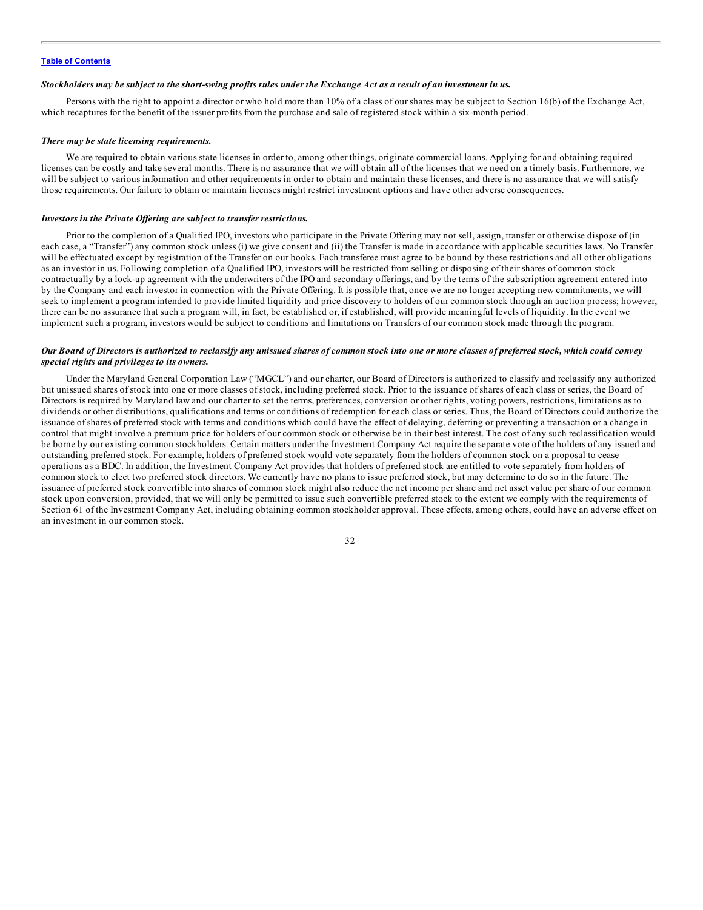## Stockholders may be subject to the short-swing profits rules under the Exchange Act as a result of an investment in us.

Persons with the right to appoint a director or who hold more than 10% of a class of our shares may be subject to Section 16(b) of the Exchange Act, which recaptures for the benefit of the issuer profits from the purchase and sale of registered stock within a six-month period.

#### *There may be state licensing requirements.*

We are required to obtain various state licenses in order to, among other things, originate commercial loans. Applying for and obtaining required licenses can be costly and take several months. There is no assurance that we will obtain all of the licenses that we need on a timely basis. Furthermore, we will be subject to various information and other requirements in order to obtain and maintain these licenses, and there is no assurance that we will satisfy those requirements. Our failure to obtain or maintain licenses might restrict investment options and have other adverse consequences.

#### *Investors in the Private Of ering are subject to transfer restrictions.*

Prior to the completion of a Qualified IPO, investors who participate in the Private Offering may not sell, assign, transfer or otherwise dispose of (in each case, a "Transfer") any common stock unless (i) we give consent and (ii) the Transfer is made in accordance with applicable securities laws. No Transfer will be effectuated except by registration of the Transfer on our books. Each transferee must agree to be bound by these restrictions and all other obligations as an investor in us. Following completion of a Qualified IPO, investors will be restricted from selling or disposing of their shares of common stock contractually by a lock-up agreement with the underwriters of the IPO and secondary offerings, and by the terms of the subscription agreement entered into by the Company and each investor in connection with the Private Offering. It is possible that, once we are no longer accepting new commitments, we will seek to implement a program intended to provide limited liquidity and price discovery to holders of our common stock through an auction process; however, there can be no assurance that such a program will, in fact, be established or, if established, will provide meaningful levels of liquidity. In the event we implement such a program, investors would be subject to conditions and limitations on Transfers of our common stock made through the program.

#### Our Board of Directors is authorized to reclassify any unissued shares of common stock into one or more classes of preferred stock, which could convey *special rights and privileges to its owners.*

Under the Maryland General Corporation Law ("MGCL") and our charter, our Board of Directors is authorized to classify and reclassify any authorized but unissued shares of stock into one or more classes of stock, including preferred stock. Prior to the issuance of shares of each class or series, the Board of Directors is required by Maryland law and our charter to set the terms, preferences, conversion or other rights, voting powers, restrictions, limitations as to dividends or other distributions, qualifications and terms or conditions of redemption for each class or series. Thus, the Board of Directors could authorize the issuance of shares of preferred stock with terms and conditions which could have the effect of delaying, deferring or preventing a transaction or a change in control that might involve a premium price for holders of our common stock or otherwise be in their best interest. The cost of any such reclassification would be borne by our existing common stockholders. Certain matters under the Investment Company Act require the separate vote of the holders of any issued and outstanding preferred stock. For example, holders of preferred stock would vote separately from the holders of common stock on a proposal to cease operations as a BDC. In addition, the Investment Company Act provides that holders of preferred stock are entitled to vote separately from holders of common stock to elect two preferred stock directors. We currently have no plans to issue preferred stock, but may determine to do so in the future. The issuance of preferred stock convertible into shares of common stock might also reduce the net income per share and net asset value per share of our common stock upon conversion, provided, that we will only be permitted to issue such convertible preferred stock to the extent we comply with the requirements of Section 61 of the Investment Company Act, including obtaining common stockholder approval. These effects, among others, could have an adverse effect on an investment in our common stock.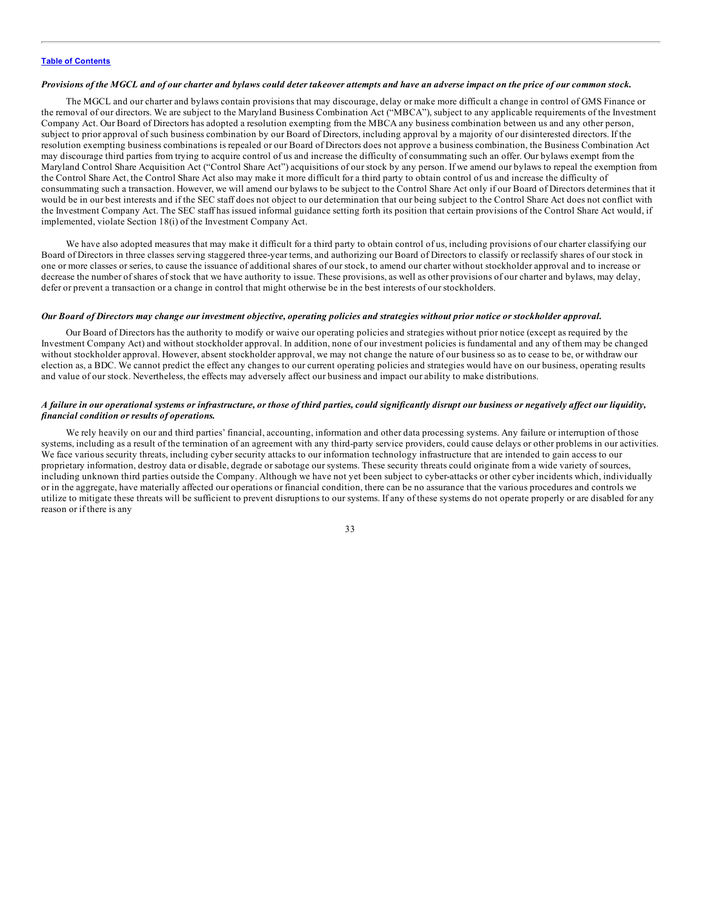## Provisions of the MGCL and of our charter and bylaws could deter takeover attempts and have an adverse impact on the price of our common stock.

The MGCL and our charter and bylaws contain provisions that may discourage, delay or make more difficult a change in control of GMS Finance or the removal of our directors. We are subject to the Maryland Business Combination Act ("MBCA"), subject to any applicable requirements of the Investment Company Act. Our Board of Directors has adopted a resolution exempting from the MBCA any business combination between us and any other person, subject to prior approval of such business combination by our Board of Directors, including approval by a majority of our disinterested directors. If the resolution exempting business combinations is repealed or our Board of Directors does not approve a business combination, the Business Combination Act may discourage third parties from trying to acquire control of us and increase the difficulty of consummating such an offer. Our bylaws exempt from the Maryland Control Share Acquisition Act ("Control Share Act") acquisitions of our stock by any person. If we amend our bylaws to repeal the exemption from the Control Share Act, the Control Share Act also may make it more difficult for a third party to obtain control of us and increase the difficulty of consummating such a transaction. However, we will amend our bylaws to be subject to the Control Share Act only if our Board of Directors determines that it would be in our best interests and if the SEC staff does not object to our determination that our being subject to the Control Share Act does not conflict with the Investment Company Act. The SEC staff has issued informal guidance setting forth its position that certain provisions of the Control Share Act would, if implemented, violate Section 18(i) of the Investment Company Act.

We have also adopted measures that may make it difficult for a third party to obtain control of us, including provisions of our charter classifying our Board of Directors in three classes serving staggered three-year terms, and authorizing our Board of Directors to classify or reclassify shares of our stock in one or more classes or series, to cause the issuance of additional shares of our stock, to amend our charter without stockholder approval and to increase or decrease the number of shares of stock that we have authority to issue. These provisions, as well as other provisions of our charter and bylaws, may delay, defer or prevent a transaction or a change in control that might otherwise be in the best interests of our stockholders.

#### Our Board of Directors may change our investment objective, operating policies and strategies without prior notice or stockholder approval.

Our Board of Directors has the authority to modify or waive our operating policies and strategies without prior notice (except as required by the Investment Company Act) and without stockholder approval. In addition, none of our investment policies is fundamental and any of them may be changed without stockholder approval. However, absent stockholder approval, we may not change the nature of our business so as to cease to be, or withdraw our election as, a BDC. We cannot predict the effect any changes to our current operating policies and strategies would have on our business, operating results and value of our stock. Nevertheless, the effects may adversely affect our business and impact our ability to make distributions.

## A failure in our operational systems or infrastructure, or those of third parties, could significantly disrupt our business or negatively affect our liquidity, *financial condition or results of operations.*

We rely heavily on our and third parties' financial, accounting, information and other data processing systems. Any failure or interruption of those systems, including as a result of the termination of an agreement with any third-party service providers, could cause delays or other problems in our activities. We face various security threats, including cyber security attacks to our information technology infrastructure that are intended to gain access to our proprietary information, destroy data or disable, degrade or sabotage our systems. These security threats could originate from a wide variety of sources, including unknown third parties outside the Company. Although we have not yet been subject to cyber-attacks or other cyber incidents which, individually or in the aggregate, have materially affected our operations or financial condition, there can be no assurance that the various procedures and controls we utilize to mitigate these threats will be sufficient to prevent disruptions to our systems. If any of these systems do not operate properly or are disabled for any reason or if there is any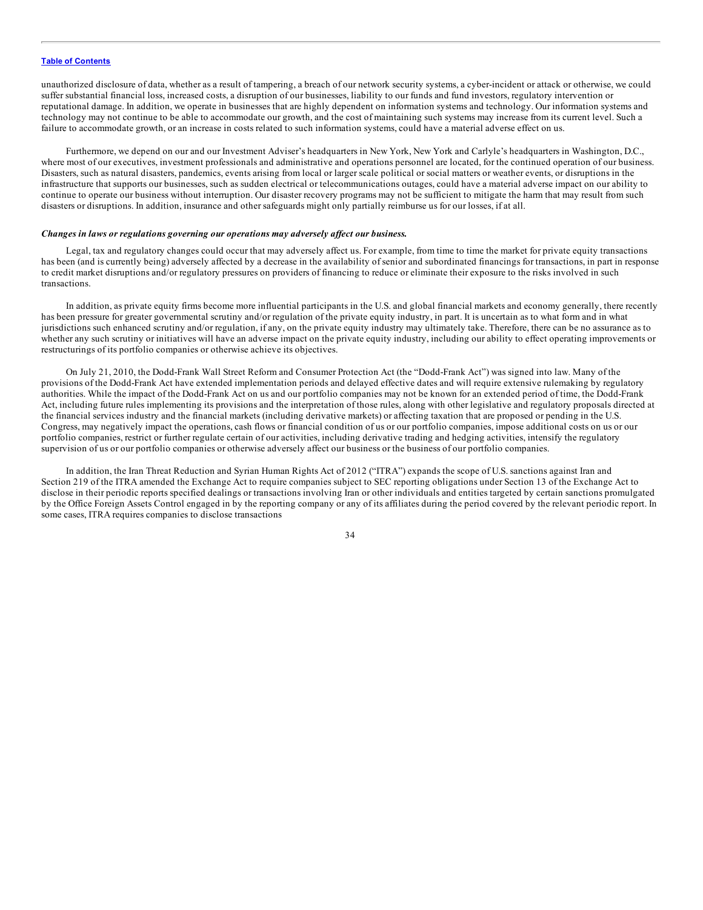unauthorized disclosure of data, whether as a result of tampering, a breach of our network security systems, a cyber-incident or attack or otherwise, we could suffer substantial financial loss, increased costs, a disruption of our businesses, liability to our funds and fund investors, regulatory intervention or reputational damage. In addition, we operate in businesses that are highly dependent on information systems and technology. Our information systems and technology may not continue to be able to accommodate our growth, and the cost of maintaining such systems may increase from its current level. Such a failure to accommodate growth, or an increase in costs related to such information systems, could have a material adverse effect on us.

Furthermore, we depend on our and our Investment Adviser's headquarters in New York, New York and Carlyle's headquarters in Washington, D.C., where most of our executives, investment professionals and administrative and operations personnel are located, for the continued operation of our business. Disasters, such as natural disasters, pandemics, events arising from local or larger scale political or social matters or weather events, or disruptions in the infrastructure that supports our businesses, such as sudden electrical or telecommunications outages, could have a material adverse impact on our ability to continue to operate our business without interruption. Our disaster recovery programs may not be sufficient to mitigate the harm that may result from such disasters or disruptions. In addition, insurance and other safeguards might only partially reimburse us for our losses, if at all.

#### *Changes in laws or regulations governing our operations may adversely af ect our business.*

Legal, tax and regulatory changes could occur that may adversely affect us. For example, from time to time the market for private equity transactions has been (and is currently being) adversely affected by a decrease in the availability of senior and subordinated financings for transactions, in part in response to credit market disruptions and/or regulatory pressures on providers of financing to reduce or eliminate their exposure to the risks involved in such transactions.

In addition, as private equity firms become more influential participants in the U.S. and global financial markets and economy generally, there recently has been pressure for greater governmental scrutiny and/or regulation of the private equity industry, in part. It is uncertain as to what form and in what jurisdictions such enhanced scrutiny and/or regulation, if any, on the private equity industry may ultimately take. Therefore, there can be no assurance as to whether any such scrutiny or initiatives will have an adverse impact on the private equity industry, including our ability to effect operating improvements or restructurings of its portfolio companies or otherwise achieve its objectives.

On July 21, 2010, the Dodd-Frank Wall Street Reform and Consumer Protection Act (the "Dodd-Frank Act") was signed into law. Many of the provisions of the Dodd-Frank Act have extended implementation periods and delayed effective dates and will require extensive rulemaking by regulatory authorities. While the impact of the Dodd-Frank Act on us and our portfolio companies may not be known for an extended period of time, the Dodd-Frank Act, including future rules implementing its provisions and the interpretation of those rules, along with other legislative and regulatory proposals directed at the financial services industry and the financial markets (including derivative markets) or affecting taxation that are proposed or pending in the U.S. Congress, may negatively impact the operations, cash flows or financial condition of us or our portfolio companies, impose additional costs on us or our portfolio companies, restrict or further regulate certain of our activities, including derivative trading and hedging activities, intensify the regulatory supervision of us or our portfolio companies or otherwise adversely affect our business or the business of our portfolio companies.

In addition, the Iran Threat Reduction and Syrian Human Rights Act of 2012 ("ITRA") expands the scope of U.S. sanctions against Iran and Section 219 of the ITRA amended the Exchange Act to require companies subject to SEC reporting obligations under Section 13 of the Exchange Act to disclose in their periodic reports specified dealings or transactions involving Iran or other individuals and entities targeted by certain sanctions promulgated by the Office Foreign Assets Control engaged in by the reporting company or any of its affiliates during the period covered by the relevant periodic report. In some cases, ITRA requires companies to disclose transactions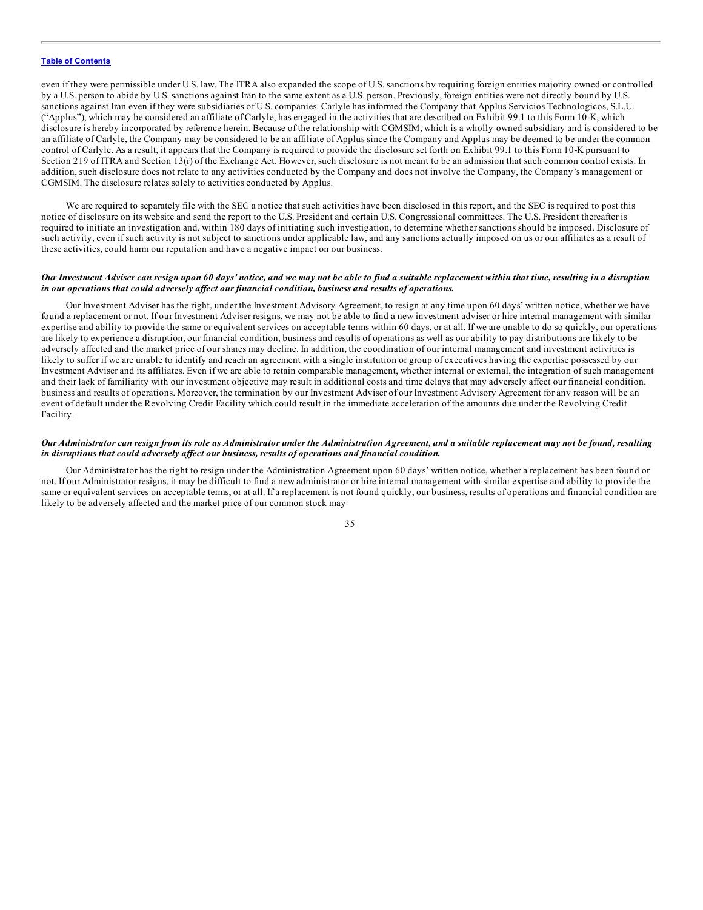even if they were permissible under U.S. law. The ITRA also expanded the scope of U.S. sanctions by requiring foreign entities majority owned or controlled by a U.S. person to abide by U.S. sanctions against Iran to the same extent as a U.S. person. Previously, foreign entities were not directly bound by U.S. sanctions against Iran even if they were subsidiaries of U.S. companies. Carlyle has informed the Company that Applus Servicios Technologicos, S.L.U. ("Applus"), which may be considered an affiliate of Carlyle, has engaged in the activities that are described on Exhibit 99.1 to this Form 10-K, which disclosure is hereby incorporated by reference herein. Because of the relationship with CGMSIM, which is a wholly-owned subsidiary and is considered to be an affiliate of Carlyle, the Company may be considered to be an affiliate of Applus since the Company and Applus may be deemed to be under the common control of Carlyle. As a result, it appears that the Company is required to provide the disclosure set forth on Exhibit 99.1 to this Form 10-K pursuant to Section 219 of ITRA and Section 13(r) of the Exchange Act. However, such disclosure is not meant to be an admission that such common control exists. In addition, such disclosure does not relate to any activities conducted by the Company and does not involve the Company, the Company's management or CGMSIM. The disclosure relates solely to activities conducted by Applus.

We are required to separately file with the SEC a notice that such activities have been disclosed in this report, and the SEC is required to post this notice of disclosure on its website and send the report to the U.S. President and certain U.S. Congressional committees. The U.S. President thereafter is required to initiate an investigation and, within 180 days of initiating such investigation, to determine whether sanctions should be imposed. Disclosure of such activity, even if such activity is not subject to sanctions under applicable law, and any sanctions actually imposed on us or our affiliates as a result of these activities, could harm our reputation and have a negative impact on our business.

### Our Investment Adviser can resign upon 60 days' notice, and we may not be able to find a suitable replacement within that time, resulting in a disruption *in our operations that could adversely af ect our financial condition, business and results of operations.*

Our Investment Adviser has the right, under the Investment Advisory Agreement, to resign at any time upon 60 days' written notice, whether we have found a replacement or not. If our Investment Adviser resigns, we may not be able to find a new investment adviser or hire internal management with similar expertise and ability to provide the same or equivalent services on acceptable terms within 60 days, or at all. If we are unable to do so quickly, our operations are likely to experience a disruption, our financial condition, business and results of operations as well as our ability to pay distributions are likely to be adversely affected and the market price of our shares may decline. In addition, the coordination of our internal management and investment activities is likely to suffer if we are unable to identify and reach an agreement with a single institution or group of executives having the expertise possessed by our Investment Adviser and its affiliates. Even if we are able to retain comparable management, whether internal or external, the integration of such management and their lack of familiarity with our investment objective may result in additional costs and time delays that may adversely affect our financial condition, business and results of operations. Moreover, the termination by our Investment Adviser of our Investment Advisory Agreement for any reason will be an event of default under the Revolving Credit Facility which could result in the immediate acceleration of the amounts due under the Revolving Credit Facility.

### Our Administrator can resign from its role as Administrator under the Administration Agreement, and a suitable replacement may not be found, resulting *in disruptions that could adversely af ect our business, results of operations and financial condition.*

Our Administrator has the right to resign under the Administration Agreement upon 60 days' written notice, whether a replacement has been found or not. If our Administrator resigns, it may be difficult to find a new administrator or hire internal management with similar expertise and ability to provide the same or equivalent services on acceptable terms, or at all. If a replacement is not found quickly, our business, results of operations and financial condition are likely to be adversely affected and the market price of our common stock may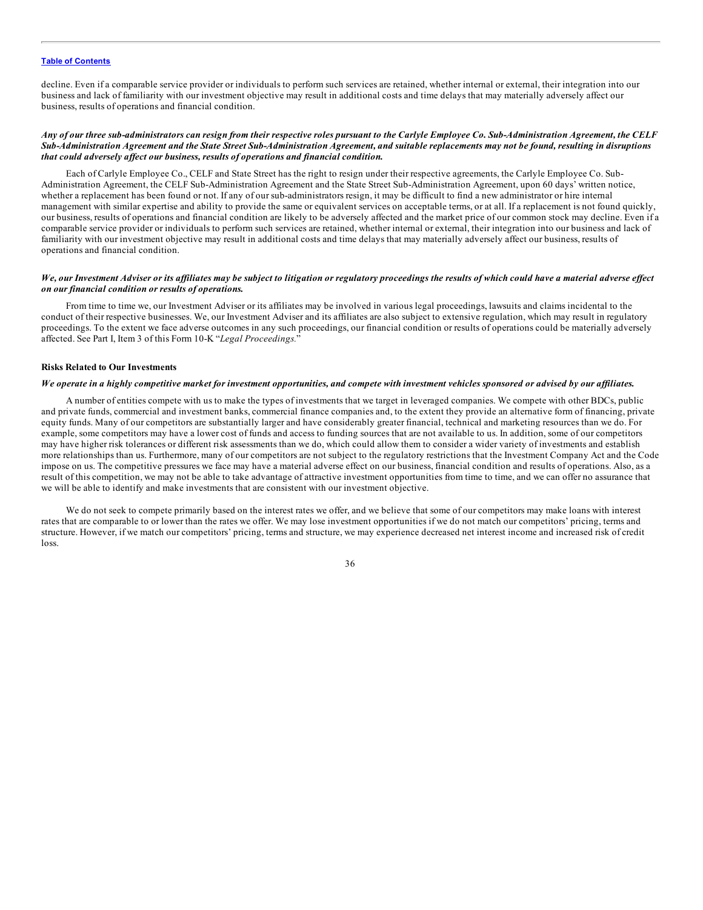decline. Even if a comparable service provider or individuals to perform such services are retained, whether internal or external, their integration into our business and lack of familiarity with our investment objective may result in additional costs and time delays that may materially adversely affect our business, results of operations and financial condition.

### Any of our three sub-administrators can resign from their respective roles pursuant to the Carlyle Employee Co. Sub-Administration Agreement, the CELF Sub-Administration Agreement and the State Street Sub-Administration Agreement, and suitable replacements may not be found, resulting in disruptions *that could adversely af ect our business, results of operations and financial condition.*

Each of Carlyle Employee Co., CELF and State Street has the right to resign under their respective agreements, the Carlyle Employee Co. Sub-Administration Agreement, the CELF Sub-Administration Agreement and the State Street Sub-Administration Agreement, upon 60 days' written notice, whether a replacement has been found or not. If any of our sub-administrators resign, it may be difficult to find a new administrator or hire internal management with similar expertise and ability to provide the same or equivalent services on acceptable terms, or at all. If a replacement is not found quickly, our business, results of operations and financial condition are likely to be adversely affected and the market price of our common stock may decline. Even if a comparable service provider or individuals to perform such services are retained, whether internal or external, their integration into our business and lack of familiarity with our investment objective may result in additional costs and time delays that may materially adversely affect our business, results of operations and financial condition.

### We, our Investment Adviser or its affiliates may be subject to litigation or regulatory proceedings the results of which could have a material adverse effect *on our financial condition or results of operations.*

From time to time we, our Investment Adviser or its affiliates may be involved in various legal proceedings, lawsuits and claims incidental to the conduct of their respective businesses. We, our Investment Adviser and its affiliates are also subject to extensive regulation, which may result in regulatory proceedings. To the extent we face adverse outcomes in any such proceedings, our financial condition or results of operations could be materially adversely affected. See Part I, Item 3 of this Form 10-K "*Legal Proceedings.*"

### **Risks Related to Our Investments**

### We operate in a highly competitive market for investment opportunities, and compete with investment vehicles sponsored or advised by our affiliates.

A number of entities compete with us to make the types of investments that we target in leveraged companies. We compete with other BDCs, public and private funds, commercial and investment banks, commercial finance companies and, to the extent they provide an alternative form of financing, private equity funds. Many of our competitors are substantially larger and have considerably greater financial, technical and marketing resources than we do. For example, some competitors may have a lower cost of funds and access to funding sources that are not available to us. In addition, some of our competitors may have higher risk tolerances or different risk assessments than we do, which could allow them to consider a wider variety of investments and establish more relationships than us. Furthermore, many of our competitors are not subject to the regulatory restrictions that the Investment Company Act and the Code impose on us. The competitive pressures we face may have a material adverse effect on our business, financial condition and results of operations. Also, as a result of this competition, we may not be able to take advantage of attractive investment opportunities from time to time, and we can offer no assurance that we will be able to identify and make investments that are consistent with our investment objective.

We do not seek to compete primarily based on the interest rates we offer, and we believe that some of our competitors may make loans with interest rates that are comparable to or lower than the rates we offer. We may lose investment opportunities if we do not match our competitors' pricing, terms and structure. However, if we match our competitors' pricing, terms and structure, we may experience decreased net interest income and increased risk of credit loss.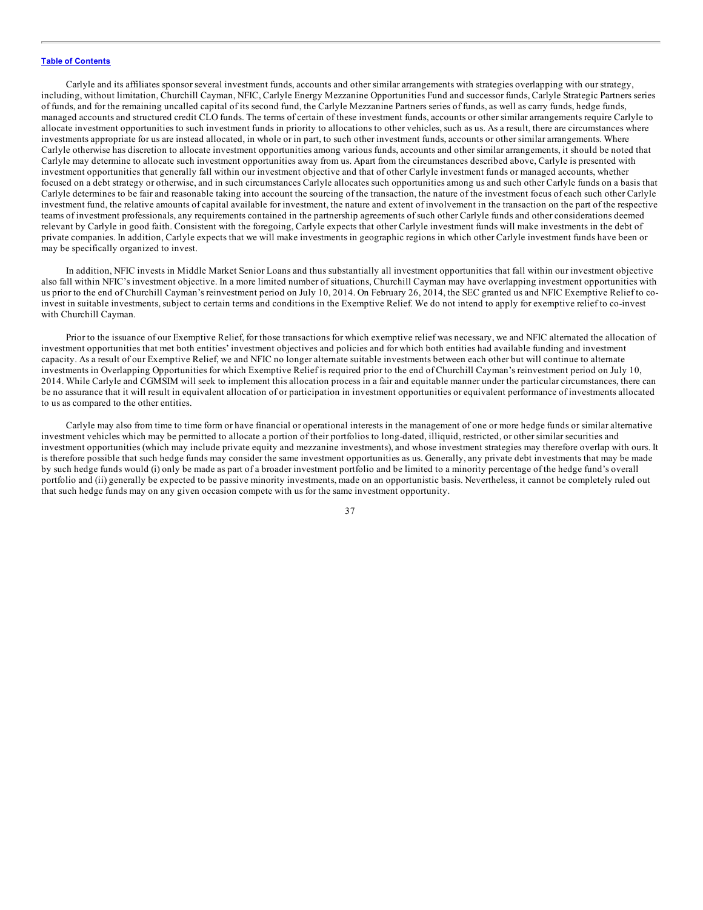Carlyle and its affiliates sponsor several investment funds, accounts and other similar arrangements with strategies overlapping with our strategy, including, without limitation, Churchill Cayman, NFIC, Carlyle Energy Mezzanine Opportunities Fund and successor funds, Carlyle Strategic Partners series of funds, and for the remaining uncalled capital of its second fund, the Carlyle Mezzanine Partners series of funds, as well as carry funds, hedge funds, managed accounts and structured credit CLO funds. The terms of certain of these investment funds, accounts or other similar arrangements require Carlyle to allocate investment opportunities to such investment funds in priority to allocations to other vehicles, such as us. As a result, there are circumstances where investments appropriate for us are instead allocated, in whole or in part, to such other investment funds, accounts or other similar arrangements. Where Carlyle otherwise has discretion to allocate investment opportunities among various funds, accounts and other similar arrangements, it should be noted that Carlyle may determine to allocate such investment opportunities away from us. Apart from the circumstances described above, Carlyle is presented with investment opportunities that generally fall within our investment objective and that of other Carlyle investment funds or managed accounts, whether focused on a debt strategy or otherwise, and in such circumstances Carlyle allocates such opportunities among us and such other Carlyle funds on a basis that Carlyle determines to be fair and reasonable taking into account the sourcing of the transaction, the nature of the investment focus of each such other Carlyle investment fund, the relative amounts of capital available for investment, the nature and extent of involvement in the transaction on the part of the respective teams of investment professionals, any requirements contained in the partnership agreements of such other Carlyle funds and other considerations deemed relevant by Carlyle in good faith. Consistent with the foregoing, Carlyle expects that other Carlyle investment funds will make investments in the debt of private companies. In addition, Carlyle expects that we will make investments in geographic regions in which other Carlyle investment funds have been or may be specifically organized to invest.

In addition, NFIC invests in Middle Market Senior Loans and thus substantially all investment opportunities that fall within our investment objective also fall within NFIC's investment objective. In a more limited number of situations, Churchill Cayman may have overlapping investment opportunities with us prior to the end of Churchill Cayman's reinvestment period on July 10, 2014. On February 26, 2014, the SEC granted us and NFIC Exemptive Relief to coinvest in suitable investments, subject to certain terms and conditions in the Exemptive Relief. We do not intend to apply for exemptive relief to co-invest with Churchill Cayman.

Prior to the issuance of our Exemptive Relief, for those transactions for which exemptive relief was necessary, we and NFIC alternated the allocation of investment opportunities that met both entities' investment objectives and policies and for which both entities had available funding and investment capacity. As a result of our Exemptive Relief, we and NFIC no longer alternate suitable investments between each other but will continue to alternate investments in Overlapping Opportunities for which Exemptive Relief is required prior to the end of Churchill Cayman's reinvestment period on July 10, 2014. While Carlyle and CGMSIM will seek to implement this allocation process in a fair and equitable manner under the particular circumstances, there can be no assurance that it will result in equivalent allocation of or participation in investment opportunities or equivalent performance of investments allocated to us as compared to the other entities.

Carlyle may also from time to time form or have financial or operational interests in the management of one or more hedge funds or similar alternative investment vehicles which may be permitted to allocate a portion of their portfolios to long-dated, illiquid, restricted, or other similar securities and investment opportunities (which may include private equity and mezzanine investments), and whose investment strategies may therefore overlap with ours. It is therefore possible that such hedge funds may consider the same investment opportunities as us. Generally, any private debt investments that may be made by such hedge funds would (i) only be made as part of a broader investment portfolio and be limited to a minority percentage of the hedge fund's overall portfolio and (ii) generally be expected to be passive minority investments, made on an opportunistic basis. Nevertheless, it cannot be completely ruled out that such hedge funds may on any given occasion compete with us for the same investment opportunity.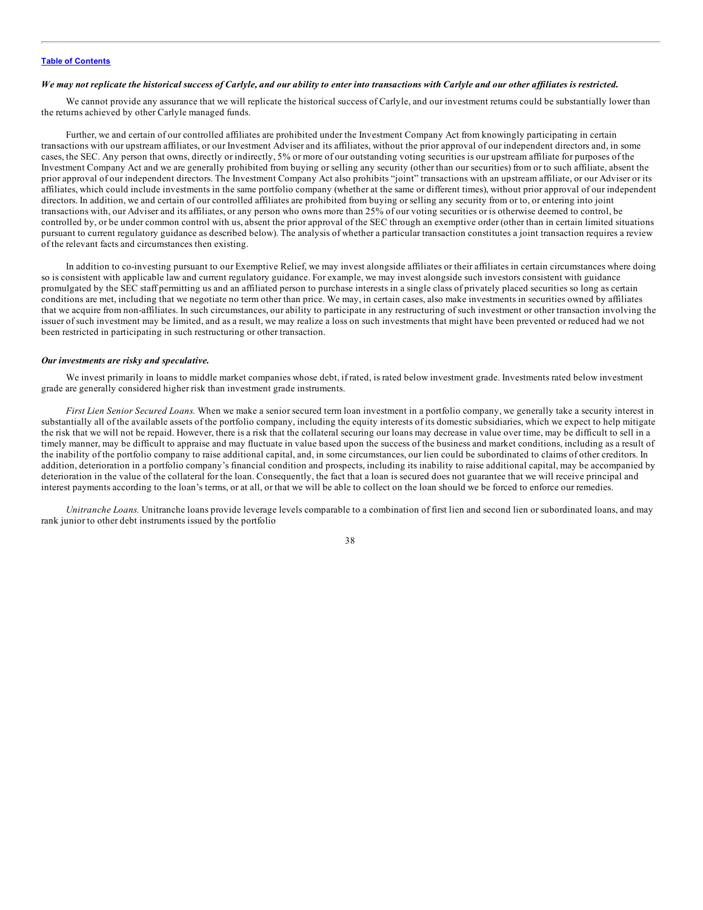### We may not replicate the historical success of Carlyle, and our ability to enter into transactions with Carlyle and our other affiliates is restricted.

We cannot provide any assurance that we will replicate the historical success of Carlyle, and our investment returns could be substantially lower than the returns achieved by other Carlyle managed funds.

Further, we and certain of our controlled affiliates are prohibited under the Investment Company Act from knowingly participating in certain transactions with our upstream affiliates, or our Investment Adviser and its affiliates, without the prior approval of our independent directors and, in some cases, the SEC. Any person that owns, directly or indirectly, 5% or more of our outstanding voting securities is our upstream affiliate for purposes of the Investment Company Act and we are generally prohibited from buying or selling any security (other than our securities) from or to such affiliate, absent the prior approval of our independent directors. The Investment Company Act also prohibits "joint" transactions with an upstream affiliate, or our Adviser or its affiliates, which could include investments in the same portfolio company (whether at the same or different times), without prior approval of our independent directors. In addition, we and certain of our controlled affiliates are prohibited from buying or selling any security from or to, or entering into joint transactions with, our Adviser and its affiliates, or any person who owns more than 25% of our voting securities or is otherwise deemed to control, be controlled by, or be under common control with us, absent the prior approval of the SEC through an exemptive order (other than in certain limited situations pursuant to current regulatory guidance as described below). The analysis of whether a particular transaction constitutes a joint transaction requires a review of the relevant facts and circumstances then existing.

In addition to co-investing pursuant to our Exemptive Relief, we may invest alongside affiliates or their affiliates in certain circumstances where doing so is consistent with applicable law and current regulatory guidance. For example, we may invest alongside such investors consistent with guidance promulgated by the SEC staff permitting us and an affiliated person to purchase interests in a single class of privately placed securities so long as certain conditions are met, including that we negotiate no term other than price. We may, in certain cases, also make investments in securities owned by affiliates that we acquire from non-affiliates. In such circumstances, our ability to participate in any restructuring of such investment or other transaction involving the issuer of such investment may be limited, and as a result, we may realize a loss on such investments that might have been prevented or reduced had we not been restricted in participating in such restructuring or other transaction.

### *Our investments are risky and speculative.*

We invest primarily in loans to middle market companies whose debt, if rated, is rated below investment grade. Investments rated below investment grade are generally considered higher risk than investment grade instruments.

*First Lien Senior Secured Loans.* When we make a senior secured term loan investment in a portfolio company, we generally take a security interest in substantially all of the available assets of the portfolio company, including the equity interests of its domestic subsidiaries, which we expect to help mitigate the risk that we will not be repaid. However, there is a risk that the collateral securing our loans may decrease in value over time, may be difficult to sell in a timely manner, may be difficult to appraise and may fluctuate in value based upon the success of the business and market conditions, including as a result of the inability of the portfolio company to raise additional capital, and, in some circumstances, our lien could be subordinated to claims of other creditors. In addition, deterioration in a portfolio company's financial condition and prospects, including its inability to raise additional capital, may be accompanied by deterioration in the value of the collateral for the loan. Consequently, the fact that a loan is secured does not guarantee that we will receive principal and interest payments according to the loan's terms, or at all, or that we will be able to collect on the loan should we be forced to enforce our remedies.

*Unitranche Loans.* Unitranche loans provide leverage levels comparable to a combination of first lien and second lien or subordinated loans, and may rank junior to other debt instruments issued by the portfolio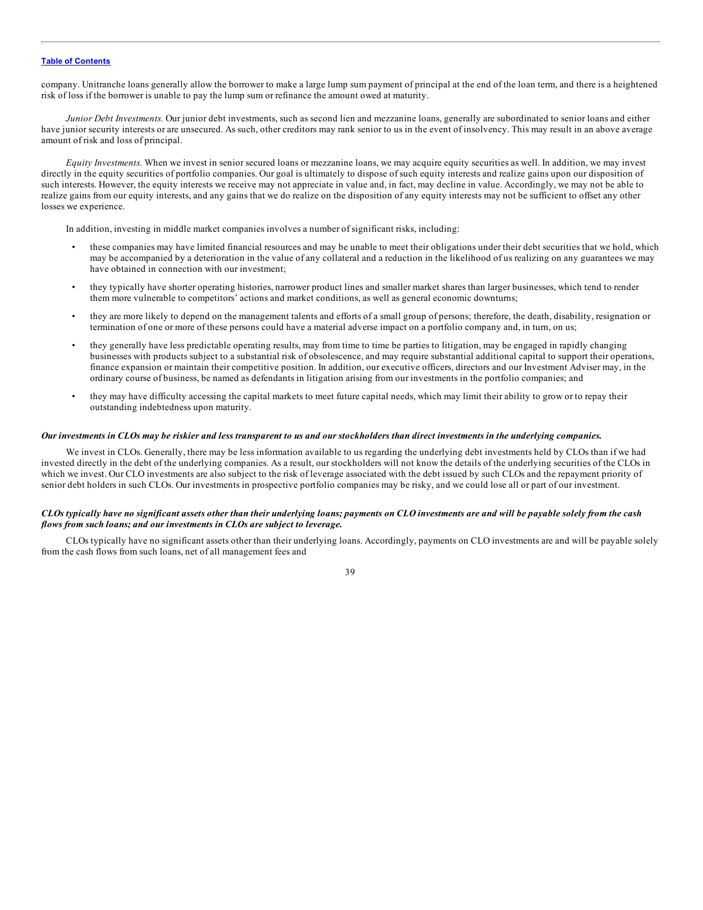company. Unitranche loans generally allow the borrower to make a large lump sum payment of principal at the end of the loan term, and there is a heightened risk of loss if the borrower is unable to pay the lump sum or refinance the amount owed at maturity.

*Junior Debt Investments.* Our junior debt investments, such as second lien and mezzanine loans, generally are subordinated to senior loans and either have junior security interests or are unsecured. As such, other creditors may rank senior to us in the event of insolvency. This may result in an above average amount of risk and loss of principal.

*Equity Investments.* When we invest in senior secured loans or mezzanine loans, we may acquire equity securities as well. In addition, we may invest directly in the equity securities of portfolio companies. Our goal is ultimately to dispose of such equity interests and realize gains upon our disposition of such interests. However, the equity interests we receive may not appreciate in value and, in fact, may decline in value. Accordingly, we may not be able to realize gains from our equity interests, and any gains that we do realize on the disposition of any equity interests may not be sufficient to offset any other losses we experience.

In addition, investing in middle market companies involves a number of significant risks, including:

- these companies may have limited financial resources and may be unable to meet their obligations under their debt securities that we hold, which may be accompanied by a deterioration in the value of any collateral and a reduction in the likelihood of us realizing on any guarantees we may have obtained in connection with our investment;
- they typically have shorter operating histories, narrower product lines and smaller market shares than larger businesses, which tend to render them more vulnerable to competitors' actions and market conditions, as well as general economic downturns;
- they are more likely to depend on the management talents and efforts of a small group of persons; therefore, the death, disability, resignation or termination of one or more of these persons could have a material adverse impact on a portfolio company and, in turn, on us;
- they generally have less predictable operating results, may from time to time be parties to litigation, may be engaged in rapidly changing businesses with products subject to a substantial risk of obsolescence, and may require substantial additional capital to support their operations, finance expansion or maintain their competitive position. In addition, our executive officers, directors and our Investment Adviser may, in the ordinary course of business, be named as defendants in litigation arising from our investments in the portfolio companies; and
- they may have difficulty accessing the capital markets to meet future capital needs, which may limit their ability to grow or to repay their outstanding indebtedness upon maturity.

#### Our investments in CLOs may be riskier and less transparent to us and our stockholders than direct investments in the underlying companies.

We invest in CLOs. Generally, there may be less information available to us regarding the underlying debt investments held by CLOs than if we had invested directly in the debt of the underlying companies. As a result, our stockholders will not know the details of the underlying securities of the CLOs in which we invest. Our CLO investments are also subject to the risk of leverage associated with the debt issued by such CLOs and the repayment priority of senior debt holders in such CLOs. Our investments in prospective portfolio companies may be risky, and we could lose all or part of our investment.

### CLOs typically have no significant assets other than their underlying loans; payments on CLO investments are and will be payable solely from the cash *flows from such loans; and our investments in CLOs are subject to leverage.*

CLOs typically have no significant assets other than their underlying loans. Accordingly, payments on CLO investments are and will be payable solely from the cash flows from such loans, net of all management fees and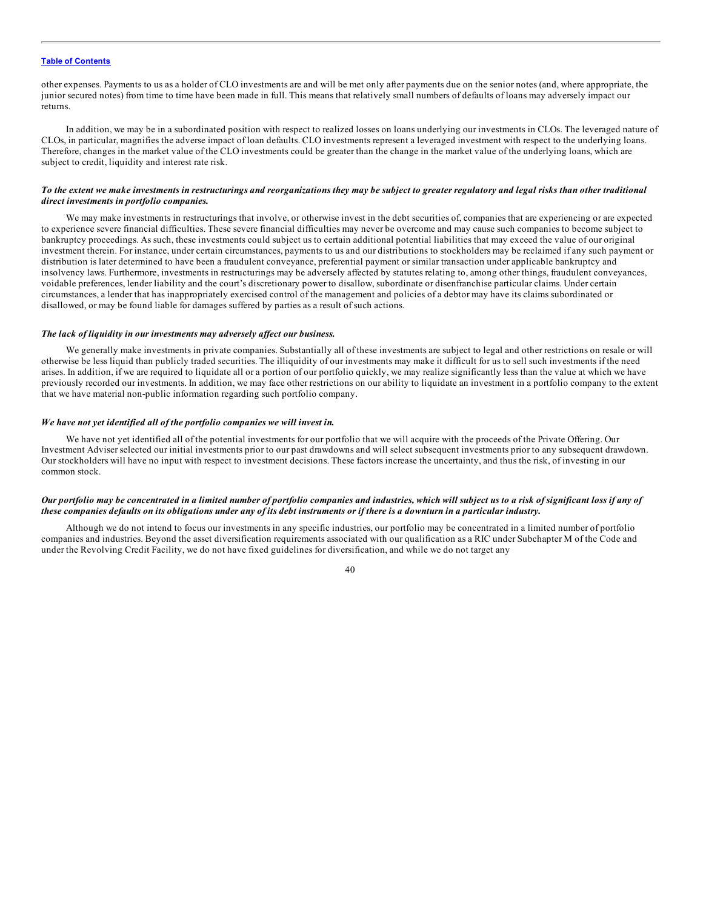other expenses. Payments to us as a holder of CLO investments are and will be met only after payments due on the senior notes (and, where appropriate, the junior secured notes) from time to time have been made in full. This means that relatively small numbers of defaults of loans may adversely impact our returns.

In addition, we may be in a subordinated position with respect to realized losses on loans underlying our investments in CLOs. The leveraged nature of CLOs, in particular, magnifies the adverse impact of loan defaults. CLO investments represent a leveraged investment with respect to the underlying loans. Therefore, changes in the market value of the CLO investments could be greater than the change in the market value of the underlying loans, which are subject to credit, liquidity and interest rate risk.

### To the extent we make investments in restructurings and reorganizations they may be subject to greater regulatory and legal risks than other traditional *direct investments in portfolio companies.*

We may make investments in restructurings that involve, or otherwise invest in the debt securities of, companies that are experiencing or are expected to experience severe financial difficulties. These severe financial difficulties may never be overcome and may cause such companies to become subject to bankruptcy proceedings. As such, these investments could subject us to certain additional potential liabilities that may exceed the value of our original investment therein. For instance, under certain circumstances, payments to us and our distributions to stockholders may be reclaimed if any such payment or distribution is later determined to have been a fraudulent conveyance, preferential payment or similar transaction under applicable bankruptcy and insolvency laws. Furthermore, investments in restructurings may be adversely affected by statutes relating to, among other things, fraudulent conveyances, voidable preferences, lender liability and the court's discretionary power to disallow, subordinate or disenfranchise particular claims. Under certain circumstances, a lender that has inappropriately exercised control of the management and policies of a debtor may have its claims subordinated or disallowed, or may be found liable for damages suffered by parties as a result of such actions.

### *The lack of liquidity in our investments may adversely af ect our business.*

We generally make investments in private companies. Substantially all of these investments are subject to legal and other restrictions on resale or will otherwise be less liquid than publicly traded securities. The illiquidity of our investments may make it difficult for us to sell such investments if the need arises. In addition, if we are required to liquidate all or a portion of our portfolio quickly, we may realize significantly less than the value at which we have previously recorded our investments. In addition, we may face other restrictions on our ability to liquidate an investment in a portfolio company to the extent that we have material non-public information regarding such portfolio company.

### *We have not yet identified all of the portfolio companies we will invest in.*

We have not yet identified all of the potential investments for our portfolio that we will acquire with the proceeds of the Private Offering. Our Investment Adviser selected our initial investments prior to our past drawdowns and will select subsequent investments prior to any subsequent drawdown. Our stockholders will have no input with respect to investment decisions. These factors increase the uncertainty, and thus the risk, of investing in our common stock.

### Our portfolio may be concentrated in a limited number of portfolio companies and industries, which will subject us to a risk of significant loss if any of these companies defaults on its obligations under any of its debt instruments or if there is a downturn in a particular industry.

Although we do not intend to focus our investments in any specific industries, our portfolio may be concentrated in a limited number of portfolio companies and industries. Beyond the asset diversification requirements associated with our qualification as a RIC under Subchapter M of the Code and under the Revolving Credit Facility, we do not have fixed guidelines for diversification, and while we do not target any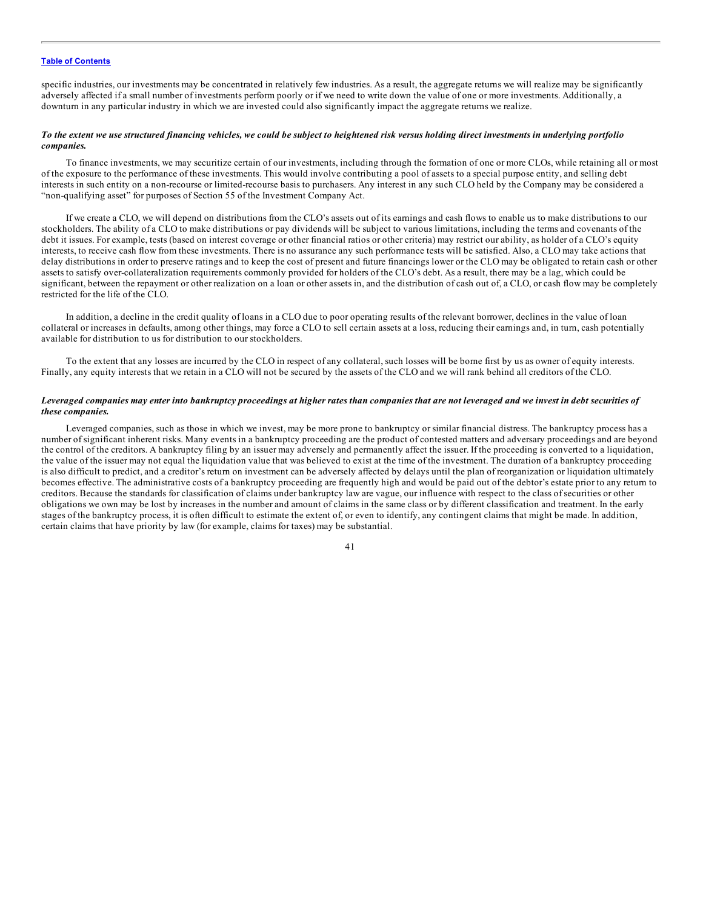specific industries, our investments may be concentrated in relatively few industries. As a result, the aggregate returns we will realize may be significantly adversely affected if a small number of investments perform poorly or if we need to write down the value of one or more investments. Additionally, a downturn in any particular industry in which we are invested could also significantly impact the aggregate returns we realize.

### To the extent we use structured financing vehicles, we could be subject to heightened risk versus holding direct investments in underlying portfolio *companies.*

To finance investments, we may securitize certain of our investments, including through the formation of one or more CLOs, while retaining all or most of the exposure to the performance of these investments. This would involve contributing a pool of assets to a special purpose entity, and selling debt interests in such entity on a non-recourse or limited-recourse basis to purchasers. Any interest in any such CLO held by the Company may be considered a "non-qualifying asset" for purposes of Section 55 of the Investment Company Act.

If we create a CLO, we will depend on distributions from the CLO's assets out of its earnings and cash flows to enable us to make distributions to our stockholders. The ability of a CLO to make distributions or pay dividends will be subject to various limitations, including the terms and covenants of the debt it issues. For example, tests (based on interest coverage or other financial ratios or other criteria) may restrict our ability, as holder of a CLO's equity interests, to receive cash flow from these investments. There is no assurance any such performance tests will be satisfied. Also, a CLO may take actions that delay distributions in order to preserve ratings and to keep the cost of present and future financings lower or the CLO may be obligated to retain cash or other assets to satisfy over-collateralization requirements commonly provided for holders of the CLO's debt. As a result, there may be a lag, which could be significant, between the repayment or other realization on a loan or other assets in, and the distribution of cash out of, a CLO, or cash flow may be completely restricted for the life of the CLO.

In addition, a decline in the credit quality of loans in a CLO due to poor operating results of the relevant borrower, declines in the value of loan collateral or increases in defaults, among other things, may force a CLO to sell certain assets at a loss, reducing their earnings and, in turn, cash potentially available for distribution to us for distribution to our stockholders.

To the extent that any losses are incurred by the CLO in respect of any collateral, such losses will be borne first by us as owner of equity interests. Finally, any equity interests that we retain in a CLO will not be secured by the assets of the CLO and we will rank behind all creditors of the CLO.

### Leveraged companies may enter into bankruptcy proceedings at higher rates than companies that are not leveraged and we invest in debt securities of *these companies.*

Leveraged companies, such as those in which we invest, may be more prone to bankruptcy or similar financial distress. The bankruptcy process has a number of significant inherent risks. Many events in a bankruptcy proceeding are the product of contested matters and adversary proceedings and are beyond the control of the creditors. A bankruptcy filing by an issuer may adversely and permanently affect the issuer. If the proceeding is converted to a liquidation, the value of the issuer may not equal the liquidation value that was believed to exist at the time of the investment. The duration of a bankruptcy proceeding is also difficult to predict, and a creditor's return on investment can be adversely affected by delays until the plan of reorganization or liquidation ultimately becomes effective. The administrative costs of a bankruptcy proceeding are frequently high and would be paid out of the debtor's estate prior to any return to creditors. Because the standards for classification of claims under bankruptcy law are vague, our influence with respect to the class of securities or other obligations we own may be lost by increases in the number and amount of claims in the same class or by different classification and treatment. In the early stages of the bankruptcy process, it is often difficult to estimate the extent of, or even to identify, any contingent claims that might be made. In addition, certain claims that have priority by law (for example, claims for taxes) may be substantial.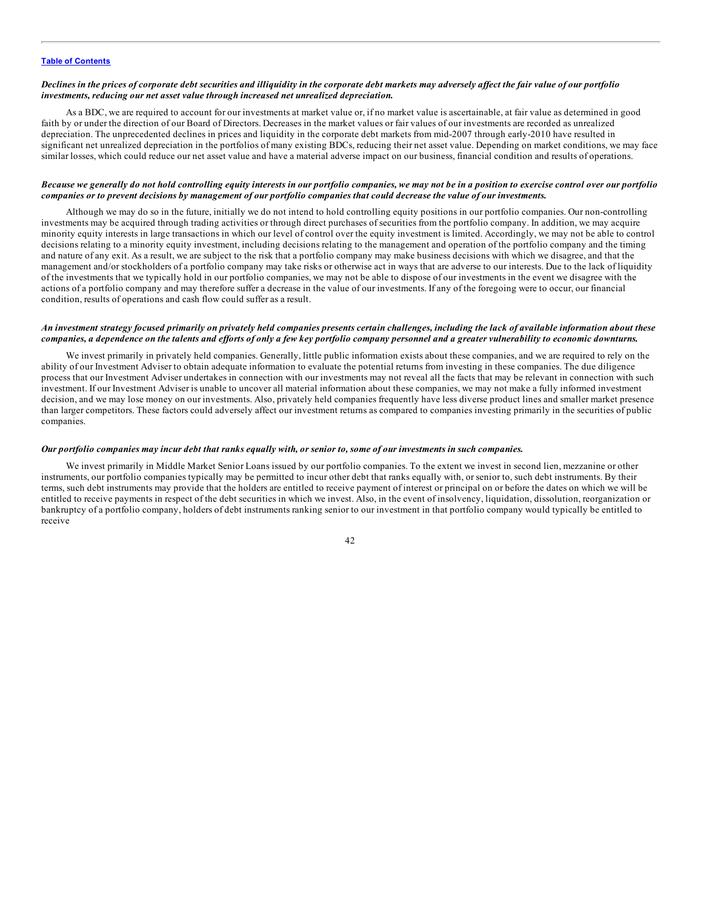### Declines in the prices of corporate debt securities and illiquidity in the corporate debt markets may adversely affect the fair value of our portfolio *investments, reducing our net asset value through increased net unrealized depreciation.*

As a BDC, we are required to account for our investments at market value or, if no market value is ascertainable, at fair value as determined in good faith by or under the direction of our Board of Directors. Decreases in the market values or fair values of our investments are recorded as unrealized depreciation. The unprecedented declines in prices and liquidity in the corporate debt markets from mid-2007 through early-2010 have resulted in significant net unrealized depreciation in the portfolios of many existing BDCs, reducing their net asset value. Depending on market conditions, we may face similar losses, which could reduce our net asset value and have a material adverse impact on our business, financial condition and results of operations.

### Because we generally do not hold controlling equity interests in our portfolio companies, we may not be in a position to exercise control over our portfolio companies or to prevent decisions by management of our portfolio companies that could decrease the value of our investments.

Although we may do so in the future, initially we do not intend to hold controlling equity positions in our portfolio companies. Our non-controlling investments may be acquired through trading activities or through direct purchases of securities from the portfolio company. In addition, we may acquire minority equity interests in large transactions in which our level of control over the equity investment is limited. Accordingly, we may not be able to control decisions relating to a minority equity investment, including decisions relating to the management and operation of the portfolio company and the timing and nature of any exit. As a result, we are subject to the risk that a portfolio company may make business decisions with which we disagree, and that the management and/or stockholders of a portfolio company may take risks or otherwise act in ways that are adverse to our interests. Due to the lack of liquidity of the investments that we typically hold in our portfolio companies, we may not be able to dispose of our investments in the event we disagree with the actions of a portfolio company and may therefore suffer a decrease in the value of our investments. If any of the foregoing were to occur, our financial condition, results of operations and cash flow could suffer as a result.

### An investment strategy focused primarily on privately held companies presents certain challenges, including the lack of available information about these companies, a dependence on the talents and efforts of only a few key portfolio company personnel and a greater vulnerability to economic downturns.

We invest primarily in privately held companies. Generally, little public information exists about these companies, and we are required to rely on the ability of our Investment Adviser to obtain adequate information to evaluate the potential returns from investing in these companies. The due diligence process that our Investment Adviser undertakes in connection with our investments may not reveal all the facts that may be relevant in connection with such investment. If our Investment Adviser is unable to uncover all material information about these companies, we may not make a fully informed investment decision, and we may lose money on our investments. Also, privately held companies frequently have less diverse product lines and smaller market presence than larger competitors. These factors could adversely affect our investment returns as compared to companies investing primarily in the securities of public companies.

### Our portfolio companies may incur debt that ranks equally with, or senior to, some of our investments in such companies.

We invest primarily in Middle Market Senior Loans issued by our portfolio companies. To the extent we invest in second lien, mezzanine or other instruments, our portfolio companies typically may be permitted to incur other debt that ranks equally with, or senior to, such debt instruments. By their terms, such debt instruments may provide that the holders are entitled to receive payment of interest or principal on or before the dates on which we will be entitled to receive payments in respect of the debt securities in which we invest. Also, in the event of insolvency, liquidation, dissolution, reorganization or bankruptcy of a portfolio company, holders of debt instruments ranking senior to our investment in that portfolio company would typically be entitled to receive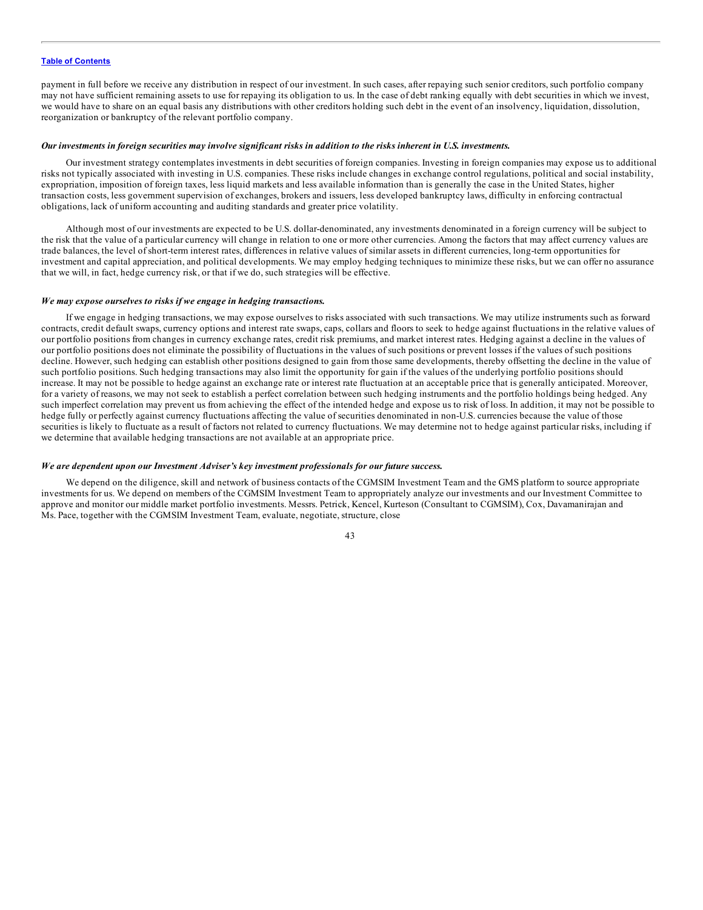payment in full before we receive any distribution in respect of our investment. In such cases, after repaying such senior creditors, such portfolio company may not have sufficient remaining assets to use for repaying its obligation to us. In the case of debt ranking equally with debt securities in which we invest, we would have to share on an equal basis any distributions with other creditors holding such debt in the event of an insolvency, liquidation, dissolution, reorganization or bankruptcy of the relevant portfolio company.

### Our investments in foreign securities may involve significant risks in addition to the risks inherent in U.S. investments.

Our investment strategy contemplates investments in debt securities of foreign companies. Investing in foreign companies may expose us to additional risks not typically associated with investing in U.S. companies. These risks include changes in exchange control regulations, political and social instability, expropriation, imposition of foreign taxes, less liquid markets and less available information than is generally the case in the United States, higher transaction costs, less government supervision of exchanges, brokers and issuers, less developed bankruptcy laws, difficulty in enforcing contractual obligations, lack of uniform accounting and auditing standards and greater price volatility.

Although most of our investments are expected to be U.S. dollar-denominated, any investments denominated in a foreign currency will be subject to the risk that the value of a particular currency will change in relation to one or more other currencies. Among the factors that may affect currency values are trade balances, the level of short-term interest rates, differences in relative values of similar assets in different currencies, long-term opportunities for investment and capital appreciation, and political developments. We may employ hedging techniques to minimize these risks, but we can offer no assurance that we will, in fact, hedge currency risk, or that if we do, such strategies will be effective.

### *We may expose ourselves to risks if we engage in hedging transactions.*

If we engage in hedging transactions, we may expose ourselves to risks associated with such transactions. We may utilize instruments such as forward contracts, credit default swaps, currency options and interest rate swaps, caps, collars and floors to seek to hedge against fluctuations in the relative values of our portfolio positions from changes in currency exchange rates, credit risk premiums, and market interest rates. Hedging against a decline in the values of our portfolio positions does not eliminate the possibility of fluctuations in the values of such positions or prevent losses if the values of such positions decline. However, such hedging can establish other positions designed to gain from those same developments, thereby offsetting the decline in the value of such portfolio positions. Such hedging transactions may also limit the opportunity for gain if the values of the underlying portfolio positions should increase. It may not be possible to hedge against an exchange rate or interest rate fluctuation at an acceptable price that is generally anticipated. Moreover, for a variety of reasons, we may not seek to establish a perfect correlation between such hedging instruments and the portfolio holdings being hedged. Any such imperfect correlation may prevent us from achieving the effect of the intended hedge and expose us to risk of loss. In addition, it may not be possible to hedge fully or perfectly against currency fluctuations affecting the value of securities denominated in non-U.S. currencies because the value of those securities is likely to fluctuate as a result of factors not related to currency fluctuations. We may determine not to hedge against particular risks, including if we determine that available hedging transactions are not available at an appropriate price.

### *We are dependent upon our Investment Adviser's key investment professionals for our future success.*

We depend on the diligence, skill and network of business contacts of the CGMSIM Investment Team and the GMS platform to source appropriate investments for us. We depend on members of the CGMSIM Investment Team to appropriately analyze our investments and our Investment Committee to approve and monitor our middle market portfolio investments. Messrs. Petrick, Kencel, Kurteson (Consultant to CGMSIM), Cox, Davamanirajan and Ms. Pace, together with the CGMSIM Investment Team, evaluate, negotiate, structure, close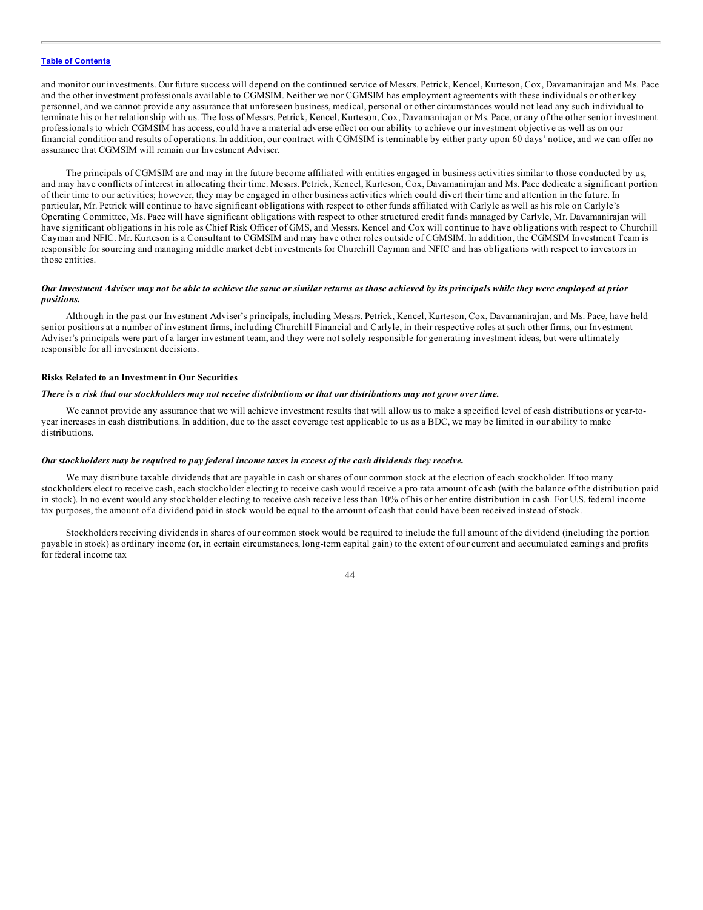and monitor our investments. Our future success will depend on the continued service of Messrs. Petrick, Kencel, Kurteson, Cox, Davamanirajan and Ms. Pace and the other investment professionals available to CGMSIM. Neither we nor CGMSIM has employment agreements with these individuals or other key personnel, and we cannot provide any assurance that unforeseen business, medical, personal or other circumstances would not lead any such individual to terminate his or her relationship with us. The loss of Messrs. Petrick, Kencel, Kurteson, Cox, Davamanirajan or Ms. Pace, or any of the other senior investment professionals to which CGMSIM has access, could have a material adverse effect on our ability to achieve our investment objective as well as on our financial condition and results of operations. In addition, our contract with CGMSIM is terminable by either party upon 60 days' notice, and we can offer no assurance that CGMSIM will remain our Investment Adviser.

The principals of CGMSIM are and may in the future become affiliated with entities engaged in business activities similar to those conducted by us, and may have conflicts of interest in allocating their time. Messrs. Petrick, Kencel, Kurteson, Cox, Davamanirajan and Ms. Pace dedicate a significant portion of their time to our activities; however, they may be engaged in other business activities which could divert their time and attention in the future. In particular, Mr. Petrick will continue to have significant obligations with respect to other funds affiliated with Carlyle as well as his role on Carlyle's Operating Committee, Ms. Pace will have significant obligations with respect to other structured credit funds managed by Carlyle, Mr. Davamanirajan will have significant obligations in his role as Chief Risk Officer of GMS, and Messrs. Kencel and Cox will continue to have obligations with respect to Churchill Cayman and NFIC. Mr. Kurteson is a Consultant to CGMSIM and may have other roles outside of CGMSIM. In addition, the CGMSIM Investment Team is responsible for sourcing and managing middle market debt investments for Churchill Cayman and NFIC and has obligations with respect to investors in those entities.

### Our Investment Adviser may not be able to achieve the same or similar returns as those achieved by its principals while they were employed at prior *positions.*

Although in the past our Investment Adviser's principals, including Messrs. Petrick, Kencel, Kurteson, Cox, Davamanirajan, and Ms. Pace, have held senior positions at a number of investment firms, including Churchill Financial and Carlyle, in their respective roles at such other firms, our Investment Adviser's principals were part of a larger investment team, and they were not solely responsible for generating investment ideas, but were ultimately responsible for all investment decisions.

### **Risks Related to an Investment in Our Securities**

### There is a risk that our stockholders may not receive distributions or that our distributions may not grow over time.

We cannot provide any assurance that we will achieve investment results that will allow us to make a specified level of cash distributions or year-toyear increases in cash distributions. In addition, due to the asset coverage test applicable to us as a BDC, we may be limited in our ability to make distributions.

### Our stockholders may be required to pay federal income taxes in excess of the cash dividends they receive.

We may distribute taxable dividends that are payable in cash or shares of our common stock at the election of each stockholder. If too many stockholders elect to receive cash, each stockholder electing to receive cash would receive a pro rata amount of cash (with the balance of the distribution paid in stock). In no event would any stockholder electing to receive cash receive less than 10% of his or her entire distribution in cash. For U.S. federal income tax purposes, the amount of a dividend paid in stock would be equal to the amount of cash that could have been received instead of stock.

Stockholders receiving dividends in shares of our common stock would be required to include the full amount of the dividend (including the portion payable in stock) as ordinary income (or, in certain circumstances, long-term capital gain) to the extent of our current and accumulated earnings and profits for federal income tax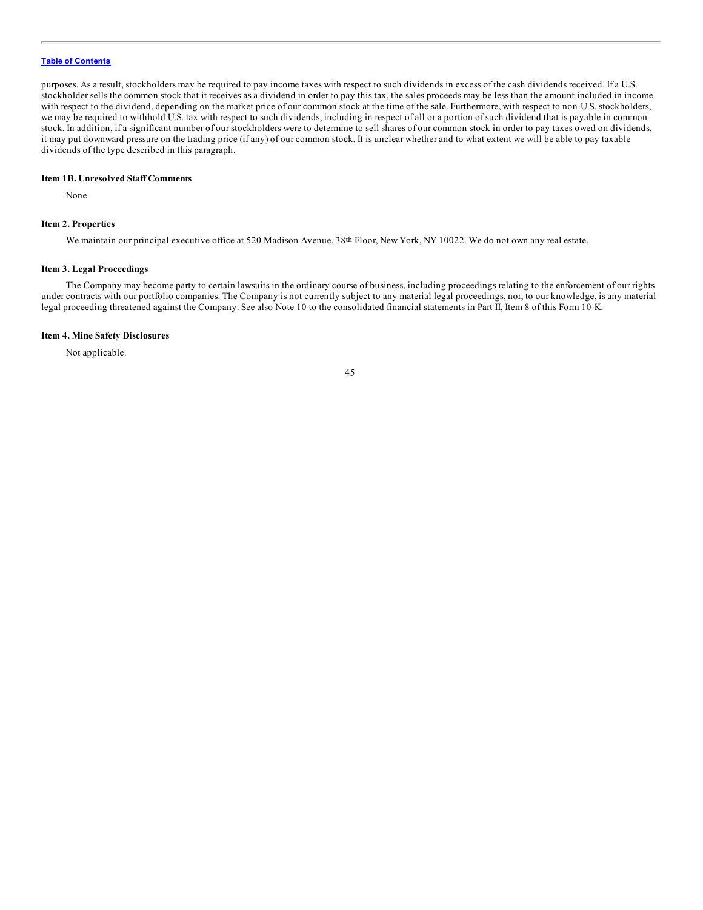purposes. As a result, stockholders may be required to pay income taxes with respect to such dividends in excess of the cash dividends received. If a U.S. stockholder sells the common stock that it receives as a dividend in order to pay this tax, the sales proceeds may be less than the amount included in income with respect to the dividend, depending on the market price of our common stock at the time of the sale. Furthermore, with respect to non-U.S. stockholders, we may be required to withhold U.S. tax with respect to such dividends, including in respect of all or a portion of such dividend that is payable in common stock. In addition, if a significant number of our stockholders were to determine to sell shares of our common stock in order to pay taxes owed on dividends, it may put downward pressure on the trading price (if any) of our common stock. It is unclear whether and to what extent we will be able to pay taxable dividends of the type described in this paragraph.

### **Item 1B. Unresolved Staff Comments**

None.

#### **Item 2. Properties**

We maintain our principal executive office at 520 Madison Avenue, 38th Floor, New York, NY 10022. We do not own any real estate.

#### **Item 3. Legal Proceedings**

The Company may become party to certain lawsuits in the ordinary course of business, including proceedings relating to the enforcement of our rights under contracts with our portfolio companies. The Company is not currently subject to any material legal proceedings, nor, to our knowledge, is any material legal proceeding threatened against the Company. See also Note 10 to the consolidated financial statements in Part II, Item 8 of this Form 10-K.

### **Item 4. Mine Safety Disclosures**

Not applicable.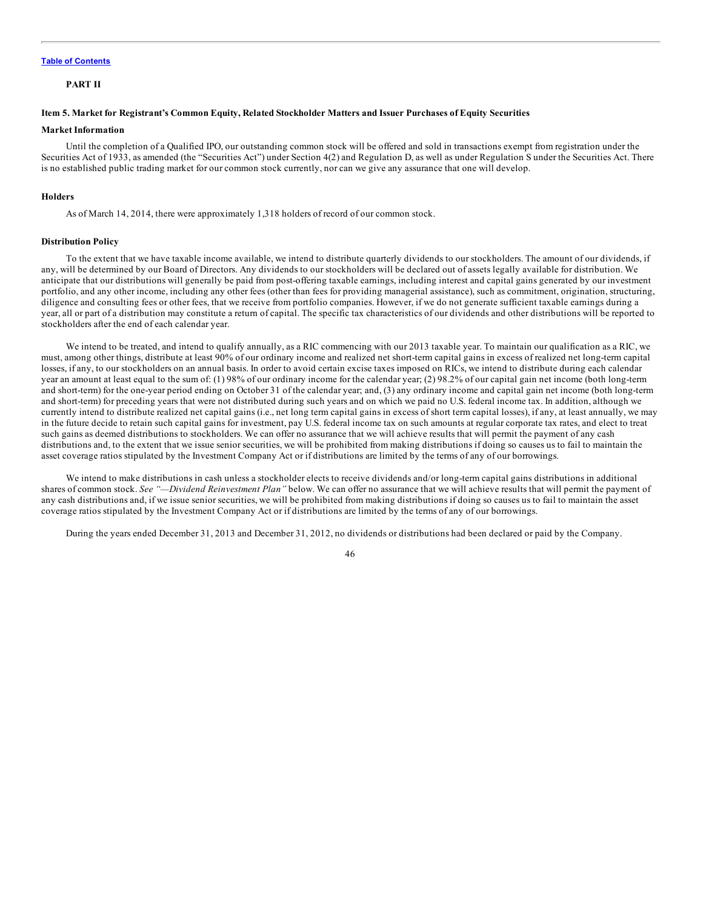### **PART II**

### Item 5. Market for Registrant's Common Equity, Related Stockholder Matters and Issuer Purchases of Equity Securities

#### **Market Information**

Until the completion of a Qualified IPO, our outstanding common stock will be offered and sold in transactions exempt from registration under the Securities Act of 1933, as amended (the "Securities Act") under Section 4(2) and Regulation D, as well as under Regulation S under the Securities Act. There is no established public trading market for our common stock currently, nor can we give any assurance that one will develop.

### **Holders**

As of March 14, 2014, there were approximately 1,318 holders of record of our common stock.

#### **Distribution Policy**

To the extent that we have taxable income available, we intend to distribute quarterly dividends to our stockholders. The amount of our dividends, if any, will be determined by our Board of Directors. Any dividends to our stockholders will be declared out of assets legally available for distribution. We anticipate that our distributions will generally be paid from post-offering taxable earnings, including interest and capital gains generated by our investment portfolio, and any other income, including any other fees (other than fees for providing managerial assistance), such as commitment, origination, structuring, diligence and consulting fees or other fees, that we receive from portfolio companies. However, if we do not generate sufficient taxable earnings during a year, all or part of a distribution may constitute a return of capital. The specific tax characteristics of our dividends and other distributions will be reported to stockholders after the end of each calendar year.

We intend to be treated, and intend to qualify annually, as a RIC commencing with our 2013 taxable year. To maintain our qualification as a RIC, we must, among other things, distribute at least 90% of our ordinary income and realized net short-term capital gains in excess of realized net long-term capital losses, if any, to our stockholders on an annual basis. In order to avoid certain excise taxes imposed on RICs, we intend to distribute during each calendar year an amount at least equal to the sum of: (1) 98% of our ordinary income for the calendar year; (2) 98.2% of our capital gain net income (both long-term and short-term) for the one-year period ending on October 31 of the calendar year; and, (3) any ordinary income and capital gain net income (both long-term and short-term) for preceding years that were not distributed during such years and on which we paid no U.S. federal income tax. In addition, although we currently intend to distribute realized net capital gains (i.e., net long term capital gains in excess of short term capital losses), if any, at least annually, we may in the future decide to retain such capital gains for investment, pay U.S. federal income tax on such amounts at regular corporate tax rates, and elect to treat such gains as deemed distributions to stockholders. We can offer no assurance that we will achieve results that will permit the payment of any cash distributions and, to the extent that we issue senior securities, we will be prohibited from making distributions if doing so causes us to fail to maintain the asset coverage ratios stipulated by the Investment Company Act or if distributions are limited by the terms of any of our borrowings.

We intend to make distributions in cash unless a stockholder elects to receive dividends and/or long-term capital gains distributions in additional shares of common stock. *See "—Dividend Reinvestment Plan"* below. We can offer no assurance that we will achieve results that will permit the payment of any cash distributions and, if we issue senior securities, we will be prohibited from making distributions if doing so causes us to fail to maintain the asset coverage ratios stipulated by the Investment Company Act or if distributions are limited by the terms of any of our borrowings.

During the years ended December 31, 2013 and December 31, 2012, no dividends or distributions had been declared or paid by the Company.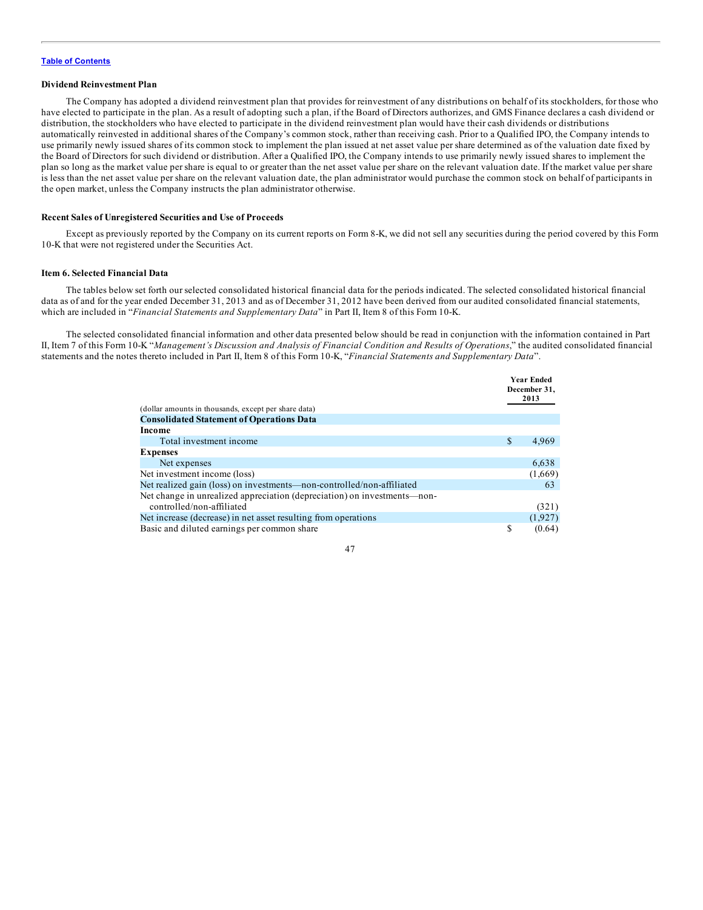### **Dividend Reinvestment Plan**

The Company has adopted a dividend reinvestment plan that provides for reinvestment of any distributions on behalf of its stockholders, for those who have elected to participate in the plan. As a result of adopting such a plan, if the Board of Directors authorizes, and GMS Finance declares a cash dividend or distribution, the stockholders who have elected to participate in the dividend reinvestment plan would have their cash dividends or distributions automatically reinvested in additional shares of the Company's common stock, rather than receiving cash. Prior to a Qualified IPO, the Company intends to use primarily newly issued shares of its common stock to implement the plan issued at net asset value per share determined as of the valuation date fixed by the Board of Directors for such dividend or distribution. After a Qualified IPO, the Company intends to use primarily newly issued shares to implement the plan so long as the market value per share is equal to or greater than the net asset value per share on the relevant valuation date. If the market value per share is less than the net asset value per share on the relevant valuation date, the plan administrator would purchase the common stock on behalf of participants in the open market, unless the Company instructs the plan administrator otherwise.

#### **Recent Sales of Unregistered Securities and Use of Proceeds**

Except as previously reported by the Company on its current reports on Form 8-K, we did not sell any securities during the period covered by this Form 10-K that were not registered under the Securities Act.

### **Item 6. Selected Financial Data**

The tables below set forth our selected consolidated historical financial data for the periods indicated. The selected consolidated historical financial data as of and for the year ended December 31, 2013 and as of December 31, 2012 have been derived from our audited consolidated financial statements, which are included in "*Financial Statements and Supplementary Data*" in Part II, Item 8 of this Form 10-K.

The selected consolidated financial information and other data presented below should be read in conjunction with the information contained in Part II, Item 7 of this Form 10-K "Management's Discussion and Analysis of Financial Condition and Results of Operations," the audited consolidated financial statements and the notes thereto included in Part II, Item 8 of this Form 10-K, "*Financial Statements and Supplementary Data*".

| (dollar amounts in thousands, except per share data)                     |   | <b>Year Ended</b><br>December 31,<br>2013 |
|--------------------------------------------------------------------------|---|-------------------------------------------|
| <b>Consolidated Statement of Operations Data</b>                         |   |                                           |
| Income                                                                   |   |                                           |
| Total investment income                                                  | S | 4.969                                     |
| <b>Expenses</b>                                                          |   |                                           |
| Net expenses                                                             |   | 6,638                                     |
| Net investment income (loss)                                             |   | (1,669)                                   |
| Net realized gain (loss) on investments—non-controlled/non-affiliated    |   | 63                                        |
| Net change in unrealized appreciation (depreciation) on investments—non- |   |                                           |
| controlled/non-affiliated                                                |   | (321)                                     |
| Net increase (decrease) in net asset resulting from operations           |   | (1,927)                                   |
| Basic and diluted earnings per common share                              | S | (0.64)                                    |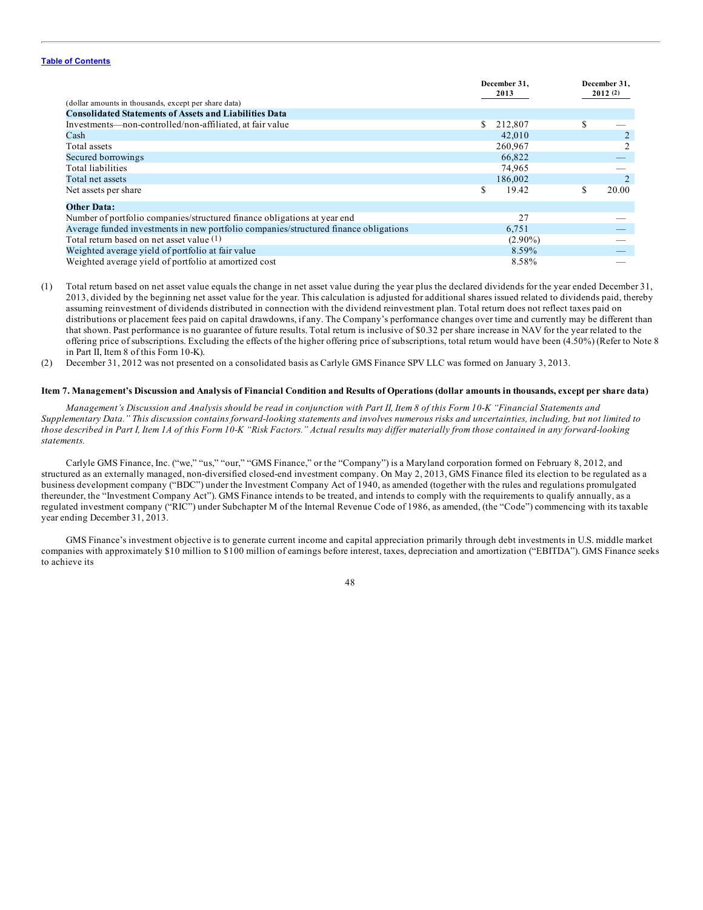| (dollar amounts in thousands, except per share data)                                 |    | December 31,<br>2013 |   | December 31,<br>2012(2) |
|--------------------------------------------------------------------------------------|----|----------------------|---|-------------------------|
| <b>Consolidated Statements of Assets and Liabilities Data</b>                        |    |                      |   |                         |
| Investments—non-controlled/non-affiliated, at fair value                             | S. | 212,807              | S |                         |
| Cash                                                                                 |    | 42,010               |   |                         |
| Total assets                                                                         |    | 260,967              |   |                         |
| Secured borrowings                                                                   |    | 66,822               |   |                         |
| Total liabilities                                                                    |    | 74.965               |   |                         |
| Total net assets                                                                     |    | 186,002              |   |                         |
| Net assets per share                                                                 | S. | 19.42                | S | 20.00                   |
| <b>Other Data:</b>                                                                   |    |                      |   |                         |
| Number of portfolio companies/structured finance obligations at year end             |    | 27                   |   |                         |
| Average funded investments in new portfolio companies/structured finance obligations |    | 6,751                |   |                         |
| Total return based on net asset value $(1)$                                          |    | $(2.90\%)$           |   |                         |
| Weighted average yield of portfolio at fair value                                    |    | 8.59%                |   |                         |
| Weighted average yield of portfolio at amortized cost                                |    | 8.58%                |   |                         |

- (1) Total return based on net asset value equals the change in net asset value during the year plus the declared dividends for the year ended December 31, 2013, divided by the beginning net asset value for the year. This calculation is adjusted for additional shares issued related to dividends paid, thereby assuming reinvestment of dividends distributed in connection with the dividend reinvestment plan. Total return does not reflect taxes paid on distributions or placement fees paid on capital drawdowns, if any. The Company's performance changes over time and currently may be different than that shown. Past performance is no guarantee of future results. Total return is inclusive of \$0.32 per share increase in NAV for the year related to the offering price of subscriptions. Excluding the effects of the higher offering price of subscriptions, total return would have been (4.50%) (Refer to Note 8 in Part II, Item 8 of this Form 10-K).
- (2) December 31, 2012 was not presented on a consolidated basis as Carlyle GMS Finance SPV LLC was formed on January 3, 2013.

### Item 7. Management's Discussion and Analysis of Financial Condition and Results of Operations (dollar amounts in thousands, except per share data)

Management's Discussion and Analysis should be read in conjunction with Part II, Item 8 of this Form 10-K "Financial Statements and Supplementary Data." This discussion contains forward-looking statements and involves numerous risks and uncertainties, including, but not limited to those described in Part I, Item 1A of this Form 10-K "Risk Factors." Actual results may differ materially from those contained in any forward-looking *statements.*

Carlyle GMS Finance, Inc. ("we," "us," "our," "GMS Finance," or the "Company") is a Maryland corporation formed on February 8, 2012, and structured as an externally managed, non-diversified closed-end investment company. On May 2, 2013, GMS Finance filed its election to be regulated as a business development company ("BDC") under the Investment Company Act of 1940, as amended (together with the rules and regulations promulgated thereunder, the "Investment Company Act"). GMS Finance intends to be treated, and intends to comply with the requirements to qualify annually, as a regulated investment company ("RIC") under Subchapter M of the Internal Revenue Code of 1986, as amended, (the "Code") commencing with its taxable year ending December 31, 2013.

GMS Finance's investment objective is to generate current income and capital appreciation primarily through debt investments in U.S. middle market companies with approximately \$10 million to \$100 million of earnings before interest, taxes, depreciation and amortization ("EBITDA"). GMS Finance seeks to achieve its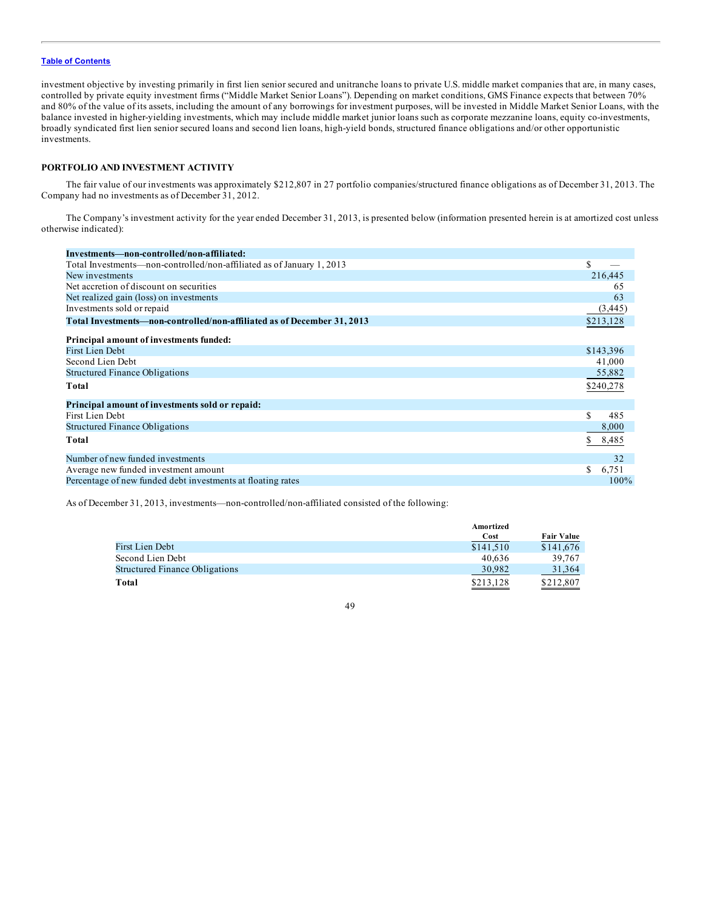investment objective by investing primarily in first lien senior secured and unitranche loans to private U.S. middle market companies that are, in many cases, controlled by private equity investment firms ("Middle Market Senior Loans"). Depending on market conditions, GMS Finance expects that between 70% and 80% of the value of its assets, including the amount of any borrowings for investment purposes, will be invested in Middle Market Senior Loans, with the balance invested in higher-yielding investments, which may include middle market junior loans such as corporate mezzanine loans, equity co-investments, broadly syndicated first lien senior secured loans and second lien loans, high-yield bonds, structured finance obligations and/or other opportunistic investments.

### **PORTFOLIO AND INVESTMENT ACTIVITY**

The fair value of our investments was approximately \$212,807 in 27 portfolio companies/structured finance obligations as of December 31, 2013. The Company had no investments as of December 31, 2012.

The Company's investment activity for the year ended December 31, 2013, is presented below (information presented herein is at amortized cost unless otherwise indicated):

| Investments-non-controlled/non-affiliated:                              |    |           |
|-------------------------------------------------------------------------|----|-----------|
| Total Investments—non-controlled/non-affiliated as of January 1, 2013   | \$ |           |
| New investments                                                         |    | 216,445   |
| Net accretion of discount on securities                                 |    | 65        |
| Net realized gain (loss) on investments                                 |    | 63        |
| Investments sold or repaid                                              |    | (3,445)   |
| Total Investments—non-controlled/non-affiliated as of December 31, 2013 |    | \$213,128 |
| Principal amount of investments funded:                                 |    |           |
| First Lien Debt                                                         |    | \$143,396 |
| Second Lien Debt                                                        |    | 41,000    |
| <b>Structured Finance Obligations</b>                                   |    | 55,882    |
| Total                                                                   |    | \$240,278 |
| Principal amount of investments sold or repaid:                         |    |           |
| First Lien Debt                                                         | S  | 485       |
| <b>Structured Finance Obligations</b>                                   |    | 8,000     |
| Total                                                                   | \$ | 8,485     |
| Number of new funded investments                                        |    | 32        |
| Average new funded investment amount                                    | S. | 6,751     |
| Percentage of new funded debt investments at floating rates             |    | $100\%$   |

As of December 31, 2013, investments—non-controlled/non-affiliated consisted of the following:

|                                       | Amortized |                   |
|---------------------------------------|-----------|-------------------|
|                                       | Cost      | <b>Fair Value</b> |
| First Lien Debt                       | \$141,510 | \$141,676         |
| Second Lien Debt                      | 40.636    | 39.767            |
| <b>Structured Finance Obligations</b> | 30,982    | 31,364            |
| Total                                 | \$213,128 | \$212,807         |

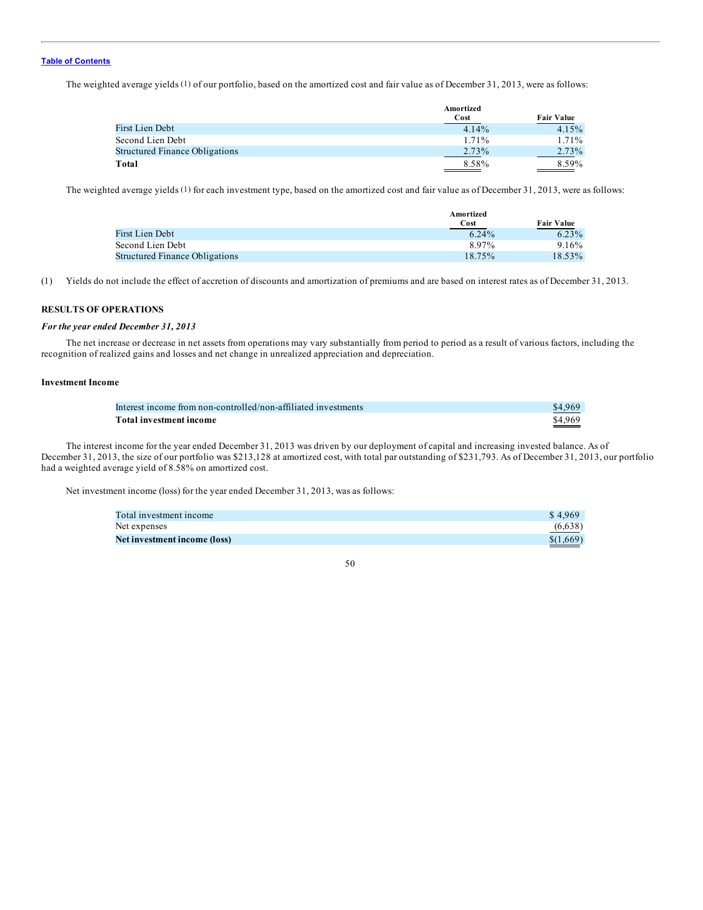The weighted average yields (1) of our portfolio, based on the amortized cost and fair value as of December 31, 2013, were as follows:

|                                       | Amortized |                   |
|---------------------------------------|-----------|-------------------|
|                                       | Cost      | <b>Fair Value</b> |
| First Lien Debt                       | 4.14%     | 4.15%             |
| Second Lien Debt                      | $1.71\%$  | $1.71\%$          |
| <b>Structured Finance Obligations</b> | 2.73%     | $2.73\%$          |
| Total                                 | 8.58%     | 8.59%             |

The weighted average yields (1) for each investment type, based on the amortized cost and fair value as of December 31, 2013, were as follows:

|                                       | Amortized |                   |
|---------------------------------------|-----------|-------------------|
|                                       | Cost      | <b>Fair Value</b> |
| First Lien Debt                       | $6.24\%$  | 6.23%             |
| Second Lien Debt                      | 897%      | 9.16%             |
| <b>Structured Finance Obligations</b> | 18.75%    | 18.53%            |

(1) Yields do not include the effect of accretion of discounts and amortization of premiums and are based on interest rates as of December 31, 2013.

### **RESULTS OF OPERATIONS**

#### *For the year ended December 31, 2013*

The net increase or decrease in net assets from operations may vary substantially from period to period as a result of various factors, including the recognition of realized gains and losses and net change in unrealized appreciation and depreciation.

### **Investment Income**

| Interest income from non-controlled/non-affiliated investments | \$4.969 |
|----------------------------------------------------------------|---------|
| Total investment income                                        | \$4.969 |

The interest income for the year ended December 31, 2013 was driven by our deployment of capital and increasing invested balance. As of December 31, 2013, the size of our portfolio was \$213,128 at amortized cost, with total par outstanding of \$231,793. As of December 31, 2013, our portfolio had a weighted average yield of 8.58% on amortized cost.

Net investment income (loss) for the year ended December 31, 2013, was as follows:

| Total investment income      | \$4.969   |
|------------------------------|-----------|
| Net expenses                 | (6,638)   |
| Net investment income (loss) | \$(1,669) |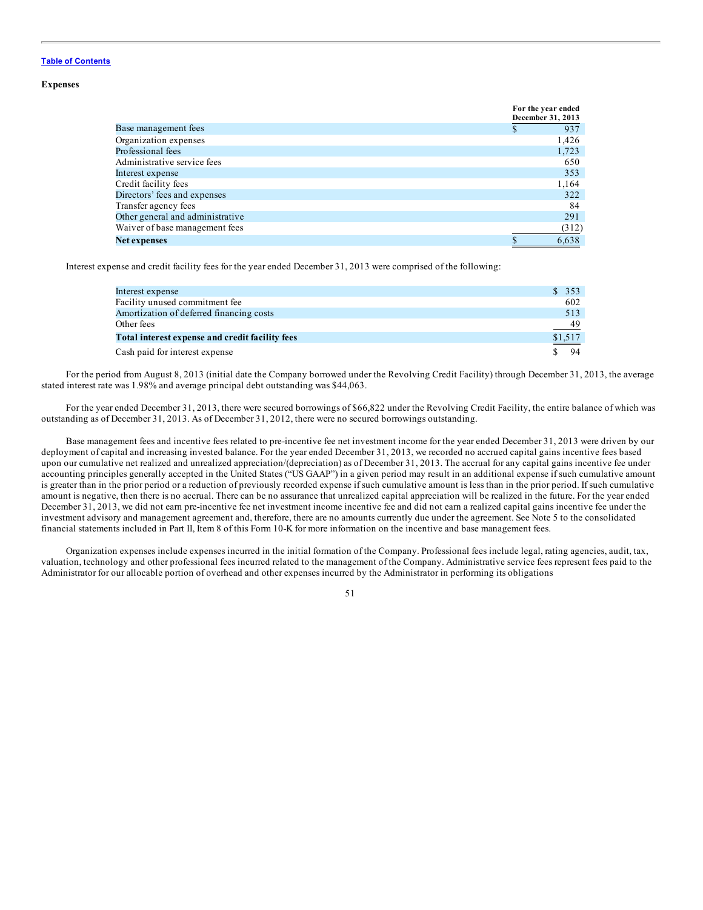### **Expenses**

|                                  | For the year ended |
|----------------------------------|--------------------|
|                                  | December 31, 2013  |
| Base management fees             | 937                |
| Organization expenses            | 1,426              |
| Professional fees                | 1,723              |
| Administrative service fees      | 650                |
| Interest expense                 | 353                |
| Credit facility fees             | 1,164              |
| Directors' fees and expenses     | 322                |
| Transfer agency fees             | 84                 |
| Other general and administrative | 291                |
| Waiver of base management fees   | (312)              |
| <b>Net expenses</b>              | 6,638              |

Interest expense and credit facility fees for the year ended December 31, 2013 were comprised of the following:

| Interest expense                                | 353     |
|-------------------------------------------------|---------|
| Facility unused commitment fee                  | 602     |
| Amortization of deferred financing costs        | 513     |
| Other fees                                      | 49      |
| Total interest expense and credit facility fees | \$1,517 |
| Cash paid for interest expense                  | 94      |

For the period from August 8, 2013 (initial date the Company borrowed under the Revolving Credit Facility) through December 31, 2013, the average stated interest rate was 1.98% and average principal debt outstanding was \$44,063.

For the year ended December 31, 2013, there were secured borrowings of \$66,822 under the Revolving Credit Facility, the entire balance of which was outstanding as of December 31, 2013. As of December 31, 2012, there were no secured borrowings outstanding.

Base management fees and incentive fees related to pre-incentive fee net investment income for the year ended December 31, 2013 were driven by our deployment of capital and increasing invested balance. For the year ended December 31, 2013, we recorded no accrued capital gains incentive fees based upon our cumulative net realized and unrealized appreciation/(depreciation) as of December 31, 2013. The accrual for any capital gains incentive fee under accounting principles generally accepted in the United States ("US GAAP") in a given period may result in an additional expense if such cumulative amount is greater than in the prior period or a reduction of previously recorded expense if such cumulative amount is less than in the prior period. If such cumulative amount is negative, then there is no accrual. There can be no assurance that unrealized capital appreciation will be realized in the future. For the year ended December 31, 2013, we did not earn pre-incentive fee net investment income incentive fee and did not earn a realized capital gains incentive fee under the investment advisory and management agreement and, therefore, there are no amounts currently due under the agreement. See Note 5 to the consolidated financial statements included in Part II, Item 8 of this Form 10-K for more information on the incentive and base management fees.

Organization expenses include expenses incurred in the initial formation of the Company. Professional fees include legal, rating agencies, audit, tax, valuation, technology and other professional fees incurred related to the management of the Company. Administrative service fees represent fees paid to the Administrator for our allocable portion of overhead and other expenses incurred by the Administrator in performing its obligations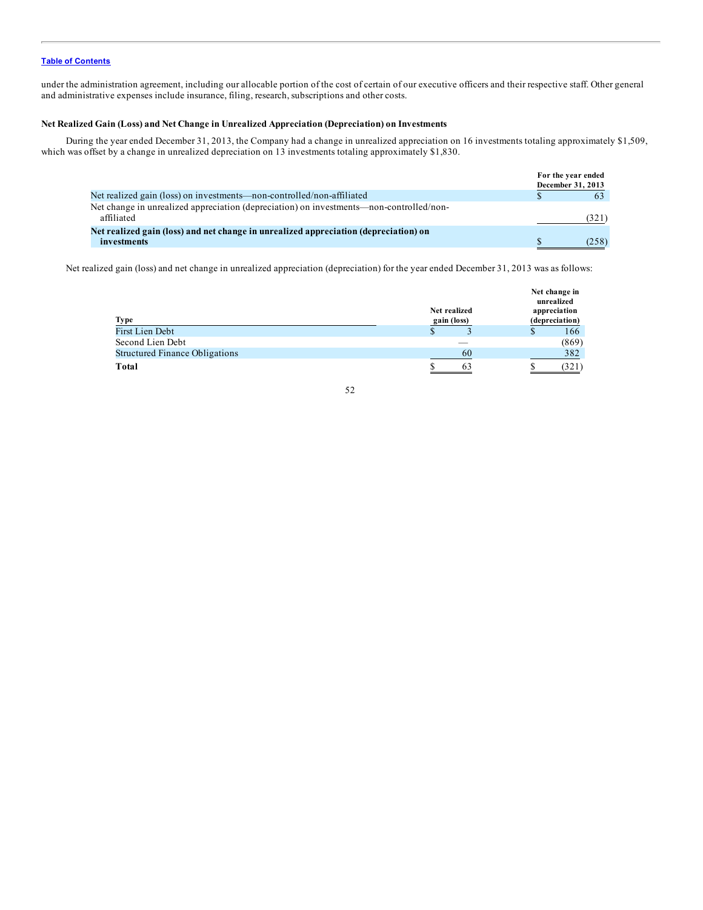under the administration agreement, including our allocable portion of the cost of certain of our executive officers and their respective staff. Other general and administrative expenses include insurance, filing, research, subscriptions and other costs.

### **Net Realized Gain (Loss) and Net Change in Unrealized Appreciation (Depreciation) on Investments**

During the year ended December 31, 2013, the Company had a change in unrealized appreciation on 16 investments totaling approximately \$1,509, which was offset by a change in unrealized depreciation on 13 investments totaling approximately \$1,830.

|                                                                                                       | For the year ended<br>December 31, 2013 |
|-------------------------------------------------------------------------------------------------------|-----------------------------------------|
| Net realized gain (loss) on investments—non-controlled/non-affiliated                                 |                                         |
| Net change in unrealized appreciation (depreciation) on investments—non-controlled/non-<br>affiliated | (321)                                   |
| Net realized gain (loss) and net change in unrealized appreciation (depreciation) on                  |                                         |
| investments                                                                                           | (258)                                   |

Net realized gain (loss) and net change in unrealized appreciation (depreciation) for the year ended December 31, 2013 was as follows:

|                                       | Net realized | Net change in<br>unrealized<br>appreciation |
|---------------------------------------|--------------|---------------------------------------------|
| <b>Type</b>                           | gain (loss)  | (depreciation)                              |
| First Lien Debt                       | S            | 166<br>S                                    |
| Second Lien Debt                      |              | (869)                                       |
| <b>Structured Finance Obligations</b> | 60           | 382                                         |
| Total                                 | 63           | (321)                                       |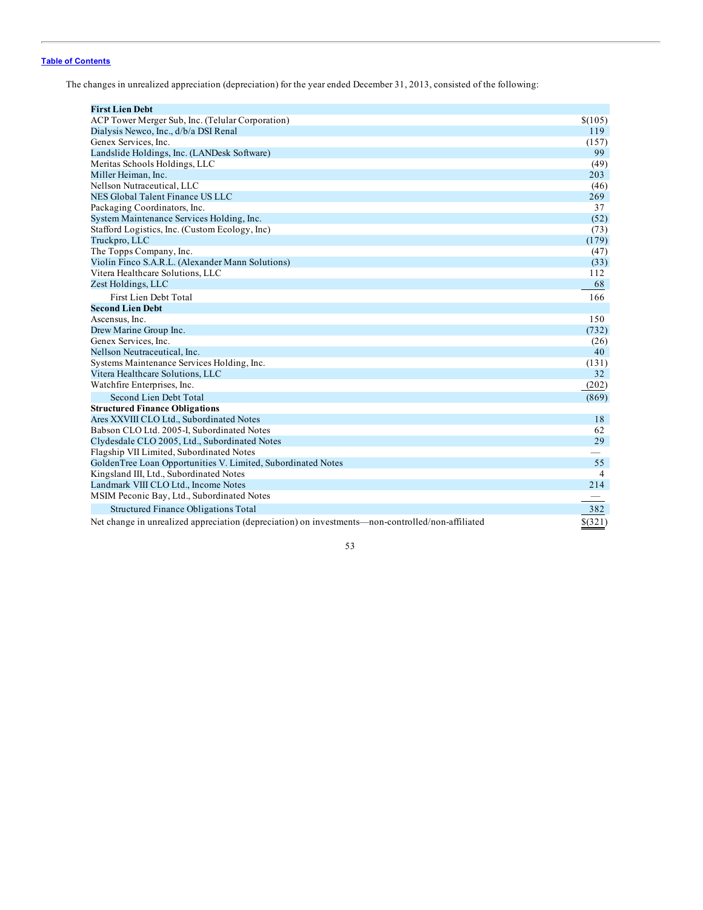The changes in unrealized appreciation (depreciation) for the year ended December 31, 2013, consisted of the following:

| <b>First Lien Debt</b>                                                                            |         |
|---------------------------------------------------------------------------------------------------|---------|
| ACP Tower Merger Sub, Inc. (Telular Corporation)                                                  | \$(105) |
| Dialysis Newco, Inc., d/b/a DSI Renal                                                             | 119     |
| Genex Services, Inc.                                                                              | (157)   |
| Landslide Holdings, Inc. (LANDesk Software)                                                       | 99      |
| Meritas Schools Holdings, LLC                                                                     | (49)    |
| Miller Heiman, Inc.                                                                               | 203     |
| Nellson Nutraceutical, LLC                                                                        | (46)    |
| NES Global Talent Finance US LLC                                                                  | 269     |
| Packaging Coordinators, Inc.                                                                      | 37      |
| System Maintenance Services Holding, Inc.                                                         | (52)    |
| Stafford Logistics, Inc. (Custom Ecology, Inc)                                                    | (73)    |
| Truckpro, LLC                                                                                     | (179)   |
| The Topps Company, Inc.                                                                           | (47)    |
| Violin Finco S.A.R.L. (Alexander Mann Solutions)                                                  | (33)    |
| Vitera Healthcare Solutions, LLC                                                                  | 112     |
| Zest Holdings, LLC                                                                                | 68      |
| First Lien Debt Total                                                                             | 166     |
| <b>Second Lien Debt</b>                                                                           |         |
| Ascensus, Inc.                                                                                    | 150     |
| Drew Marine Group Inc.                                                                            | (732)   |
| Genex Services, Inc.                                                                              | (26)    |
| Nellson Neutraceutical, Inc.                                                                      | 40      |
| Systems Maintenance Services Holding, Inc.                                                        | (131)   |
| Vitera Healthcare Solutions, LLC                                                                  | 32      |
| Watchfire Enterprises, Inc.                                                                       | (202)   |
| Second Lien Debt Total                                                                            | (869)   |
| <b>Structured Finance Obligations</b>                                                             |         |
| Ares XXVIII CLO Ltd., Subordinated Notes                                                          | 18      |
| Babson CLO Ltd. 2005-I, Subordinated Notes                                                        | 62      |
| Clydesdale CLO 2005, Ltd., Subordinated Notes                                                     | 29      |
| Flagship VII Limited, Subordinated Notes                                                          |         |
| GoldenTree Loan Opportunities V. Limited, Subordinated Notes                                      | 55      |
| Kingsland III, Ltd., Subordinated Notes                                                           | 4       |
| Landmark VIII CLO Ltd., Income Notes                                                              | 214     |
| MSIM Peconic Bay, Ltd., Subordinated Notes                                                        |         |
| <b>Structured Finance Obligations Total</b>                                                       | 382     |
| Net change in unrealized appreciation (depreciation) on investments—non-controlled/non-affiliated | \$(321) |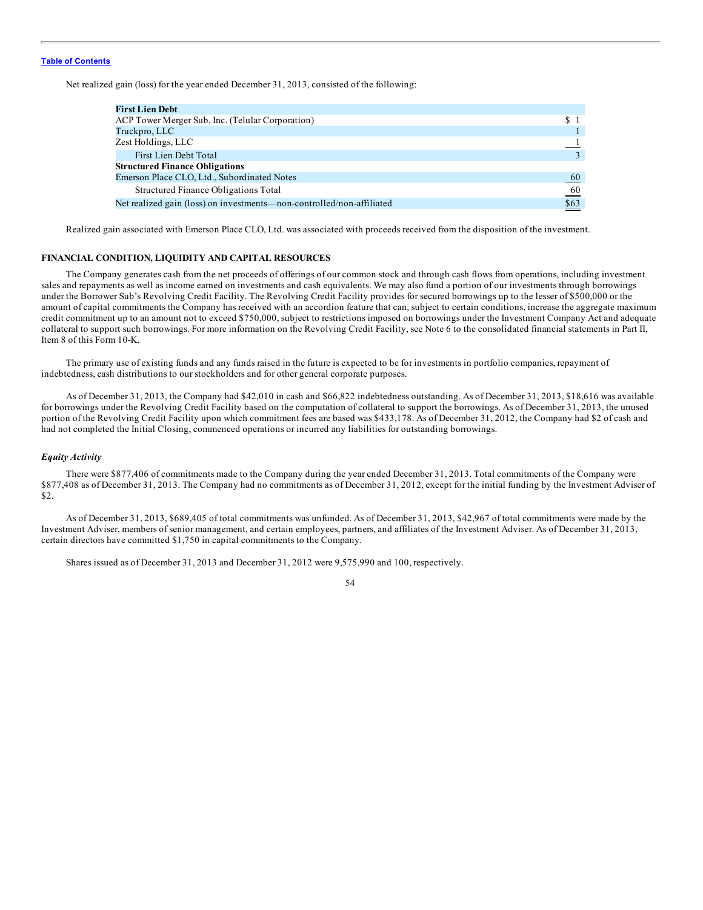Net realized gain (loss) for the year ended December 31, 2013, consisted of the following:

| <b>First Lien Debt</b>                                                |                                |
|-----------------------------------------------------------------------|--------------------------------|
| ACP Tower Merger Sub, Inc. (Telular Corporation)                      | S.                             |
| Truckpro, LLC                                                         |                                |
| Zest Holdings, LLC                                                    |                                |
| First Lien Debt Total                                                 |                                |
| <b>Structured Finance Obligations</b>                                 |                                |
| Emerson Place CLO, Ltd., Subordinated Notes                           | 60                             |
| Structured Finance Obligations Total                                  | 60                             |
| Net realized gain (loss) on investments—non-controlled/non-affiliated | $\underline{\underline{\$63}}$ |
|                                                                       |                                |

Realized gain associated with Emerson Place CLO, Ltd. was associated with proceeds received from the disposition of the investment.

### **FINANCIAL CONDITION, LIQUIDITY AND CAPITAL RESOURCES**

The Company generates cash from the net proceeds of offerings of our common stock and through cash flows from operations, including investment sales and repayments as well as income earned on investments and cash equivalents. We may also fund a portion of our investments through borrowings under the Borrower Sub's Revolving Credit Facility. The Revolving Credit Facility provides for secured borrowings up to the lesser of \$500,000 or the amount of capital commitments the Company has received with an accordion feature that can, subject to certain conditions, increase the aggregate maximum credit commitment up to an amount not to exceed \$750,000, subject to restrictions imposed on borrowings under the Investment Company Act and adequate collateral to support such borrowings. For more information on the Revolving Credit Facility, see Note 6 to the consolidated financial statements in Part II, Item 8 of this Form 10-K.

The primary use of existing funds and any funds raised in the future is expected to be for investments in portfolio companies, repayment of indebtedness, cash distributions to our stockholders and for other general corporate purposes.

As of December 31, 2013, the Company had \$42,010 in cash and \$66,822 indebtedness outstanding. As of December 31, 2013, \$18,616 was available for borrowings under the Revolving Credit Facility based on the computation of collateral to support the borrowings. As of December 31, 2013, the unused portion of the Revolving Credit Facility upon which commitment fees are based was \$433,178. As of December 31, 2012, the Company had \$2 of cash and had not completed the Initial Closing, commenced operations or incurred any liabilities for outstanding borrowings.

#### *Equity Activity*

There were \$877,406 of commitments made to the Company during the year ended December 31, 2013. Total commitments of the Company were \$877,408 as of December 31, 2013. The Company had no commitments as of December 31, 2012, except for the initial funding by the Investment Adviser of \$2.

As of December 31, 2013, \$689,405 of total commitments was unfunded. As of December 31, 2013, \$42,967 of total commitments were made by the Investment Adviser, members of senior management, and certain employees, partners, and affiliates of the Investment Adviser. As of December 31, 2013, certain directors have committed \$1,750 in capital commitments to the Company.

54

Shares issued as of December 31, 2013 and December 31, 2012 were 9,575,990 and 100, respectively.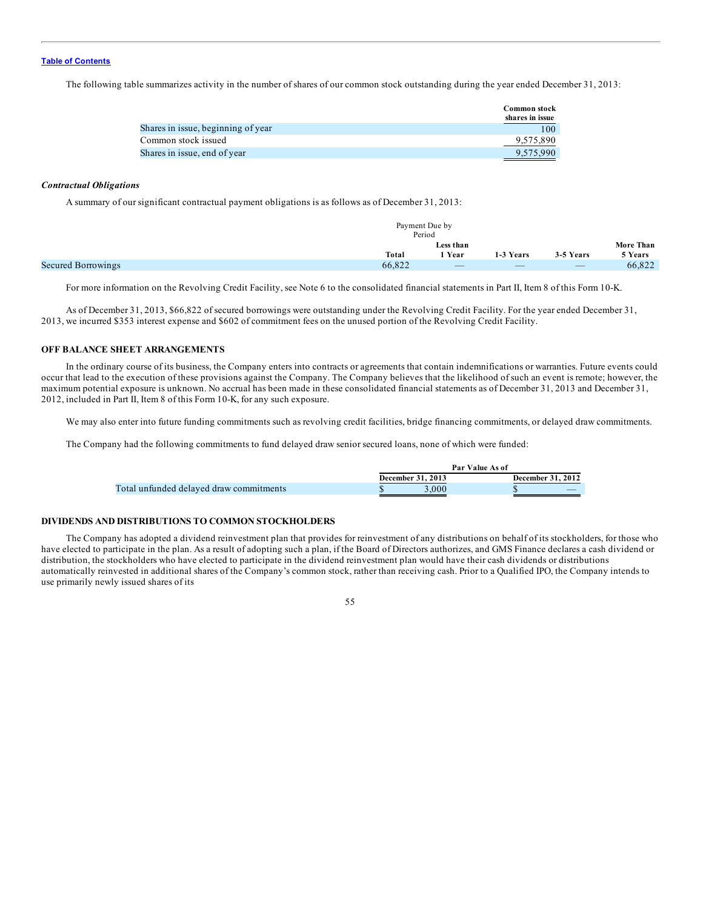The following table summarizes activity in the number of shares of our common stock outstanding during the year ended December 31, 2013:

|                                    | <b>Common stock</b> |
|------------------------------------|---------------------|
|                                    | shares in issue     |
| Shares in issue, beginning of year | 100                 |
| Common stock issued                | 9,575,890           |
| Shares in issue, end of year       | 9.575.990           |

#### *Contractual Obligations*

A summary of our significant contractual payment obligations is as follows as of December 31, 2013:

|                    |        | Payment Due by           |           |                          |           |
|--------------------|--------|--------------------------|-----------|--------------------------|-----------|
|                    |        | Period                   |           |                          |           |
|                    |        | Less than                |           |                          | More Than |
|                    | Total  | `Year                    | 1-3 Years | 3-5 Years                | 5 Years   |
| Secured Borrowings | 66,822 | $\overline{\phantom{a}}$ |           | $\overline{\phantom{a}}$ | 66.822    |

For more information on the Revolving Credit Facility, see Note 6 to the consolidated financial statements in Part II, Item 8 of this Form 10-K.

As of December 31, 2013, \$66,822 of secured borrowings were outstanding under the Revolving Credit Facility. For the year ended December 31, 2013, we incurred \$353 interest expense and \$602 of commitment fees on the unused portion of the Revolving Credit Facility.

## **OFF BALANCE SHEET ARRANGEMENTS**

In the ordinary course of its business, the Company enters into contracts or agreements that contain indemnifications or warranties. Future events could occur that lead to the execution of these provisions against the Company. The Company believes that the likelihood of such an event is remote; however, the maximum potential exposure is unknown. No accrual has been made in these consolidated financial statements as of December 31, 2013 and December 31, 2012, included in Part II, Item 8 of this Form 10-K, for any such exposure.

We may also enter into future funding commitments such as revolving credit facilities, bridge financing commitments, or delayed draw commitments.

The Company had the following commitments to fund delayed draw senior secured loans, none of which were funded:

|                                         | Par Value As of   |                   |
|-----------------------------------------|-------------------|-------------------|
|                                         | December 31, 2013 | December 31, 2012 |
| Total unfunded delayed draw commitments | 3.000             |                   |

#### **DIVIDENDS AND DISTRIBUTIONS TO COMMON STOCKHOLDERS**

The Company has adopted a dividend reinvestment plan that provides for reinvestment of any distributions on behalf of its stockholders, for those who have elected to participate in the plan. As a result of adopting such a plan, if the Board of Directors authorizes, and GMS Finance declares a cash dividend or distribution, the stockholders who have elected to participate in the dividend reinvestment plan would have their cash dividends or distributions automatically reinvested in additional shares of the Company's common stock, rather than receiving cash. Prior to a Qualified IPO, the Company intends to use primarily newly issued shares of its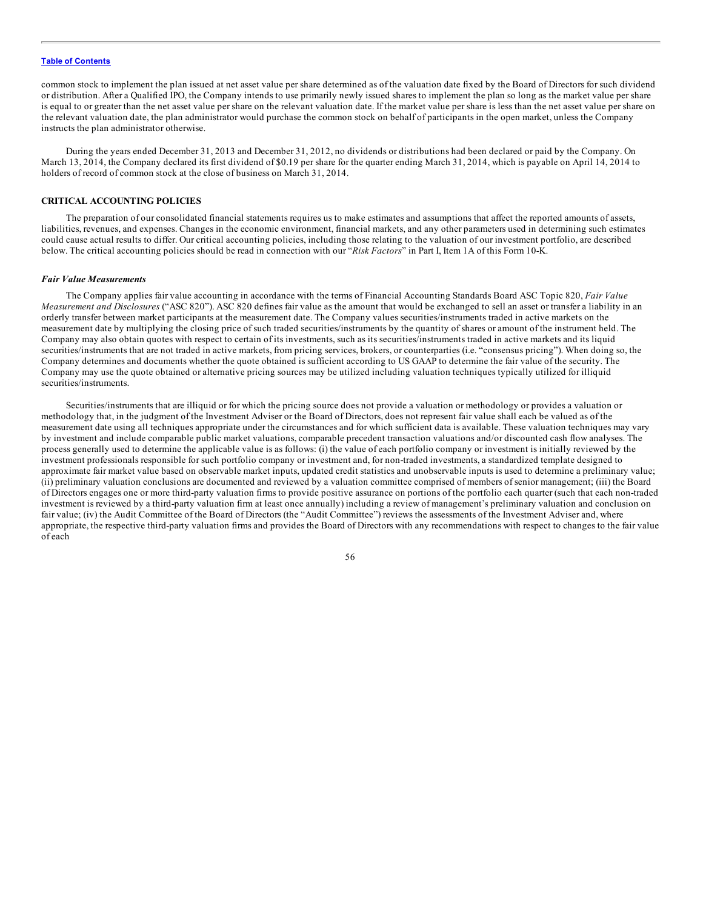common stock to implement the plan issued at net asset value per share determined as of the valuation date fixed by the Board of Directors for such dividend or distribution. After a Qualified IPO, the Company intends to use primarily newly issued shares to implement the plan so long as the market value per share is equal to or greater than the net asset value per share on the relevant valuation date. If the market value per share is less than the net asset value per share on the relevant valuation date, the plan administrator would purchase the common stock on behalf of participants in the open market, unless the Company instructs the plan administrator otherwise.

During the years ended December 31, 2013 and December 31, 2012, no dividends or distributions had been declared or paid by the Company. On March 13, 2014, the Company declared its first dividend of \$0.19 per share for the quarter ending March 31, 2014, which is payable on April 14, 2014 to holders of record of common stock at the close of business on March 31, 2014.

### **CRITICAL ACCOUNTING POLICIES**

The preparation of our consolidated financial statements requires us to make estimates and assumptions that affect the reported amounts of assets, liabilities, revenues, and expenses. Changes in the economic environment, financial markets, and any other parameters used in determining such estimates could cause actual results to differ. Our critical accounting policies, including those relating to the valuation of our investment portfolio, are described below. The critical accounting policies should be read in connection with our "*Risk Factors*" in Part I, Item 1A of this Form 10-K.

#### *Fair Value Measurements*

The Company applies fair value accounting in accordance with the terms of Financial Accounting Standards Board ASC Topic 820, *Fair Value Measurement and Disclosures* ("ASC 820"). ASC 820 defines fair value as the amount that would be exchanged to sell an asset or transfer a liability in an orderly transfer between market participants at the measurement date. The Company values securities/instruments traded in active markets on the measurement date by multiplying the closing price of such traded securities/instruments by the quantity of shares or amount of the instrument held. The Company may also obtain quotes with respect to certain of its investments, such as its securities/instruments traded in active markets and its liquid securities/instruments that are not traded in active markets, from pricing services, brokers, or counterparties (i.e. "consensus pricing"). When doing so, the Company determines and documents whether the quote obtained is sufficient according to US GAAP to determine the fair value of the security. The Company may use the quote obtained or alternative pricing sources may be utilized including valuation techniques typically utilized for illiquid securities/instruments.

Securities/instruments that are illiquid or for which the pricing source does not provide a valuation or methodology or provides a valuation or methodology that, in the judgment of the Investment Adviser or the Board of Directors, does not represent fair value shall each be valued as of the measurement date using all techniques appropriate under the circumstances and for which sufficient data is available. These valuation techniques may vary by investment and include comparable public market valuations, comparable precedent transaction valuations and/or discounted cash flow analyses. The process generally used to determine the applicable value is as follows: (i) the value of each portfolio company or investment is initially reviewed by the investment professionals responsible for such portfolio company or investment and, for non-traded investments, a standardized template designed to approximate fair market value based on observable market inputs, updated credit statistics and unobservable inputs is used to determine a preliminary value; (ii) preliminary valuation conclusions are documented and reviewed by a valuation committee comprised of members of senior management; (iii) the Board of Directors engages one or more third-party valuation firms to provide positive assurance on portions of the portfolio each quarter (such that each non-traded investment is reviewed by a third-party valuation firm at least once annually) including a review of management's preliminary valuation and conclusion on fair value; (iv) the Audit Committee of the Board of Directors (the "Audit Committee") reviews the assessments of the Investment Adviser and, where appropriate, the respective third-party valuation firms and provides the Board of Directors with any recommendations with respect to changes to the fair value of each

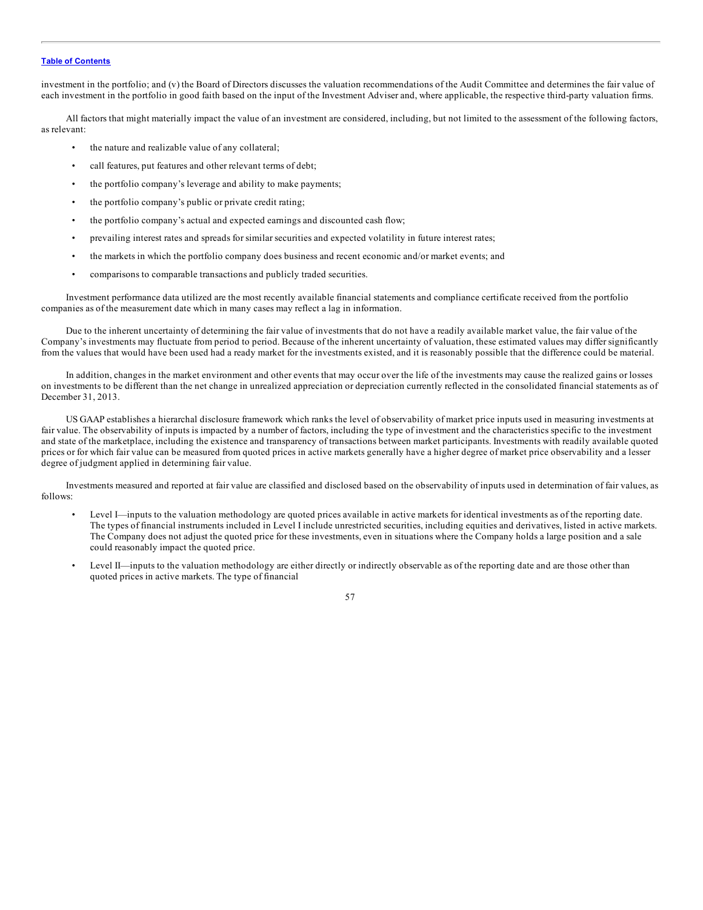investment in the portfolio; and (v) the Board of Directors discusses the valuation recommendations of the Audit Committee and determines the fair value of each investment in the portfolio in good faith based on the input of the Investment Adviser and, where applicable, the respective third-party valuation firms.

All factors that might materially impact the value of an investment are considered, including, but not limited to the assessment of the following factors, as relevant:

- the nature and realizable value of any collateral;
- call features, put features and other relevant terms of debt;
- the portfolio company's leverage and ability to make payments;
- the portfolio company's public or private credit rating;
- the portfolio company's actual and expected earnings and discounted cash flow;
- prevailing interest rates and spreads for similar securities and expected volatility in future interest rates;
- the markets in which the portfolio company does business and recent economic and/or market events; and
- comparisons to comparable transactions and publicly traded securities.

Investment performance data utilized are the most recently available financial statements and compliance certificate received from the portfolio companies as of the measurement date which in many cases may reflect a lag in information.

Due to the inherent uncertainty of determining the fair value of investments that do not have a readily available market value, the fair value of the Company's investments may fluctuate from period to period. Because of the inherent uncertainty of valuation, these estimated values may differ significantly from the values that would have been used had a ready market for the investments existed, and it is reasonably possible that the difference could be material.

In addition, changes in the market environment and other events that may occur over the life of the investments may cause the realized gains or losses on investments to be different than the net change in unrealized appreciation or depreciation currently reflected in the consolidated financial statements as of December 31, 2013.

US GAAP establishes a hierarchal disclosure framework which ranks the level of observability of market price inputs used in measuring investments at fair value. The observability of inputs is impacted by a number of factors, including the type of investment and the characteristics specific to the investment and state of the marketplace, including the existence and transparency of transactions between market participants. Investments with readily available quoted prices or for which fair value can be measured from quoted prices in active markets generally have a higher degree of market price observability and a lesser degree of judgment applied in determining fair value.

Investments measured and reported at fair value are classified and disclosed based on the observability of inputs used in determination of fair values, as follows:

- Level I—inputs to the valuation methodology are quoted prices available in active markets for identical investments as of the reporting date. The types of financial instruments included in Level I include unrestricted securities, including equities and derivatives, listed in active markets. The Company does not adjust the quoted price for these investments, even in situations where the Company holds a large position and a sale could reasonably impact the quoted price.
- Level II—inputs to the valuation methodology are either directly or indirectly observable as of the reporting date and are those other than quoted prices in active markets. The type of financial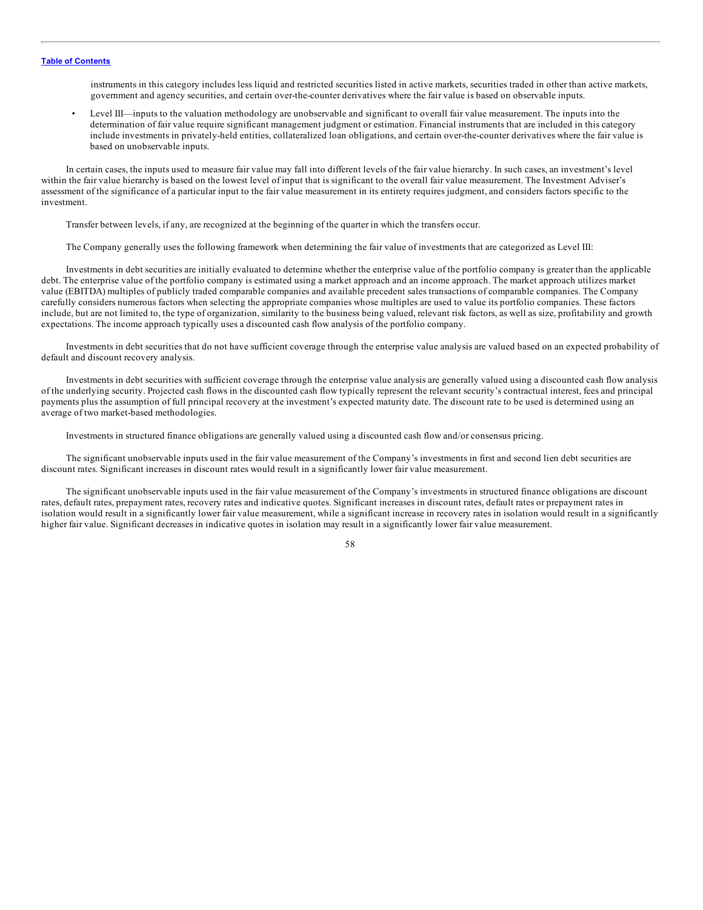instruments in this category includes less liquid and restricted securities listed in active markets, securities traded in other than active markets, government and agency securities, and certain over-the-counter derivatives where the fair value is based on observable inputs.

• Level III—inputs to the valuation methodology are unobservable and significant to overall fair value measurement. The inputs into the determination of fair value require significant management judgment or estimation. Financial instruments that are included in this category include investments in privately-held entities, collateralized loan obligations, and certain over-the-counter derivatives where the fair value is based on unobservable inputs.

In certain cases, the inputs used to measure fair value may fall into different levels of the fair value hierarchy. In such cases, an investment's level within the fair value hierarchy is based on the lowest level of input that is significant to the overall fair value measurement. The Investment Adviser's assessment of the significance of a particular input to the fair value measurement in its entirety requires judgment, and considers factors specific to the investment.

Transfer between levels, if any, are recognized at the beginning of the quarter in which the transfers occur.

The Company generally uses the following framework when determining the fair value of investments that are categorized as Level III:

Investments in debt securities are initially evaluated to determine whether the enterprise value of the portfolio company is greater than the applicable debt. The enterprise value of the portfolio company is estimated using a market approach and an income approach. The market approach utilizes market value (EBITDA) multiples of publicly traded comparable companies and available precedent sales transactions of comparable companies. The Company carefully considers numerous factors when selecting the appropriate companies whose multiples are used to value its portfolio companies. These factors include, but are not limited to, the type of organization, similarity to the business being valued, relevant risk factors, as well as size, profitability and growth expectations. The income approach typically uses a discounted cash flow analysis of the portfolio company.

Investments in debt securities that do not have sufficient coverage through the enterprise value analysis are valued based on an expected probability of default and discount recovery analysis.

Investments in debt securities with sufficient coverage through the enterprise value analysis are generally valued using a discounted cash flow analysis of the underlying security. Projected cash flows in the discounted cash flow typically represent the relevant security's contractual interest, fees and principal payments plus the assumption of full principal recovery at the investment's expected maturity date. The discount rate to be used is determined using an average of two market-based methodologies.

Investments in structured finance obligations are generally valued using a discounted cash flow and/or consensus pricing.

The significant unobservable inputs used in the fair value measurement of the Company's investments in first and second lien debt securities are discount rates. Significant increases in discount rates would result in a significantly lower fair value measurement.

The significant unobservable inputs used in the fair value measurement of the Company's investments in structured finance obligations are discount rates, default rates, prepayment rates, recovery rates and indicative quotes. Significant increases in discount rates, default rates or prepayment rates in isolation would result in a significantly lower fair value measurement, while a significant increase in recovery rates in isolation would result in a significantly higher fair value. Significant decreases in indicative quotes in isolation may result in a significantly lower fair value measurement.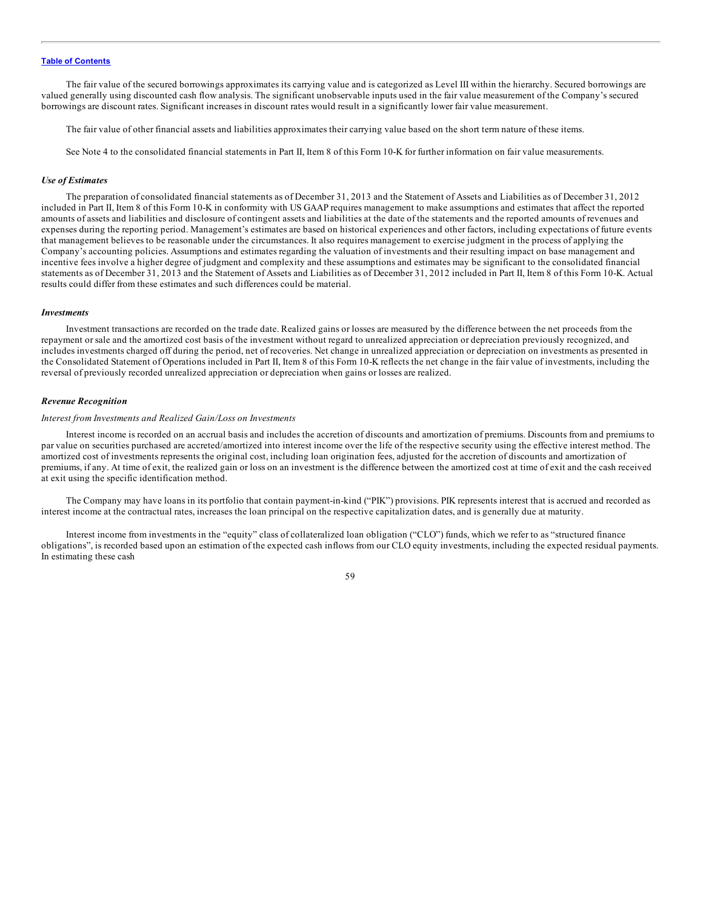The fair value of the secured borrowings approximates its carrying value and is categorized as Level III within the hierarchy. Secured borrowings are valued generally using discounted cash flow analysis. The significant unobservable inputs used in the fair value measurement of the Company's secured borrowings are discount rates. Significant increases in discount rates would result in a significantly lower fair value measurement.

The fair value of other financial assets and liabilities approximates their carrying value based on the short term nature of these items.

See Note 4 to the consolidated financial statements in Part II, Item 8 of this Form 10-K for further information on fair value measurements.

#### *Use of Estimates*

The preparation of consolidated financial statements as of December 31, 2013 and the Statement of Assets and Liabilities as of December 31, 2012 included in Part II, Item 8 of this Form 10-K in conformity with US GAAP requires management to make assumptions and estimates that affect the reported amounts of assets and liabilities and disclosure of contingent assets and liabilities at the date of the statements and the reported amounts of revenues and expenses during the reporting period. Management's estimates are based on historical experiences and other factors, including expectations of future events that management believes to be reasonable under the circumstances. It also requires management to exercise judgment in the process of applying the Company's accounting policies. Assumptions and estimates regarding the valuation of investments and their resulting impact on base management and incentive fees involve a higher degree of judgment and complexity and these assumptions and estimates may be significant to the consolidated financial statements as of December 31, 2013 and the Statement of Assets and Liabilities as of December 31, 2012 included in Part II, Item 8 of this Form 10-K. Actual results could differ from these estimates and such differences could be material.

#### *Investments*

Investment transactions are recorded on the trade date. Realized gains or losses are measured by the difference between the net proceeds from the repayment or sale and the amortized cost basis of the investment without regard to unrealized appreciation or depreciation previously recognized, and includes investments charged off during the period, net of recoveries. Net change in unrealized appreciation or depreciation on investments as presented in the Consolidated Statement of Operations included in Part II, Item 8 of this Form 10-K reflects the net change in the fair value of investments, including the reversal of previously recorded unrealized appreciation or depreciation when gains or losses are realized.

#### *Revenue Recognition*

### *Interest from Investments and Realized Gain/Loss on Investments*

Interest income is recorded on an accrual basis and includes the accretion of discounts and amortization of premiums. Discounts from and premiums to par value on securities purchased are accreted/amortized into interest income over the life of the respective security using the effective interest method. The amortized cost of investments represents the original cost, including loan origination fees, adjusted for the accretion of discounts and amortization of premiums, if any. At time of exit, the realized gain or loss on an investment is the difference between the amortized cost at time of exit and the cash received at exit using the specific identification method.

The Company may have loans in its portfolio that contain payment-in-kind ("PIK") provisions. PIK represents interest that is accrued and recorded as interest income at the contractual rates, increases the loan principal on the respective capitalization dates, and is generally due at maturity.

Interest income from investments in the "equity" class of collateralized loan obligation ("CLO") funds, which we refer to as "structured finance obligations", is recorded based upon an estimation of the expected cash inflows from our CLO equity investments, including the expected residual payments. In estimating these cash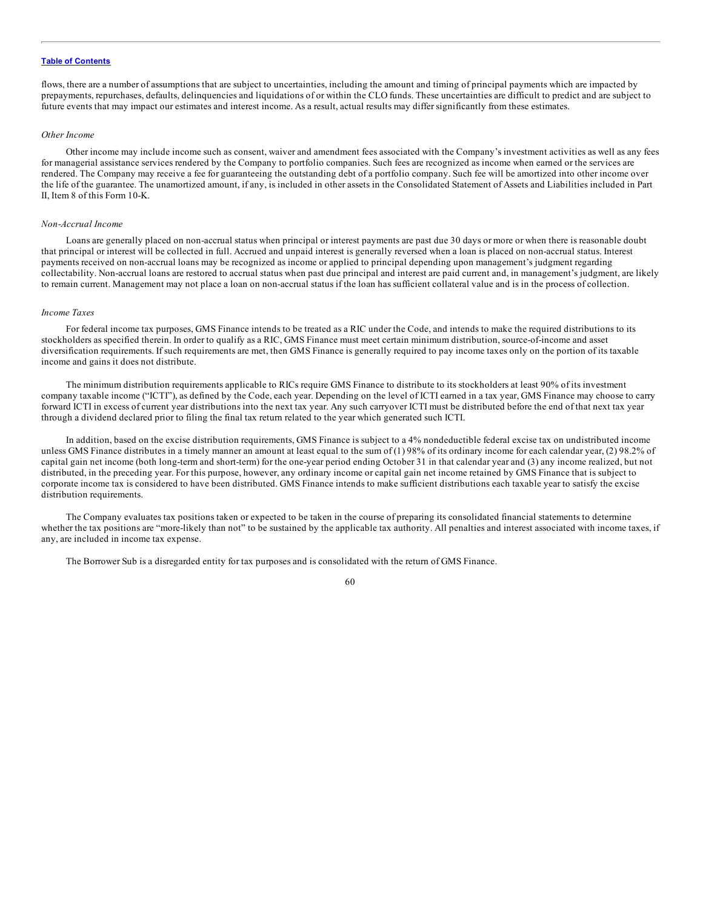flows, there are a number of assumptions that are subject to uncertainties, including the amount and timing of principal payments which are impacted by prepayments, repurchases, defaults, delinquencies and liquidations of or within the CLO funds. These uncertainties are difficult to predict and are subject to future events that may impact our estimates and interest income. As a result, actual results may differ significantly from these estimates.

### *Other Income*

Other income may include income such as consent, waiver and amendment fees associated with the Company's investment activities as well as any fees for managerial assistance services rendered by the Company to portfolio companies. Such fees are recognized as income when earned or the services are rendered. The Company may receive a fee for guaranteeing the outstanding debt of a portfolio company. Such fee will be amortized into other income over the life of the guarantee. The unamortized amount, if any, is included in other assets in the Consolidated Statement of Assets and Liabilities included in Part II, Item 8 of this Form 10-K.

#### *Non-Accrual Income*

Loans are generally placed on non-accrual status when principal or interest payments are past due 30 days or more or when there is reasonable doubt that principal or interest will be collected in full. Accrued and unpaid interest is generally reversed when a loan is placed on non-accrual status. Interest payments received on non-accrual loans may be recognized as income or applied to principal depending upon management's judgment regarding collectability. Non-accrual loans are restored to accrual status when past due principal and interest are paid current and, in management's judgment, are likely to remain current. Management may not place a loan on non-accrual status if the loan has sufficient collateral value and is in the process of collection.

#### *Income Taxes*

For federal income tax purposes, GMS Finance intends to be treated as a RIC under the Code, and intends to make the required distributions to its stockholders as specified therein. In order to qualify as a RIC, GMS Finance must meet certain minimum distribution, source-of-income and asset diversification requirements. If such requirements are met, then GMS Finance is generally required to pay income taxes only on the portion of its taxable income and gains it does not distribute.

The minimum distribution requirements applicable to RICs require GMS Finance to distribute to its stockholders at least 90% of its investment company taxable income ("ICTI"), as defined by the Code, each year. Depending on the level of ICTI earned in a tax year, GMS Finance may choose to carry forward ICTI in excess of current year distributions into the next tax year. Any such carryover ICTI must be distributed before the end of that next tax year through a dividend declared prior to filing the final tax return related to the year which generated such ICTI.

In addition, based on the excise distribution requirements, GMS Finance is subject to a 4% nondeductible federal excise tax on undistributed income unless GMS Finance distributes in a timely manner an amount at least equal to the sum of (1) 98% of its ordinary income for each calendar year, (2) 98.2% of capital gain net income (both long-term and short-term) for the one-year period ending October 31 in that calendar year and (3) any income realized, but not distributed, in the preceding year. For this purpose, however, any ordinary income or capital gain net income retained by GMS Finance that is subject to corporate income tax is considered to have been distributed. GMS Finance intends to make sufficient distributions each taxable year to satisfy the excise distribution requirements.

The Company evaluates tax positions taken or expected to be taken in the course of preparing its consolidated financial statements to determine whether the tax positions are "more-likely than not" to be sustained by the applicable tax authority. All penalties and interest associated with income taxes, if any, are included in income tax expense.

The Borrower Sub is a disregarded entity for tax purposes and is consolidated with the return of GMS Finance.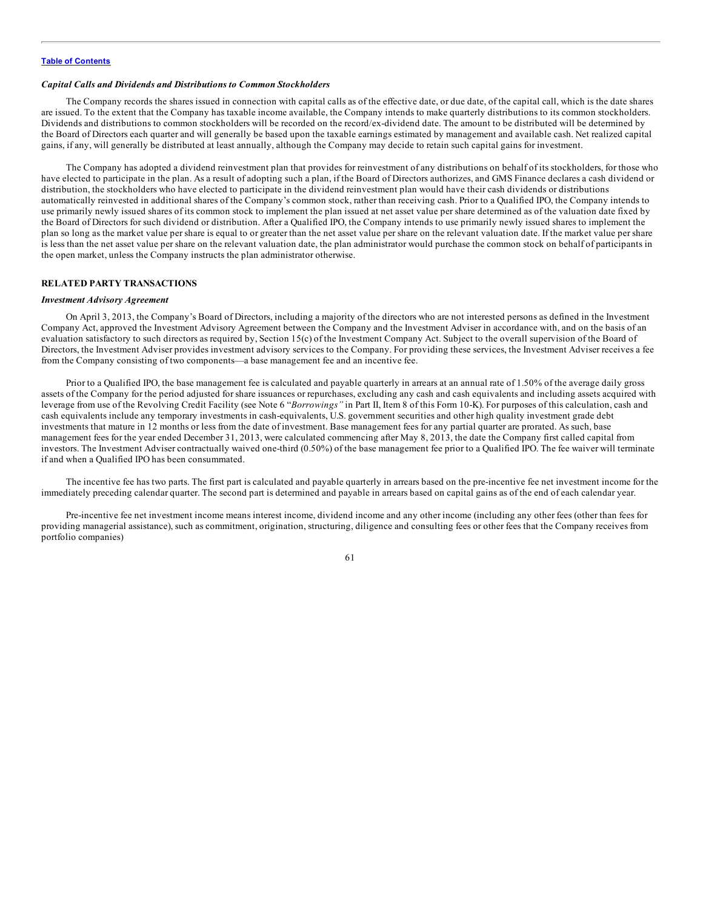#### *Capital Calls and Dividends and Distributions to Common Stockholders*

The Company records the shares issued in connection with capital calls as of the effective date, or due date, of the capital call, which is the date shares are issued. To the extent that the Company has taxable income available, the Company intends to make quarterly distributions to its common stockholders. Dividends and distributions to common stockholders will be recorded on the record/ex-dividend date. The amount to be distributed will be determined by the Board of Directors each quarter and will generally be based upon the taxable earnings estimated by management and available cash. Net realized capital gains, if any, will generally be distributed at least annually, although the Company may decide to retain such capital gains for investment.

The Company has adopted a dividend reinvestment plan that provides for reinvestment of any distributions on behalf of its stockholders, for those who have elected to participate in the plan. As a result of adopting such a plan, if the Board of Directors authorizes, and GMS Finance declares a cash dividend or distribution, the stockholders who have elected to participate in the dividend reinvestment plan would have their cash dividends or distributions automatically reinvested in additional shares of the Company's common stock, rather than receiving cash. Prior to a Qualified IPO, the Company intends to use primarily newly issued shares of its common stock to implement the plan issued at net asset value per share determined as of the valuation date fixed by the Board of Directors for such dividend or distribution. After a Qualified IPO, the Company intends to use primarily newly issued shares to implement the plan so long as the market value per share is equal to or greater than the net asset value per share on the relevant valuation date. If the market value per share is less than the net asset value per share on the relevant valuation date, the plan administrator would purchase the common stock on behalf of participants in the open market, unless the Company instructs the plan administrator otherwise.

### **RELATED PARTY TRANSACTIONS**

#### *Investment Advisory Agreement*

On April 3, 2013, the Company's Board of Directors, including a majority of the directors who are not interested persons as defined in the Investment Company Act, approved the Investment Advisory Agreement between the Company and the Investment Adviser in accordance with, and on the basis of an evaluation satisfactory to such directors as required by, Section 15(c) of the Investment Company Act. Subject to the overall supervision of the Board of Directors, the Investment Adviser provides investment advisory services to the Company. For providing these services, the Investment Adviser receives a fee from the Company consisting of two components—a base management fee and an incentive fee.

Prior to a Qualified IPO, the base management fee is calculated and payable quarterly in arrears at an annual rate of 1.50% of the average daily gross assets of the Company for the period adjusted for share issuances or repurchases, excluding any cash and cash equivalents and including assets acquired with leverage from use of the Revolving Credit Facility (see Note 6 "*Borrowings"* in Part II, Item 8 of this Form 10-K). For purposes of this calculation, cash and cash equivalents include any temporary investments in cash-equivalents, U.S. government securities and other high quality investment grade debt investments that mature in 12 months or less from the date of investment. Base management fees for any partial quarter are prorated. As such, base management fees for the year ended December 31, 2013, were calculated commencing after May 8, 2013, the date the Company first called capital from investors. The Investment Adviser contractually waived one-third (0.50%) of the base management fee prior to a Qualified IPO. The fee waiver will terminate if and when a Qualified IPO has been consummated.

The incentive fee has two parts. The first part is calculated and payable quarterly in arrears based on the pre-incentive fee net investment income for the immediately preceding calendar quarter. The second part is determined and payable in arrears based on capital gains as of the end of each calendar year.

Pre-incentive fee net investment income means interest income, dividend income and any other income (including any other fees (other than fees for providing managerial assistance), such as commitment, origination, structuring, diligence and consulting fees or other fees that the Company receives from portfolio companies)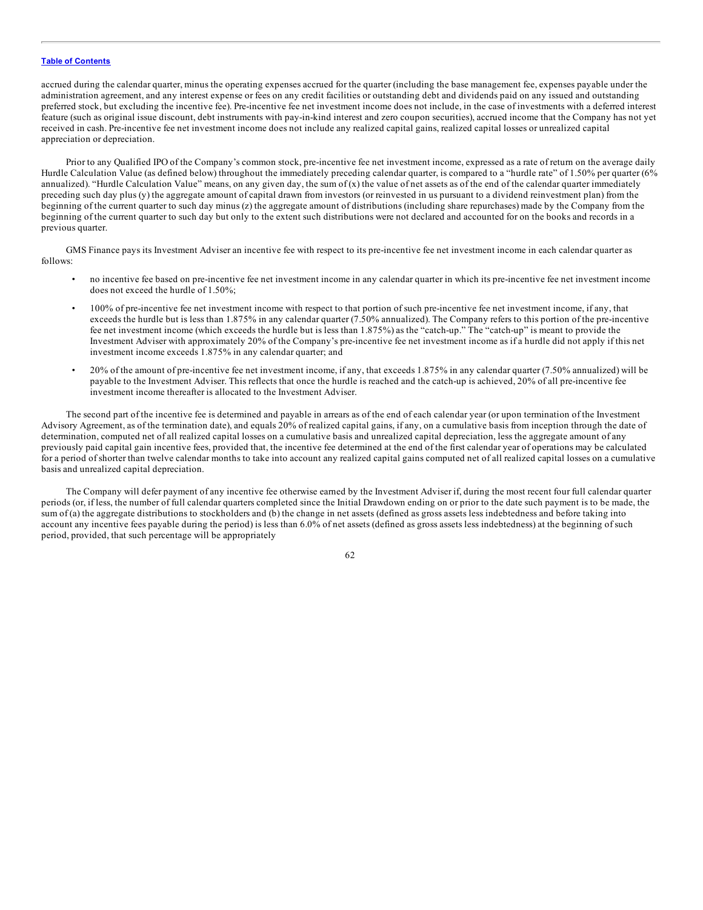accrued during the calendar quarter, minus the operating expenses accrued for the quarter (including the base management fee, expenses payable under the administration agreement, and any interest expense or fees on any credit facilities or outstanding debt and dividends paid on any issued and outstanding preferred stock, but excluding the incentive fee). Pre-incentive fee net investment income does not include, in the case of investments with a deferred interest feature (such as original issue discount, debt instruments with pay-in-kind interest and zero coupon securities), accrued income that the Company has not yet received in cash. Pre-incentive fee net investment income does not include any realized capital gains, realized capital losses or unrealized capital appreciation or depreciation.

Prior to any Qualified IPO of the Company's common stock, pre-incentive fee net investment income, expressed as a rate of return on the average daily Hurdle Calculation Value (as defined below) throughout the immediately preceding calendar quarter, is compared to a "hurdle rate" of 1.50% per quarter (6% annualized). "Hurdle Calculation Value" means, on any given day, the sum of (x) the value of net assets as of the end of the calendar quarter immediately preceding such day plus (y) the aggregate amount of capital drawn from investors (or reinvested in us pursuant to a dividend reinvestment plan) from the beginning of the current quarter to such day minus (z) the aggregate amount of distributions (including share repurchases) made by the Company from the beginning of the current quarter to such day but only to the extent such distributions were not declared and accounted for on the books and records in a previous quarter.

GMS Finance pays its Investment Adviser an incentive fee with respect to its pre-incentive fee net investment income in each calendar quarter as follows:

- no incentive fee based on pre-incentive fee net investment income in any calendar quarter in which its pre-incentive fee net investment income does not exceed the hurdle of 1.50%;
- 100% of pre-incentive fee net investment income with respect to that portion of such pre-incentive fee net investment income, if any, that exceeds the hurdle but is less than 1.875% in any calendar quarter (7.50% annualized). The Company refers to this portion of the pre-incentive fee net investment income (which exceeds the hurdle but is less than 1.875%) as the "catch-up." The "catch-up" is meant to provide the Investment Adviser with approximately 20% of the Company's pre-incentive fee net investment income as if a hurdle did not apply if this net investment income exceeds 1.875% in any calendar quarter; and
- 20% of the amount of pre-incentive fee net investment income, if any, that exceeds 1.875% in any calendar quarter (7.50% annualized) will be payable to the Investment Adviser. This reflects that once the hurdle is reached and the catch-up is achieved, 20% of all pre-incentive fee investment income thereafter is allocated to the Investment Adviser.

The second part of the incentive fee is determined and payable in arrears as of the end of each calendar year (or upon termination of the Investment Advisory Agreement, as of the termination date), and equals 20% of realized capital gains, if any, on a cumulative basis from inception through the date of determination, computed net of all realized capital losses on a cumulative basis and unrealized capital depreciation, less the aggregate amount of any previously paid capital gain incentive fees, provided that, the incentive fee determined at the end of the first calendar year of operations may be calculated for a period of shorter than twelve calendar months to take into account any realized capital gains computed net of all realized capital losses on a cumulative basis and unrealized capital depreciation.

The Company will defer payment of any incentive fee otherwise earned by the Investment Adviser if, during the most recent four full calendar quarter periods (or, if less, the number of full calendar quarters completed since the Initial Drawdown ending on or prior to the date such payment is to be made, the sum of (a) the aggregate distributions to stockholders and (b) the change in net assets (defined as gross assets less indebtedness and before taking into account any incentive fees payable during the period) is less than 6.0% of net assets (defined as gross assets less indebtedness) at the beginning of such period, provided, that such percentage will be appropriately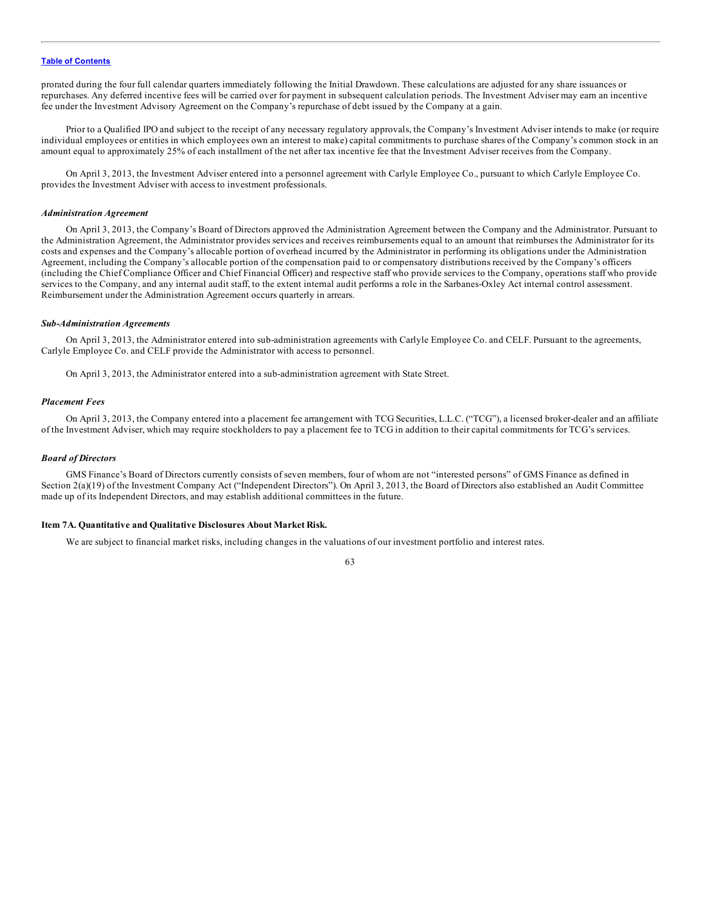prorated during the four full calendar quarters immediately following the Initial Drawdown. These calculations are adjusted for any share issuances or repurchases. Any deferred incentive fees will be carried over for payment in subsequent calculation periods. The Investment Adviser may earn an incentive fee under the Investment Advisory Agreement on the Company's repurchase of debt issued by the Company at a gain.

Prior to a Qualified IPO and subject to the receipt of any necessary regulatory approvals, the Company's Investment Adviser intends to make (or require individual employees or entities in which employees own an interest to make) capital commitments to purchase shares of the Company's common stock in an amount equal to approximately 25% of each installment of the net after tax incentive fee that the Investment Adviser receives from the Company.

On April 3, 2013, the Investment Adviser entered into a personnel agreement with Carlyle Employee Co., pursuant to which Carlyle Employee Co. provides the Investment Adviser with access to investment professionals.

### *Administration Agreement*

On April 3, 2013, the Company's Board of Directors approved the Administration Agreement between the Company and the Administrator. Pursuant to the Administration Agreement, the Administrator provides services and receives reimbursements equal to an amount that reimburses the Administrator for its costs and expenses and the Company's allocable portion of overhead incurred by the Administrator in performing its obligations under the Administration Agreement, including the Company's allocable portion of the compensation paid to or compensatory distributions received by the Company's officers (including the Chief Compliance Officer and Chief Financial Officer) and respective staff who provide services to the Company, operations staff who provide services to the Company, and any internal audit staff, to the extent internal audit performs a role in the Sarbanes-Oxley Act internal control assessment. Reimbursement under the Administration Agreement occurs quarterly in arrears.

#### *Sub-Administration Agreements*

On April 3, 2013, the Administrator entered into sub-administration agreements with Carlyle Employee Co. and CELF. Pursuant to the agreements, Carlyle Employee Co. and CELF provide the Administrator with access to personnel.

On April 3, 2013, the Administrator entered into a sub-administration agreement with State Street.

#### *Placement Fees*

On April 3, 2013, the Company entered into a placement fee arrangement with TCG Securities, L.L.C. ("TCG"), a licensed broker-dealer and an affiliate of the Investment Adviser, which may require stockholders to pay a placement fee to TCG in addition to their capital commitments for TCG's services.

#### *Board of Directors*

GMS Finance's Board of Directors currently consists of seven members, four of whom are not "interested persons" of GMS Finance as defined in Section 2(a)(19) of the Investment Company Act ("Independent Directors"). On April 3, 2013, the Board of Directors also established an Audit Committee made up of its Independent Directors, and may establish additional committees in the future.

#### **Item 7A. Quantitative and Qualitative Disclosures About Market Risk.**

We are subject to financial market risks, including changes in the valuations of our investment portfolio and interest rates.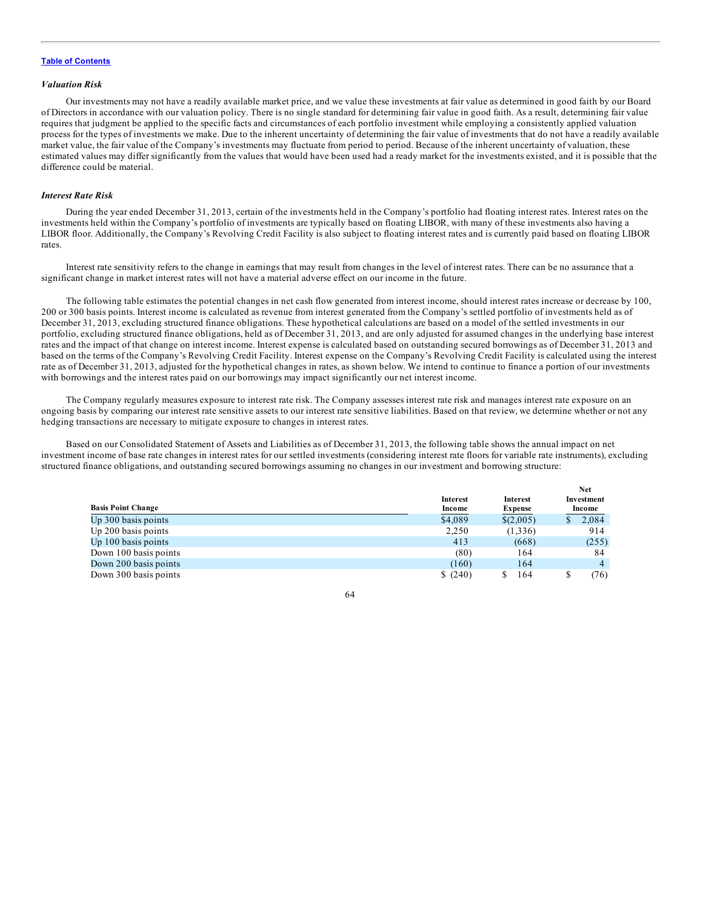### *Valuation Risk*

Our investments may not have a readily available market price, and we value these investments at fair value as determined in good faith by our Board of Directors in accordance with our valuation policy. There is no single standard for determining fair value in good faith. As a result, determining fair value requires that judgment be applied to the specific facts and circumstances of each portfolio investment while employing a consistently applied valuation process for the types of investments we make. Due to the inherent uncertainty of determining the fair value of investments that do not have a readily available market value, the fair value of the Company's investments may fluctuate from period to period. Because of the inherent uncertainty of valuation, these estimated values may differ significantly from the values that would have been used had a ready market for the investments existed, and it is possible that the difference could be material.

### *Interest Rate Risk*

During the year ended December 31, 2013, certain of the investments held in the Company's portfolio had floating interest rates. Interest rates on the investments held within the Company's portfolio of investments are typically based on floating LIBOR, with many of these investments also having a LIBOR floor. Additionally, the Company's Revolving Credit Facility is also subject to floating interest rates and is currently paid based on floating LIBOR rates.

Interest rate sensitivity refers to the change in earnings that may result from changes in the level of interest rates. There can be no assurance that a significant change in market interest rates will not have a material adverse effect on our income in the future.

The following table estimates the potential changes in net cash flow generated from interest income, should interest rates increase or decrease by 100, 200 or 300 basis points. Interest income is calculated as revenue from interest generated from the Company's settled portfolio of investments held as of December 31, 2013, excluding structured finance obligations. These hypothetical calculations are based on a model of the settled investments in our portfolio, excluding structured finance obligations, held as of December 31, 2013, and are only adjusted for assumed changes in the underlying base interest rates and the impact of that change on interest income. Interest expense is calculated based on outstanding secured borrowings as of December 31, 2013 and based on the terms of the Company's Revolving Credit Facility. Interest expense on the Company's Revolving Credit Facility is calculated using the interest rate as of December 31, 2013, adjusted for the hypothetical changes in rates, as shown below. We intend to continue to finance a portion of our investments with borrowings and the interest rates paid on our borrowings may impact significantly our net interest income.

The Company regularly measures exposure to interest rate risk. The Company assesses interest rate risk and manages interest rate exposure on an ongoing basis by comparing our interest rate sensitive assets to our interest rate sensitive liabilities. Based on that review, we determine whether or not any hedging transactions are necessary to mitigate exposure to changes in interest rates.

Based on our Consolidated Statement of Assets and Liabilities as of December 31, 2013, the following table shows the annual impact on net investment income of base rate changes in interest rates for our settled investments (considering interest rate floors for variable rate instruments), excluding structured finance obligations, and outstanding secured borrowings assuming no changes in our investment and borrowing structure:

|                           |          |                | Net        |
|---------------------------|----------|----------------|------------|
|                           | Interest | Interest       | Investment |
| <b>Basis Point Change</b> | Income   | <b>Expense</b> | Income     |
| Up $300$ basis points     | \$4,089  | \$(2,005)      | 2,084      |
| Up 200 basis points       | 2,250    | (1,336)        | 914        |
| Up 100 basis points       | 413      | (668)          | (255)      |
| Down 100 basis points     | (80)     | 164            | 84         |
| Down 200 basis points     | (160)    | 164            | 4          |
| Down 300 basis points     | \$(240)  | 164            | (76)       |

**Net**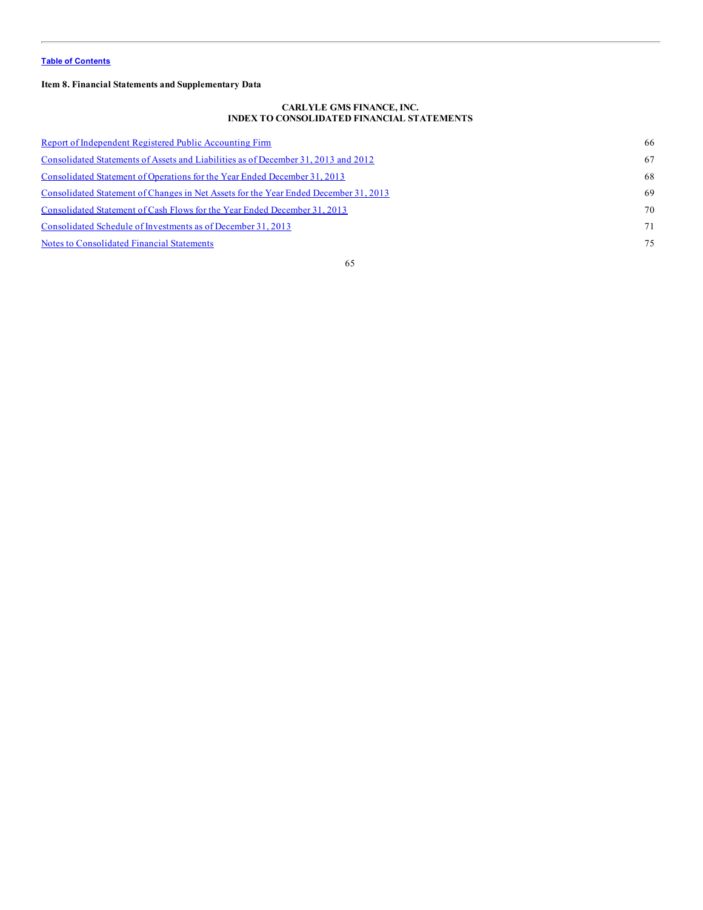# **Item 8. Financial Statements and Supplementary Data**

### **CARLYLE GMS FINANCE, INC. INDEX TO CONSOLIDATED FINANCIAL STATEMENTS**

| Report of Independent Registered Public Accounting Firm                              | 66 |
|--------------------------------------------------------------------------------------|----|
| Consolidated Statements of Assets and Liabilities as of December 31, 2013 and 2012   | 67 |
| Consolidated Statement of Operations for the Year Ended December 31, 2013            | 68 |
| Consolidated Statement of Changes in Net Assets for the Year Ended December 31, 2013 | 69 |
| Consolidated Statement of Cash Flows for the Year Ended December 31, 2013            | 70 |
| Consolidated Schedule of Investments as of December 31, 2013                         | 71 |
| Notes to Consolidated Financial Statements                                           | 75 |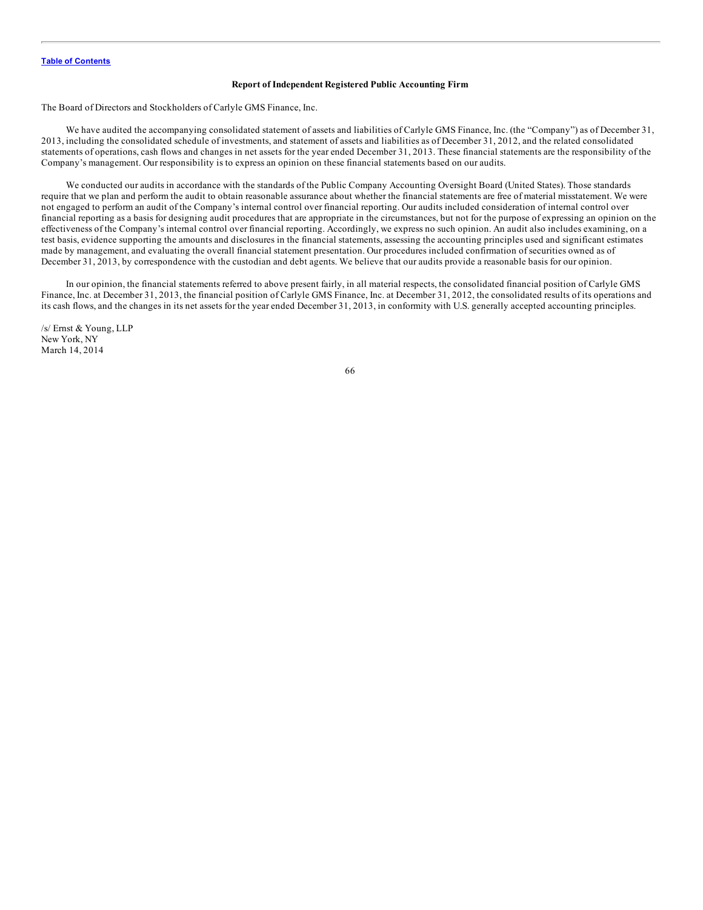### **Report of Independent Registered Public Accounting Firm**

<span id="page-67-0"></span>The Board of Directors and Stockholders of Carlyle GMS Finance, Inc.

We have audited the accompanying consolidated statement of assets and liabilities of Carlyle GMS Finance, Inc. (the "Company") as of December 31, 2013, including the consolidated schedule of investments, and statement of assets and liabilities as of December 31, 2012, and the related consolidated statements of operations, cash flows and changes in net assets for the year ended December 31, 2013. These financial statements are the responsibility of the Company's management. Our responsibility is to express an opinion on these financial statements based on our audits.

We conducted our audits in accordance with the standards of the Public Company Accounting Oversight Board (United States). Those standards require that we plan and perform the audit to obtain reasonable assurance about whether the financial statements are free of material misstatement. We were not engaged to perform an audit of the Company's internal control over financial reporting. Our audits included consideration of internal control over financial reporting as a basis for designing audit procedures that are appropriate in the circumstances, but not for the purpose of expressing an opinion on the effectiveness of the Company's internal control over financial reporting. Accordingly, we express no such opinion. An audit also includes examining, on a test basis, evidence supporting the amounts and disclosures in the financial statements, assessing the accounting principles used and significant estimates made by management, and evaluating the overall financial statement presentation. Our procedures included confirmation of securities owned as of December 31, 2013, by correspondence with the custodian and debt agents. We believe that our audits provide a reasonable basis for our opinion.

In our opinion, the financial statements referred to above present fairly, in all material respects, the consolidated financial position of Carlyle GMS Finance, Inc. at December 31, 2013, the financial position of Carlyle GMS Finance, Inc. at December 31, 2012, the consolidated results of its operations and its cash flows, and the changes in its net assets for the year ended December 31, 2013, in conformity with U.S. generally accepted accounting principles.

/s/ Ernst & Young, LLP New York, NY March 14, 2014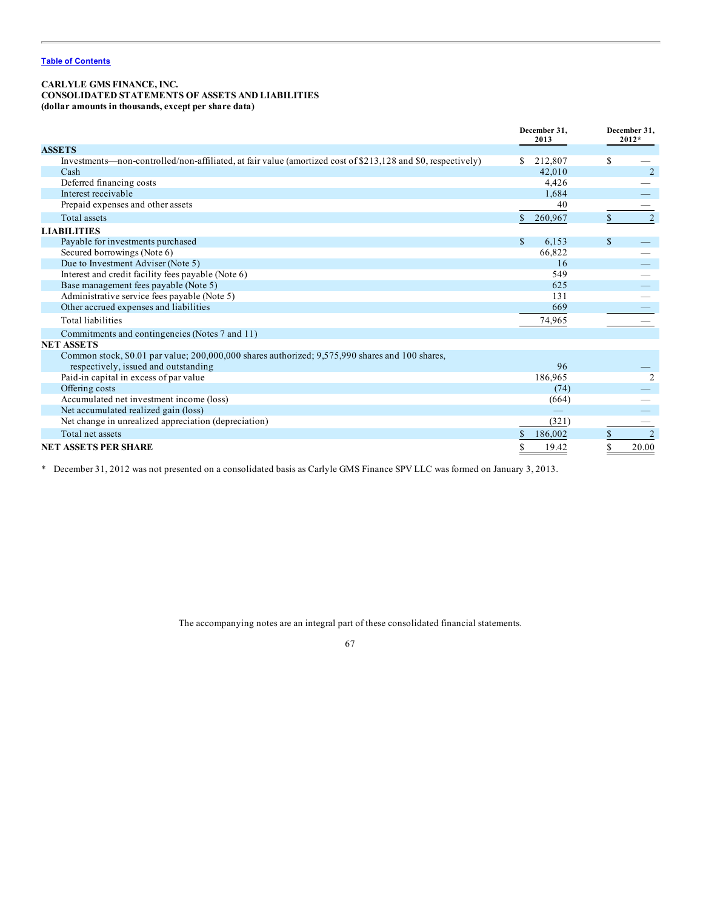### <span id="page-68-0"></span>**CARLYLE GMS FINANCE, INC.**

# **CONSOLIDATED STATEMENTS OF ASSETS AND LIABILITIES**

**(dollar amounts in thousands, except per share data)**

|                                                                                                              | December 31.<br>2013  |          | December 31,<br>$2012*$ |
|--------------------------------------------------------------------------------------------------------------|-----------------------|----------|-------------------------|
| <b>ASSETS</b>                                                                                                |                       |          |                         |
| Investments—non-controlled/non-affiliated, at fair value (amortized cost of \$213,128 and \$0, respectively) | 212,807<br>S.         | S        |                         |
| Cash                                                                                                         | 42,010                |          | 2                       |
| Deferred financing costs                                                                                     | 4,426                 |          |                         |
| Interest receivable                                                                                          | 1,684                 |          |                         |
| Prepaid expenses and other assets                                                                            | 40                    |          |                         |
| <b>Total assets</b>                                                                                          | 260,967<br>S.         | <b>S</b> | 2                       |
| <b>LIABILITIES</b>                                                                                           |                       |          |                         |
| Payable for investments purchased                                                                            | $\mathbb{S}$<br>6,153 | <b>S</b> |                         |
| Secured borrowings (Note 6)                                                                                  | 66,822                |          |                         |
| Due to Investment Adviser (Note 5)                                                                           | 16                    |          |                         |
| Interest and credit facility fees payable (Note 6)                                                           | 549                   |          |                         |
| Base management fees payable (Note 5)                                                                        | 625                   |          |                         |
| Administrative service fees payable (Note 5)                                                                 | 131                   |          |                         |
| Other accrued expenses and liabilities                                                                       | 669                   |          |                         |
| <b>Total liabilities</b>                                                                                     | 74,965                |          |                         |
| Commitments and contingencies (Notes 7 and 11)                                                               |                       |          |                         |
| <b>NET ASSETS</b>                                                                                            |                       |          |                         |
| Common stock, \$0.01 par value; 200,000,000 shares authorized; 9,575,990 shares and 100 shares,              |                       |          |                         |
| respectively, issued and outstanding                                                                         | 96                    |          |                         |
| Paid-in capital in excess of par value                                                                       | 186,965               |          | 2                       |
| Offering costs                                                                                               | (74)                  |          |                         |
| Accumulated net investment income (loss)                                                                     | (664)                 |          |                         |
| Net accumulated realized gain (loss)                                                                         |                       |          |                         |
| Net change in unrealized appreciation (depreciation)                                                         | (321)                 |          |                         |
| Total net assets                                                                                             | 186,002               |          | $\overline{2}$          |
| <b>NET ASSETS PER SHARE</b>                                                                                  | 19.42<br>S            |          | 20.00                   |

\* December 31, 2012 was not presented on a consolidated basis as Carlyle GMS Finance SPV LLC was formed on January 3, 2013.

The accompanying notes are an integral part of these consolidated financial statements.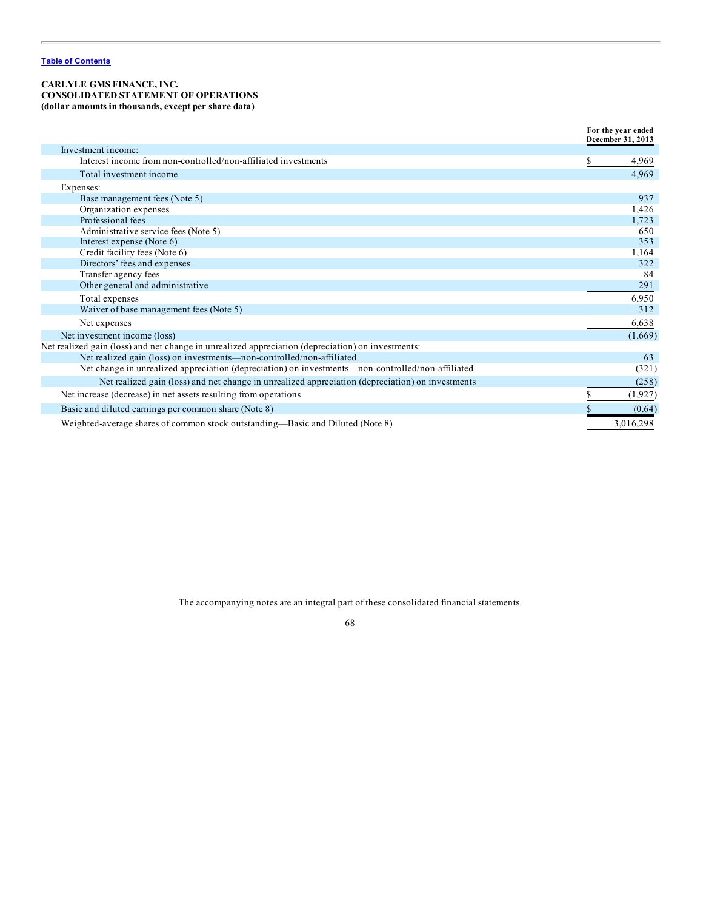### <span id="page-69-0"></span>**CARLYLE GMS FINANCE, INC. CONSOLIDATED STATEMENT OF OPERATIONS (dollar amounts in thousands, except per share data)**

|                                                                                                   | For the year ended<br>December 31, 2013 |
|---------------------------------------------------------------------------------------------------|-----------------------------------------|
| Investment income:                                                                                |                                         |
| Interest income from non-controlled/non-affiliated investments                                    | \$<br>4,969                             |
| Total investment income                                                                           | 4,969                                   |
| Expenses:                                                                                         |                                         |
| Base management fees (Note 5)                                                                     | 937                                     |
| Organization expenses                                                                             | 1,426                                   |
| Professional fees                                                                                 | 1,723                                   |
| Administrative service fees (Note 5)                                                              | 650                                     |
| Interest expense (Note 6)                                                                         | 353                                     |
| Credit facility fees (Note 6)                                                                     | 1,164                                   |
| Directors' fees and expenses                                                                      | 322                                     |
| Transfer agency fees                                                                              | 84                                      |
| Other general and administrative                                                                  | 291                                     |
| Total expenses                                                                                    | 6,950                                   |
| Waiver of base management fees (Note 5)                                                           | 312                                     |
| Net expenses                                                                                      | 6,638                                   |
| Net investment income (loss)                                                                      | (1,669)                                 |
| Net realized gain (loss) and net change in unrealized appreciation (depreciation) on investments: |                                         |
| Net realized gain (loss) on investments—non-controlled/non-affiliated                             | 63                                      |
| Net change in unrealized appreciation (depreciation) on investments—non-controlled/non-affiliated | (321)                                   |
| Net realized gain (loss) and net change in unrealized appreciation (depreciation) on investments  | (258)                                   |
| Net increase (decrease) in net assets resulting from operations                                   | (1,927)                                 |
| Basic and diluted earnings per common share (Note 8)                                              | (0.64)                                  |
| Weighted-average shares of common stock outstanding—Basic and Diluted (Note 8)                    | 3,016,298                               |

The accompanying notes are an integral part of these consolidated financial statements.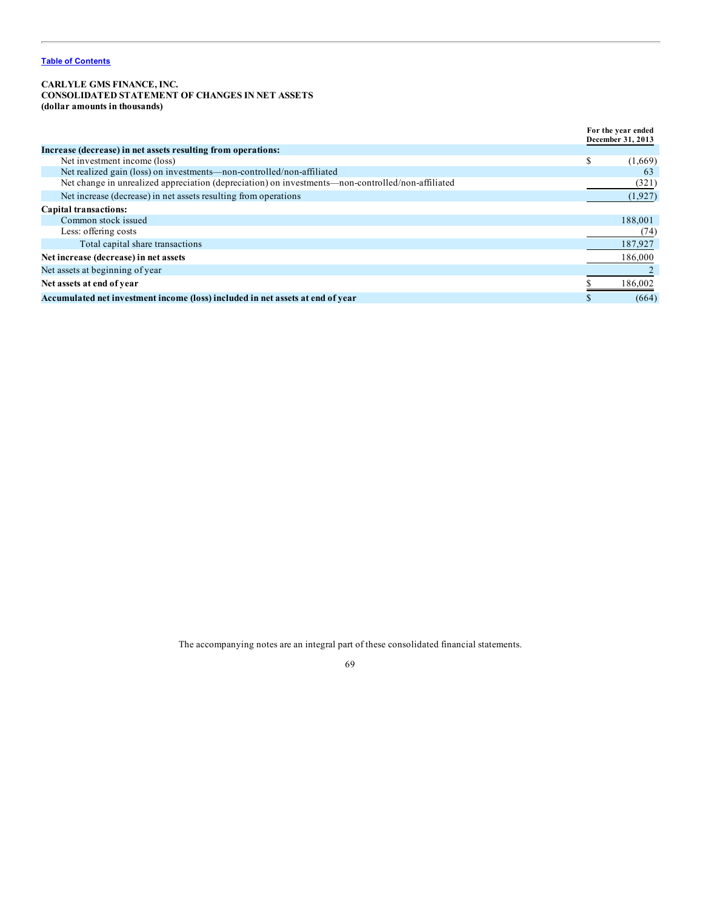### <span id="page-70-0"></span>**CARLYLE GMS FINANCE, INC. CONSOLIDATED STATEMENT OF CHANGES IN NET ASSETS (dollar amounts in thousands)**

|                                                                                                   | For the year ended<br>December 31, 2013 |
|---------------------------------------------------------------------------------------------------|-----------------------------------------|
| Increase (decrease) in net assets resulting from operations:                                      |                                         |
| Net investment income (loss)                                                                      | \$<br>(1,669)                           |
| Net realized gain (loss) on investments—non-controlled/non-affiliated                             | 63                                      |
| Net change in unrealized appreciation (depreciation) on investments—non-controlled/non-affiliated | (321)                                   |
| Net increase (decrease) in net assets resulting from operations                                   | (1,927)                                 |
| Capital transactions:                                                                             |                                         |
| Common stock issued                                                                               | 188,001                                 |
| Less: offering costs                                                                              | (74)                                    |
| Total capital share transactions                                                                  | 187,927                                 |
| Net increase (decrease) in net assets                                                             | 186,000                                 |
| Net assets at beginning of year                                                                   |                                         |
| Net assets at end of year                                                                         | 186,002                                 |
| Accumulated net investment income (loss) included in net assets at end of year                    | (664)                                   |

The accompanying notes are an integral part of these consolidated financial statements.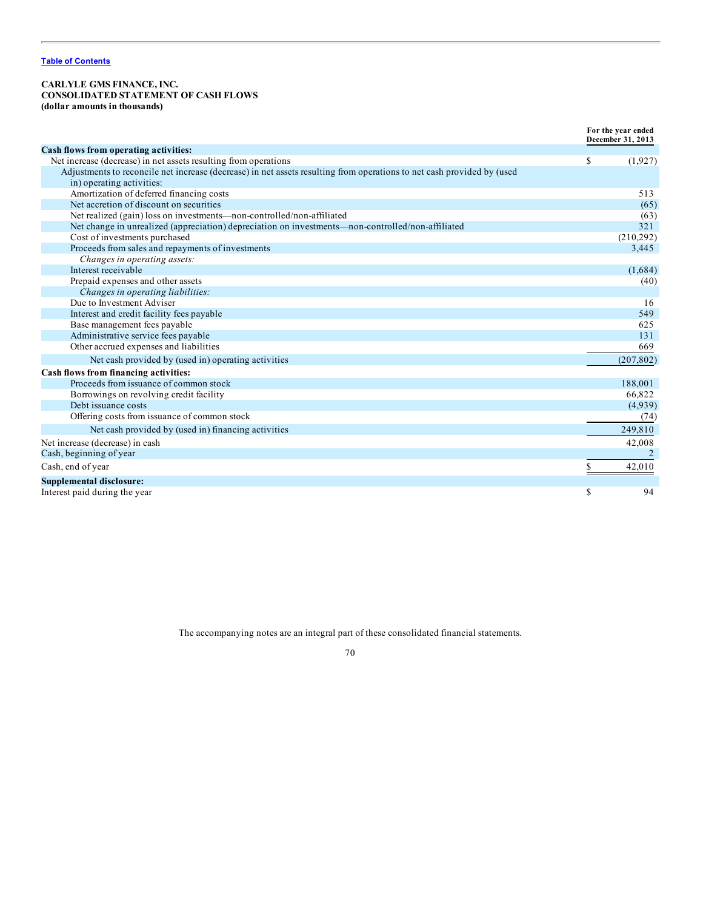### <span id="page-71-0"></span>**CARLYLE GMS FINANCE, INC. CONSOLIDATED STATEMENT OF CASH FLOWS (dollar amounts in thousands)**

|                                                                                                                        | For the year ended<br>December 31, 2013 |
|------------------------------------------------------------------------------------------------------------------------|-----------------------------------------|
| Cash flows from operating activities:                                                                                  |                                         |
| Net increase (decrease) in net assets resulting from operations                                                        | \$<br>(1,927)                           |
| Adjustments to reconcile net increase (decrease) in net assets resulting from operations to net cash provided by (used |                                         |
| in) operating activities:                                                                                              |                                         |
| Amortization of deferred financing costs                                                                               | 513                                     |
| Net accretion of discount on securities                                                                                | (65)                                    |
| Net realized (gain) loss on investments-non-controlled/non-affiliated                                                  | (63)                                    |
| Net change in unrealized (appreciation) depreciation on investments—non-controlled/non-affiliated                      | 321                                     |
| Cost of investments purchased                                                                                          | (210, 292)                              |
| Proceeds from sales and repayments of investments                                                                      | 3,445                                   |
| Changes in operating assets:                                                                                           |                                         |
| Interest receivable                                                                                                    | (1,684)                                 |
| Prepaid expenses and other assets                                                                                      | (40)                                    |
| Changes in operating liabilities:                                                                                      |                                         |
| Due to Investment Adviser                                                                                              | 16                                      |
| Interest and credit facility fees payable                                                                              | 549                                     |
| Base management fees payable                                                                                           | 625                                     |
| Administrative service fees payable                                                                                    | 131                                     |
| Other accrued expenses and liabilities                                                                                 | 669                                     |
| Net cash provided by (used in) operating activities                                                                    | (207, 802)                              |
| Cash flows from financing activities:                                                                                  |                                         |
| Proceeds from issuance of common stock                                                                                 | 188,001                                 |
| Borrowings on revolving credit facility                                                                                | 66,822                                  |
| Debt issuance costs                                                                                                    | (4,939)                                 |
| Offering costs from issuance of common stock                                                                           | (74)                                    |
| Net cash provided by (used in) financing activities                                                                    | 249,810                                 |
| Net increase (decrease) in cash                                                                                        | 42,008                                  |
| Cash, beginning of year                                                                                                |                                         |
| Cash, end of year                                                                                                      | \$<br>42,010                            |
| Supplemental disclosure:                                                                                               |                                         |
| Interest paid during the year                                                                                          | \$<br>94                                |

The accompanying notes are an integral part of these consolidated financial statements.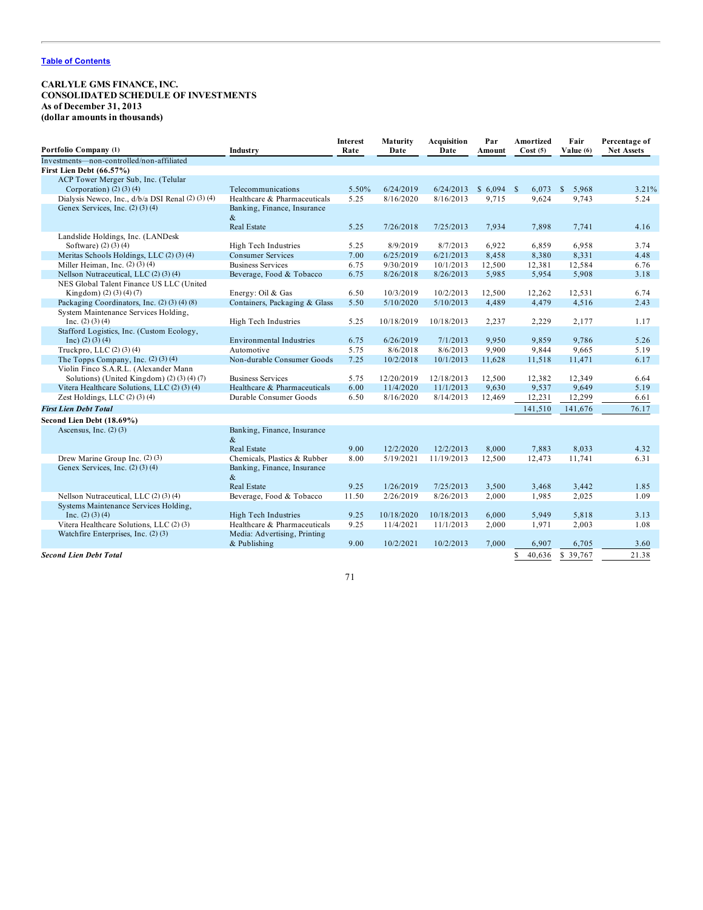## <span id="page-72-0"></span>**CARLYLE GMS FINANCE, INC. CONSOLIDATED SCHEDULE OF INVESTMENTS As of December 31, 2013 (dollar amounts in thousands)**

| Portfolio Company (1)                                                                 | Industry                                                                               | <b>Interest</b><br>Rate | <b>Maturity</b><br>Date | Acquisition<br>Date    | Par<br>Amount  | Amortized<br>Cost(5) | Fair<br>Value (6)      | Percentage of<br><b>Net Assets</b> |
|---------------------------------------------------------------------------------------|----------------------------------------------------------------------------------------|-------------------------|-------------------------|------------------------|----------------|----------------------|------------------------|------------------------------------|
| Investments-non-controlled/non-affiliated                                             |                                                                                        |                         |                         |                        |                |                      |                        |                                    |
| First Lien Debt (66.57%)                                                              |                                                                                        |                         |                         |                        |                |                      |                        |                                    |
| ACP Tower Merger Sub, Inc. (Telular<br>Corporation) $(2)$ $(3)$ $(4)$                 | Telecommunications                                                                     | 5.50%                   | 6/24/2019               | 6/24/2013              | $$6,094$ \$    | 6,073                | 5,968<br><sup>\$</sup> | 3.21%                              |
| Dialysis Newco, Inc., d/b/a DSI Renal (2) (3) (4)<br>Genex Services, Inc. (2) (3) (4) | Healthcare & Pharmaceuticals<br>Banking, Finance, Insurance<br>&<br><b>Real Estate</b> | 5.25<br>5.25            | 8/16/2020<br>7/26/2018  | 8/16/2013<br>7/25/2013 | 9,715<br>7,934 | 9,624<br>7,898       | 9,743<br>7,741         | 5.24<br>4.16                       |
| Landslide Holdings, Inc. (LANDesk                                                     |                                                                                        |                         |                         |                        |                |                      |                        |                                    |
| Software) (2) (3) (4)                                                                 | High Tech Industries                                                                   | 5.25                    | 8/9/2019                | 8/7/2013               | 6,922          | 6,859                | 6,958                  | 3.74                               |
| Meritas Schools Holdings, LLC (2) (3) (4)                                             | <b>Consumer Services</b>                                                               | 7.00                    | 6/25/2019               | 6/21/2013              | 8,458          | 8,380                | 8,331                  | 4.48                               |
| Miller Heiman, Inc. (2) (3) (4)                                                       | <b>Business Services</b>                                                               | 6.75                    | 9/30/2019               | 10/1/2013              | 12,500         | 12,381               | 12,584                 | 6.76                               |
| Nellson Nutraceutical, LLC (2) (3) (4)                                                | Beverage, Food & Tobacco                                                               | 6.75                    | 8/26/2018               | 8/26/2013              | 5,985          | 5,954                | 5,908                  | 3.18                               |
| NES Global Talent Finance US LLC (United<br>Kingdom) (2) (3) (4) (7)                  | Energy: Oil & Gas                                                                      | 6.50                    | 10/3/2019               | 10/2/2013              | 12,500         | 12,262               | 12,531                 | 6.74                               |
| Packaging Coordinators, Inc. (2) (3) (4) (8)                                          | Containers, Packaging & Glass                                                          | 5.50                    | 5/10/2020               | 5/10/2013              | 4,489          | 4,479                | 4,516                  | 2.43                               |
| System Maintenance Services Holding,<br>Inc. $(2)$ $(3)$ $(4)$                        | High Tech Industries                                                                   | 5.25                    | 10/18/2019              | 10/18/2013             | 2,237          | 2,229                | 2,177                  | 1.17                               |
| Stafford Logistics, Inc. (Custom Ecology,<br>$Inc)$ (2) (3) (4)                       | <b>Environmental Industries</b>                                                        | 6.75                    | 6/26/2019               | 7/1/2013               | 9,950          | 9,859                | 9,786                  | 5.26                               |
| Truckpro, LLC (2) (3) (4)                                                             | Automotive                                                                             | 5.75                    | 8/6/2018                | 8/6/2013               | 9.900          | 9,844                | 9,665                  | 5.19                               |
| The Topps Company, Inc. $(2)$ $(3)$ $(4)$                                             | Non-durable Consumer Goods                                                             | 7.25                    | 10/2/2018               | 10/1/2013              | 11,628         | 11,518               | 11,471                 | 6.17                               |
| Violin Finco S.A.R.L. (Alexander Mann<br>Solutions) (United Kingdom) (2) (3) (4) (7)  | <b>Business Services</b>                                                               | 5.75                    | 12/20/2019              | 12/18/2013             | 12,500         | 12,382               | 12.349                 | 6.64                               |
| Vitera Healthcare Solutions, LLC (2) (3) (4)                                          | Healthcare & Pharmaceuticals                                                           | 6.00                    | 11/4/2020               | 11/1/2013              | 9.630          | 9,537                | 9,649                  | 5.19                               |
| Zest Holdings, LLC (2) (3) (4)                                                        | Durable Consumer Goods                                                                 | 6.50                    | 8/16/2020               | 8/14/2013              | 12,469         | 12,231               | 12,299                 | 6.61                               |
| <b>First Lien Debt Total</b>                                                          |                                                                                        |                         |                         |                        |                | 141,510              | 141,676                | 76.17                              |
| Second Lien Debt (18.69%)                                                             |                                                                                        |                         |                         |                        |                |                      |                        |                                    |
| Ascensus, Inc. $(2)$ $(3)$                                                            | Banking, Finance, Insurance<br>$\&$<br><b>Real Estate</b>                              | 9.00                    | 12/2/2020               | 12/2/2013              | 8,000          | 7,883                | 8,033                  | 4.32                               |
| Drew Marine Group Inc. (2) (3)                                                        | Chemicals, Plastics & Rubber                                                           | 8.00                    | 5/19/2021               | 11/19/2013             | 12,500         | 12,473               | 11,741                 | 6.31                               |
| Genex Services, Inc. $(2)$ $(3)$ $(4)$                                                | Banking, Finance, Insurance<br>$\&$                                                    |                         |                         |                        |                |                      |                        |                                    |
|                                                                                       | <b>Real Estate</b>                                                                     | 9.25                    | 1/26/2019               | 7/25/2013              | 3,500          | 3,468                | 3,442                  | 1.85                               |
| Nellson Nutraceutical, LLC (2) (3) (4)                                                | Beverage, Food & Tobacco                                                               | 11.50                   | 2/26/2019               | 8/26/2013              | 2,000          | 1,985                | 2,025                  | 1.09                               |
| Systems Maintenance Services Holding,<br>Inc. $(2)$ $(3)$ $(4)$                       | High Tech Industries                                                                   | 9.25                    | 10/18/2020              | 10/18/2013             | 6.000          | 5.949                | 5,818                  | 3.13                               |
| Vitera Healthcare Solutions, LLC (2) (3)                                              | Healthcare & Pharmaceuticals                                                           | 9.25                    | 11/4/2021               | 11/1/2013              | 2,000          | 1,971                | 2,003                  | 1.08                               |
| Watchfire Enterprises, Inc. (2)(3)                                                    | Media: Advertising, Printing<br>& Publishing                                           | 9.00                    | 10/2/2021               | 10/2/2013              | 7,000          | 6,907                | 6,705                  | 3.60                               |
| Second Lien Debt Total                                                                |                                                                                        |                         |                         |                        |                | \$<br>40,636         | \$39,767               | 21.38                              |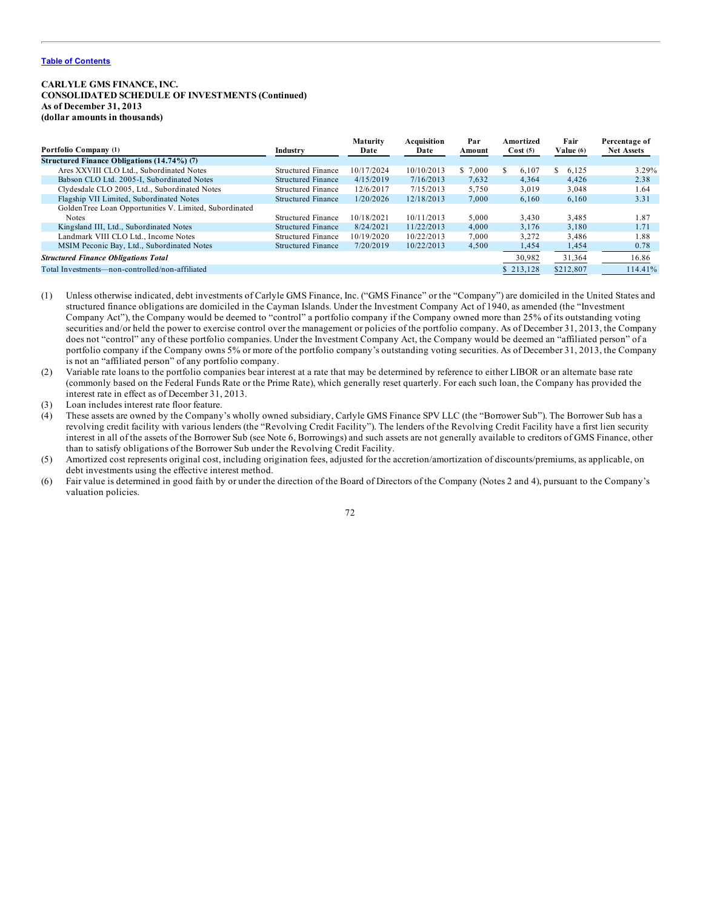### **CARLYLE GMS FINANCE, INC. CONSOLIDATED SCHEDULE OF INVESTMENTS (Continued) As of December 31, 2013 (dollar amounts in thousands)**

| Portfolio Company (1)                                  | Industry                  | <b>Maturity</b><br>Date | Acquisition<br>Date | Par<br>Amount | Amortized<br>Cost(5) | Fair<br>Value (6) | Percentage of<br><b>Net Assets</b> |
|--------------------------------------------------------|---------------------------|-------------------------|---------------------|---------------|----------------------|-------------------|------------------------------------|
| Structured Finance Obligations (14.74%) (7)            |                           |                         |                     |               |                      |                   |                                    |
| Ares XXVIII CLO Ltd., Subordinated Notes               | <b>Structured Finance</b> | 10/17/2024              | 10/10/2013          | \$ 7,000      | 6,107                | 6,125<br>S.       | 3.29%                              |
| Babson CLO Ltd. 2005-I, Subordinated Notes             | <b>Structured Finance</b> | 4/15/2019               | 7/16/2013           | 7.632         | 4.364                | 4.426             | 2.38                               |
| Clydesdale CLO 2005, Ltd., Subordinated Notes          | <b>Structured Finance</b> | 12/6/2017               | 7/15/2013           | 5.750         | 3,019                | 3.048             | 1.64                               |
| Flagship VII Limited, Subordinated Notes               | <b>Structured Finance</b> | 1/20/2026               | 12/18/2013          | 7,000         | 6.160                | 6,160             | 3.31                               |
| GoldenTree Loan Opportunities V. Limited, Subordinated |                           |                         |                     |               |                      |                   |                                    |
| <b>Notes</b>                                           | Structured Finance        | 10/18/2021              | 10/11/2013          | 5,000         | 3.430                | 3.485             | 1.87                               |
| Kingsland III, Ltd., Subordinated Notes                | <b>Structured Finance</b> | 8/24/2021               | 11/22/2013          | 4.000         | 3.176                | 3.180             | 1.71                               |
| Landmark VIII CLO Ltd Income Notes                     | Structured Finance        | 10/19/2020              | 10/22/2013          | 7.000         | 3.272                | 3.486             | 1.88                               |
| MSIM Peconic Bay, Ltd., Subordinated Notes             | <b>Structured Finance</b> | 7/20/2019               | 10/22/2013          | 4,500         | 1,454                | 1,454             | 0.78                               |
| <b>Structured Finance Obligations Total</b>            |                           |                         |                     |               | 30,982               | 31,364            | 16.86                              |
| Total Investments-non-controlled/non-affiliated        |                           |                         |                     |               | \$213.128            | \$212,807         | 114.41%                            |

(1) Unless otherwise indicated, debt investments of Carlyle GMS Finance, Inc. ("GMS Finance" or the "Company") are domiciled in the United States and structured finance obligations are domiciled in the Cayman Islands. Under the Investment Company Act of 1940, as amended (the "Investment Company Act"), the Company would be deemed to "control" a portfolio company if the Company owned more than 25% of its outstanding voting securities and/or held the power to exercise control over the management or policies of the portfolio company. As of December 31, 2013, the Company does not "control" any of these portfolio companies. Under the Investment Company Act, the Company would be deemed an "affiliated person" of a portfolio company if the Company owns 5% or more of the portfolio company's outstanding voting securities. As of December 31, 2013, the Company is not an "affiliated person" of any portfolio company.

(2) Variable rate loans to the portfolio companies bear interest at a rate that may be determined by reference to either LIBOR or an alternate base rate (commonly based on the Federal Funds Rate or the Prime Rate), which generally reset quarterly. For each such loan, the Company has provided the interest rate in effect as of December 31, 2013.

(3) Loan includes interest rate floor feature.

(4) These assets are owned by the Company's wholly owned subsidiary, Carlyle GMS Finance SPV LLC (the "Borrower Sub"). The Borrower Sub has a revolving credit facility with various lenders (the "Revolving Credit Facility"). The lenders of the Revolving Credit Facility have a first lien security interest in all of the assets of the Borrower Sub (see Note 6, Borrowings) and such assets are not generally available to creditors of GMS Finance, other than to satisfy obligations of the Borrower Sub under the Revolving Credit Facility.

(5) Amortized cost represents original cost, including origination fees, adjusted for the accretion/amortization of discounts/premiums, as applicable, on debt investments using the effective interest method.

(6) Fair value is determined in good faith by or under the direction of the Board of Directors of the Company (Notes 2 and 4), pursuant to the Company's valuation policies.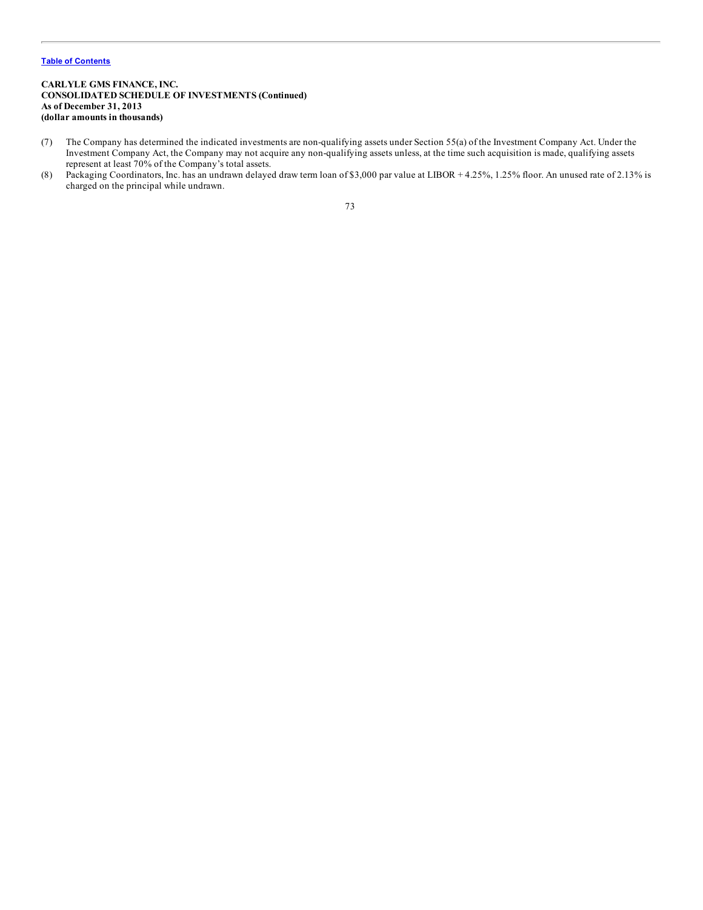**CARLYLE GMS FINANCE, INC. CONSOLIDATED SCHEDULE OF INVESTMENTS (Continued) As of December 31, 2013 (dollar amounts in thousands)**

- (7) The Company has determined the indicated investments are non-qualifying assets under Section 55(a) of the Investment Company Act. Under the Investment Company Act, the Company may not acquire any non-qualifying assets unless, at the time such acquisition is made, qualifying assets represent at least 70% of the Company's total assets.
- (8) Packaging Coordinators, Inc. has an undrawn delayed draw term loan of \$3,000 par value at LIBOR + 4.25%, 1.25% floor. An unused rate of 2.13% is charged on the principal while undrawn.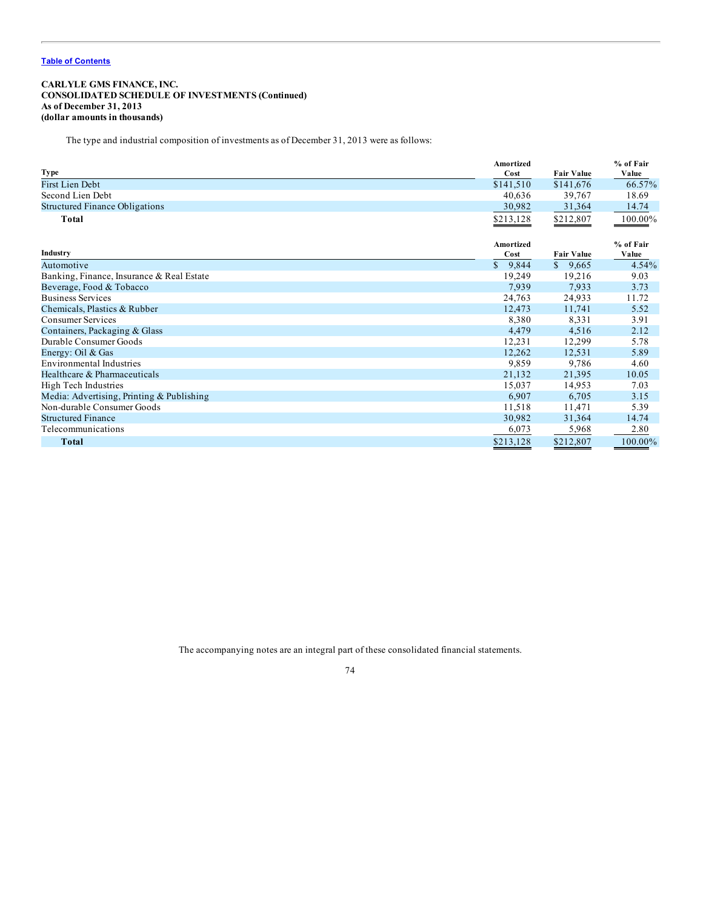### **CARLYLE GMS FINANCE, INC. CONSOLIDATED SCHEDULE OF INVESTMENTS (Continued) As of December 31, 2013 (dollar amounts in thousands)**

The type and industrial composition of investments as of December 31, 2013 were as follows:

| Type                                      | Amortized<br>Cost | <b>Fair Value</b> | % of Fair<br>Value |
|-------------------------------------------|-------------------|-------------------|--------------------|
| <b>First Lien Debt</b>                    | \$141,510         | \$141,676         | 66.57%             |
| Second Lien Debt                          | 40,636            | 39,767            | 18.69              |
| <b>Structured Finance Obligations</b>     | 30,982            | 31,364            | 14.74              |
| Total                                     | \$213,128         | \$212,807         | 100.00%            |
| Industry                                  | Amortized<br>Cost | <b>Fair Value</b> | % of Fair<br>Value |
| Automotive                                | \$9,844           | \$9,665           | 4.54%              |
| Banking, Finance, Insurance & Real Estate | 19,249            | 19,216            | 9.03               |
| Beverage, Food & Tobacco                  | 7,939             | 7,933             | 3.73               |
| <b>Business Services</b>                  | 24,763            | 24,933            | 11.72              |
| Chemicals, Plastics & Rubber              | 12,473            | 11,741            | 5.52               |
| Consumer Services                         | 8,380             | 8,331             | 3.91               |
| Containers, Packaging & Glass             | 4,479             | 4,516             | 2.12               |
| Durable Consumer Goods                    | 12,231            | 12,299            | 5.78               |
| Energy: Oil & Gas                         | 12,262            | 12,531            | 5.89               |
| <b>Environmental Industries</b>           | 9,859             | 9,786             | 4.60               |
| Healthcare & Pharmaceuticals              | 21,132            | 21,395            | 10.05              |
| High Tech Industries                      | 15,037            | 14,953            | 7.03               |
| Media: Advertising, Printing & Publishing | 6,907             | 6,705             | 3.15               |
| Non-durable Consumer Goods                | 11,518            | 11,471            | 5.39               |
| <b>Structured Finance</b>                 | 30,982            | 31,364            | 14.74              |
| Telecommunications                        | 6,073             | 5,968             | 2.80               |
| <b>Total</b>                              | \$213,128         | \$212,807         | 100.00%            |

The accompanying notes are an integral part of these consolidated financial statements.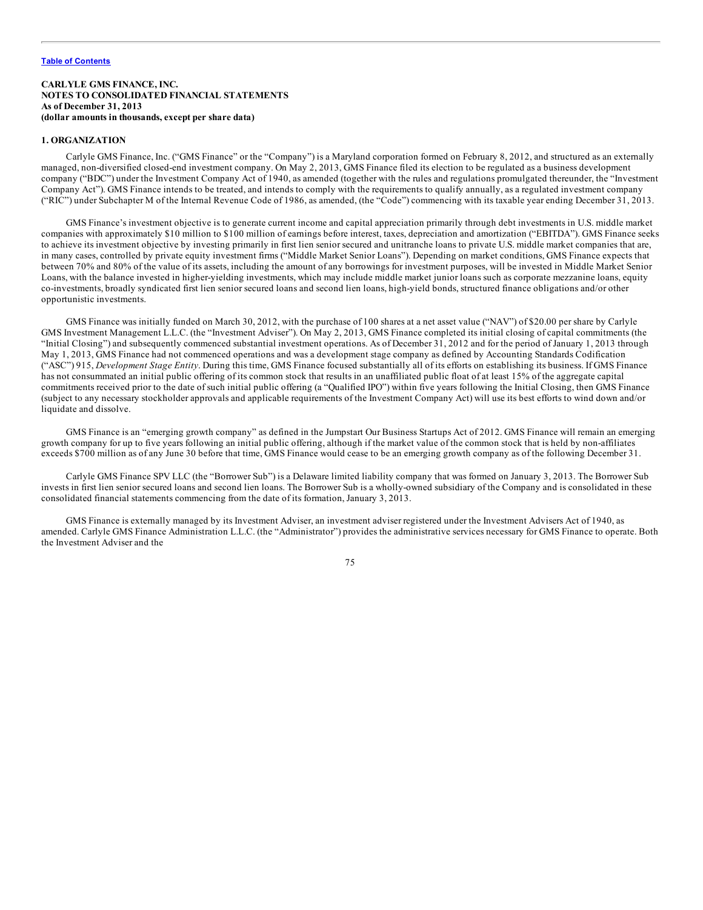## <span id="page-76-0"></span>**CARLYLE GMS FINANCE, INC. NOTES TO CONSOLIDATED FINANCIAL STATEMENTS As of December 31, 2013 (dollar amounts in thousands, except per share data)**

### **1. ORGANIZATION**

Carlyle GMS Finance, Inc. ("GMS Finance" or the "Company") is a Maryland corporation formed on February 8, 2012, and structured as an externally managed, non-diversified closed-end investment company. On May 2, 2013, GMS Finance filed its election to be regulated as a business development company ("BDC") under the Investment Company Act of 1940, as amended (together with the rules and regulations promulgated thereunder, the "Investment Company Act"). GMS Finance intends to be treated, and intends to comply with the requirements to qualify annually, as a regulated investment company ("RIC") under Subchapter M of the Internal Revenue Code of 1986, as amended, (the "Code") commencing with its taxable year ending December 31, 2013.

GMS Finance's investment objective is to generate current income and capital appreciation primarily through debt investments in U.S. middle market companies with approximately \$10 million to \$100 million of earnings before interest, taxes, depreciation and amortization ("EBITDA"). GMS Finance seeks to achieve its investment objective by investing primarily in first lien senior secured and unitranche loans to private U.S. middle market companies that are, in many cases, controlled by private equity investment firms ("Middle Market Senior Loans"). Depending on market conditions, GMS Finance expects that between 70% and 80% of the value of its assets, including the amount of any borrowings for investment purposes, will be invested in Middle Market Senior Loans, with the balance invested in higher-yielding investments, which may include middle market junior loans such as corporate mezzanine loans, equity co-investments, broadly syndicated first lien senior secured loans and second lien loans, high-yield bonds, structured finance obligations and/or other opportunistic investments.

GMS Finance was initially funded on March 30, 2012, with the purchase of 100 shares at a net asset value ("NAV") of \$20.00 per share by Carlyle GMS Investment Management L.L.C. (the "Investment Adviser"). On May 2, 2013, GMS Finance completed its initial closing of capital commitments (the "Initial Closing") and subsequently commenced substantial investment operations. As of December 31, 2012 and for the period of January 1, 2013 through May 1, 2013, GMS Finance had not commenced operations and was a development stage company as defined by Accounting Standards Codification ("ASC") 915, *Development Stage Entity*. During this time, GMS Finance focused substantially all of its efforts on establishing its business. If GMS Finance has not consummated an initial public offering of its common stock that results in an unaffiliated public float of at least 15% of the aggregate capital commitments received prior to the date of such initial public offering (a "Qualified IPO") within five years following the Initial Closing, then GMS Finance (subject to any necessary stockholder approvals and applicable requirements of the Investment Company Act) will use its best efforts to wind down and/or liquidate and dissolve.

GMS Finance is an "emerging growth company" as defined in the Jumpstart Our Business Startups Act of 2012. GMS Finance will remain an emerging growth company for up to five years following an initial public offering, although if the market value of the common stock that is held by non-affiliates exceeds \$700 million as of any June 30 before that time, GMS Finance would cease to be an emerging growth company as of the following December 31.

Carlyle GMS Finance SPV LLC (the "Borrower Sub") is a Delaware limited liability company that was formed on January 3, 2013. The Borrower Sub invests in first lien senior secured loans and second lien loans. The Borrower Sub is a wholly-owned subsidiary of the Company and is consolidated in these consolidated financial statements commencing from the date of its formation, January 3, 2013.

GMS Finance is externally managed by its Investment Adviser, an investment adviser registered under the Investment Advisers Act of 1940, as amended. Carlyle GMS Finance Administration L.L.C. (the "Administrator") provides the administrative services necessary for GMS Finance to operate. Both the Investment Adviser and the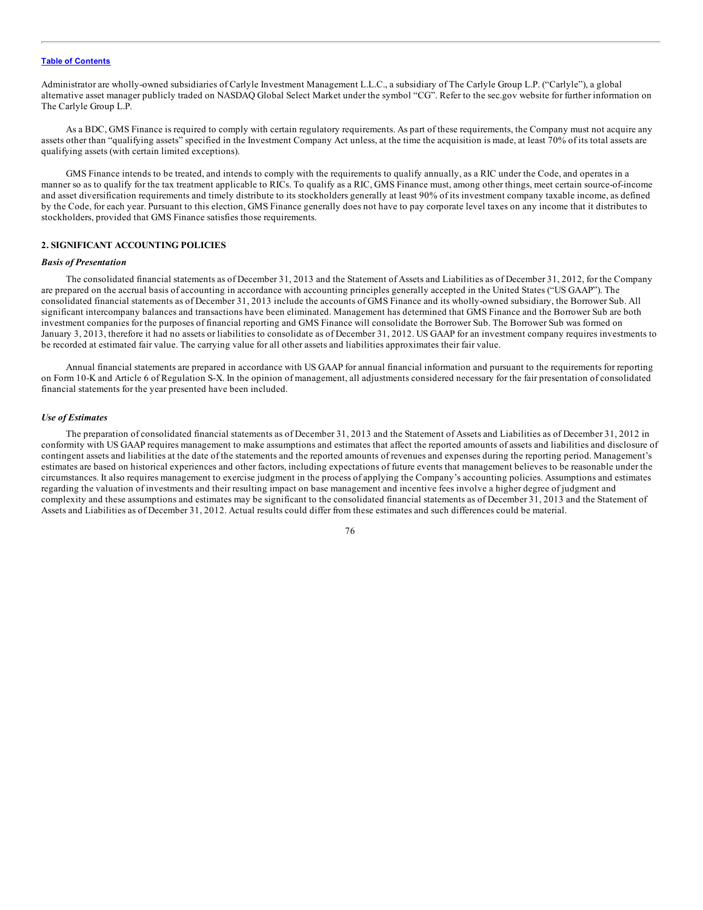Administrator are wholly-owned subsidiaries of Carlyle Investment Management L.L.C., a subsidiary of The Carlyle Group L.P. ("Carlyle"), a global alternative asset manager publicly traded on NASDAQ Global Select Market under the symbol "CG". Refer to the sec.gov website for further information on The Carlyle Group L.P.

As a BDC, GMS Finance is required to comply with certain regulatory requirements. As part of these requirements, the Company must not acquire any assets other than "qualifying assets" specified in the Investment Company Act unless, at the time the acquisition is made, at least 70% of its total assets are qualifying assets (with certain limited exceptions).

GMS Finance intends to be treated, and intends to comply with the requirements to qualify annually, as a RIC under the Code, and operates in a manner so as to qualify for the tax treatment applicable to RICs. To qualify as a RIC, GMS Finance must, among other things, meet certain source-of-income and asset diversification requirements and timely distribute to its stockholders generally at least 90% of its investment company taxable income, as defined by the Code, for each year. Pursuant to this election, GMS Finance generally does not have to pay corporate level taxes on any income that it distributes to stockholders, provided that GMS Finance satisfies those requirements.

## **2. SIGNIFICANT ACCOUNTING POLICIES**

#### *Basis of Presentation*

The consolidated financial statements as of December 31, 2013 and the Statement of Assets and Liabilities as of December 31, 2012, for the Company are prepared on the accrual basis of accounting in accordance with accounting principles generally accepted in the United States ("US GAAP"). The consolidated financial statements as of December 31, 2013 include the accounts of GMS Finance and its wholly-owned subsidiary, the Borrower Sub. All significant intercompany balances and transactions have been eliminated. Management has determined that GMS Finance and the Borrower Sub are both investment companies for the purposes of financial reporting and GMS Finance will consolidate the Borrower Sub. The Borrower Sub was formed on January 3, 2013, therefore it had no assets or liabilities to consolidate as of December 31, 2012. US GAAP for an investment company requires investments to be recorded at estimated fair value. The carrying value for all other assets and liabilities approximates their fair value.

Annual financial statements are prepared in accordance with US GAAP for annual financial information and pursuant to the requirements for reporting on Form 10-K and Article 6 of Regulation S-X. In the opinion of management, all adjustments considered necessary for the fair presentation of consolidated financial statements for the year presented have been included.

#### *Use of Estimates*

The preparation of consolidated financial statements as of December 31, 2013 and the Statement of Assets and Liabilities as of December 31, 2012 in conformity with US GAAP requires management to make assumptions and estimates that affect the reported amounts of assets and liabilities and disclosure of contingent assets and liabilities at the date of the statements and the reported amounts of revenues and expenses during the reporting period. Management's estimates are based on historical experiences and other factors, including expectations of future events that management believes to be reasonable under the circumstances. It also requires management to exercise judgment in the process of applying the Company's accounting policies. Assumptions and estimates regarding the valuation of investments and their resulting impact on base management and incentive fees involve a higher degree of judgment and complexity and these assumptions and estimates may be significant to the consolidated financial statements as of December 31, 2013 and the Statement of Assets and Liabilities as of December 31, 2012. Actual results could differ from these estimates and such differences could be material.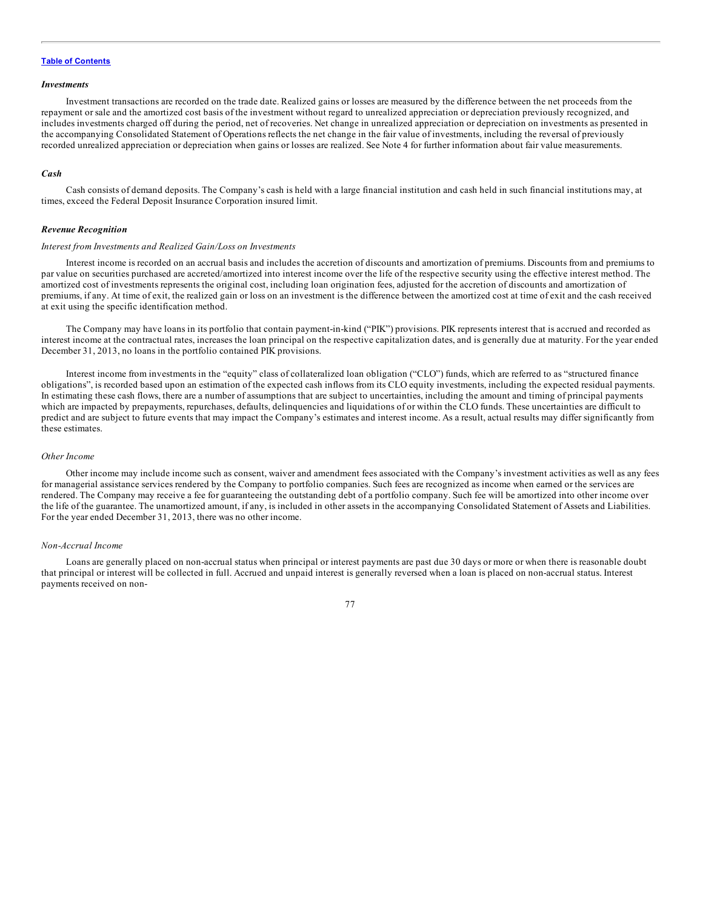#### *Investments*

Investment transactions are recorded on the trade date. Realized gains or losses are measured by the difference between the net proceeds from the repayment or sale and the amortized cost basis of the investment without regard to unrealized appreciation or depreciation previously recognized, and includes investments charged off during the period, net of recoveries. Net change in unrealized appreciation or depreciation on investments as presented in the accompanying Consolidated Statement of Operations reflects the net change in the fair value of investments, including the reversal of previously recorded unrealized appreciation or depreciation when gains or losses are realized. See Note 4 for further information about fair value measurements.

#### *Cash*

Cash consists of demand deposits. The Company's cash is held with a large financial institution and cash held in such financial institutions may, at times, exceed the Federal Deposit Insurance Corporation insured limit.

#### *Revenue Recognition*

#### *Interest from Investments and Realized Gain/Loss on Investments*

Interest income is recorded on an accrual basis and includes the accretion of discounts and amortization of premiums. Discounts from and premiums to par value on securities purchased are accreted/amortized into interest income over the life of the respective security using the effective interest method. The amortized cost of investments represents the original cost, including loan origination fees, adjusted for the accretion of discounts and amortization of premiums, if any. At time of exit, the realized gain or loss on an investment is the difference between the amortized cost at time of exit and the cash received at exit using the specific identification method.

The Company may have loans in its portfolio that contain payment-in-kind ("PIK") provisions. PIK represents interest that is accrued and recorded as interest income at the contractual rates, increases the loan principal on the respective capitalization dates, and is generally due at maturity. For the year ended December 31, 2013, no loans in the portfolio contained PIK provisions.

Interest income from investments in the "equity" class of collateralized loan obligation ("CLO") funds, which are referred to as "structured finance obligations", is recorded based upon an estimation of the expected cash inflows from its CLO equity investments, including the expected residual payments. In estimating these cash flows, there are a number of assumptions that are subject to uncertainties, including the amount and timing of principal payments which are impacted by prepayments, repurchases, defaults, delinquencies and liquidations of or within the CLO funds. These uncertainties are difficult to predict and are subject to future events that may impact the Company's estimates and interest income. As a result, actual results may differ significantly from these estimates.

### *Other Income*

Other income may include income such as consent, waiver and amendment fees associated with the Company's investment activities as well as any fees for managerial assistance services rendered by the Company to portfolio companies. Such fees are recognized as income when earned or the services are rendered. The Company may receive a fee for guaranteeing the outstanding debt of a portfolio company. Such fee will be amortized into other income over the life of the guarantee. The unamortized amount, if any, is included in other assets in the accompanying Consolidated Statement of Assets and Liabilities. For the year ended December 31, 2013, there was no other income.

#### *Non-Accrual Income*

Loans are generally placed on non-accrual status when principal or interest payments are past due 30 days or more or when there is reasonable doubt that principal or interest will be collected in full. Accrued and unpaid interest is generally reversed when a loan is placed on non-accrual status. Interest payments received on non-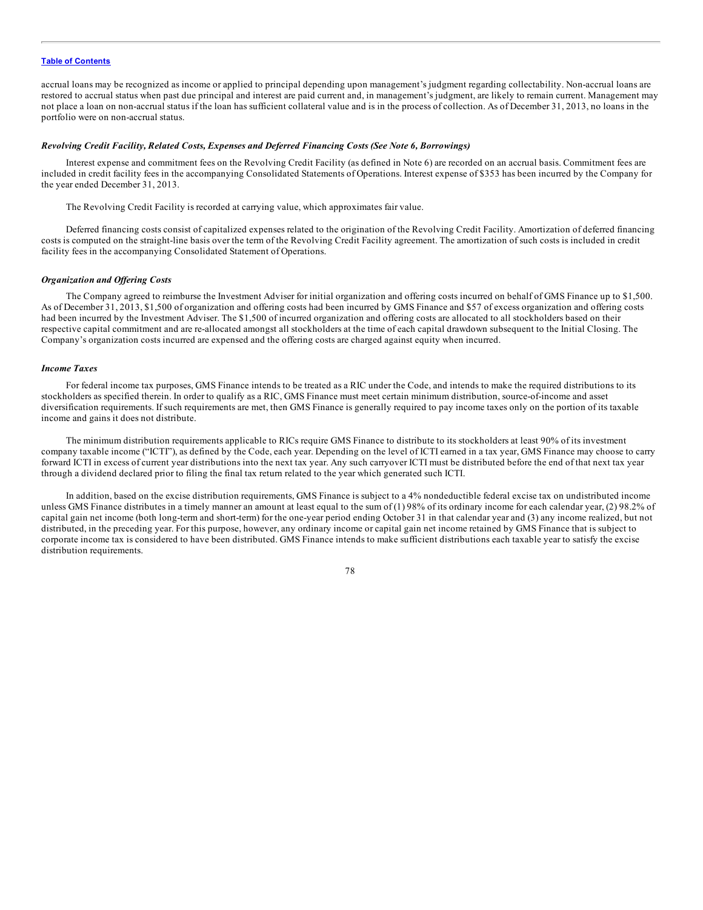accrual loans may be recognized as income or applied to principal depending upon management's judgment regarding collectability. Non-accrual loans are restored to accrual status when past due principal and interest are paid current and, in management's judgment, are likely to remain current. Management may not place a loan on non-accrual status if the loan has sufficient collateral value and is in the process of collection. As of December 31, 2013, no loans in the portfolio were on non-accrual status.

### *Revolving Credit Facility, Related Costs, Expenses and Deferred Financing Costs (See Note 6, Borrowings)*

Interest expense and commitment fees on the Revolving Credit Facility (as defined in Note 6) are recorded on an accrual basis. Commitment fees are included in credit facility fees in the accompanying Consolidated Statements of Operations. Interest expense of \$353 has been incurred by the Company for the year ended December 31, 2013.

The Revolving Credit Facility is recorded at carrying value, which approximates fair value.

Deferred financing costs consist of capitalized expenses related to the origination of the Revolving Credit Facility. Amortization of deferred financing costs is computed on the straight-line basis over the term of the Revolving Credit Facility agreement. The amortization of such costs is included in credit facility fees in the accompanying Consolidated Statement of Operations.

### *Organization and Of ering Costs*

The Company agreed to reimburse the Investment Adviser for initial organization and offering costs incurred on behalf of GMS Finance up to \$1,500. As of December 31, 2013, \$1,500 of organization and offering costs had been incurred by GMS Finance and \$57 of excess organization and offering costs had been incurred by the Investment Adviser. The \$1,500 of incurred organization and offering costs are allocated to all stockholders based on their respective capital commitment and are re-allocated amongst all stockholders at the time of each capital drawdown subsequent to the Initial Closing. The Company's organization costs incurred are expensed and the offering costs are charged against equity when incurred.

### *Income Taxes*

For federal income tax purposes, GMS Finance intends to be treated as a RIC under the Code, and intends to make the required distributions to its stockholders as specified therein. In order to qualify as a RIC, GMS Finance must meet certain minimum distribution, source-of-income and asset diversification requirements. If such requirements are met, then GMS Finance is generally required to pay income taxes only on the portion of its taxable income and gains it does not distribute.

The minimum distribution requirements applicable to RICs require GMS Finance to distribute to its stockholders at least 90% of its investment company taxable income ("ICTI"), as defined by the Code, each year. Depending on the level of ICTI earned in a tax year, GMS Finance may choose to carry forward ICTI in excess of current year distributions into the next tax year. Any such carryover ICTI must be distributed before the end of that next tax year through a dividend declared prior to filing the final tax return related to the year which generated such ICTI.

In addition, based on the excise distribution requirements, GMS Finance is subject to a 4% nondeductible federal excise tax on undistributed income unless GMS Finance distributes in a timely manner an amount at least equal to the sum of (1) 98% of its ordinary income for each calendar year, (2) 98.2% of capital gain net income (both long-term and short-term) for the one-year period ending October 31 in that calendar year and (3) any income realized, but not distributed, in the preceding year. For this purpose, however, any ordinary income or capital gain net income retained by GMS Finance that is subject to corporate income tax is considered to have been distributed. GMS Finance intends to make sufficient distributions each taxable year to satisfy the excise distribution requirements.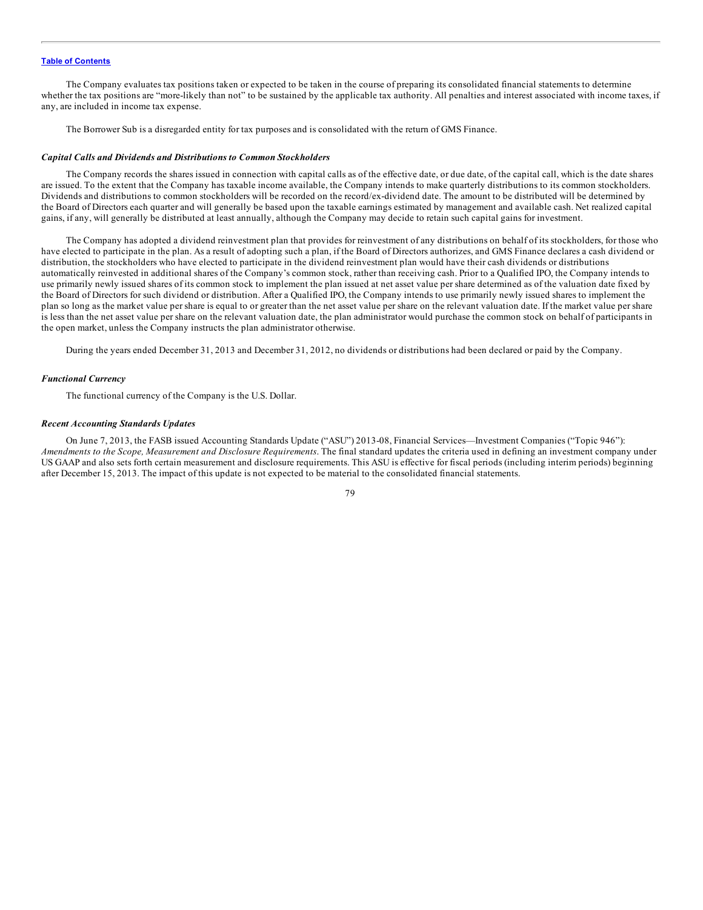The Company evaluates tax positions taken or expected to be taken in the course of preparing its consolidated financial statements to determine whether the tax positions are "more-likely than not" to be sustained by the applicable tax authority. All penalties and interest associated with income taxes, if any, are included in income tax expense.

The Borrower Sub is a disregarded entity for tax purposes and is consolidated with the return of GMS Finance.

#### *Capital Calls and Dividends and Distributions to Common Stockholders*

The Company records the shares issued in connection with capital calls as of the effective date, or due date, of the capital call, which is the date shares are issued. To the extent that the Company has taxable income available, the Company intends to make quarterly distributions to its common stockholders. Dividends and distributions to common stockholders will be recorded on the record/ex-dividend date. The amount to be distributed will be determined by the Board of Directors each quarter and will generally be based upon the taxable earnings estimated by management and available cash. Net realized capital gains, if any, will generally be distributed at least annually, although the Company may decide to retain such capital gains for investment.

The Company has adopted a dividend reinvestment plan that provides for reinvestment of any distributions on behalf of its stockholders, for those who have elected to participate in the plan. As a result of adopting such a plan, if the Board of Directors authorizes, and GMS Finance declares a cash dividend or distribution, the stockholders who have elected to participate in the dividend reinvestment plan would have their cash dividends or distributions automatically reinvested in additional shares of the Company's common stock, rather than receiving cash. Prior to a Qualified IPO, the Company intends to use primarily newly issued shares of its common stock to implement the plan issued at net asset value per share determined as of the valuation date fixed by the Board of Directors for such dividend or distribution. After a Qualified IPO, the Company intends to use primarily newly issued shares to implement the plan so long as the market value per share is equal to or greater than the net asset value per share on the relevant valuation date. If the market value per share is less than the net asset value per share on the relevant valuation date, the plan administrator would purchase the common stock on behalf of participants in the open market, unless the Company instructs the plan administrator otherwise.

During the years ended December 31, 2013 and December 31, 2012, no dividends or distributions had been declared or paid by the Company.

### *Functional Currency*

The functional currency of the Company is the U.S. Dollar.

#### *Recent Accounting Standards Updates*

On June 7, 2013, the FASB issued Accounting Standards Update ("ASU") 2013-08, Financial Services—Investment Companies ("Topic 946"): *Amendments to the Scope, Measurement and Disclosure Requirements*. The final standard updates the criteria used in defining an investment company under US GAAP and also sets forth certain measurement and disclosure requirements. This ASU is effective for fiscal periods (including interim periods) beginning after December 15, 2013. The impact of this update is not expected to be material to the consolidated financial statements.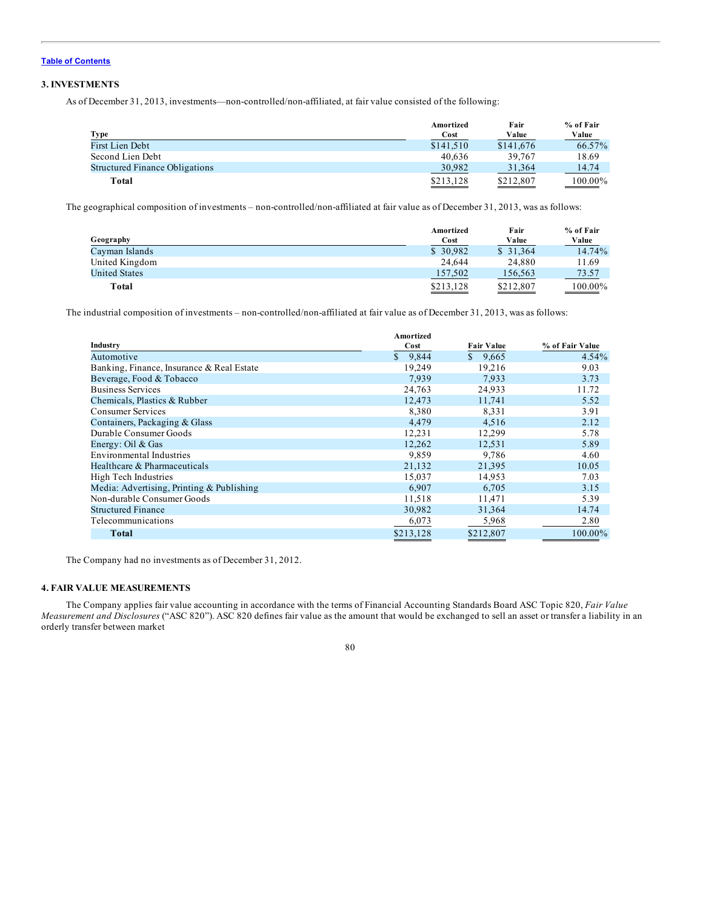# **3. INVESTMENTS**

As of December 31, 2013, investments—non-controlled/non-affiliated, at fair value consisted of the following:

|                                       | Amortized                             | Fair      | % of Fair |
|---------------------------------------|---------------------------------------|-----------|-----------|
| <b>Type</b>                           | Cost                                  | Value     | Value     |
| <b>First Lien Debt</b>                | \$141.510                             | \$141,676 | 66.57%    |
| Second Lien Debt                      | 40.636                                | 39.767    | 18.69     |
| <b>Structured Finance Obligations</b> | 30,982                                | 31.364    | 14.74     |
| Total                                 | \$213,128<br>$\overline{\phantom{a}}$ | \$212,807 | 100.00%   |

The geographical composition of investments – non-controlled/non-affiliated at fair value as of December 31, 2013, was as follows:

|                      | Amortized | Fair      | % of Fair |
|----------------------|-----------|-----------|-----------|
| Geography            | Cost      | Value     | Value     |
| Cayman Islands       | \$ 30,982 | \$31,364  | 14.74%    |
| United Kingdom       | 24.644    | 24,880    | 11.69     |
| <b>United States</b> | 157,502   | 156,563   | 73.57     |
| Total                | \$213,128 | \$212,807 | 100.00%   |

The industrial composition of investments – non-controlled/non-affiliated at fair value as of December 31, 2013, was as follows:

|                                           | Amortized |                       |                 |
|-------------------------------------------|-----------|-----------------------|-----------------|
| Industry                                  | Cost      | <b>Fair Value</b>     | % of Fair Value |
| Automotive                                | \$9,844   | 9.665<br>$\mathbf{S}$ | 4.54%           |
| Banking, Finance, Insurance & Real Estate | 19.249    | 19,216                | 9.03            |
| Beverage, Food & Tobacco                  | 7,939     | 7,933                 | 3.73            |
| <b>Business Services</b>                  | 24,763    | 24,933                | 11.72           |
| Chemicals, Plastics & Rubber              | 12,473    | 11,741                | 5.52            |
| Consumer Services                         | 8,380     | 8,331                 | 3.91            |
| Containers, Packaging & Glass             | 4,479     | 4,516                 | 2.12            |
| Durable Consumer Goods                    | 12,231    | 12,299                | 5.78            |
| Energy: Oil & Gas                         | 12,262    | 12,531                | 5.89            |
| <b>Environmental Industries</b>           | 9,859     | 9,786                 | 4.60            |
| Healthcare & Pharmaceuticals              | 21,132    | 21,395                | 10.05           |
| High Tech Industries                      | 15,037    | 14,953                | 7.03            |
| Media: Advertising, Printing & Publishing | 6,907     | 6,705                 | 3.15            |
| Non-durable Consumer Goods                | 11,518    | 11,471                | 5.39            |
| <b>Structured Finance</b>                 | 30,982    | 31,364                | 14.74           |
| Telecommunications                        | 6,073     | 5,968                 | 2.80            |
| Total                                     | \$213,128 | \$212,807             | 100.00%         |

The Company had no investments as of December 31, 2012.

## **4. FAIR VALUE MEASUREMENTS**

The Company applies fair value accounting in accordance with the terms of Financial Accounting Standards Board ASC Topic 820, *Fair Value Measurement and Disclosures* ("ASC 820"). ASC 820 defines fair value as the amount that would be exchanged to sell an asset or transfer a liability in an orderly transfer between market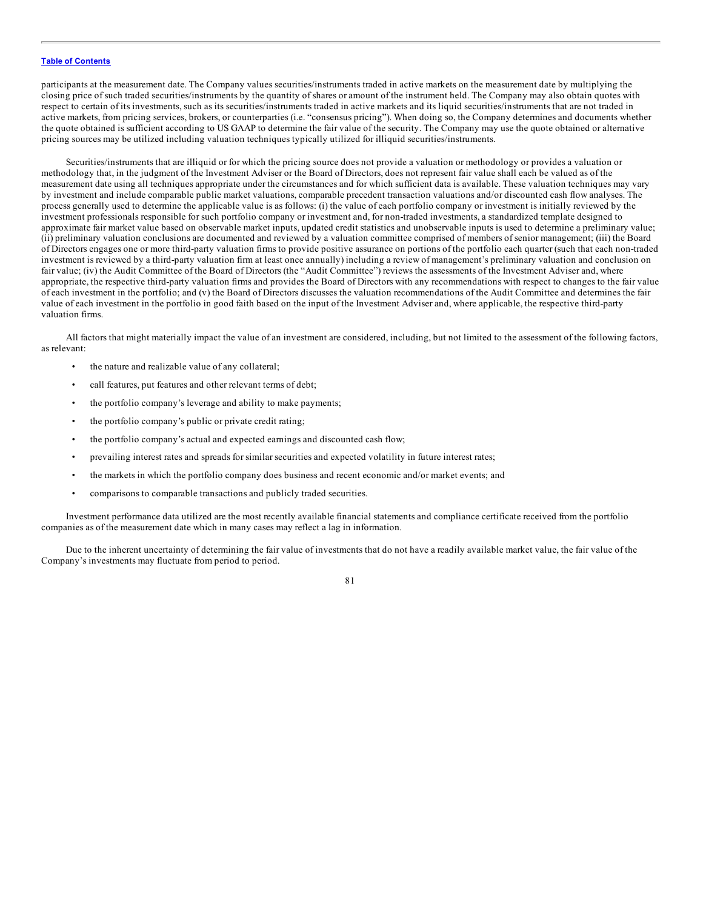participants at the measurement date. The Company values securities/instruments traded in active markets on the measurement date by multiplying the closing price of such traded securities/instruments by the quantity of shares or amount of the instrument held. The Company may also obtain quotes with respect to certain of its investments, such as its securities/instruments traded in active markets and its liquid securities/instruments that are not traded in active markets, from pricing services, brokers, or counterparties (i.e. "consensus pricing"). When doing so, the Company determines and documents whether the quote obtained is sufficient according to US GAAP to determine the fair value of the security. The Company may use the quote obtained or alternative pricing sources may be utilized including valuation techniques typically utilized for illiquid securities/instruments.

Securities/instruments that are illiquid or for which the pricing source does not provide a valuation or methodology or provides a valuation or methodology that, in the judgment of the Investment Adviser or the Board of Directors, does not represent fair value shall each be valued as of the measurement date using all techniques appropriate under the circumstances and for which sufficient data is available. These valuation techniques may vary by investment and include comparable public market valuations, comparable precedent transaction valuations and/or discounted cash flow analyses. The process generally used to determine the applicable value is as follows: (i) the value of each portfolio company or investment is initially reviewed by the investment professionals responsible for such portfolio company or investment and, for non-traded investments, a standardized template designed to approximate fair market value based on observable market inputs, updated credit statistics and unobservable inputs is used to determine a preliminary value; (ii) preliminary valuation conclusions are documented and reviewed by a valuation committee comprised of members of senior management; (iii) the Board of Directors engages one or more third-party valuation firms to provide positive assurance on portions of the portfolio each quarter (such that each non-traded investment is reviewed by a third-party valuation firm at least once annually) including a review of management's preliminary valuation and conclusion on fair value; (iv) the Audit Committee of the Board of Directors (the "Audit Committee") reviews the assessments of the Investment Adviser and, where appropriate, the respective third-party valuation firms and provides the Board of Directors with any recommendations with respect to changes to the fair value of each investment in the portfolio; and (v) the Board of Directors discusses the valuation recommendations of the Audit Committee and determines the fair value of each investment in the portfolio in good faith based on the input of the Investment Adviser and, where applicable, the respective third-party valuation firms.

All factors that might materially impact the value of an investment are considered, including, but not limited to the assessment of the following factors, as relevant:

- the nature and realizable value of any collateral;
- call features, put features and other relevant terms of debt;
- the portfolio company's leverage and ability to make payments;
- the portfolio company's public or private credit rating;
- the portfolio company's actual and expected earnings and discounted cash flow;
- prevailing interest rates and spreads for similar securities and expected volatility in future interest rates;
- the markets in which the portfolio company does business and recent economic and/or market events; and
- comparisons to comparable transactions and publicly traded securities.

Investment performance data utilized are the most recently available financial statements and compliance certificate received from the portfolio companies as of the measurement date which in many cases may reflect a lag in information.

Due to the inherent uncertainty of determining the fair value of investments that do not have a readily available market value, the fair value of the Company's investments may fluctuate from period to period.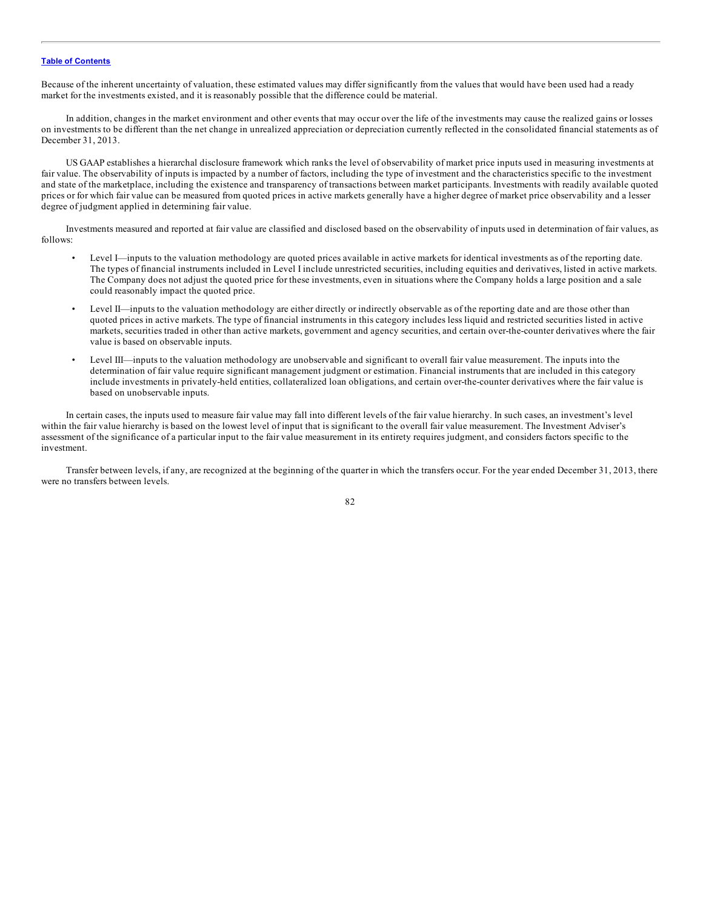Because of the inherent uncertainty of valuation, these estimated values may differ significantly from the values that would have been used had a ready market for the investments existed, and it is reasonably possible that the difference could be material.

In addition, changes in the market environment and other events that may occur over the life of the investments may cause the realized gains or losses on investments to be different than the net change in unrealized appreciation or depreciation currently reflected in the consolidated financial statements as of December 31, 2013.

US GAAP establishes a hierarchal disclosure framework which ranks the level of observability of market price inputs used in measuring investments at fair value. The observability of inputs is impacted by a number of factors, including the type of investment and the characteristics specific to the investment and state of the marketplace, including the existence and transparency of transactions between market participants. Investments with readily available quoted prices or for which fair value can be measured from quoted prices in active markets generally have a higher degree of market price observability and a lesser degree of judgment applied in determining fair value.

Investments measured and reported at fair value are classified and disclosed based on the observability of inputs used in determination of fair values, as follows:

- Level I—inputs to the valuation methodology are quoted prices available in active markets for identical investments as of the reporting date. The types of financial instruments included in Level I include unrestricted securities, including equities and derivatives, listed in active markets. The Company does not adjust the quoted price for these investments, even in situations where the Company holds a large position and a sale could reasonably impact the quoted price.
- Level II—inputs to the valuation methodology are either directly or indirectly observable as of the reporting date and are those other than quoted prices in active markets. The type of financial instruments in this category includes less liquid and restricted securities listed in active markets, securities traded in other than active markets, government and agency securities, and certain over-the-counter derivatives where the fair value is based on observable inputs.
- Level III—inputs to the valuation methodology are unobservable and significant to overall fair value measurement. The inputs into the determination of fair value require significant management judgment or estimation. Financial instruments that are included in this category include investments in privately-held entities, collateralized loan obligations, and certain over-the-counter derivatives where the fair value is based on unobservable inputs.

In certain cases, the inputs used to measure fair value may fall into different levels of the fair value hierarchy. In such cases, an investment's level within the fair value hierarchy is based on the lowest level of input that is significant to the overall fair value measurement. The Investment Adviser's assessment of the significance of a particular input to the fair value measurement in its entirety requires judgment, and considers factors specific to the investment.

Transfer between levels, if any, are recognized at the beginning of the quarter in which the transfers occur. For the year ended December 31, 2013, there were no transfers between levels.

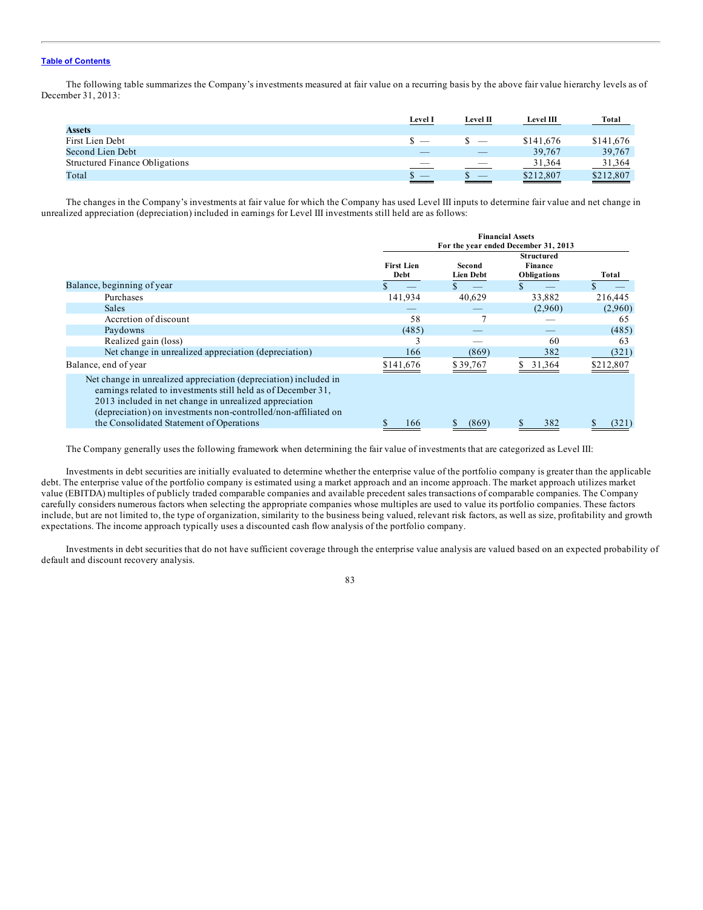The following table summarizes the Company's investments measured at fair value on a recurring basis by the above fair value hierarchy levels as of December 31, 2013:

|                                       | Level I | Level II                    | Level III | <b>Total</b>                                    |
|---------------------------------------|---------|-----------------------------|-----------|-------------------------------------------------|
| <b>Assets</b>                         |         |                             |           |                                                 |
| First Lien Debt                       | $s =$   | $\frac{1}{2}$               | \$141,676 | \$141,676                                       |
| Second Lien Debt                      |         |                             | 39,767    | 39,767                                          |
| <b>Structured Finance Obligations</b> |         | $\overbrace{\hspace{15em}}$ | 31,364    | 31,364                                          |
| Total                                 | $s =$   |                             | \$212,807 | \$212,807<br>$\sim$ $\sim$ $\sim$ $\sim$ $\sim$ |

The changes in the Company's investments at fair value for which the Company has used Level III inputs to determine fair value and net change in unrealized appreciation (depreciation) included in earnings for Level III investments still held are as follows:

|                                                                                                                                                                                                                                                                                                           | <b>Financial Assets</b><br>For the year ended December 31, 2013 |                            |                                             |           |  |
|-----------------------------------------------------------------------------------------------------------------------------------------------------------------------------------------------------------------------------------------------------------------------------------------------------------|-----------------------------------------------------------------|----------------------------|---------------------------------------------|-----------|--|
|                                                                                                                                                                                                                                                                                                           | <b>First Lien</b><br>Debt                                       | Second<br><b>Lien Debt</b> | <b>Structured</b><br>Finance<br>Obligations | Total     |  |
| Balance, beginning of year                                                                                                                                                                                                                                                                                |                                                                 |                            |                                             |           |  |
| Purchases                                                                                                                                                                                                                                                                                                 | 141,934                                                         | 40,629                     | 33,882                                      | 216,445   |  |
| <b>Sales</b>                                                                                                                                                                                                                                                                                              |                                                                 |                            | (2,960)                                     | (2,960)   |  |
| Accretion of discount                                                                                                                                                                                                                                                                                     | 58                                                              |                            |                                             | 65        |  |
| Paydowns                                                                                                                                                                                                                                                                                                  | (485)                                                           |                            |                                             | (485)     |  |
| Realized gain (loss)                                                                                                                                                                                                                                                                                      |                                                                 |                            | 60                                          | 63        |  |
| Net change in unrealized appreciation (depreciation)                                                                                                                                                                                                                                                      | 166                                                             | (869)                      | 382                                         | (321)     |  |
| Balance, end of year                                                                                                                                                                                                                                                                                      | \$141,676                                                       | \$39,767                   | 31,364                                      | \$212,807 |  |
| Net change in unrealized appreciation (depreciation) included in<br>earnings related to investments still held as of December 31,<br>2013 included in net change in unrealized appreciation<br>(depreciation) on investments non-controlled/non-affiliated on<br>the Consolidated Statement of Operations | 166                                                             | (869)                      | 382                                         | (321)     |  |

The Company generally uses the following framework when determining the fair value of investments that are categorized as Level III:

Investments in debt securities are initially evaluated to determine whether the enterprise value of the portfolio company is greater than the applicable debt. The enterprise value of the portfolio company is estimated using a market approach and an income approach. The market approach utilizes market value (EBITDA) multiples of publicly traded comparable companies and available precedent sales transactions of comparable companies. The Company carefully considers numerous factors when selecting the appropriate companies whose multiples are used to value its portfolio companies. These factors include, but are not limited to, the type of organization, similarity to the business being valued, relevant risk factors, as well as size, profitability and growth expectations. The income approach typically uses a discounted cash flow analysis of the portfolio company.

Investments in debt securities that do not have sufficient coverage through the enterprise value analysis are valued based on an expected probability of default and discount recovery analysis.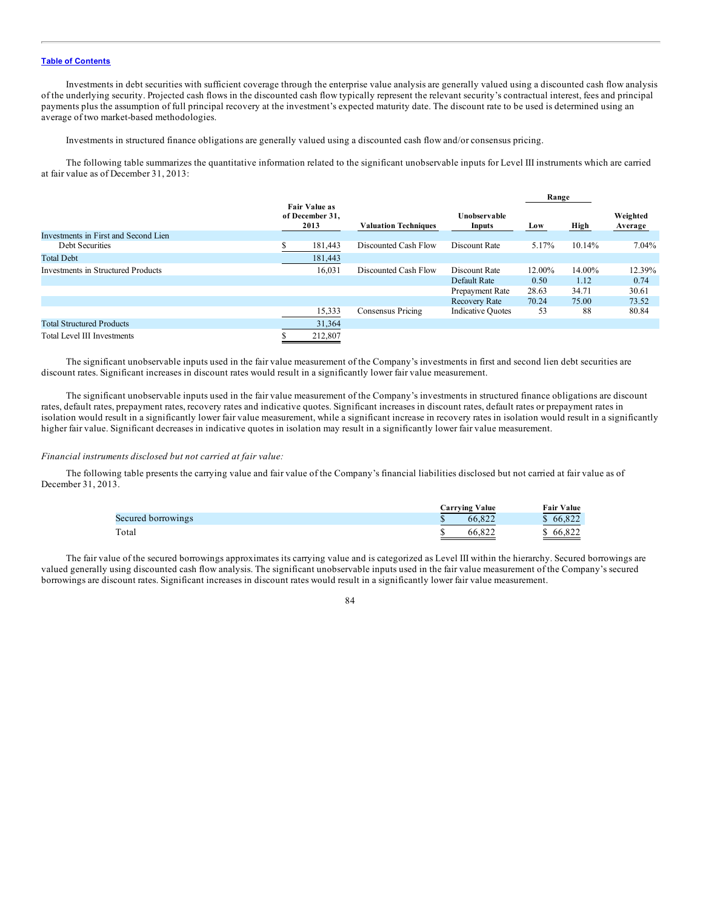Investments in debt securities with sufficient coverage through the enterprise value analysis are generally valued using a discounted cash flow analysis of the underlying security. Projected cash flows in the discounted cash flow typically represent the relevant security's contractual interest, fees and principal payments plus the assumption of full principal recovery at the investment's expected maturity date. The discount rate to be used is determined using an average of two market-based methodologies.

Investments in structured finance obligations are generally valued using a discounted cash flow and/or consensus pricing.

The following table summarizes the quantitative information related to the significant unobservable inputs for Level III instruments which are carried at fair value as of December 31, 2013:

|                                      |                                                 |                             |                               | Range  |        |                     |  |
|--------------------------------------|-------------------------------------------------|-----------------------------|-------------------------------|--------|--------|---------------------|--|
|                                      | <b>Fair Value as</b><br>of December 31.<br>2013 | <b>Valuation Techniques</b> | <b>Unobservable</b><br>Inputs | Low    | High   | Weighted<br>Average |  |
| Investments in First and Second Lien |                                                 |                             |                               |        |        |                     |  |
| <b>Debt Securities</b>               | 181,443                                         | Discounted Cash Flow        | Discount Rate                 | 5.17%  | 10.14% | 7.04%               |  |
| <b>Total Debt</b>                    | 181,443                                         |                             |                               |        |        |                     |  |
| Investments in Structured Products   | 16,031                                          | Discounted Cash Flow        | Discount Rate                 | 12.00% | 14.00% | 12.39%              |  |
|                                      |                                                 |                             | Default Rate                  | 0.50   | 1.12   | 0.74                |  |
|                                      |                                                 |                             | Prepayment Rate               | 28.63  | 34.71  | 30.61               |  |
|                                      |                                                 |                             | <b>Recovery Rate</b>          | 70.24  | 75.00  | 73.52               |  |
|                                      | 15,333                                          | Consensus Pricing           | <b>Indicative Quotes</b>      | 53     | 88     | 80.84               |  |
| <b>Total Structured Products</b>     | 31,364                                          |                             |                               |        |        |                     |  |
| <b>Total Level III Investments</b>   | 212,807                                         |                             |                               |        |        |                     |  |

The significant unobservable inputs used in the fair value measurement of the Company's investments in first and second lien debt securities are discount rates. Significant increases in discount rates would result in a significantly lower fair value measurement.

The significant unobservable inputs used in the fair value measurement of the Company's investments in structured finance obligations are discount rates, default rates, prepayment rates, recovery rates and indicative quotes. Significant increases in discount rates, default rates or prepayment rates in isolation would result in a significantly lower fair value measurement, while a significant increase in recovery rates in isolation would result in a significantly higher fair value. Significant decreases in indicative quotes in isolation may result in a significantly lower fair value measurement.

### *Financial instruments disclosed but not carried at fair value:*

The following table presents the carrying value and fair value of the Company's financial liabilities disclosed but not carried at fair value as of December 31, 2013.

|                    | <b>Carrying Value</b> | <b>Fair Value</b> |
|--------------------|-----------------------|-------------------|
| Secured borrowings | 66,822                | \$66.822          |
| Total              | 66.822                | \$66.822          |

The fair value of the secured borrowings approximates its carrying value and is categorized as Level III within the hierarchy. Secured borrowings are valued generally using discounted cash flow analysis. The significant unobservable inputs used in the fair value measurement of the Company's secured borrowings are discount rates. Significant increases in discount rates would result in a significantly lower fair value measurement.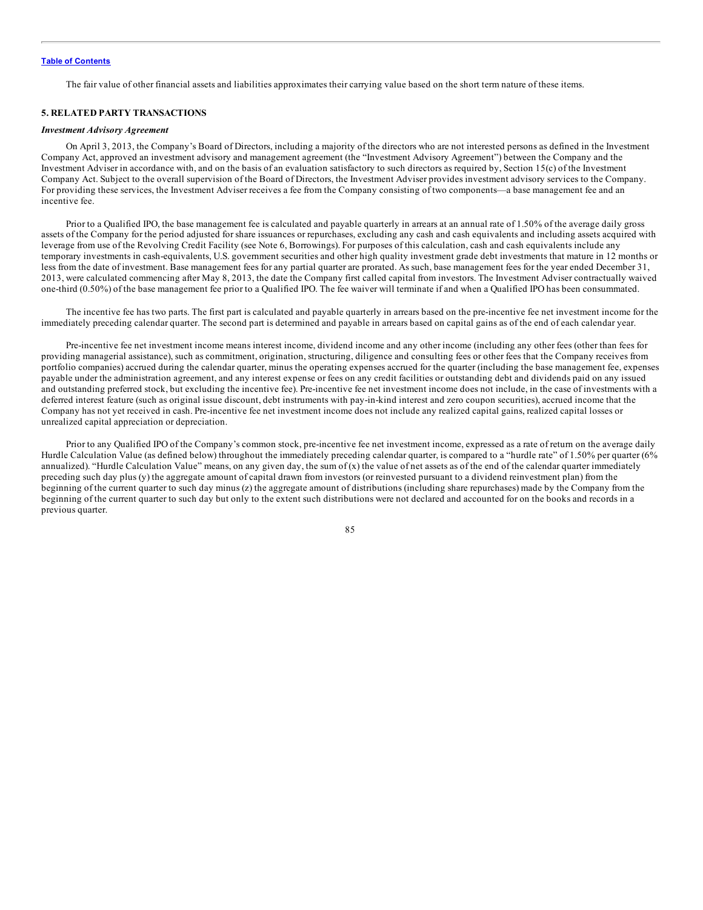The fair value of other financial assets and liabilities approximates their carrying value based on the short term nature of these items.

## **5. RELATED PARTY TRANSACTIONS**

#### *Investment Advisory Agreement*

On April 3, 2013, the Company's Board of Directors, including a majority of the directors who are not interested persons as defined in the Investment Company Act, approved an investment advisory and management agreement (the "Investment Advisory Agreement") between the Company and the Investment Adviser in accordance with, and on the basis of an evaluation satisfactory to such directors as required by, Section 15(c) of the Investment Company Act. Subject to the overall supervision of the Board of Directors, the Investment Adviser provides investment advisory services to the Company. For providing these services, the Investment Adviser receives a fee from the Company consisting of two components—a base management fee and an incentive fee.

Prior to a Qualified IPO, the base management fee is calculated and payable quarterly in arrears at an annual rate of 1.50% of the average daily gross assets of the Company for the period adjusted for share issuances or repurchases, excluding any cash and cash equivalents and including assets acquired with leverage from use of the Revolving Credit Facility (see Note 6, Borrowings). For purposes of this calculation, cash and cash equivalents include any temporary investments in cash-equivalents, U.S. government securities and other high quality investment grade debt investments that mature in 12 months or less from the date of investment. Base management fees for any partial quarter are prorated. As such, base management fees for the year ended December 31, 2013, were calculated commencing after May 8, 2013, the date the Company first called capital from investors. The Investment Adviser contractually waived one-third (0.50%) of the base management fee prior to a Qualified IPO. The fee waiver will terminate if and when a Qualified IPO has been consummated.

The incentive fee has two parts. The first part is calculated and payable quarterly in arrears based on the pre-incentive fee net investment income for the immediately preceding calendar quarter. The second part is determined and payable in arrears based on capital gains as of the end of each calendar year.

Pre-incentive fee net investment income means interest income, dividend income and any other income (including any other fees (other than fees for providing managerial assistance), such as commitment, origination, structuring, diligence and consulting fees or other fees that the Company receives from portfolio companies) accrued during the calendar quarter, minus the operating expenses accrued for the quarter (including the base management fee, expenses payable under the administration agreement, and any interest expense or fees on any credit facilities or outstanding debt and dividends paid on any issued and outstanding preferred stock, but excluding the incentive fee). Pre-incentive fee net investment income does not include, in the case of investments with a deferred interest feature (such as original issue discount, debt instruments with pay-in-kind interest and zero coupon securities), accrued income that the Company has not yet received in cash. Pre-incentive fee net investment income does not include any realized capital gains, realized capital losses or unrealized capital appreciation or depreciation.

Prior to any Qualified IPO of the Company's common stock, pre-incentive fee net investment income, expressed as a rate of return on the average daily Hurdle Calculation Value (as defined below) throughout the immediately preceding calendar quarter, is compared to a "hurdle rate" of 1.50% per quarter (6% annualized). "Hurdle Calculation Value" means, on any given day, the sum of  $(x)$  the value of net assets as of the end of the calendar quarter immediately preceding such day plus (y) the aggregate amount of capital drawn from investors (or reinvested pursuant to a dividend reinvestment plan) from the beginning of the current quarter to such day minus (z) the aggregate amount of distributions (including share repurchases) made by the Company from the beginning of the current quarter to such day but only to the extent such distributions were not declared and accounted for on the books and records in a previous quarter.

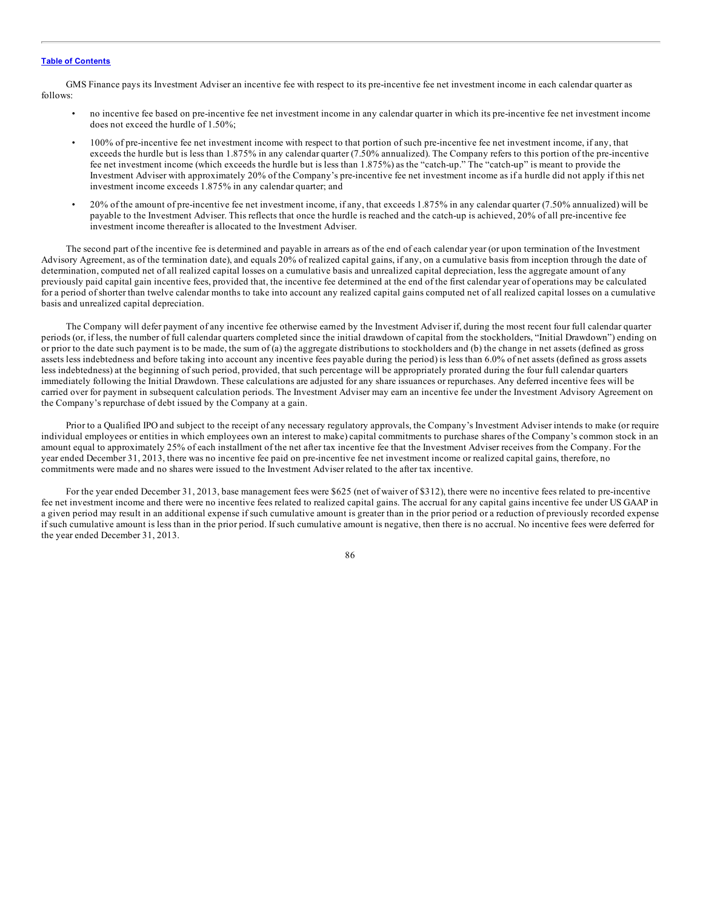GMS Finance pays its Investment Adviser an incentive fee with respect to its pre-incentive fee net investment income in each calendar quarter as follows:

- no incentive fee based on pre-incentive fee net investment income in any calendar quarter in which its pre-incentive fee net investment income does not exceed the hurdle of 1.50%;
- 100% of pre-incentive fee net investment income with respect to that portion of such pre-incentive fee net investment income, if any, that exceeds the hurdle but is less than 1.875% in any calendar quarter (7.50% annualized). The Company refers to this portion of the pre-incentive fee net investment income (which exceeds the hurdle but is less than 1.875%) as the "catch-up." The "catch-up" is meant to provide the Investment Adviser with approximately 20% of the Company's pre-incentive fee net investment income as if a hurdle did not apply if this net investment income exceeds 1.875% in any calendar quarter; and
- 20% of the amount of pre-incentive fee net investment income, if any, that exceeds 1.875% in any calendar quarter (7.50% annualized) will be payable to the Investment Adviser. This reflects that once the hurdle is reached and the catch-up is achieved, 20% of all pre-incentive fee investment income thereafter is allocated to the Investment Adviser.

The second part of the incentive fee is determined and payable in arrears as of the end of each calendar year (or upon termination of the Investment Advisory Agreement, as of the termination date), and equals 20% of realized capital gains, if any, on a cumulative basis from inception through the date of determination, computed net of all realized capital losses on a cumulative basis and unrealized capital depreciation, less the aggregate amount of any previously paid capital gain incentive fees, provided that, the incentive fee determined at the end of the first calendar year of operations may be calculated for a period of shorter than twelve calendar months to take into account any realized capital gains computed net of all realized capital losses on a cumulative basis and unrealized capital depreciation.

The Company will defer payment of any incentive fee otherwise earned by the Investment Adviser if, during the most recent four full calendar quarter periods (or, if less, the number of full calendar quarters completed since the initial drawdown of capital from the stockholders, "Initial Drawdown") ending on or prior to the date such payment is to be made, the sum of (a) the aggregate distributions to stockholders and (b) the change in net assets (defined as gross assets less indebtedness and before taking into account any incentive fees payable during the period) is less than 6.0% of net assets (defined as gross assets less indebtedness) at the beginning of such period, provided, that such percentage will be appropriately prorated during the four full calendar quarters immediately following the Initial Drawdown. These calculations are adjusted for any share issuances or repurchases. Any deferred incentive fees will be carried over for payment in subsequent calculation periods. The Investment Adviser may earn an incentive fee under the Investment Advisory Agreement on the Company's repurchase of debt issued by the Company at a gain.

Prior to a Qualified IPO and subject to the receipt of any necessary regulatory approvals, the Company's Investment Adviser intends to make (or require individual employees or entities in which employees own an interest to make) capital commitments to purchase shares of the Company's common stock in an amount equal to approximately 25% of each installment of the net after tax incentive fee that the Investment Adviser receives from the Company. For the year ended December 31, 2013, there was no incentive fee paid on pre-incentive fee net investment income or realized capital gains, therefore, no commitments were made and no shares were issued to the Investment Adviser related to the after tax incentive.

For the year ended December 31, 2013, base management fees were \$625 (net of waiver of \$312), there were no incentive fees related to pre-incentive fee net investment income and there were no incentive fees related to realized capital gains. The accrual for any capital gains incentive fee under US GAAP in a given period may result in an additional expense if such cumulative amount is greater than in the prior period or a reduction of previously recorded expense if such cumulative amount is less than in the prior period. If such cumulative amount is negative, then there is no accrual. No incentive fees were deferred for the year ended December 31, 2013.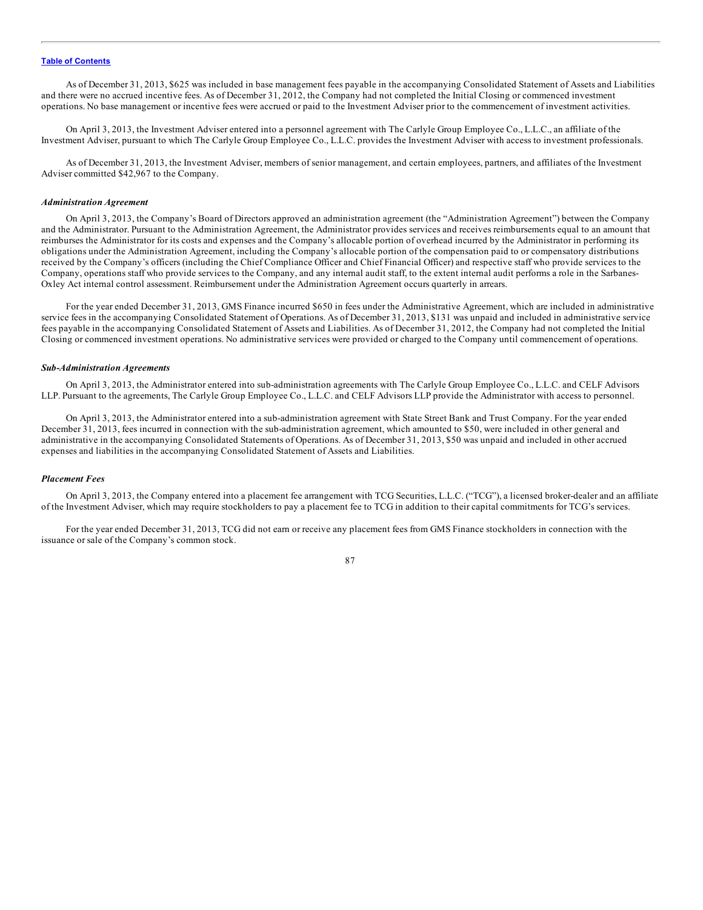As of December 31, 2013, \$625 was included in base management fees payable in the accompanying Consolidated Statement of Assets and Liabilities and there were no accrued incentive fees. As of December 31, 2012, the Company had not completed the Initial Closing or commenced investment operations. No base management or incentive fees were accrued or paid to the Investment Adviser prior to the commencement of investment activities.

On April 3, 2013, the Investment Adviser entered into a personnel agreement with The Carlyle Group Employee Co., L.L.C., an affiliate of the Investment Adviser, pursuant to which The Carlyle Group Employee Co., L.L.C. provides the Investment Adviser with access to investment professionals.

As of December 31, 2013, the Investment Adviser, members of senior management, and certain employees, partners, and affiliates of the Investment Adviser committed \$42,967 to the Company.

#### *Administration Agreement*

On April 3, 2013, the Company's Board of Directors approved an administration agreement (the "Administration Agreement") between the Company and the Administrator. Pursuant to the Administration Agreement, the Administrator provides services and receives reimbursements equal to an amount that reimburses the Administrator for its costs and expenses and the Company's allocable portion of overhead incurred by the Administrator in performing its obligations under the Administration Agreement, including the Company's allocable portion of the compensation paid to or compensatory distributions received by the Company's officers (including the Chief Compliance Officer and Chief Financial Officer) and respective staff who provide services to the Company, operations staff who provide services to the Company, and any internal audit staff, to the extent internal audit performs a role in the Sarbanes-Oxley Act internal control assessment. Reimbursement under the Administration Agreement occurs quarterly in arrears.

For the year ended December 31, 2013, GMS Finance incurred \$650 in fees under the Administrative Agreement, which are included in administrative service fees in the accompanying Consolidated Statement of Operations. As of December 31, 2013, \$131 was unpaid and included in administrative service fees payable in the accompanying Consolidated Statement of Assets and Liabilities. As of December 31, 2012, the Company had not completed the Initial Closing or commenced investment operations. No administrative services were provided or charged to the Company until commencement of operations.

#### *Sub-Administration Agreements*

On April 3, 2013, the Administrator entered into sub-administration agreements with The Carlyle Group Employee Co., L.L.C. and CELF Advisors LLP. Pursuant to the agreements, The Carlyle Group Employee Co., L.L.C. and CELF Advisors LLP provide the Administrator with access to personnel.

On April 3, 2013, the Administrator entered into a sub-administration agreement with State Street Bank and Trust Company. For the year ended December 31, 2013, fees incurred in connection with the sub-administration agreement, which amounted to \$50, were included in other general and administrative in the accompanying Consolidated Statements of Operations. As of December 31, 2013, \$50 was unpaid and included in other accrued expenses and liabilities in the accompanying Consolidated Statement of Assets and Liabilities.

#### *Placement Fees*

On April 3, 2013, the Company entered into a placement fee arrangement with TCG Securities, L.L.C. ("TCG"), a licensed broker-dealer and an affiliate of the Investment Adviser, which may require stockholders to pay a placement fee to TCG in addition to their capital commitments for TCG's services.

For the year ended December 31, 2013, TCG did not earn or receive any placement fees from GMS Finance stockholders in connection with the issuance or sale of the Company's common stock.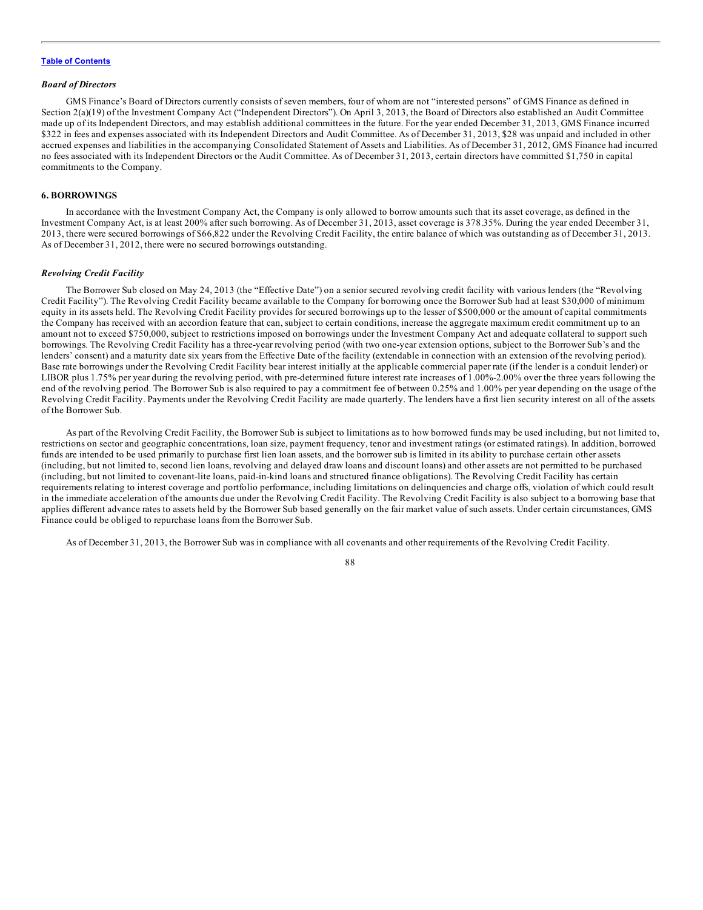#### *Board of Directors*

GMS Finance's Board of Directors currently consists of seven members, four of whom are not "interested persons" of GMS Finance as defined in Section 2(a)(19) of the Investment Company Act ("Independent Directors"). On April 3, 2013, the Board of Directors also established an Audit Committee made up of its Independent Directors, and may establish additional committees in the future. For the year ended December 31, 2013, GMS Finance incurred \$322 in fees and expenses associated with its Independent Directors and Audit Committee. As of December 31, 2013, \$28 was unpaid and included in other accrued expenses and liabilities in the accompanying Consolidated Statement of Assets and Liabilities. As of December 31, 2012, GMS Finance had incurred no fees associated with its Independent Directors or the Audit Committee. As of December 31, 2013, certain directors have committed \$1,750 in capital commitments to the Company.

## **6. BORROWINGS**

In accordance with the Investment Company Act, the Company is only allowed to borrow amounts such that its asset coverage, as defined in the Investment Company Act, is at least 200% after such borrowing. As of December 31, 2013, asset coverage is 378.35%. During the year ended December 31, 2013, there were secured borrowings of \$66,822 under the Revolving Credit Facility, the entire balance of which was outstanding as of December 31, 2013. As of December 31, 2012, there were no secured borrowings outstanding.

### *Revolving Credit Facility*

The Borrower Sub closed on May 24, 2013 (the "Effective Date") on a senior secured revolving credit facility with various lenders (the "Revolving Credit Facility"). The Revolving Credit Facility became available to the Company for borrowing once the Borrower Sub had at least \$30,000 of minimum equity in its assets held. The Revolving Credit Facility provides for secured borrowings up to the lesser of \$500,000 or the amount of capital commitments the Company has received with an accordion feature that can, subject to certain conditions, increase the aggregate maximum credit commitment up to an amount not to exceed \$750,000, subject to restrictions imposed on borrowings under the Investment Company Act and adequate collateral to support such borrowings. The Revolving Credit Facility has a three-year revolving period (with two one-year extension options, subject to the Borrower Sub's and the lenders' consent) and a maturity date six years from the Effective Date of the facility (extendable in connection with an extension of the revolving period). Base rate borrowings under the Revolving Credit Facility bear interest initially at the applicable commercial paper rate (if the lender is a conduit lender) or LIBOR plus 1.75% per year during the revolving period, with pre-determined future interest rate increases of 1.00%-2.00% over the three years following the end of the revolving period. The Borrower Sub is also required to pay a commitment fee of between 0.25% and 1.00% per year depending on the usage of the Revolving Credit Facility. Payments under the Revolving Credit Facility are made quarterly. The lenders have a first lien security interest on all of the assets of the Borrower Sub.

As part of the Revolving Credit Facility, the Borrower Sub is subject to limitations as to how borrowed funds may be used including, but not limited to, restrictions on sector and geographic concentrations, loan size, payment frequency, tenor and investment ratings (or estimated ratings). In addition, borrowed funds are intended to be used primarily to purchase first lien loan assets, and the borrower sub is limited in its ability to purchase certain other assets (including, but not limited to, second lien loans, revolving and delayed draw loans and discount loans) and other assets are not permitted to be purchased (including, but not limited to covenant-lite loans, paid-in-kind loans and structured finance obligations). The Revolving Credit Facility has certain requirements relating to interest coverage and portfolio performance, including limitations on delinquencies and charge offs, violation of which could result in the immediate acceleration of the amounts due under the Revolving Credit Facility. The Revolving Credit Facility is also subject to a borrowing base that applies different advance rates to assets held by the Borrower Sub based generally on the fair market value of such assets. Under certain circumstances, GMS Finance could be obliged to repurchase loans from the Borrower Sub.

As of December 31, 2013, the Borrower Sub was in compliance with all covenants and other requirements of the Revolving Credit Facility.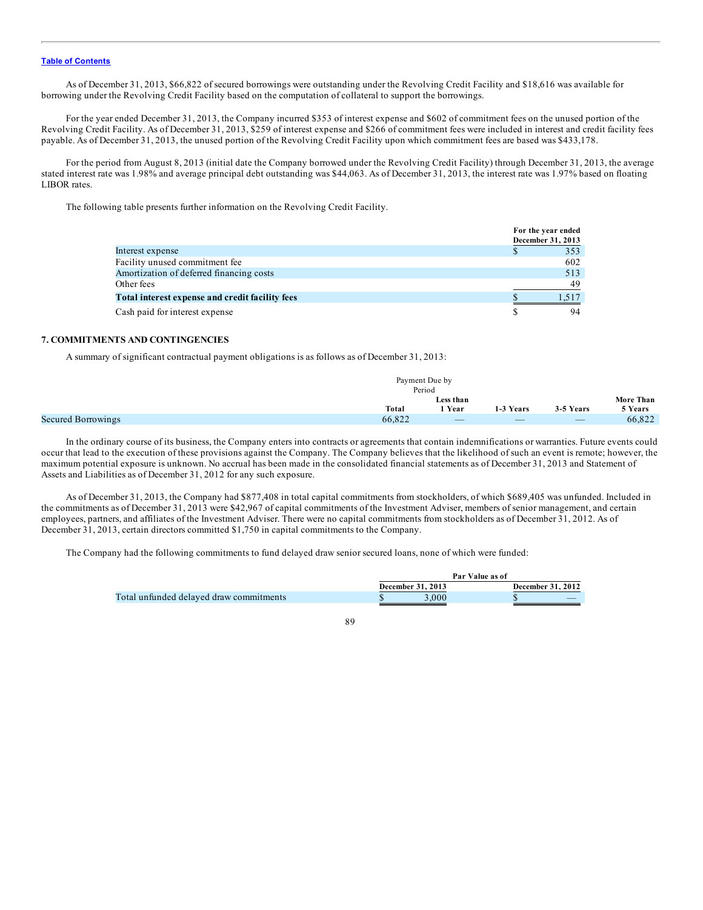As of December 31, 2013, \$66,822 of secured borrowings were outstanding under the Revolving Credit Facility and \$18,616 was available for borrowing under the Revolving Credit Facility based on the computation of collateral to support the borrowings.

For the year ended December 31, 2013, the Company incurred \$353 of interest expense and \$602 of commitment fees on the unused portion of the Revolving Credit Facility. As of December 31, 2013, \$259 of interest expense and \$266 of commitment fees were included in interest and credit facility fees payable. As of December 31, 2013, the unused portion of the Revolving Credit Facility upon which commitment fees are based was \$433,178.

For the period from August 8, 2013 (initial date the Company borrowed under the Revolving Credit Facility) through December 31, 2013, the average stated interest rate was 1.98% and average principal debt outstanding was \$44,063. As of December 31, 2013, the interest rate was 1.97% based on floating LIBOR rates.

The following table presents further information on the Revolving Credit Facility.

|                                                 | For the year ended<br>December 31, 2013 |
|-------------------------------------------------|-----------------------------------------|
| Interest expense                                | 353                                     |
| Facility unused commitment fee                  | 602                                     |
| Amortization of deferred financing costs        | 513                                     |
| Other fees                                      | 49                                      |
| Total interest expense and credit facility fees | 1.517                                   |
| Cash paid for interest expense                  | 94                                      |

## **7. COMMITMENTS AND CONTINGENCIES**

A summary of significant contractual payment obligations is as follows as of December 31, 2013:

|                    |        | Payment Due by<br>Period |           |                          |         |
|--------------------|--------|--------------------------|-----------|--------------------------|---------|
|                    |        | Less than                |           |                          |         |
|                    | Total  | l Year                   | 1-3 Years | 3-5 Years                | 5 Years |
| Secured Borrowings | 66,822 | $\overline{\phantom{m}}$ |           | $\overline{\phantom{m}}$ | 66,822  |

In the ordinary course of its business, the Company enters into contracts or agreements that contain indemnifications or warranties. Future events could occur that lead to the execution of these provisions against the Company. The Company believes that the likelihood of such an event is remote; however, the maximum potential exposure is unknown. No accrual has been made in the consolidated financial statements as of December 31, 2013 and Statement of Assets and Liabilities as of December 31, 2012 for any such exposure.

As of December 31, 2013, the Company had \$877,408 in total capital commitments from stockholders, of which \$689,405 was unfunded. Included in the commitments as of December 31, 2013 were \$42,967 of capital commitments of the Investment Adviser, members of senior management, and certain employees, partners, and affiliates of the Investment Adviser. There were no capital commitments from stockholders as of December 31, 2012. As of December 31, 2013, certain directors committed \$1,750 in capital commitments to the Company.

The Company had the following commitments to fund delayed draw senior secured loans, none of which were funded:

|                                         | Par Value as of   |                   |
|-----------------------------------------|-------------------|-------------------|
|                                         | December 31, 2013 | December 31, 2012 |
| Total unfunded delayed draw commitments | 000.              |                   |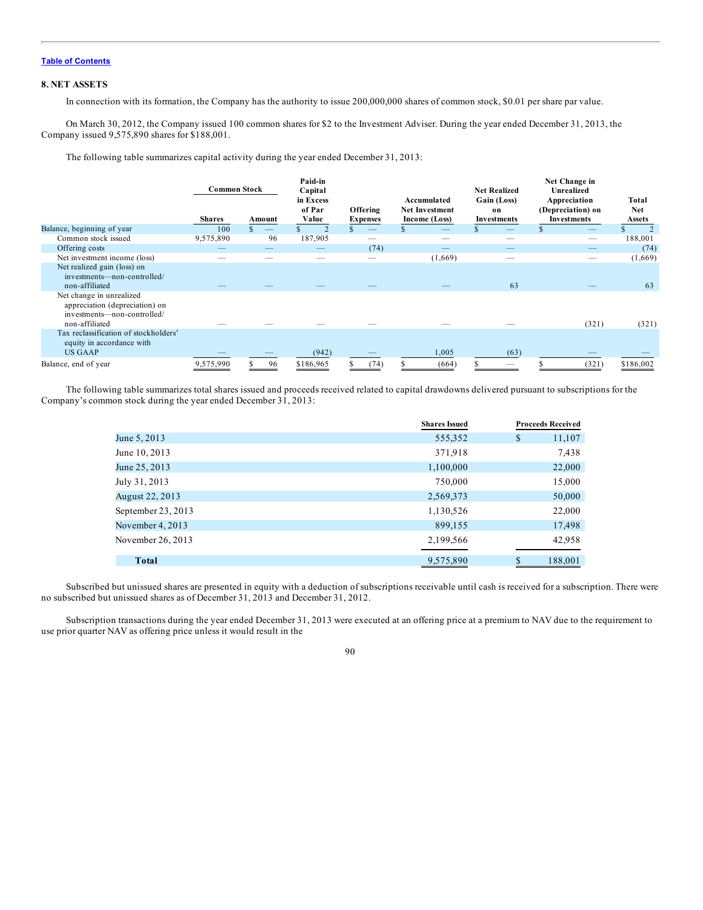### **8. NET ASSETS**

In connection with its formation, the Company has the authority to issue 200,000,000 shares of common stock, \$0.01 per share par value.

On March 30, 2012, the Company issued 100 common shares for \$2 to the Investment Adviser. During the year ended December 31, 2013, the Company issued 9,575,890 shares for \$188,001.

The following table summarizes capital activity during the year ended December 31, 2013:

|                                                                                                             | <b>Common Stock</b> |                   | Paid-in<br>Capital<br>in Excess<br>of Par | Offering                 | Accumulated<br><b>Net Investment</b> | <b>Net Realized</b><br>Gain (Loss)<br>on | Net Change in<br>Unrealized<br>Appreciation<br>(Depreciation) on | Total<br><b>Net</b> |
|-------------------------------------------------------------------------------------------------------------|---------------------|-------------------|-------------------------------------------|--------------------------|--------------------------------------|------------------------------------------|------------------------------------------------------------------|---------------------|
|                                                                                                             | <b>Shares</b>       | Amount            | Value                                     | <b>Expenses</b>          | Income (Loss)                        | Investments                              | Investments                                                      | Assets              |
| Balance, beginning of year                                                                                  | 100                 | $\qquad \qquad -$ |                                           | $\overline{\phantom{m}}$ |                                      |                                          |                                                                  |                     |
| Common stock issued                                                                                         | 9,575,890           | 96                | 187,905                                   | $-$                      |                                      |                                          |                                                                  | 188,001             |
| Offering costs                                                                                              |                     |                   |                                           | (74)                     |                                      |                                          |                                                                  | (74)                |
| Net investment income (loss)                                                                                |                     |                   |                                           |                          | (1,669)                              |                                          |                                                                  | (1,669)             |
| Net realized gain (loss) on<br>investments-non-controlled/<br>non-affiliated                                |                     |                   |                                           |                          |                                      | 63                                       |                                                                  | 63                  |
| Net change in unrealized<br>appreciation (depreciation) on<br>investments-non-controlled/<br>non-affiliated |                     |                   |                                           |                          |                                      |                                          | (321)                                                            | (321)               |
| Tax reclassification of stockholders'<br>equity in accordance with<br><b>US GAAP</b>                        |                     |                   | (942)                                     |                          | 1,005                                | (63)                                     |                                                                  |                     |
| Balance, end of year                                                                                        | 9,575,990           | 96                | \$186,965                                 | (74)                     | (664)                                |                                          | (321)                                                            | \$186,002           |

The following table summarizes total shares issued and proceeds received related to capital drawdowns delivered pursuant to subscriptions for the Company's common stock during the year ended December 31, 2013:

|                    | <b>Shares Issued</b> | <b>Proceeds Received</b> |
|--------------------|----------------------|--------------------------|
| June 5, 2013       | 555,352              | 11,107<br>\$             |
| June 10, 2013      | 371,918              | 7,438                    |
| June 25, 2013      | 1,100,000            | 22,000                   |
| July 31, 2013      | 750,000              | 15,000                   |
| August 22, 2013    | 2,569,373            | 50,000                   |
| September 23, 2013 | 1,130,526            | 22,000                   |
| November 4, 2013   | 899,155              | 17,498                   |
| November 26, 2013  | 2,199,566            | 42,958                   |
| Total              | 9,575,890            | 188,001<br>\$            |

Subscribed but unissued shares are presented in equity with a deduction of subscriptions receivable until cash is received for a subscription. There were no subscribed but unissued shares as of December 31, 2013 and December 31, 2012.

Subscription transactions during the year ended December 31, 2013 were executed at an offering price at a premium to NAV due to the requirement to use prior quarter NAV as offering price unless it would result in the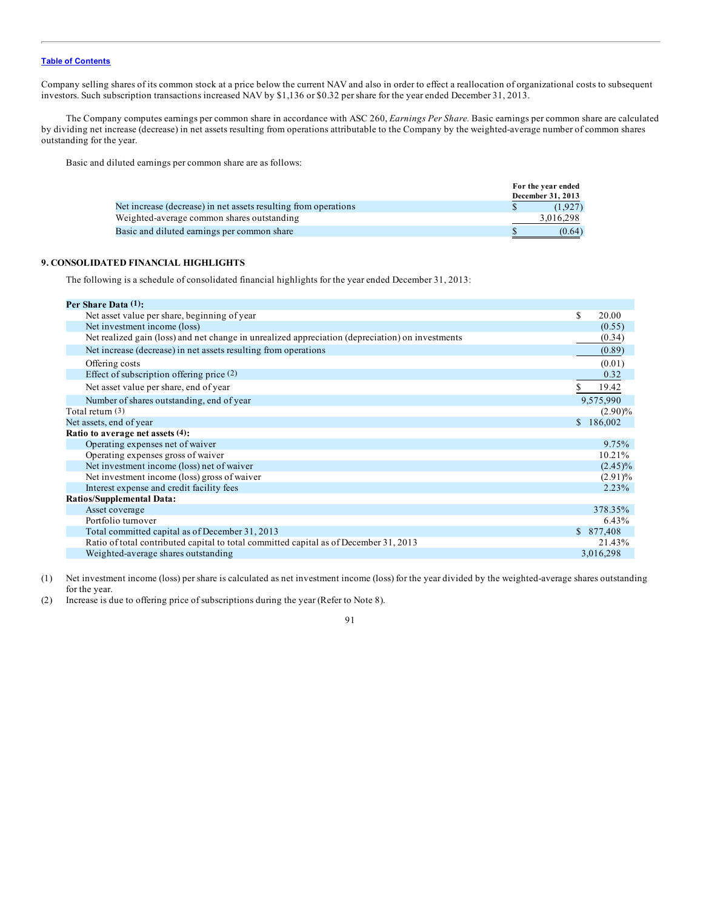Company selling shares of its common stock at a price below the current NAV and also in order to effect a reallocation of organizational costs to subsequent investors. Such subscription transactions increased NAV by \$1,136 or \$0.32 per share for the year ended December 31, 2013.

The Company computes earnings per common share in accordance with ASC 260, *Earnings Per Share.* Basic earnings per common share are calculated by dividing net increase (decrease) in net assets resulting from operations attributable to the Company by the weighted-average number of common shares outstanding for the year.

Basic and diluted earnings per common share are as follows:

|                                                                 | For the year ended |
|-----------------------------------------------------------------|--------------------|
|                                                                 | December 31, 2013  |
| Net increase (decrease) in net assets resulting from operations | (1.927)            |
| Weighted-average common shares outstanding                      | 3.016.298          |
| Basic and diluted earnings per common share                     | (0.64)             |
|                                                                 |                    |

# **9. CONSOLIDATED FINANCIAL HIGHLIGHTS**

The following is a schedule of consolidated financial highlights for the year ended December 31, 2013:

| Per Share Data (1):                                                                              |            |
|--------------------------------------------------------------------------------------------------|------------|
| Net asset value per share, beginning of year                                                     | S<br>20.00 |
| Net investment income (loss)                                                                     | (0.55)     |
| Net realized gain (loss) and net change in unrealized appreciation (depreciation) on investments | (0.34)     |
| Net increase (decrease) in net assets resulting from operations                                  | (0.89)     |
| Offering costs                                                                                   | (0.01)     |
| Effect of subscription offering price $(2)$                                                      | 0.32       |
| Net asset value per share, end of year                                                           | 19.42      |
| Number of shares outstanding, end of year                                                        | 9,575,990  |
| Total return $(3)$                                                                               | $(2.90)\%$ |
| Net assets, end of year                                                                          | \$186,002  |
| Ratio to average net assets (4):                                                                 |            |
| Operating expenses net of waiver                                                                 | 9.75%      |
| Operating expenses gross of waiver                                                               | 10.21%     |
| Net investment income (loss) net of waiver                                                       | $(2.45)\%$ |
| Net investment income (loss) gross of waiver                                                     | $(2.91)\%$ |
| Interest expense and credit facility fees                                                        | 2.23%      |
| <b>Ratios/Supplemental Data:</b>                                                                 |            |
| Asset coverage                                                                                   | 378.35%    |
| Portfolio turnover                                                                               | 6.43%      |
| Total committed capital as of December 31, 2013                                                  | \$ 877,408 |
| Ratio of total contributed capital to total committed capital as of December 31, 2013            | 21.43%     |
| Weighted-average shares outstanding                                                              | 3,016,298  |

(1) Net investment income (loss) per share is calculated as net investment income (loss) for the year divided by the weighted-average shares outstanding for the year.

(2) Increase is due to offering price of subscriptions during the year (Refer to Note 8).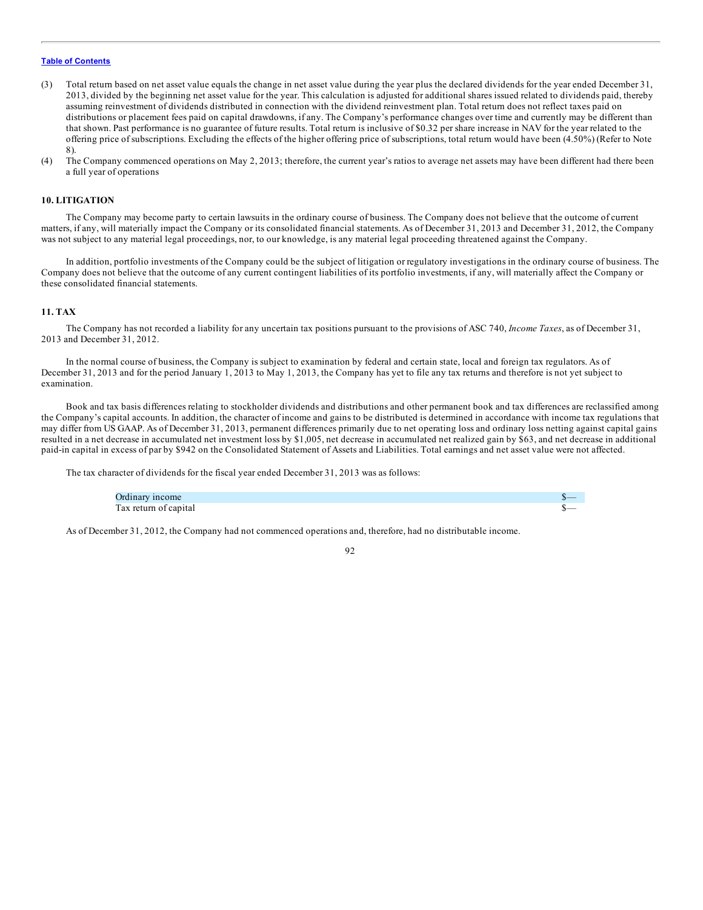- (3) Total return based on net asset value equals the change in net asset value during the year plus the declared dividends for the year ended December 31, 2013, divided by the beginning net asset value for the year. This calculation is adjusted for additional shares issued related to dividends paid, thereby assuming reinvestment of dividends distributed in connection with the dividend reinvestment plan. Total return does not reflect taxes paid on distributions or placement fees paid on capital drawdowns, if any. The Company's performance changes over time and currently may be different than that shown. Past performance is no guarantee of future results. Total return is inclusive of \$0.32 per share increase in NAV for the year related to the offering price of subscriptions. Excluding the effects of the higher offering price of subscriptions, total return would have been (4.50%) (Refer to Note 8).
- (4) The Company commenced operations on May 2, 2013; therefore, the current year's ratios to average net assets may have been different had there been a full year of operations

### **10. LITIGATION**

The Company may become party to certain lawsuits in the ordinary course of business. The Company does not believe that the outcome of current matters, if any, will materially impact the Company or its consolidated financial statements. As of December 31, 2013 and December 31, 2012, the Company was not subject to any material legal proceedings, nor, to our knowledge, is any material legal proceeding threatened against the Company.

In addition, portfolio investments of the Company could be the subject of litigation or regulatory investigations in the ordinary course of business. The Company does not believe that the outcome of any current contingent liabilities of its portfolio investments, if any, will materially affect the Company or these consolidated financial statements.

### **11. TAX**

The Company has not recorded a liability for any uncertain tax positions pursuant to the provisions of ASC 740, *Income Taxes*, as of December 31, 2013 and December 31, 2012.

In the normal course of business, the Company is subject to examination by federal and certain state, local and foreign tax regulators. As of December 31, 2013 and for the period January 1, 2013 to May 1, 2013, the Company has yet to file any tax returns and therefore is not yet subject to examination.

Book and tax basis differences relating to stockholder dividends and distributions and other permanent book and tax differences are reclassified among the Company's capital accounts. In addition, the character of income and gains to be distributed is determined in accordance with income tax regulations that may differ from US GAAP. As of December 31, 2013, permanent differences primarily due to net operating loss and ordinary loss netting against capital gains resulted in a net decrease in accumulated net investment loss by \$1,005, net decrease in accumulated net realized gain by \$63, and net decrease in additional paid-in capital in excess of par by \$942 on the Consolidated Statement of Assets and Liabilities. Total earnings and net asset value were not affected.

The tax character of dividends for the fiscal year ended December 31, 2013 was as follows:

Ordinary income Tax return of capital \$—

As of December 31, 2012, the Company had not commenced operations and, therefore, had no distributable income.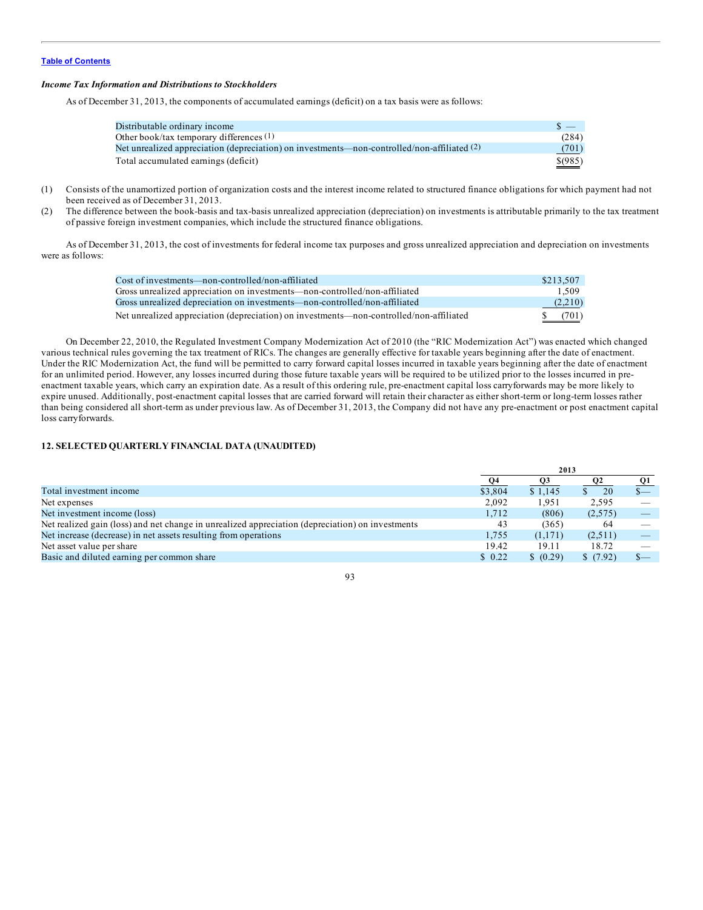### *Income Tax Information and Distributions to Stockholders*

As of December 31, 2013, the components of accumulated earnings (deficit) on a tax basis were as follows:

| Distributable ordinary income                                                               |         |
|---------------------------------------------------------------------------------------------|---------|
| Other book/tax temporary differences $(1)$                                                  | (284)   |
| Net unrealized appreciation (depreciation) on investments—non-controlled/non-affiliated (2) | (701)   |
| Total accumulated earnings (deficit)                                                        | \$(985) |

- (1) Consists of the unamortized portion of organization costs and the interest income related to structured finance obligations for which payment had not been received as of December 31, 2013.
- (2) The difference between the book-basis and tax-basis unrealized appreciation (depreciation) on investments is attributable primarily to the tax treatment of passive foreign investment companies, which include the structured finance obligations.

As of December 31, 2013, the cost of investments for federal income tax purposes and gross unrealized appreciation and depreciation on investments were as follows:

| Cost of investments—non-controlled/non-affiliated                                       | \$213.507        |
|-----------------------------------------------------------------------------------------|------------------|
| Gross unrealized appreciation on investments—non-controlled/non-affiliated              | 1.509            |
| Gross unrealized depreciation on investments—non-controlled/non-affiliated              | (2,210)          |
| Net unrealized appreciation (depreciation) on investments—non-controlled/non-affiliated | $\sqrt{5}$ (701) |

On December 22, 2010, the Regulated Investment Company Modernization Act of 2010 (the "RIC Modernization Act") was enacted which changed various technical rules governing the tax treatment of RICs. The changes are generally effective for taxable years beginning after the date of enactment. Under the RIC Modernization Act, the fund will be permitted to carry forward capital losses incurred in taxable years beginning after the date of enactment for an unlimited period. However, any losses incurred during those future taxable years will be required to be utilized prior to the losses incurred in preenactment taxable years, which carry an expiration date. As a result of this ordering rule, pre-enactment capital loss carryforwards may be more likely to expire unused. Additionally, post-enactment capital losses that are carried forward will retain their character as either short-term or long-term losses rather than being considered all short-term as under previous law. As of December 31, 2013, the Company did not have any pre-enactment or post enactment capital loss carryforwards.

## **12. SELECTED QUARTERLY FINANCIAL DATA (UNAUDITED)**

|                                                                                                  | 2013    |           |          |        |
|--------------------------------------------------------------------------------------------------|---------|-----------|----------|--------|
|                                                                                                  | Q4      | Q3        | Q2       | Q1     |
| Total investment income                                                                          | \$3,804 | \$1,145   | 20       | S—     |
| Net expenses                                                                                     | 2,092   | 1,951     | 2,595    |        |
| Net investment income (loss)                                                                     | 1.712   | (806)     | (2,575)  |        |
| Net realized gain (loss) and net change in unrealized appreciation (depreciation) on investments | 43      | (365)     | -64      |        |
| Net increase (decrease) in net assets resulting from operations                                  | 1.755   | (1,171)   | (2,511)  |        |
| Net asset value per share                                                                        | 19.42   | 19.11     | 18.72    |        |
| Basic and diluted earning per common share                                                       | \$0.22  | \$ (0.29) | \$(7.92) | $\sim$ |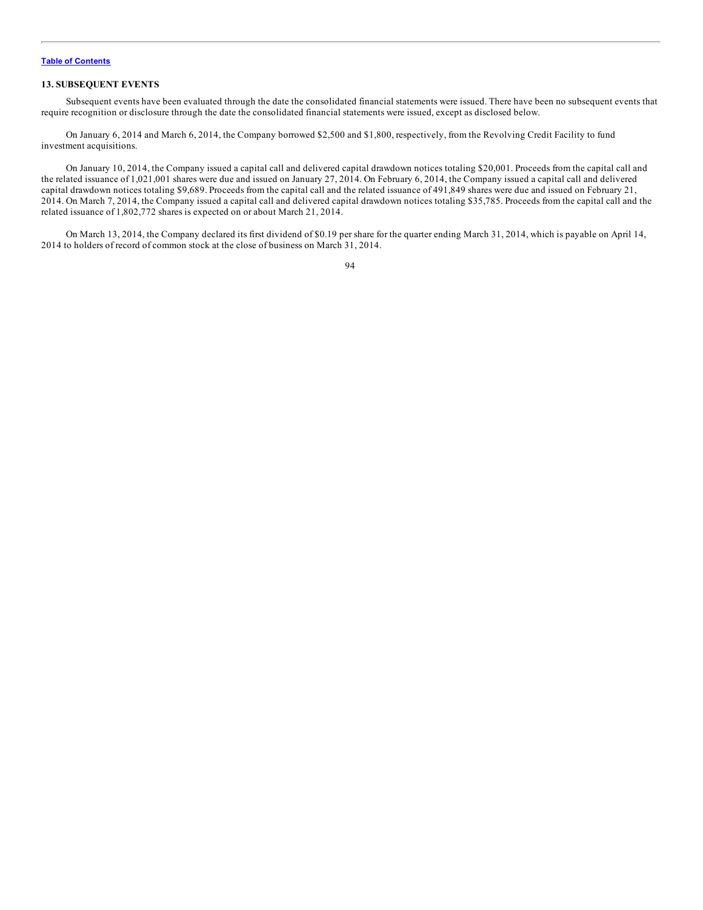#### **13. SUBSEQUENT EVENTS**

Subsequent events have been evaluated through the date the consolidated financial statements were issued. There have been no subsequent events that require recognition or disclosure through the date the consolidated financial statements were issued, except as disclosed below.

On January 6, 2014 and March 6, 2014, the Company borrowed \$2,500 and \$1,800, respectively, from the Revolving Credit Facility to fund investment acquisitions.

On January 10, 2014, the Company issued a capital call and delivered capital drawdown notices totaling \$20,001. Proceeds from the capital call and the related issuance of 1,021,001 shares were due and issued on January 27, 2014. On February 6, 2014, the Company issued a capital call and delivered capital drawdown notices totaling \$9,689. Proceeds from the capital call and the related issuance of 491,849 shares were due and issued on February 21, 2014. On March 7, 2014, the Company issued a capital call and delivered capital drawdown notices totaling \$35,785. Proceeds from the capital call and the related issuance of 1,802,772 shares is expected on or about March 21, 2014.

On March 13, 2014, the Company declared its first dividend of \$0.19 per share for the quarter ending March 31, 2014, which is payable on April 14, 2014 to holders of record of common stock at the close of business on March 31, 2014.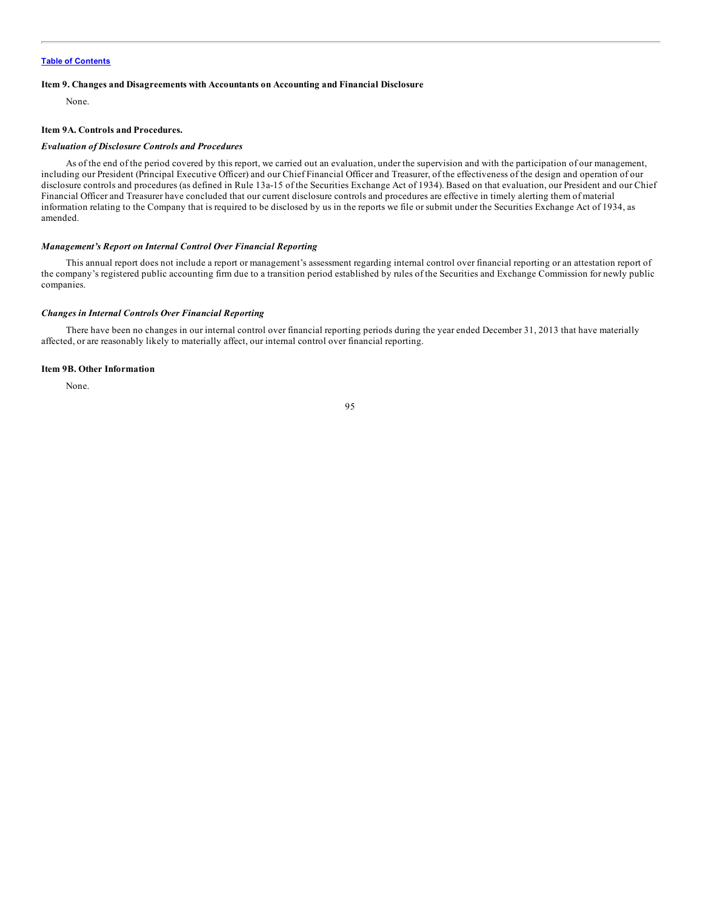#### **Item 9. Changes and Disagreements with Accountants on Accounting and Financial Disclosure**

None.

#### **Item 9A. Controls and Procedures.**

### *Evaluation of Disclosure Controls and Procedures*

As of the end of the period covered by this report, we carried out an evaluation, under the supervision and with the participation of our management, including our President (Principal Executive Officer) and our Chief Financial Officer and Treasurer, of the effectiveness of the design and operation of our disclosure controls and procedures (as defined in Rule 13a-15 of the Securities Exchange Act of 1934). Based on that evaluation, our President and our Chief Financial Officer and Treasurer have concluded that our current disclosure controls and procedures are effective in timely alerting them of material information relating to the Company that is required to be disclosed by us in the reports we file or submit under the Securities Exchange Act of 1934, as amended.

### *Management's Report on Internal Control Over Financial Reporting*

This annual report does not include a report or management's assessment regarding internal control over financial reporting or an attestation report of the company's registered public accounting firm due to a transition period established by rules of the Securities and Exchange Commission for newly public companies.

### *Changes in Internal Controls Over Financial Reporting*

There have been no changes in our internal control over financial reporting periods during the year ended December 31, 2013 that have materially affected, or are reasonably likely to materially affect, our internal control over financial reporting.

#### **Item 9B. Other Information**

None.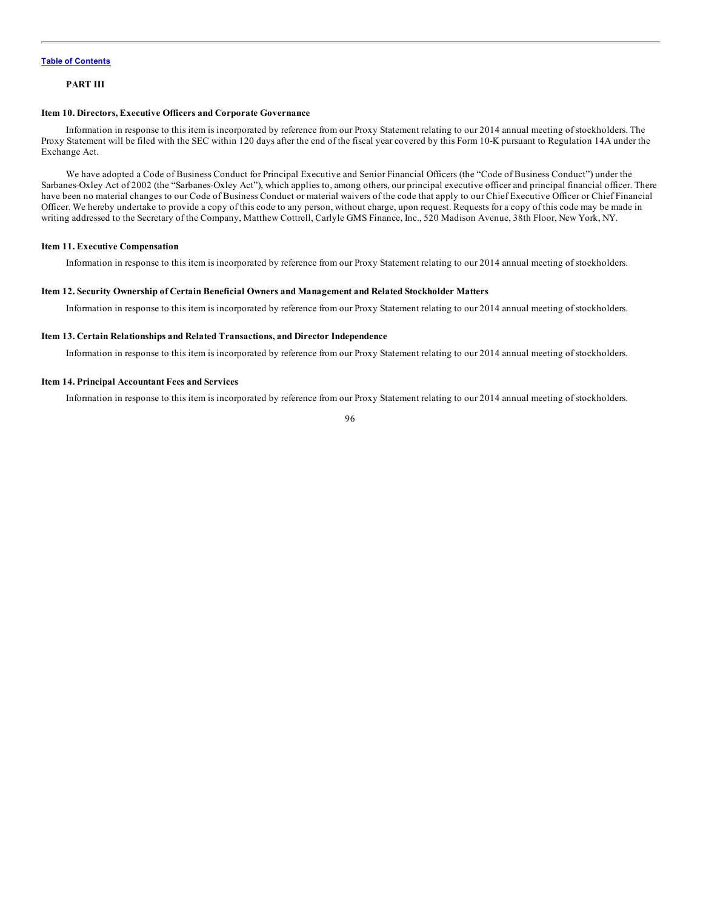### **PART III**

### **Item 10. Directors, Executive Officers and Corporate Governance**

Information in response to this item is incorporated by reference from our Proxy Statement relating to our 2014 annual meeting of stockholders. The Proxy Statement will be filed with the SEC within 120 days after the end of the fiscal year covered by this Form 10-K pursuant to Regulation 14A under the Exchange Act.

We have adopted a Code of Business Conduct for Principal Executive and Senior Financial Officers (the "Code of Business Conduct") under the Sarbanes-Oxley Act of 2002 (the "Sarbanes-Oxley Act"), which applies to, among others, our principal executive officer and principal financial officer. There have been no material changes to our Code of Business Conduct or material waivers of the code that apply to our Chief Executive Officer or Chief Financial Officer. We hereby undertake to provide a copy of this code to any person, without charge, upon request. Requests for a copy of this code may be made in writing addressed to the Secretary of the Company, Matthew Cottrell, Carlyle GMS Finance, Inc., 520 Madison Avenue, 38th Floor, New York, NY.

### **Item 11. Executive Compensation**

Information in response to this item is incorporated by reference from our Proxy Statement relating to our 2014 annual meeting of stockholders.

### **Item 12. Security Ownership of Certain Beneficial Owners and Management and Related Stockholder Matters**

Information in response to this item is incorporated by reference from our Proxy Statement relating to our 2014 annual meeting of stockholders.

### **Item 13. Certain Relationships and Related Transactions, and Director Independence**

Information in response to this item is incorporated by reference from our Proxy Statement relating to our 2014 annual meeting of stockholders.

### **Item 14. Principal Accountant Fees and Services**

Information in response to this item is incorporated by reference from our Proxy Statement relating to our 2014 annual meeting of stockholders.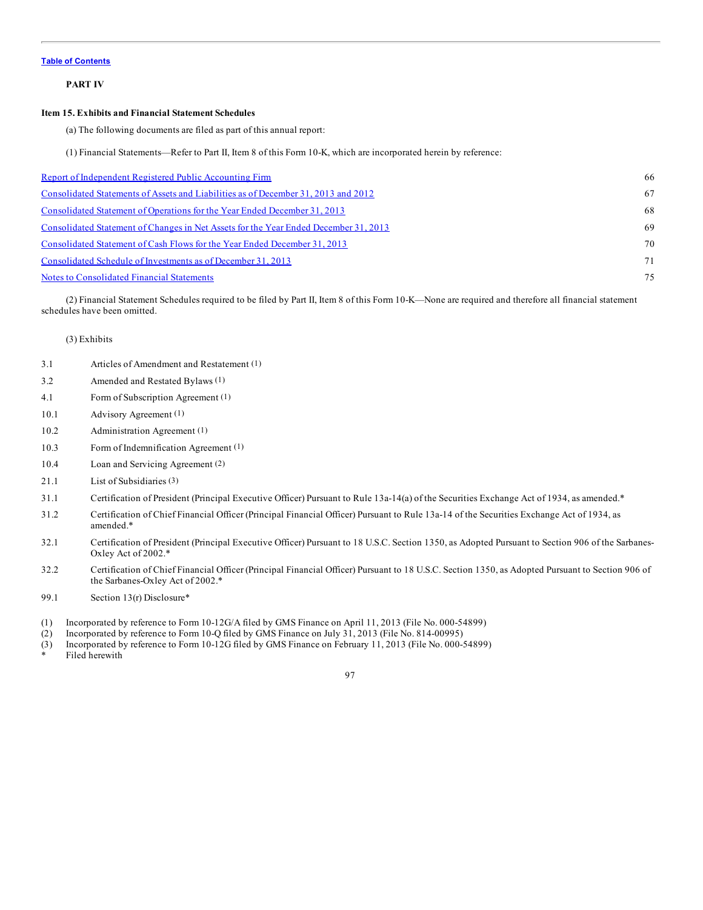### **PART IV**

# **Item 15. Exhibits and Financial Statement Schedules**

(a) The following documents are filed as part of this annual report:

(1) Financial Statements—Refer to Part II, Item 8 of this Form 10-K, which are incorporated herein by reference:

| <b>Report of Independent Registered Public Accounting Firm</b>                       | 66 |
|--------------------------------------------------------------------------------------|----|
| Consolidated Statements of Assets and Liabilities as of December 31, 2013 and 2012   | 67 |
| Consolidated Statement of Operations for the Year Ended December 31, 2013            | 68 |
| Consolidated Statement of Changes in Net Assets for the Year Ended December 31, 2013 | 69 |
| Consolidated Statement of Cash Flows for the Year Ended December 31, 2013            | 70 |
| Consolidated Schedule of Investments as of December 31, 2013                         | 71 |
| Notes to Consolidated Financial Statements                                           | 75 |

(2) Financial Statement Schedules required to be filed by Part II, Item 8 of this Form 10-K—None are required and therefore all financial statement schedules have been omitted.

### (3) Exhibits

- 3.1 Articles of Amendment and Restatement (1)
- 3.2 Amended and Restated Bylaws (1)
- 4.1 Form of Subscription Agreement (1)
- 10.1 Advisory Agreement (1)
- 10.2 Administration Agreement (1)
- 10.3 Form of Indemnification Agreement (1)
- 10.4 Loan and Servicing Agreement (2)
- 21.1 List of Subsidiaries (3)
- 31.1 Certification of President (Principal Executive Officer) Pursuant to Rule 13a-14(a) of the Securities Exchange Act of 1934, as amended.\*
- 31.2 Certification of Chief Financial Officer (Principal Financial Officer) Pursuant to Rule 13a-14 of the Securities Exchange Act of 1934, as amended.\*
- 32.1 Certification of President (Principal Executive Officer) Pursuant to 18 U.S.C. Section 1350, as Adopted Pursuant to Section 906 of the Sarbanes-Oxley Act of 2002.\*
- 32.2 Certification of Chief Financial Officer (Principal Financial Officer) Pursuant to 18 U.S.C. Section 1350, as Adopted Pursuant to Section 906 of the Sarbanes-Oxley Act of 2002.\*
- 99.1 Section 13(r) Disclosure\*
- (1) Incorporated by reference to Form 10-12G/A filed by GMS Finance on April 11, 2013 (File No. 000-54899)
- (2) Incorporated by reference to Form 10-Q filed by GMS Finance on July 31, 2013 (File No. 814-00995)
- (3) Incorporated by reference to Form 10-12G filed by GMS Finance on February 11, 2013 (File No. 000-54899)

Filed herewith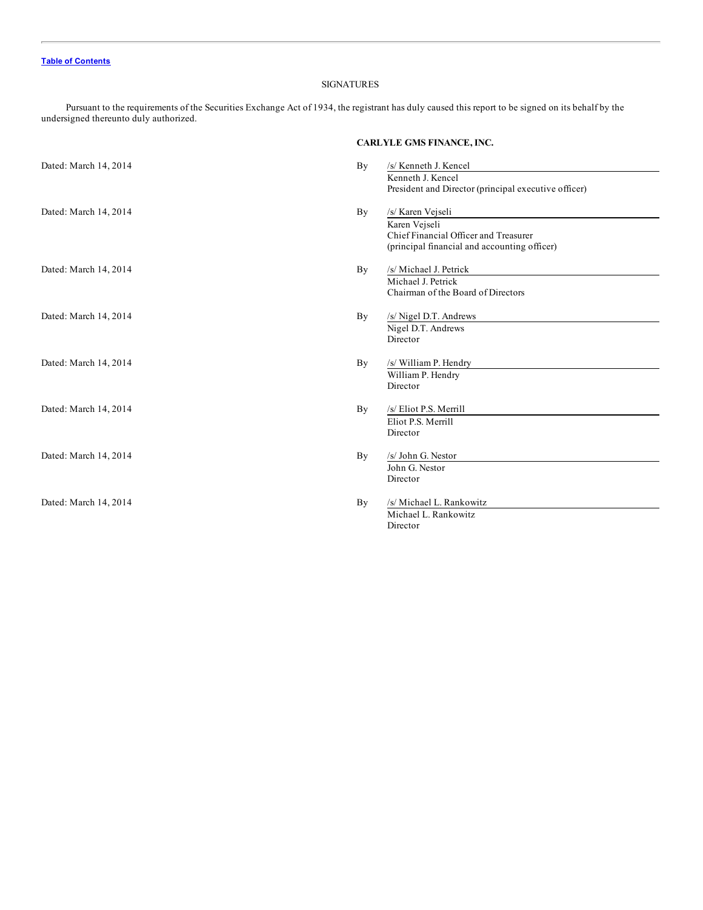# SIGNATURES

Pursuant to the requirements of the Securities Exchange Act of 1934, the registrant has duly caused this report to be signed on its behalf by the undersigned thereunto duly authorized.

|                       | CARLYLE GMS FINANCE, INC.                                                                                                         |  |
|-----------------------|-----------------------------------------------------------------------------------------------------------------------------------|--|
| Dated: March 14, 2014 | /s/ Kenneth J. Kencel<br>By<br>Kenneth J. Kencel<br>President and Director (principal executive officer)                          |  |
| Dated: March 14, 2014 | /s/ Karen Vejseli<br>By<br>Karen Vejseli<br>Chief Financial Officer and Treasurer<br>(principal financial and accounting officer) |  |
| Dated: March 14, 2014 | /s/ Michael J. Petrick<br>By<br>Michael J. Petrick<br>Chairman of the Board of Directors                                          |  |
| Dated: March 14, 2014 | /s/ Nigel D.T. Andrews<br>By<br>Nigel D.T. Andrews<br>Director                                                                    |  |
| Dated: March 14, 2014 | /s/ William P. Hendry<br>By<br>William P. Hendry<br>Director                                                                      |  |
| Dated: March 14, 2014 | /s/ Eliot P.S. Merrill<br>By<br>Eliot P.S. Merrill<br>Director                                                                    |  |
| Dated: March 14, 2014 | /s/ John G. Nestor<br>By<br>John G. Nestor<br>Director                                                                            |  |
| Dated: March 14, 2014 | /s/ Michael L. Rankowitz<br>By<br>Michael L. Rankowitz<br>Director                                                                |  |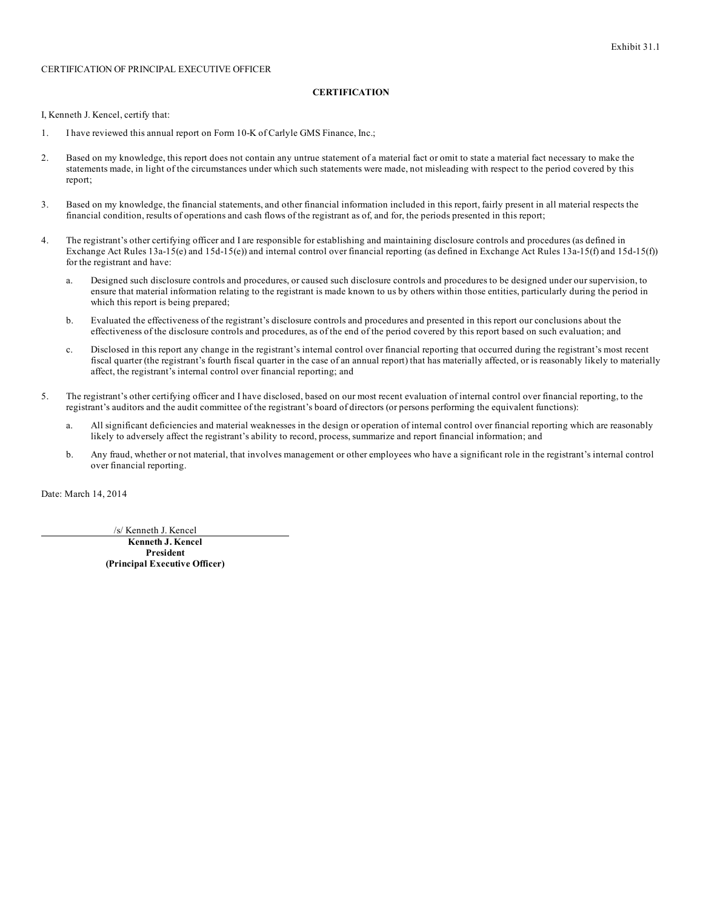## CERTIFICATION OF PRINCIPAL EXECUTIVE OFFICER

## **CERTIFICATION**

I, Kenneth J. Kencel, certify that:

- 1. I have reviewed this annual report on Form 10-K of Carlyle GMS Finance, Inc.;
- 2. Based on my knowledge, this report does not contain any untrue statement of a material fact or omit to state a material fact necessary to make the statements made, in light of the circumstances under which such statements were made, not misleading with respect to the period covered by this report;
- 3. Based on my knowledge, the financial statements, and other financial information included in this report, fairly present in all material respects the financial condition, results of operations and cash flows of the registrant as of, and for, the periods presented in this report;
- 4. The registrant's other certifying officer and I are responsible for establishing and maintaining disclosure controls and procedures (as defined in Exchange Act Rules 13a-15(e) and 15d-15(e)) and internal control over financial reporting (as defined in Exchange Act Rules 13a-15(f) and 15d-15(f)) for the registrant and have:
	- a. Designed such disclosure controls and procedures, or caused such disclosure controls and procedures to be designed under our supervision, to ensure that material information relating to the registrant is made known to us by others within those entities, particularly during the period in which this report is being prepared;
	- b. Evaluated the effectiveness of the registrant's disclosure controls and procedures and presented in this report our conclusions about the effectiveness of the disclosure controls and procedures, as of the end of the period covered by this report based on such evaluation; and
	- c. Disclosed in this report any change in the registrant's internal control over financial reporting that occurred during the registrant's most recent fiscal quarter (the registrant's fourth fiscal quarter in the case of an annual report) that has materially affected, or is reasonably likely to materially affect, the registrant's internal control over financial reporting; and
- 5. The registrant's other certifying officer and I have disclosed, based on our most recent evaluation of internal control over financial reporting, to the registrant's auditors and the audit committee of the registrant's board of directors (or persons performing the equivalent functions):
	- a. All significant deficiencies and material weaknesses in the design or operation of internal control over financial reporting which are reasonably likely to adversely affect the registrant's ability to record, process, summarize and report financial information; and
	- b. Any fraud, whether or not material, that involves management or other employees who have a significant role in the registrant's internal control over financial reporting.

Date: March 14, 2014

/s/ Kenneth J. Kencel **Kenneth J. Kencel President (Principal Executive Officer)**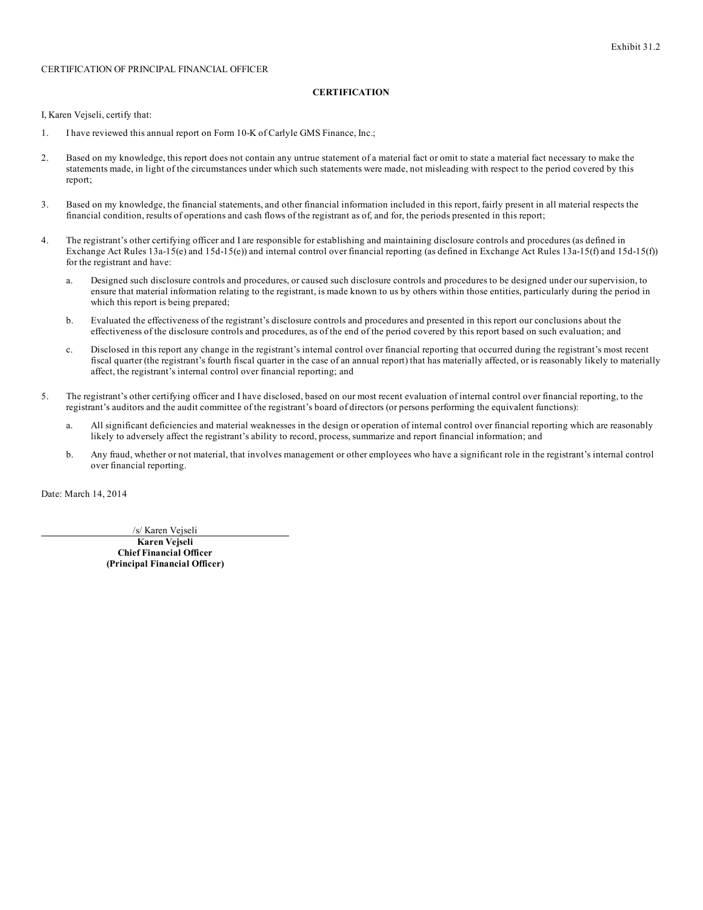### CERTIFICATION OF PRINCIPAL FINANCIAL OFFICER

## **CERTIFICATION**

I, Karen Vejseli, certify that:

- 1. I have reviewed this annual report on Form 10-K of Carlyle GMS Finance, Inc.;
- 2. Based on my knowledge, this report does not contain any untrue statement of a material fact or omit to state a material fact necessary to make the statements made, in light of the circumstances under which such statements were made, not misleading with respect to the period covered by this report;
- 3. Based on my knowledge, the financial statements, and other financial information included in this report, fairly present in all material respects the financial condition, results of operations and cash flows of the registrant as of, and for, the periods presented in this report;
- 4. The registrant's other certifying officer and I are responsible for establishing and maintaining disclosure controls and procedures (as defined in Exchange Act Rules 13a-15(e) and 15d-15(e)) and internal control over financial reporting (as defined in Exchange Act Rules 13a-15(f) and 15d-15(f)) for the registrant and have:
	- a. Designed such disclosure controls and procedures, or caused such disclosure controls and procedures to be designed under our supervision, to ensure that material information relating to the registrant, is made known to us by others within those entities, particularly during the period in which this report is being prepared;
	- b. Evaluated the effectiveness of the registrant's disclosure controls and procedures and presented in this report our conclusions about the effectiveness of the disclosure controls and procedures, as of the end of the period covered by this report based on such evaluation; and
	- c. Disclosed in this report any change in the registrant's internal control over financial reporting that occurred during the registrant's most recent fiscal quarter (the registrant's fourth fiscal quarter in the case of an annual report) that has materially affected, or is reasonably likely to materially affect, the registrant's internal control over financial reporting; and
- 5. The registrant's other certifying officer and I have disclosed, based on our most recent evaluation of internal control over financial reporting, to the registrant's auditors and the audit committee of the registrant's board of directors (or persons performing the equivalent functions):
	- a. All significant deficiencies and material weaknesses in the design or operation of internal control over financial reporting which are reasonably likely to adversely affect the registrant's ability to record, process, summarize and report financial information; and
	- b. Any fraud, whether or not material, that involves management or other employees who have a significant role in the registrant's internal control over financial reporting.

Date: March 14, 2014

/s/ Karen Vejseli **Karen Vejseli**

**Chief Financial Officer (Principal Financial Officer)**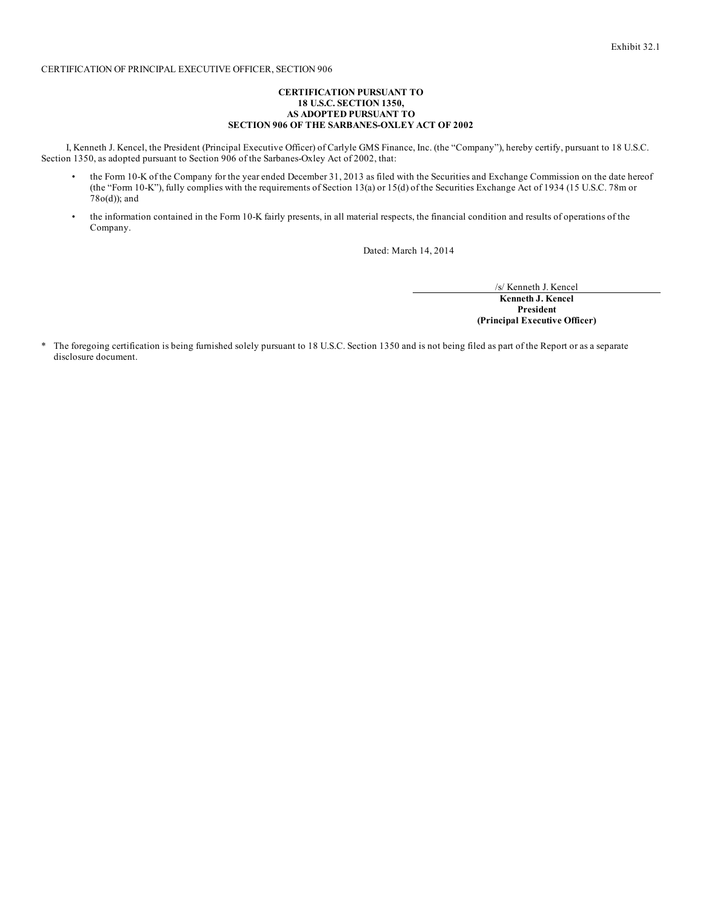## CERTIFICATION OF PRINCIPAL EXECUTIVE OFFICER, SECTION 906

### **CERTIFICATION PURSUANT TO 18 U.S.C. SECTION 1350, AS ADOPTED PURSUANT TO SECTION 906 OF THE SARBANES-OXLEY ACT OF 2002**

I, Kenneth J. Kencel, the President (Principal Executive Officer) of Carlyle GMS Finance, Inc. (the "Company"), hereby certify, pursuant to 18 U.S.C. Section 1350, as adopted pursuant to Section 906 of the Sarbanes-Oxley Act of 2002, that:

- the Form 10-K of the Company for the year ended December 31, 2013 as filed with the Securities and Exchange Commission on the date hereof (the "Form 10-K"), fully complies with the requirements of Section 13(a) or 15(d) of the Securities Exchange Act of 1934 (15 U.S.C. 78m or 78o(d)); and
- the information contained in the Form 10-K fairly presents, in all material respects, the financial condition and results of operations of the Company.

Dated: March 14, 2014

/s/ Kenneth J. Kencel **Kenneth J. Kencel President (Principal Executive Officer)**

\* The foregoing certification is being furnished solely pursuant to 18 U.S.C. Section 1350 and is not being filed as part of the Report or as a separate disclosure document.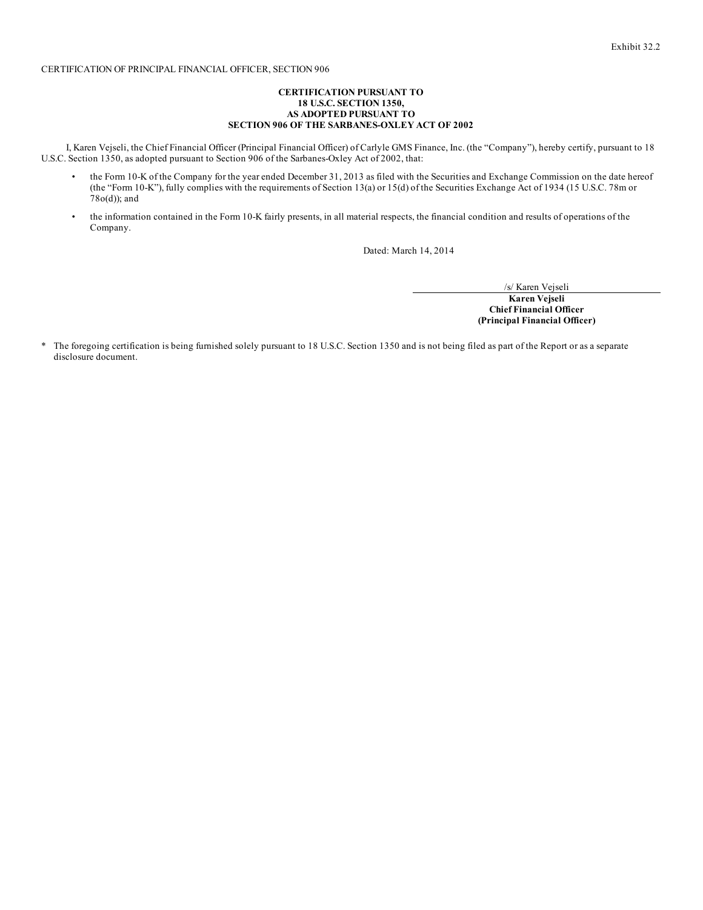## CERTIFICATION OF PRINCIPAL FINANCIAL OFFICER, SECTION 906

### **CERTIFICATION PURSUANT TO 18 U.S.C. SECTION 1350, AS ADOPTED PURSUANT TO SECTION 906 OF THE SARBANES-OXLEY ACT OF 2002**

I, Karen Vejseli, the Chief Financial Officer (Principal Financial Officer) of Carlyle GMS Finance, Inc. (the "Company"), hereby certify, pursuant to 18 U.S.C. Section 1350, as adopted pursuant to Section 906 of the Sarbanes-Oxley Act of 2002, that:

- the Form 10-K of the Company for the year ended December 31, 2013 as filed with the Securities and Exchange Commission on the date hereof (the "Form 10-K"), fully complies with the requirements of Section 13(a) or 15(d) of the Securities Exchange Act of 1934 (15 U.S.C. 78m or 78o(d)); and
- the information contained in the Form 10-K fairly presents, in all material respects, the financial condition and results of operations of the Company.

Dated: March 14, 2014

/s/ Karen Vejseli

**Karen Vejseli Chief Financial Officer (Principal Financial Officer)**

\* The foregoing certification is being furnished solely pursuant to 18 U.S.C. Section 1350 and is not being filed as part of the Report or as a separate disclosure document.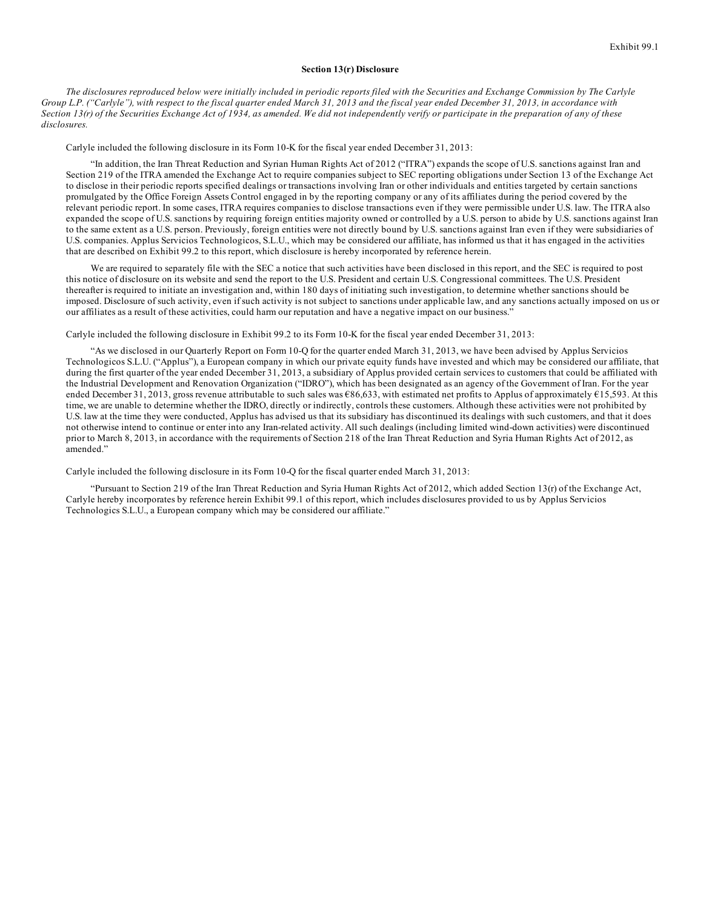### **Section 13(r) Disclosure**

The disclosures reproduced below were initially included in periodic reports filed with the Securities and Exchange Commission by The Carlyle Group L.P. ("Carlyle"), with respect to the fiscal quarter ended March 31, 2013 and the fiscal year ended December 31, 2013, in accordance with Section  $13(r)$  of the Securities Exchange Act of 1934, as amended. We did not independently verify or participate in the preparation of any of these *disclosures.*

Carlyle included the following disclosure in its Form 10-K for the fiscal year ended December 31, 2013:

"In addition, the Iran Threat Reduction and Syrian Human Rights Act of 2012 ("ITRA") expands the scope of U.S. sanctions against Iran and Section 219 of the ITRA amended the Exchange Act to require companies subject to SEC reporting obligations under Section 13 of the Exchange Act to disclose in their periodic reports specified dealings or transactions involving Iran or other individuals and entities targeted by certain sanctions promulgated by the Office Foreign Assets Control engaged in by the reporting company or any of its affiliates during the period covered by the relevant periodic report. In some cases, ITRA requires companies to disclose transactions even if they were permissible under U.S. law. The ITRA also expanded the scope of U.S. sanctions by requiring foreign entities majority owned or controlled by a U.S. person to abide by U.S. sanctions against Iran to the same extent as a U.S. person. Previously, foreign entities were not directly bound by U.S. sanctions against Iran even if they were subsidiaries of U.S. companies. Applus Servicios Technologicos, S.L.U., which may be considered our affiliate, has informed us that it has engaged in the activities that are described on Exhibit 99.2 to this report, which disclosure is hereby incorporated by reference herein.

We are required to separately file with the SEC a notice that such activities have been disclosed in this report, and the SEC is required to post this notice of disclosure on its website and send the report to the U.S. President and certain U.S. Congressional committees. The U.S. President thereafter is required to initiate an investigation and, within 180 days of initiating such investigation, to determine whether sanctions should be imposed. Disclosure of such activity, even if such activity is not subject to sanctions under applicable law, and any sanctions actually imposed on us or our affiliates as a result of these activities, could harm our reputation and have a negative impact on our business."

Carlyle included the following disclosure in Exhibit 99.2 to its Form 10-K for the fiscal year ended December 31, 2013:

"As we disclosed in our Quarterly Report on Form 10-Q for the quarter ended March 31, 2013, we have been advised by Applus Servicios Technologicos S.L.U. ("Applus"), a European company in which our private equity funds have invested and which may be considered our affiliate, that during the first quarter of the year ended December 31, 2013, a subsidiary of Applus provided certain services to customers that could be affiliated with the Industrial Development and Renovation Organization ("IDRO"), which has been designated as an agency of the Government of Iran. For the year ended December 31, 2013, gross revenue attributable to such sales was  $\epsilon$ 86,633, with estimated net profits to Applus of approximately  $\epsilon$ 15,593. At this time, we are unable to determine whether the IDRO, directly or indirectly, controls these customers. Although these activities were not prohibited by U.S. law at the time they were conducted, Applus has advised us that its subsidiary has discontinued its dealings with such customers, and that it does not otherwise intend to continue or enter into any Iran-related activity. All such dealings (including limited wind-down activities) were discontinued prior to March 8, 2013, in accordance with the requirements of Section 218 of the Iran Threat Reduction and Syria Human Rights Act of 2012, as amended."

Carlyle included the following disclosure in its Form 10-Q for the fiscal quarter ended March 31, 2013:

"Pursuant to Section 219 of the Iran Threat Reduction and Syria Human Rights Act of 2012, which added Section 13(r) of the Exchange Act, Carlyle hereby incorporates by reference herein Exhibit 99.1 of this report, which includes disclosures provided to us by Applus Servicios Technologics S.L.U., a European company which may be considered our affiliate."